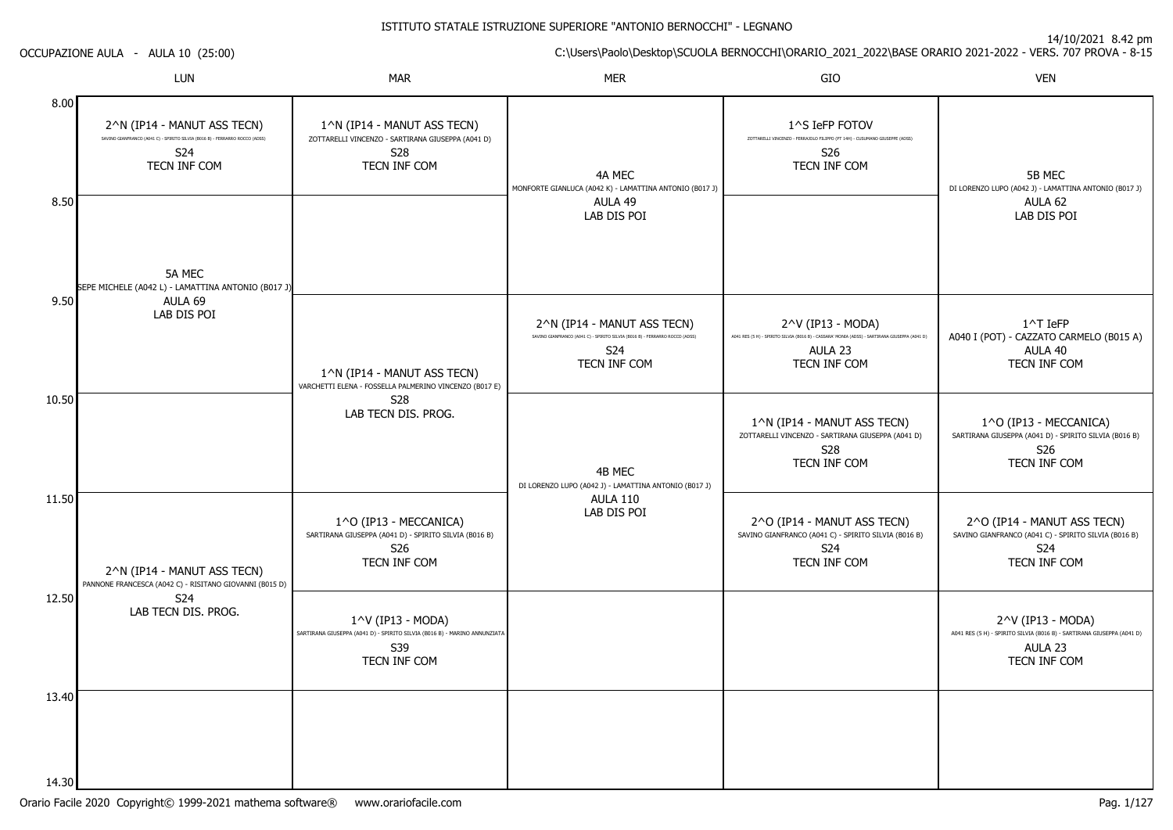14/10/2021 8.42 pm

C:\Users\Paolo\Desktop\SCUOLA BERNOCCHI\ORARIO\_2021\_2022\BASE ORARIO 2021-2022 - VERS. 707 PROVA - 8-15

OCCUPAZIONE AULA - AULA 10 (25:00)

|                  | LUN                                                                                                                                          | <b>MAR</b>                                                                                                                       | <b>MER</b>                                                                                                                                     | GIO                                                                                                                                            | <b>VEN</b>                                                                                                             |
|------------------|----------------------------------------------------------------------------------------------------------------------------------------------|----------------------------------------------------------------------------------------------------------------------------------|------------------------------------------------------------------------------------------------------------------------------------------------|------------------------------------------------------------------------------------------------------------------------------------------------|------------------------------------------------------------------------------------------------------------------------|
| 8.00<br>8.50     | 2^N (IP14 - MANUT ASS TECN)<br>SAVINO GIANFRANCO (A041 C) - SPIRITO SILVIA (B016 B) - FERRARRO ROCCO (ADSS)<br>S24<br>TECN INF COM<br>5A MEC | 1^N (IP14 - MANUT ASS TECN)<br>ZOTTARELLI VINCENZO - SARTIRANA GIUSEPPA (A041 D)<br><b>S28</b><br>TECN INF COM                   | 4A MEC<br>MONFORTE GIANLUCA (A042 K) - LAMATTINA ANTONIO (B017 J)<br>AULA 49<br>LAB DIS POI                                                    | 1^S IeFP FOTOV<br>ZOTTARELLI VINCENZO - FERRAJOLO FILIPPO (PT 14H) - CUSUMANO GIUSEPPE (ADSS)<br>S26<br>TECN INF COM                           | 5B MEC<br>DI LORENZO LUPO (A042 J) - LAMATTINA ANTONIO (B017 J)<br>AULA 62<br>LAB DIS POI                              |
| 9.50             | SEPE MICHELE (A042 L) - LAMATTINA ANTONIO (B017 J)<br>AULA 69<br>LAB DIS POI                                                                 | 1^N (IP14 - MANUT ASS TECN)<br>VARCHETTI ELENA - FOSSELLA PALMERINO VINCENZO (B017 E)                                            | 2^N (IP14 - MANUT ASS TECN)<br>SAVINO GIANFRANCO (A041 C) - SPIRITO SILVIA (B016 B) - FERRARRO ROCCO (ADSS)<br>S <sub>24</sub><br>TECN INF COM | 2^V (IP13 - MODA)<br>A041 RES (5 H) - SPIRITO SILVIA (B016 B) - CASSARA' MONIA (ADSS) - SARTIRANA GIUSEPPA (A041 D)<br>AULA 23<br>TECN INF COM | 1^T IeFP<br>A040 I (POT) - CAZZATO CARMELO (B015 A)<br>AULA 40<br>TECN INF COM                                         |
| 10.50            |                                                                                                                                              | <b>S28</b><br>LAB TECN DIS. PROG.                                                                                                | 4B MEC<br>DI LORENZO LUPO (A042 J) - LAMATTINA ANTONIO (B017 J)                                                                                | 1^N (IP14 - MANUT ASS TECN)<br>ZOTTARELLI VINCENZO - SARTIRANA GIUSEPPA (A041 D)<br>S28<br>TECN INF COM                                        | 1^O (IP13 - MECCANICA)<br>SARTIRANA GIUSEPPA (A041 D) - SPIRITO SILVIA (B016 B)<br>S <sub>26</sub><br>TECN INF COM     |
| 11.50            | 2^N (IP14 - MANUT ASS TECN)<br>PANNONE FRANCESCA (A042 C) - RISITANO GIOVANNI (B015 D)                                                       | 1^O (IP13 - MECCANICA)<br>SARTIRANA GIUSEPPA (A041 D) - SPIRITO SILVIA (B016 B)<br>S26<br>TECN INF COM                           | <b>AULA 110</b><br>LAB DIS POI                                                                                                                 | 2^O (IP14 - MANUT ASS TECN)<br>SAVINO GIANFRANCO (A041 C) - SPIRITO SILVIA (B016 B)<br>S24<br>TECN INF COM                                     | 2^O (IP14 - MANUT ASS TECN)<br>SAVINO GIANFRANCO (A041 C) - SPIRITO SILVIA (B016 B)<br>S24<br>TECN INF COM             |
| 12.50            | S24<br>LAB TECN DIS. PROG.                                                                                                                   | $1^{\wedge}$ V (IP13 - MODA)<br>SARTIRANA GIUSEPPA (A041 D) - SPIRITO SILVIA (B016 B) - MARINO ANNUNZIATA<br>S39<br>TECN INF COM |                                                                                                                                                |                                                                                                                                                | 2^V (IP13 - MODA)<br>A041 RES (5 H) - SPIRITO SILVIA (B016 B) - SARTIRANA GIUSEPPA (A041 D)<br>AULA 23<br>TECN INF COM |
| 13.40<br>14.30 l |                                                                                                                                              |                                                                                                                                  |                                                                                                                                                |                                                                                                                                                |                                                                                                                        |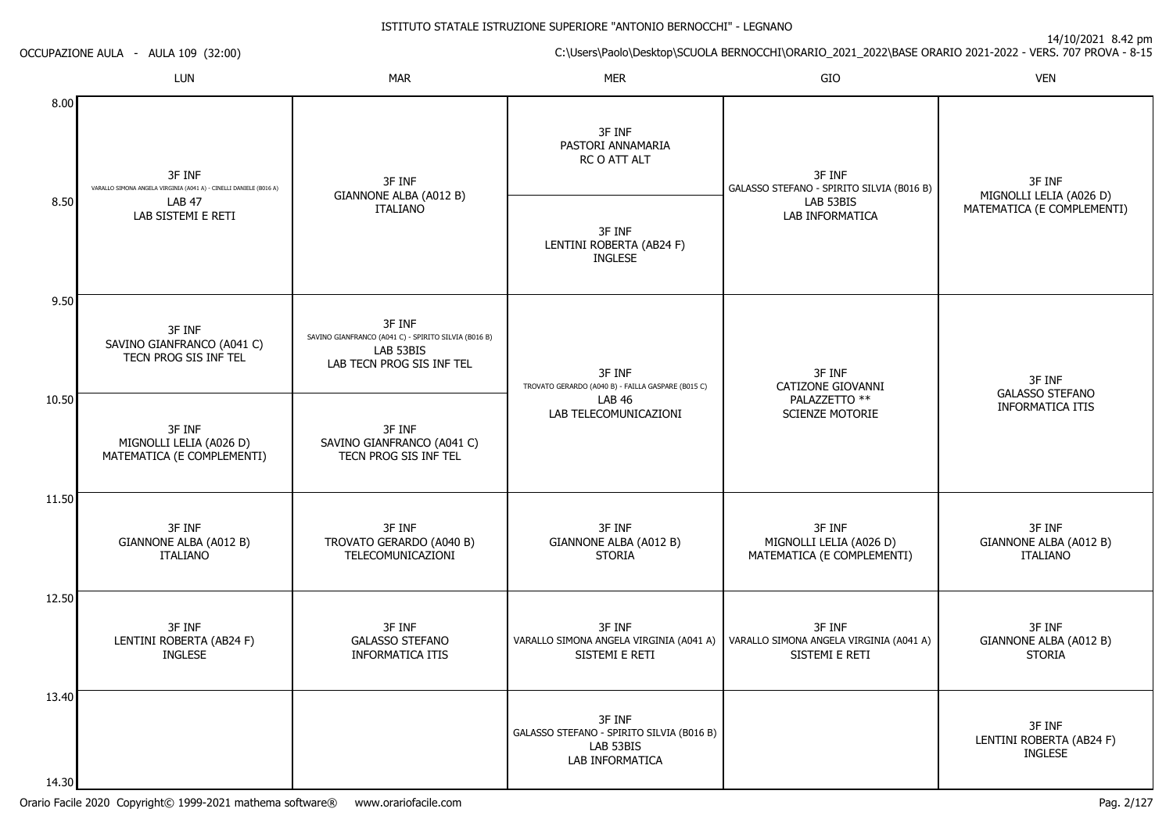| OCCUPAZIONE AULA - AULA 109 (32:00) |                                                                              |                                                                                                          | C:\Users\Paolo\Desktop\SCUOLA BERNOCCHI\ORARIO_2021_2022\BASE ORARIO 2021-2022 - VERS. 707 PROVA - 8-15 |                                                                                                                  |                                                       |  |
|-------------------------------------|------------------------------------------------------------------------------|----------------------------------------------------------------------------------------------------------|---------------------------------------------------------------------------------------------------------|------------------------------------------------------------------------------------------------------------------|-------------------------------------------------------|--|
|                                     | LUN                                                                          | <b>MAR</b>                                                                                               | MER                                                                                                     | GIO                                                                                                              | <b>VEN</b>                                            |  |
| 8.00                                | 3F INF<br>VARALLO SIMONA ANGELA VIRGINIA (A041 A) - CINELLI DANIELE (B016 A) | 3F INF                                                                                                   | 3F INF<br>PASTORI ANNAMARIA<br>RC O ATT ALT                                                             | 3F INF<br>GALASSO STEFANO - SPIRITO SILVIA (B016 B)                                                              | 3F INF                                                |  |
| 8.50                                | <b>LAB 47</b><br>LAB SISTEMI E RETI                                          | GIANNONE ALBA (A012 B)<br><b>ITALIANO</b>                                                                | 3F INF<br>LENTINI ROBERTA (AB24 F)<br><b>INGLESE</b>                                                    | LAB 53BIS<br>LAB INFORMATICA                                                                                     | MIGNOLLI LELIA (A026 D)<br>MATEMATICA (E COMPLEMENTI) |  |
| 9.50                                | 3F INF<br>SAVINO GIANFRANCO (A041 C)<br>TECN PROG SIS INF TEL                | 3F INF<br>SAVINO GIANFRANCO (A041 C) - SPIRITO SILVIA (B016 B)<br>LAB 53BIS<br>LAB TECN PROG SIS INF TEL | 3F INF<br>TROVATO GERARDO (A040 B) - FAILLA GASPARE (B015 C)                                            | 3F INF<br>CATIZONE GIOVANNI<br>PALAZZETTO **<br><b>LAB 46</b><br>LAB TELECOMUNICAZIONI<br><b>SCIENZE MOTORIE</b> | 3F INF<br><b>GALASSO STEFANO</b>                      |  |
| 10.50                               | 3F INF<br>MIGNOLLI LELIA (A026 D)<br>MATEMATICA (E COMPLEMENTI)              | 3F INF<br>SAVINO GIANFRANCO (A041 C)<br>TECN PROG SIS INF TEL                                            |                                                                                                         |                                                                                                                  | <b>INFORMATICA ITIS</b>                               |  |
| 11.50                               | 3F INF<br>GIANNONE ALBA (A012 B)<br><b>ITALIANO</b>                          | 3F INF<br>TROVATO GERARDO (A040 B)<br>TELECOMUNICAZIONI                                                  | 3F INF<br>GIANNONE ALBA (A012 B)<br><b>STORIA</b>                                                       | 3F INF<br>MIGNOLLI LELIA (A026 D)<br>MATEMATICA (E COMPLEMENTI)                                                  | 3F INF<br>GIANNONE ALBA (A012 B)<br><b>ITALIANO</b>   |  |
| 12.50                               | 3F INF<br>LENTINI ROBERTA (AB24 F)<br><b>INGLESE</b>                         | 3F INF<br><b>GALASSO STEFANO</b><br><b>INFORMATICA ITIS</b>                                              | 3F INF<br>VARALLO SIMONA ANGELA VIRGINIA (A041 A)<br>SISTEMI E RETI                                     | 3F INF<br>VARALLO SIMONA ANGELA VIRGINIA (A041 A)<br>SISTEMI E RETI                                              | 3F INF<br>GIANNONE ALBA (A012 B)<br><b>STORIA</b>     |  |
| 13.40<br>14.30                      |                                                                              |                                                                                                          | 3F INF<br>GALASSO STEFANO - SPIRITO SILVIA (B016 B)<br>LAB 53BIS<br>LAB INFORMATICA                     |                                                                                                                  | 3F INF<br>LENTINI ROBERTA (AB24 F)<br><b>INGLESE</b>  |  |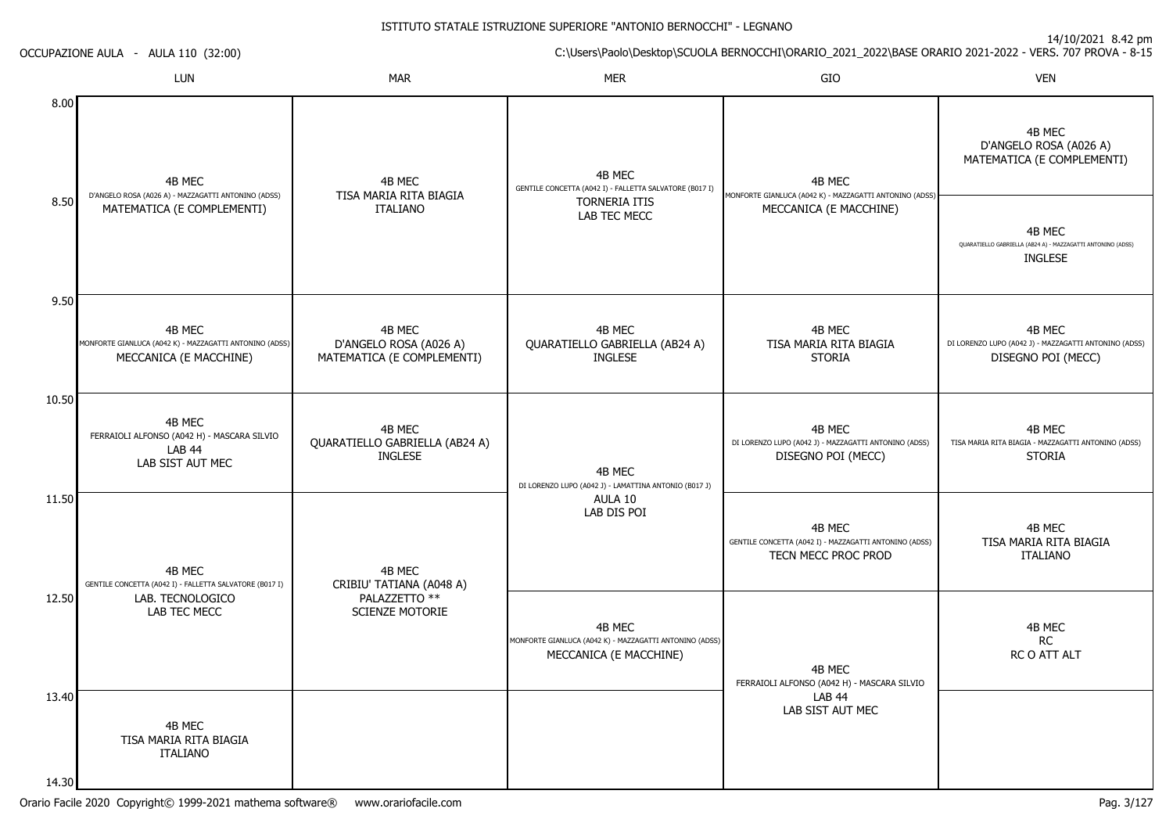|       | OCCUPAZIONE AULA - AULA 110 (32:00)                                                         |                                                                | $\perp$ 1/ $\perp$ 0/ $\perp$ 0.14 $\perp$ 0.11<br>C:\Users\Paolo\Desktop\SCUOLA BERNOCCHI\ORARIO_2021_2022\BASE ORARIO 2021-2022 - VERS. 707 PROVA - 8-15 |                                                                                         |                                                                                         |  |  |
|-------|---------------------------------------------------------------------------------------------|----------------------------------------------------------------|------------------------------------------------------------------------------------------------------------------------------------------------------------|-----------------------------------------------------------------------------------------|-----------------------------------------------------------------------------------------|--|--|
|       | LUN                                                                                         | <b>MAR</b>                                                     | <b>MER</b>                                                                                                                                                 | GIO                                                                                     | <b>VEN</b>                                                                              |  |  |
| 8.00  | 4B MEC                                                                                      | 4B MEC                                                         | 4B MEC<br>GENTILE CONCETTA (A042 I) - FALLETTA SALVATORE (B017 I)                                                                                          | 4B MEC                                                                                  | 4B MEC<br>D'ANGELO ROSA (A026 A)<br>MATEMATICA (E COMPLEMENTI)                          |  |  |
| 8.50  | D'ANGELO ROSA (A026 A) - MAZZAGATTI ANTONINO (ADSS)<br>MATEMATICA (E COMPLEMENTI)           | TISA MARIA RITA BIAGIA<br><b>ITALIANO</b>                      | <b>TORNERIA ITIS</b><br>LAB TEC MECC                                                                                                                       | MONFORTE GIANLUCA (A042 K) - MAZZAGATTI ANTONINO (ADSS)<br>MECCANICA (E MACCHINE)       | 4B MEC<br>QUARATIELLO GABRIELLA (AB24 A) - MAZZAGATTI ANTONINO (ADSS)<br><b>INGLESE</b> |  |  |
| 9.50  |                                                                                             |                                                                |                                                                                                                                                            |                                                                                         |                                                                                         |  |  |
|       | 4B MEC<br>MONFORTE GIANLUCA (A042 K) - MAZZAGATTI ANTONINO (ADSS)<br>MECCANICA (E MACCHINE) | 4B MEC<br>D'ANGELO ROSA (A026 A)<br>MATEMATICA (E COMPLEMENTI) | 4B MEC<br>QUARATIELLO GABRIELLA (AB24 A)<br><b>INGLESE</b>                                                                                                 | 4B MEC<br>TISA MARIA RITA BIAGIA<br><b>STORIA</b>                                       | 4B MEC<br>DI LORENZO LUPO (A042 J) - MAZZAGATTI ANTONINO (ADSS)<br>DISEGNO POI (MECC)   |  |  |
| 10.50 |                                                                                             |                                                                |                                                                                                                                                            |                                                                                         |                                                                                         |  |  |
|       | 4B MEC<br>FERRAIOLI ALFONSO (A042 H) - MASCARA SILVIO<br>LAB 44<br>LAB SIST AUT MEC         | 4B MEC<br>QUARATIELLO GABRIELLA (AB24 A)<br><b>INGLESE</b>     | 4B MEC<br>DI LORENZO LUPO (A042 J) - LAMATTINA ANTONIO (B017 J)                                                                                            | 4B MEC<br>DI LORENZO LUPO (A042 J) - MAZZAGATTI ANTONINO (ADSS)<br>DISEGNO POI (MECC)   | 4B MEC<br>TISA MARIA RITA BIAGIA - MAZZAGATTI ANTONINO (ADSS)<br><b>STORIA</b>          |  |  |
| 11.50 | 4B MEC<br>GENTILE CONCETTA (A042 I) - FALLETTA SALVATORE (B017 I)                           | 4B MEC<br>CRIBIU' TATIANA (A048 A)                             | AULA 10<br>LAB DIS POI                                                                                                                                     | 4B MEC<br>GENTILE CONCETTA (A042 I) - MAZZAGATTI ANTONINO (ADSS)<br>TECN MECC PROC PROD | 4B MEC<br>TISA MARIA RITA BIAGIA<br><b>ITALIANO</b>                                     |  |  |
| 12.50 | LAB. TECNOLOGICO<br>LAB TEC MECC                                                            | PALAZZETTO **<br><b>SCIENZE MOTORIE</b>                        | 4B MEC<br>MONFORTE GIANLUCA (A042 K) - MAZZAGATTI ANTONINO (ADSS)<br>MECCANICA (E MACCHINE)                                                                | 4B MEC<br>FERRAIOLI ALFONSO (A042 H) - MASCARA SILVIO                                   | 4B MEC<br>RC<br>RC O ATT ALT                                                            |  |  |
| 13.40 | 4B MEC<br>TISA MARIA RITA BIAGIA<br><b>ITALIANO</b>                                         |                                                                |                                                                                                                                                            | <b>LAB 44</b><br>LAB SIST AUT MEC                                                       |                                                                                         |  |  |
| 14.30 |                                                                                             |                                                                |                                                                                                                                                            |                                                                                         |                                                                                         |  |  |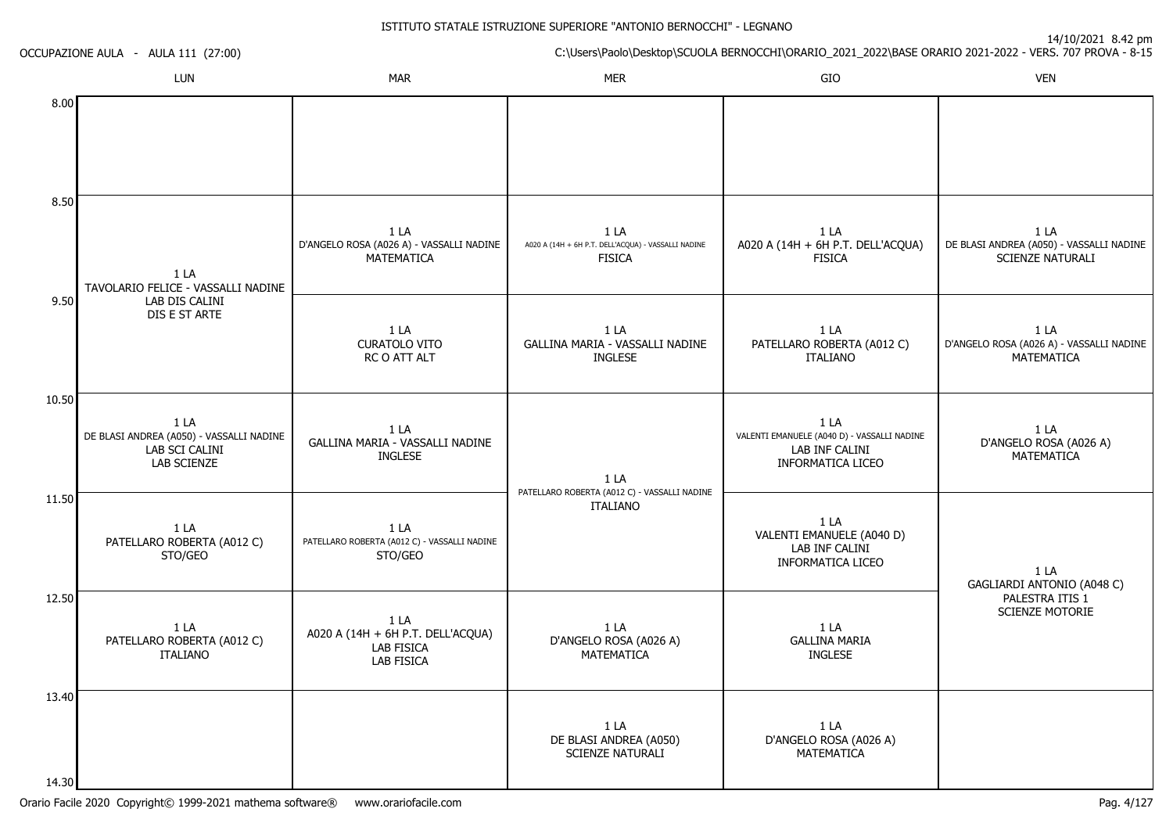|       | OCCUPAZIONE AULA - AULA 111 (27:00)                                                         | C:\Users\Paolo\Desktop\SCUOLA BERNOCCHI\ORARIO_2021_2022\BASE ORARIO 2021-2022 - VERS. 707 PROVA - 8-15 |                                                                              |                                                                                                   |                                                                             |  |
|-------|---------------------------------------------------------------------------------------------|---------------------------------------------------------------------------------------------------------|------------------------------------------------------------------------------|---------------------------------------------------------------------------------------------------|-----------------------------------------------------------------------------|--|
|       | LUN                                                                                         | <b>MAR</b>                                                                                              | <b>MER</b>                                                                   | GIO                                                                                               | <b>VEN</b>                                                                  |  |
| 8.00  |                                                                                             |                                                                                                         |                                                                              |                                                                                                   |                                                                             |  |
| 8.50  | 1 LA<br>TAVOLARIO FELICE - VASSALLI NADINE                                                  | 1 LA<br>D'ANGELO ROSA (A026 A) - VASSALLI NADINE<br>MATEMATICA                                          | 1 LA<br>A020 A (14H + 6H P.T. DELL'ACQUA) - VASSALLI NADINE<br><b>FISICA</b> | 1 LA<br>A020 A (14H + 6H P.T. DELL'ACQUA)<br><b>FISICA</b>                                        | 1 LA<br>DE BLASI ANDREA (A050) - VASSALLI NADINE<br><b>SCIENZE NATURALI</b> |  |
| 9.50  | LAB DIS CALINI<br>DIS E ST ARTE                                                             | 1 LA<br><b>CURATOLO VITO</b><br>RC O ATT ALT                                                            | 1 LA<br>GALLINA MARIA - VASSALLI NADINE<br><b>INGLESE</b>                    | 1 LA<br>PATELLARO ROBERTA (A012 C)<br><b>ITALIANO</b>                                             | 1 LA<br>D'ANGELO ROSA (A026 A) - VASSALLI NADINE<br>MATEMATICA              |  |
| 10.50 | 1 <sub>L</sub><br>DE BLASI ANDREA (A050) - VASSALLI NADINE<br>LAB SCI CALINI<br>LAB SCIENZE | 1 LA<br>GALLINA MARIA - VASSALLI NADINE<br><b>INGLESE</b>                                               | 1LA<br>PATELLARO ROBERTA (A012 C) - VASSALLI NADINE                          | 1 LA<br>VALENTI EMANUELE (A040 D) - VASSALLI NADINE<br>LAB INF CALINI<br><b>INFORMATICA LICEO</b> | 1 LA<br>D'ANGELO ROSA (A026 A)<br>MATEMATICA                                |  |
| 11.50 | 1 LA<br>PATELLARO ROBERTA (A012 C)<br>STO/GEO                                               | 1 LA<br>PATELLARO ROBERTA (A012 C) - VASSALLI NADINE<br>STO/GEO                                         | <b>ITALIANO</b>                                                              | 1 LA<br>VALENTI EMANUELE (A040 D)<br>LAB INF CALINI<br>INFORMATICA LICEO                          | 1 LA<br>GAGLIARDI ANTONIO (A048 C)                                          |  |
| 12.50 | 1 LA<br>PATELLARO ROBERTA (A012 C)<br>ITALIANO                                              | 1 LA<br>A020 A (14H + 6H P.T. DELL'ACQUA)<br>LAB FISICA<br><b>LAB FISICA</b>                            | 1 LA<br>D'ANGELO ROSA (A026 A)<br><b>MATEMATICA</b>                          | 1 LA<br><b>GALLINA MARIA</b><br><b>INGLESE</b>                                                    | PALESTRA ITIS 1<br><b>SCIENZE MOTORIE</b>                                   |  |
| 13.40 |                                                                                             |                                                                                                         | 1 <sub>LA</sub><br>DE BLASI ANDREA (A050)<br>SCIENZE NATURALI                | 1 LA<br>D'ANGELO ROSA (A026 A)<br><b>MATEMATICA</b>                                               |                                                                             |  |
| 14.30 |                                                                                             |                                                                                                         |                                                                              |                                                                                                   |                                                                             |  |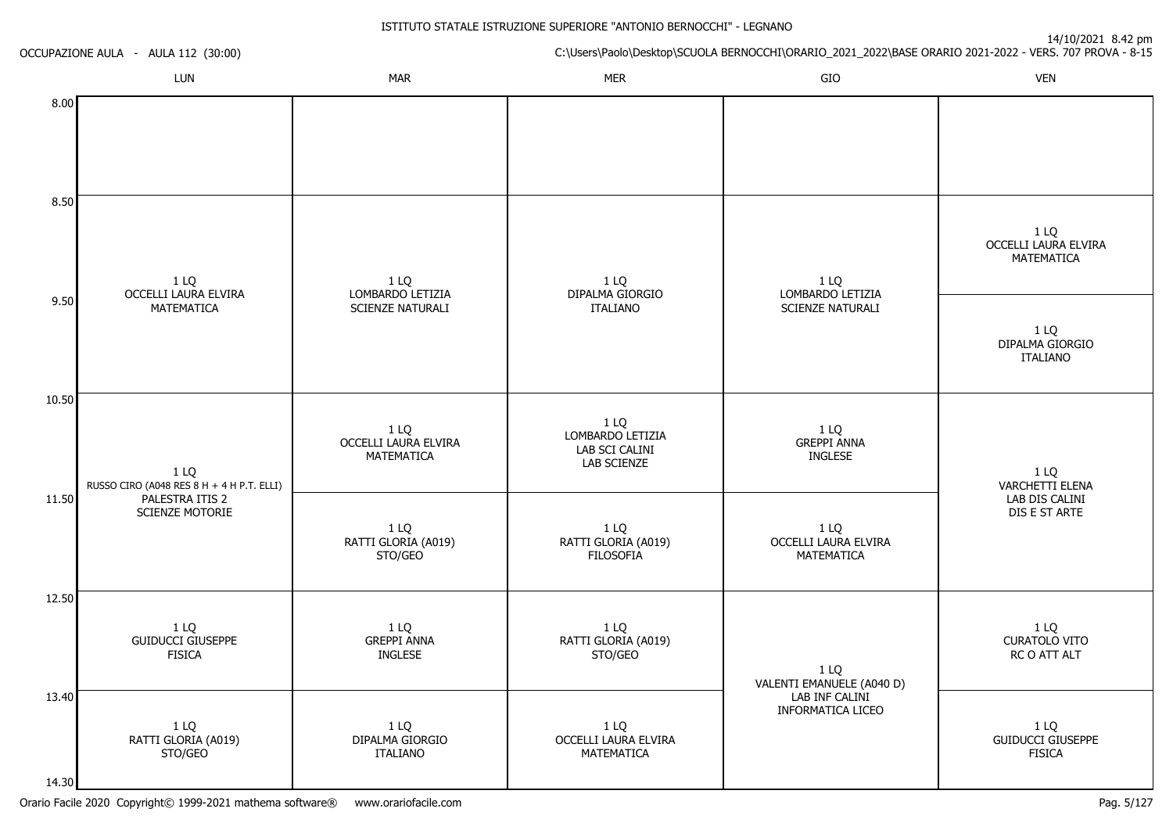|       | OCCUPAZIONE AULA - AULA 112 (30:00)               |                                            | $17/10/2021$ 0.72 pm<br>C:\Users\Paolo\Desktop\SCUOLA BERNOCCHI\ORARIO_2021_2022\BASE ORARIO 2021-2022 - VERS. 707 PROVA - 8-15 |                                                                          |                                                   |  |
|-------|---------------------------------------------------|--------------------------------------------|---------------------------------------------------------------------------------------------------------------------------------|--------------------------------------------------------------------------|---------------------------------------------------|--|
|       | LUN                                               | <b>MAR</b>                                 | <b>MER</b>                                                                                                                      | GIO                                                                      | <b>VEN</b>                                        |  |
| 8.00  |                                                   |                                            |                                                                                                                                 |                                                                          |                                                   |  |
| 8.50  |                                                   |                                            |                                                                                                                                 |                                                                          | 1 LQ                                              |  |
|       | 1 LQ<br>OCCELLI LAURA ELVIRA                      | 1 LQ<br>LOMBARDO LETIZIA                   | 1 LQ<br>DIPALMA GIORGIO                                                                                                         | 1 LQ<br>LOMBARDO LETIZIA                                                 | <b>OCCELLI LAURA ELVIRA</b><br>MATEMATICA         |  |
| 9.50  | MATEMATICA                                        | SCIENZE NATURALI                           | <b>ITALIANO</b>                                                                                                                 | SCIENZE NATURALI                                                         | 1 LQ<br>DIPALMA GIORGIO<br><b>ITALIANO</b>        |  |
| 10.50 | 1 LQ<br>RUSSO CIRO (A048 RES 8 H + 4 H P.T. ELLI) | 1 LQ<br>OCCELLI LAURA ELVIRA<br>MATEMATICA | 1 LQ<br>LOMBARDO LETIZIA<br>LAB SCI CALINI<br>LAB SCIENZE                                                                       | 1 LQ<br><b>GREPPI ANNA</b><br><b>INGLESE</b>                             | 1 LQ<br>VARCHETTI ELENA                           |  |
| 11.50 | PALESTRA ITIS 2<br>SCIENZE MOTORIE                | 1 LQ<br>RATTI GLORIA (A019)<br>STO/GEO     | 1 LQ<br>RATTI GLORIA (A019)<br><b>FILOSOFIA</b>                                                                                 | 1 LQ<br><b>OCCELLI LAURA ELVIRA</b><br>MATEMATICA                        | LAB DIS CALINI<br>DIS E ST ARTE                   |  |
| 12.50 | 1 LQ<br><b>GUIDUCCI GIUSEPPE</b>                  | 1 LQ<br><b>GREPPI ANNA</b>                 | 1 LQ<br>RATTI GLORIA (A019)                                                                                                     |                                                                          | 1 LQ<br><b>CURATOLO VITO</b>                      |  |
| 13.40 | <b>FISICA</b>                                     | <b>INGLESE</b>                             | STO/GEO                                                                                                                         | 1 LQ<br>VALENTI EMANUELE (A040 D)<br>LAB INF CALINI<br>INFORMATICA LICEO | RC O ATT ALT                                      |  |
| 14.30 | 1 LQ<br>RATTI GLORIA (A019)<br>STO/GEO            | 1 LQ<br>DIPALMA GIORGIO<br><b>ITALIANO</b> | 1 LQ<br>OCCELLI LAURA ELVIRA<br>MATEMATICA                                                                                      |                                                                          | 1 LQ<br><b>GUIDUCCI GIUSEPPE</b><br><b>FISICA</b> |  |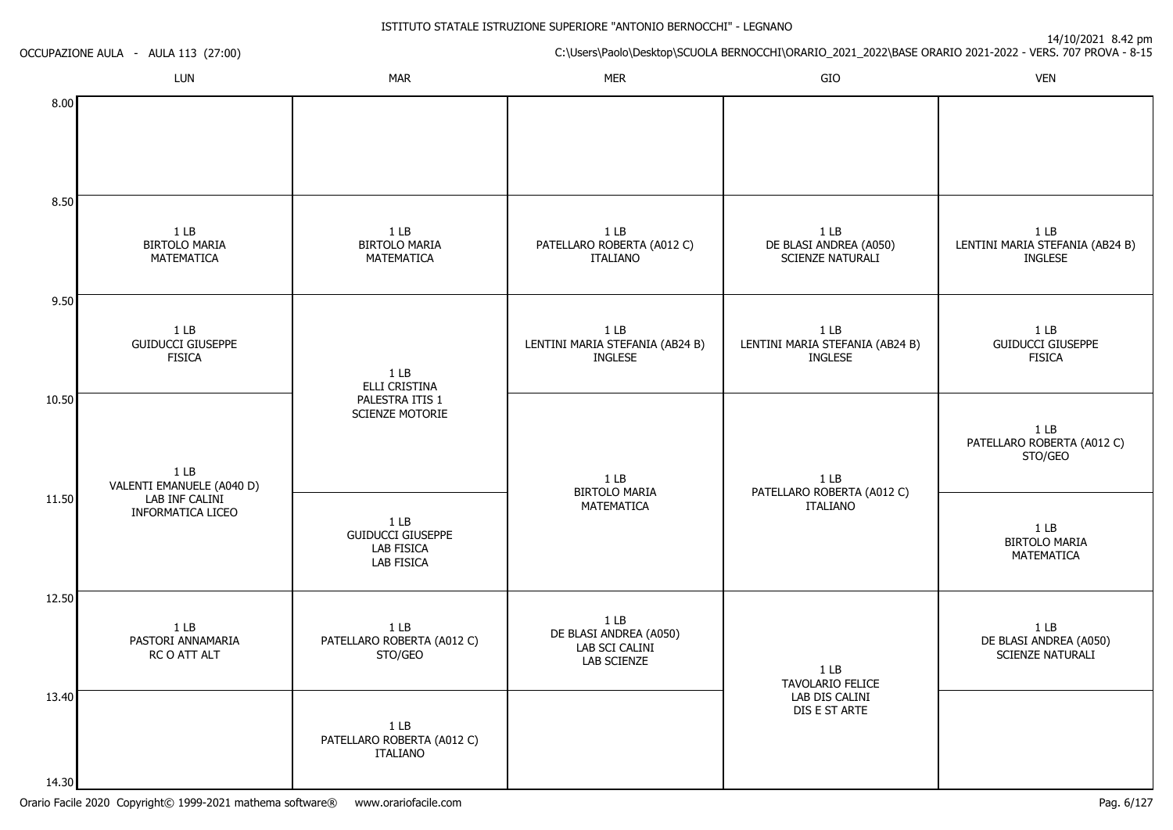|                | OCCUPAZIONE AULA - AULA 113 (27:00)                          |                                                                                | 14/10/2021 0.42 pm<br>C:\Users\Paolo\Desktop\SCUOLA BERNOCCHI\ORARIO_2021_2022\BASE ORARIO 2021-2022 - VERS. 707 PROVA - 8-15 |                                                                      |                                                                      |  |  |
|----------------|--------------------------------------------------------------|--------------------------------------------------------------------------------|-------------------------------------------------------------------------------------------------------------------------------|----------------------------------------------------------------------|----------------------------------------------------------------------|--|--|
|                | LUN                                                          | <b>MAR</b>                                                                     | <b>MER</b>                                                                                                                    | GIO                                                                  | <b>VEN</b>                                                           |  |  |
| 8.00           |                                                              |                                                                                |                                                                                                                               |                                                                      |                                                                      |  |  |
| 8.50           | 1 <sub>LB</sub><br><b>BIRTOLO MARIA</b><br>MATEMATICA        | 1 <sub>LB</sub><br><b>BIRTOLO MARIA</b><br>MATEMATICA                          | 1 <sub>LB</sub><br>PATELLARO ROBERTA (A012 C)<br><b>ITALIANO</b>                                                              | 1 <sub>LB</sub><br>DE BLASI ANDREA (A050)<br><b>SCIENZE NATURALI</b> | 1 <sub>LB</sub><br>LENTINI MARIA STEFANIA (AB24 B)<br><b>INGLESE</b> |  |  |
| 9.50           | 1 <sub>LB</sub><br><b>GUIDUCCI GIUSEPPE</b><br><b>FISICA</b> | 1 <sub>LB</sub><br>ELLI CRISTINA                                               | $1$ LB<br>LENTINI MARIA STEFANIA (AB24 B)<br>INGLESE                                                                          | $1$ LB<br>LENTINI MARIA STEFANIA (AB24 B)<br><b>INGLESE</b>          | 1 <sub>LB</sub><br><b>GUIDUCCI GIUSEPPE</b><br><b>FISICA</b>         |  |  |
| 10.50          | 1 <sub>LB</sub><br>VALENTI EMANUELE (A040 D)                 | PALESTRA ITIS 1<br><b>SCIENZE MOTORIE</b>                                      | 1 <sub>LB</sub><br><b>BIRTOLO MARIA</b>                                                                                       | 1 <sub>LB</sub>                                                      | 1 <sub>LB</sub><br>PATELLARO ROBERTA (A012 C)<br>STO/GEO             |  |  |
| 11.50          | LAB INF CALINI<br><b>INFORMATICA LICEO</b>                   | 1 <sub>LB</sub><br><b>GUIDUCCI GIUSEPPE</b><br>LAB FISICA<br><b>LAB FISICA</b> | MATEMATICA                                                                                                                    | PATELLARO ROBERTA (A012 C)<br>ITALIANO                               | $1$ LB<br><b>BIRTOLO MARIA</b><br>MATEMATICA                         |  |  |
| 12.50          | 1 <sub>LB</sub><br>PASTORI ANNAMARIA<br>RC O ATT ALT         | 1 <sub>LB</sub><br>PATELLARO ROBERTA (A012 C)<br>STO/GEO                       | 1 <sub>LB</sub><br>DE BLASI ANDREA (A050)<br>LAB SCI CALINI<br>LAB SCIENZE                                                    | 1 <sub>LB</sub><br>TAVOLARIO FELICE                                  | 1 <sub>LB</sub><br>DE BLASI ANDREA (A050)<br>SCIENZE NATURALI        |  |  |
| 13.40<br>14.30 |                                                              | 1 <sub>LB</sub><br>PATELLARO ROBERTA (A012 C)<br><b>ITALIANO</b>               |                                                                                                                               | LAB DIS CALINI<br>DIS E ST ARTE                                      |                                                                      |  |  |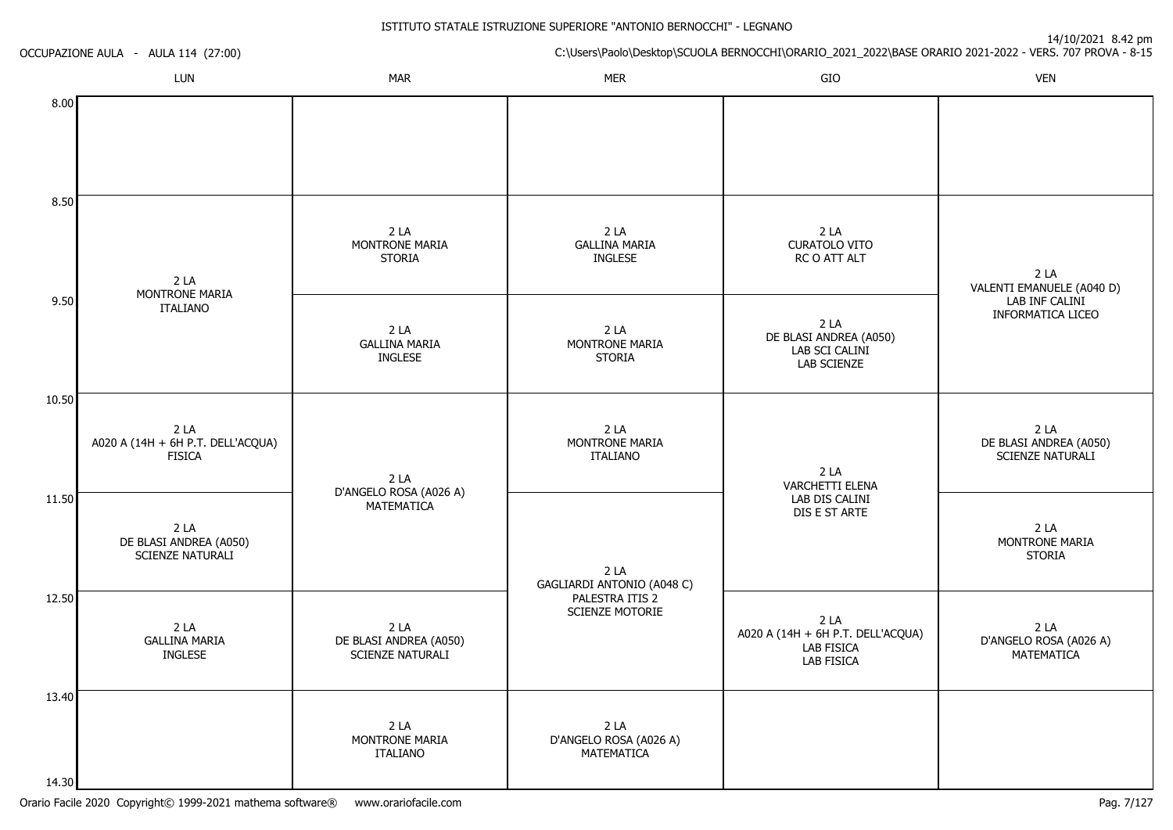14/10/2021 8.42 pm

C:\Users\Paolo\Desktop\SCUOLA BERNOCCHI\ORARIO\_2021\_2022\BASE ORARIO 2021-2022 - VERS. 707 PROVA - 8-15 OCCUPAZIONE AULA - AULA 114 (27:00)LUNN MAR MAR MER SIO O VEN 8.008.509.5010.5011.5012.5013.4014.302 LA MONTRONE MARIAITALIANO2 LA A020 A (14H + 6H P.T. DELL'ACQUA)**FISICA** 2 LA DE BLASI ANDREA (A050)SCIENZE NATURALI2 LA GALLINA MARIAINGLESE2 LA MONTRONE MARIASTORIA $2 I A$  GALLINA MARIAINGLESE2 LA D'ANGELO ROSA (A026 A)**MATFMATICA** 2 LA DE BLASI ANDREA (A050)SCIENZE NATURALI $2 I A$  MONTRONE MARIAITALIANO2 LA GALLINA MARIAINGLESE $2 I A$  MONTRONE MARIASTORIA2 LA MONTRONE MARIAITALIANO2 LA GAGLIARDI ANTONIO (A048 C)PALESTRA ITIS 2 SCIENZE MOTORIE2 LA D'ANGELO ROSA (A026 A)**MATEMATICA** 2 LA CURATOLO VITO RC O ATT ALT2 LA DE BLASI ANDREA (A050)LAB SCI CALINI LAB SCIENZE2 LA VARCHETTI ELENA LAB DIS CALINI DIS E ST ARTE2 LA A020 A (14H + 6H P.T. DELL'ACQUA)LAB FISICA LAB FISICA $2 I A$  VALENTI EMANUELE (A040 D)LAB INF CALINI INFORMATICA LICEO2 LA DE BLASI ANDREA (A050)SCIENZE NATURALI2 LA MONTRONE MARIA**STORIA** 2 LA D'ANGELO ROSA (A026 A)MATEMATICA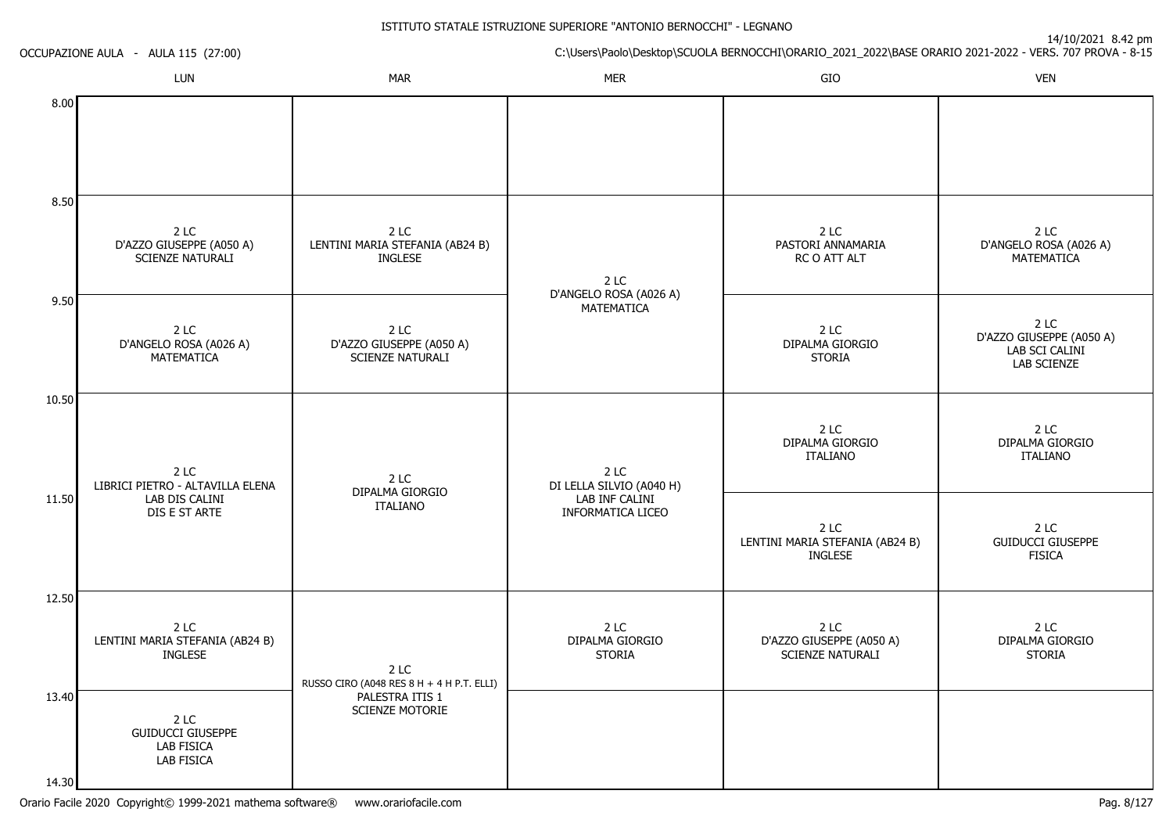| OCCUPAZIONE AULA - AULA 115 (27:00) |                                                              |                                                                                         | $\frac{1}{2}$ if $\frac{1}{2}$ $\frac{1}{2}$ $\frac{1}{2}$ $\frac{1}{2}$ $\frac{1}{2}$ $\frac{1}{2}$ $\frac{1}{2}$ $\frac{1}{2}$ $\frac{1}{2}$ $\frac{1}{2}$ $\frac{1}{2}$ $\frac{1}{2}$<br>C:\Users\Paolo\Desktop\SCUOLA BERNOCCHI\ORARIO_2021_2022\BASE ORARIO 2021-2022 - VERS. 707 PROVA - 8-15 |                                                             |                                                                   |  |
|-------------------------------------|--------------------------------------------------------------|-----------------------------------------------------------------------------------------|-----------------------------------------------------------------------------------------------------------------------------------------------------------------------------------------------------------------------------------------------------------------------------------------------------|-------------------------------------------------------------|-------------------------------------------------------------------|--|
|                                     | LUN                                                          | <b>MAR</b>                                                                              | <b>MER</b>                                                                                                                                                                                                                                                                                          | GIO                                                         | <b>VEN</b>                                                        |  |
| 8.00                                |                                                              |                                                                                         |                                                                                                                                                                                                                                                                                                     |                                                             |                                                                   |  |
| 8.50                                |                                                              |                                                                                         |                                                                                                                                                                                                                                                                                                     |                                                             |                                                                   |  |
|                                     | 2 LC<br>D'AZZO GIUSEPPE (A050 A)<br><b>SCIENZE NATURALI</b>  | 2 LC<br>LENTINI MARIA STEFANIA (AB24 B)<br><b>INGLESE</b>                               | 2 LC                                                                                                                                                                                                                                                                                                | 2 LC<br>PASTORI ANNAMARIA<br>RC O ATT ALT                   | 2 LC<br>D'ANGELO ROSA (A026 A)<br>MATEMATICA                      |  |
| 9.50                                | 2 LC<br>D'ANGELO ROSA (A026 A)<br>MATEMATICA                 | 2 LC<br>D'AZZO GIUSEPPE (A050 A)<br>SCIENZE NATURALI                                    | D'ANGELO ROSA (A026 A)<br>MATEMATICA                                                                                                                                                                                                                                                                | 2 LC<br>DIPALMA GIORGIO<br><b>STORIA</b>                    | 2 LC<br>D'AZZO GIUSEPPE (A050 A)<br>LAB SCI CALINI<br>LAB SCIENZE |  |
| 10.50                               |                                                              |                                                                                         |                                                                                                                                                                                                                                                                                                     |                                                             |                                                                   |  |
|                                     | 2 LC<br>LIBRICI PIETRO - ALTAVILLA ELENA                     | 2 LC                                                                                    | 2 LC<br>DI LELLA SILVIO (A040 H)<br>DIPALMA GIORGIO<br>LAB INF CALINI<br><b>ITALIANO</b><br><b>INFORMATICA LICEO</b>                                                                                                                                                                                | 2 LC<br>DIPALMA GIORGIO<br><b>ITALIANO</b>                  | 2 LC<br>DIPALMA GIORGIO<br><b>ITALIANO</b>                        |  |
| 11.50                               | LAB DIS CALINI<br>DIS E ST ARTE                              |                                                                                         |                                                                                                                                                                                                                                                                                                     | 2 LC<br>LENTINI MARIA STEFANIA (AB24 B)<br>INGLESE          | 2 LC<br><b>GUIDUCCI GIUSEPPE</b><br><b>FISICA</b>                 |  |
| 12.50                               |                                                              |                                                                                         |                                                                                                                                                                                                                                                                                                     |                                                             |                                                                   |  |
|                                     | 2LC<br>LENTINI MARIA STEFANIA (AB24 B)<br>INGLESE            | 2 LC<br>RUSSO CIRO (A048 RES 8 H + 4 H P.T. ELLI)<br>PALESTRA ITIS 1<br>SCIENZE MOTORIE | 2 LC<br>DIPALMA GIORGIO<br><b>STORIA</b>                                                                                                                                                                                                                                                            | 2 LC<br>D'AZZO GIUSEPPE (A050 A)<br><b>SCIENZE NATURALI</b> | 2 LC<br>DIPALMA GIORGIO<br><b>STORIA</b>                          |  |
| 13.40                               | 2 LC<br><b>GUIDUCCI GIUSEPPE</b><br>LAB FISICA<br>LAB FISICA |                                                                                         |                                                                                                                                                                                                                                                                                                     |                                                             |                                                                   |  |
| 14.30                               |                                                              |                                                                                         |                                                                                                                                                                                                                                                                                                     |                                                             |                                                                   |  |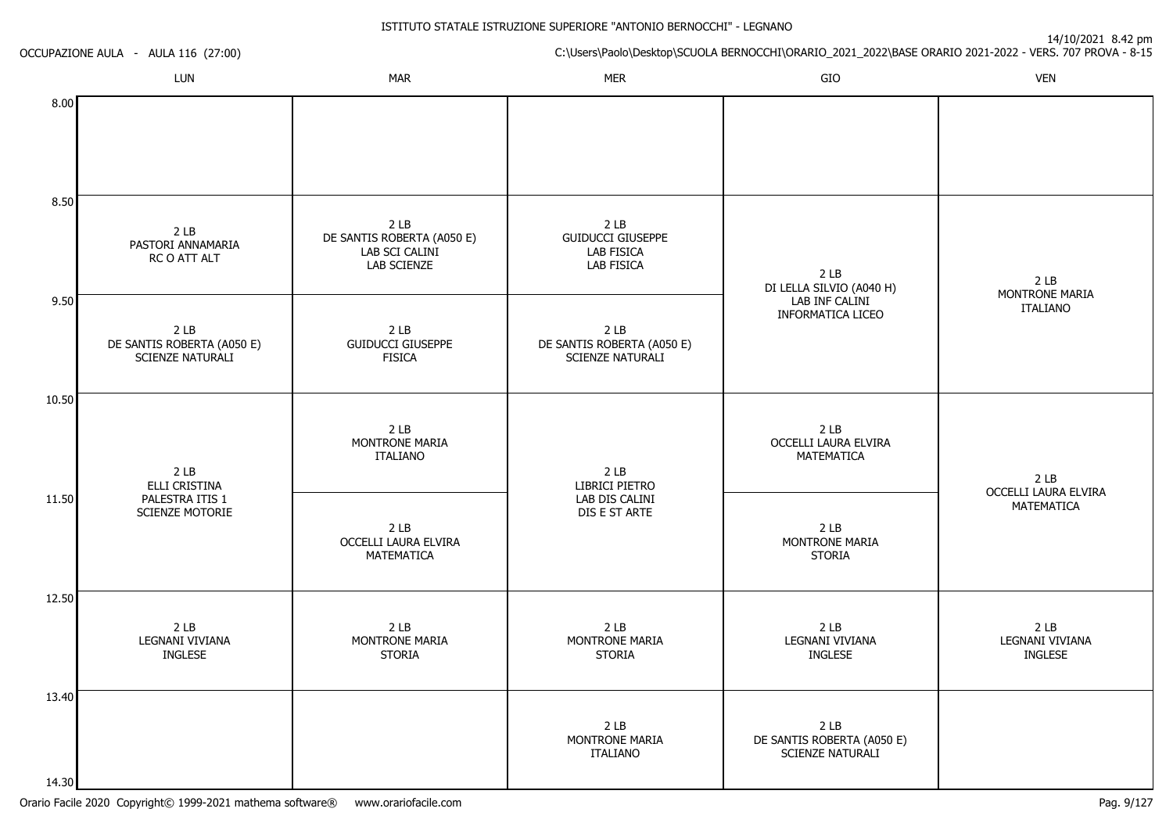| OCCUPAZIONE AULA - AULA 116 (27:00) |                                                                   | 14/10/2021 0.42 pm<br>C:\Users\Paolo\Desktop\SCUOLA BERNOCCHI\ORARIO_2021_2022\BASE ORARIO 2021-2022 - VERS. 707 PROVA - 8-15 |                                                                                |                                                                          |                                                      |  |
|-------------------------------------|-------------------------------------------------------------------|-------------------------------------------------------------------------------------------------------------------------------|--------------------------------------------------------------------------------|--------------------------------------------------------------------------|------------------------------------------------------|--|
|                                     | LUN                                                               | <b>MAR</b>                                                                                                                    | <b>MER</b>                                                                     | GIO                                                                      | <b>VEN</b>                                           |  |
| 8.00                                |                                                                   |                                                                                                                               |                                                                                |                                                                          |                                                      |  |
| 8.50                                |                                                                   |                                                                                                                               |                                                                                |                                                                          |                                                      |  |
|                                     | 2 <sub>LB</sub><br>PASTORI ANNAMARIA<br>RC O ATT ALT              | 2 <sub>LB</sub><br>DE SANTIS ROBERTA (A050 E)<br>LAB SCI CALINI<br>LAB SCIENZE                                                | 2 <sub>LB</sub><br><b>GUIDUCCI GIUSEPPE</b><br>LAB FISICA<br><b>LAB FISICA</b> | 2 <sub>LB</sub><br>DI LELLA SILVIO (A040 H)                              | 2LB<br>MONTRONE MARIA                                |  |
| 9.50                                | 2 <sub>LB</sub><br>DE SANTIS ROBERTA (A050 E)<br>SCIENZE NATURALI | 2 <sub>LB</sub><br><b>GUIDUCCI GIUSEPPE</b><br><b>FISICA</b>                                                                  | 2 <sub>LB</sub><br>DE SANTIS ROBERTA (A050 E)<br>SCIENZE NATURALI              | LAB INF CALINI<br>INFORMATICA LICEO                                      | <b>ITALIANO</b>                                      |  |
| 10.50                               |                                                                   |                                                                                                                               |                                                                                |                                                                          |                                                      |  |
|                                     | 2LB<br>ELLI CRISTINA                                              | 2 <sub>LB</sub><br>MONTRONE MARIA<br><b>ITALIANO</b>                                                                          | 2 <sub>LB</sub><br>LIBRICI PIETRO                                              | 2 <sub>LB</sub><br>OCCELLI LAURA ELVIRA<br>MATEMATICA                    | 2LB                                                  |  |
| 11.50                               | PALESTRA ITIS 1<br>SCIENZE MOTORIE                                | 2 <sub>LB</sub><br>OCCELLI LAURA ELVIRA<br>MATEMATICA                                                                         | LAB DIS CALINI<br>DIS E ST ARTE                                                | 2 <sub>LB</sub><br>MONTRONE MARIA<br><b>STORIA</b>                       | OCCELLI LAURA ELVIRA<br>MATEMATICA                   |  |
| 12.50                               |                                                                   |                                                                                                                               |                                                                                |                                                                          |                                                      |  |
|                                     | 2 <sub>LB</sub><br>LEGNANI VIVIANA<br>INGLESE                     | 2 <sub>LB</sub><br>MONTRONE MARIA<br><b>STORIA</b>                                                                            | 2 <sub>LB</sub><br>MONTRONE MARIA<br><b>STORIA</b>                             | 2 <sub>LB</sub><br>LEGNANI VIVIANA<br><b>INGLESE</b>                     | 2 <sub>LB</sub><br>LEGNANI VIVIANA<br><b>INGLESE</b> |  |
| 13.40                               |                                                                   |                                                                                                                               |                                                                                |                                                                          |                                                      |  |
|                                     |                                                                   |                                                                                                                               | 2 <sub>LB</sub><br>MONTRONE MARIA<br><b>ITALIANO</b>                           | 2 <sub>LB</sub><br>DE SANTIS ROBERTA (A050 E)<br><b>SCIENZE NATURALI</b> |                                                      |  |
| 14.30                               |                                                                   |                                                                                                                               |                                                                                |                                                                          |                                                      |  |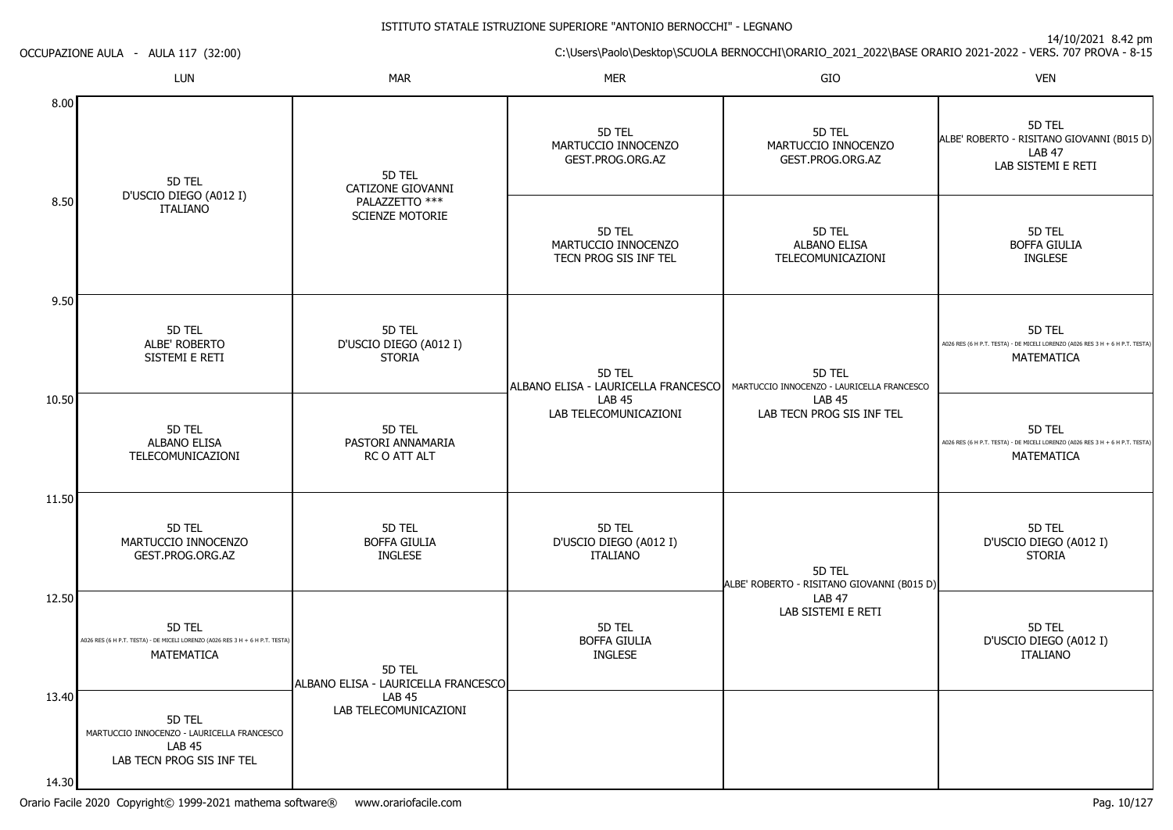14/10/2021 8.42 pm

C:\Users\Paolo\Desktop\SCUOLA BERNOCCHI\ORARIO\_2021\_2022\BASE ORARIO 2021-2022 - VERS. 707 PROVA - 8-15 OCCUPAZIONE AULA - AULA 117 (32:00)LUNN MAR MAR MER SIO O VEN 8.008.509.5010.5011.5012.5013.4014.305D TEL D'USCIO DIEGO (A012 I)ITALIANO5D TEL ALBE' ROBERTO SISTEMI E RETI5D TEL ALBANO ELISA TELECOMUNICAZIONI5D TEL MARTUCCIO INNOCENZOGEST.PROG.ORG.AZ5D TEL A026 RES (6 H P.T. TESTA) - DE MICELI LORENZO (A026 RES 3 H + 6 H P.T. TESTA)MATEMATICA5D TEL MARTUCCIO INNOCENZO - LAURICELLA FRANCESCOLAB 45 LAB TECN PROG SIS INF TEL5D TEL CATIZONE GIOVANNIPALAZZETTO \*\*\* SCIENZE MOTORIE5D TEL D'USCIO DIEGO (A012 I)STORIA5D TEL PASTORI ANNAMARIARC O ATT ALT5D TELBOFFA GIULIA INGLESE5D TEL ALBANO ELISA - LAURICELLA FRANCESCOLAB 45 LAB TELECOMUNICAZIONI5D TEL MARTUCCIO INNOCENZOGEST.PROG.ORG.AZ5D TEL MARTUCCIO INNOCENZO TECN PROG SIS INF TEL5D TEL ALBANO ELISA - LAURICELLA FRANCESCOLAB 45 LAB TELECOMUNICAZIONI5D TEL D'USCIO DIEGO (A012 I)ITALIANO5D TELBOFFA GIULIA INGLESE5D TEL MARTUCCIO INNOCENZOGEST.PROG.ORG.AZ5D TEL ALBANO ELISA TELECOMUNICAZIONI5D TEL MARTUCCIO INNOCENZO - LAURICELLA FRANCESCOLAB 45 LAB TECN PROG SIS INF TEL5D TEL ALBE' ROBERTO - RISITANO GIOVANNI (B015 D)LAB 47 LAB SISTEMI E RETI5D TEL ALBE' ROBERTO - RISITANO GIOVANNI (B015 D)LAB 47 LAB SISTEMI E RETI5D TEL BOFFA GIULIAINGLESE5D TEL A026 RES (6 H P.T. TESTA) - DE MICELI LORENZO (A026 RES 3 H + 6 H P.T. TESTA)MATEMATICA5D TEL A026 RES (6 H P.T. TESTA) - DE MICELI LORENZO (A026 RES 3 H + 6 H P.T. TESTA)MATEMATICA5D TEL D'USCIO DIEGO (A012 I)STORIA5D TEL D'USCIO DIEGO (A012 I)ITALIANO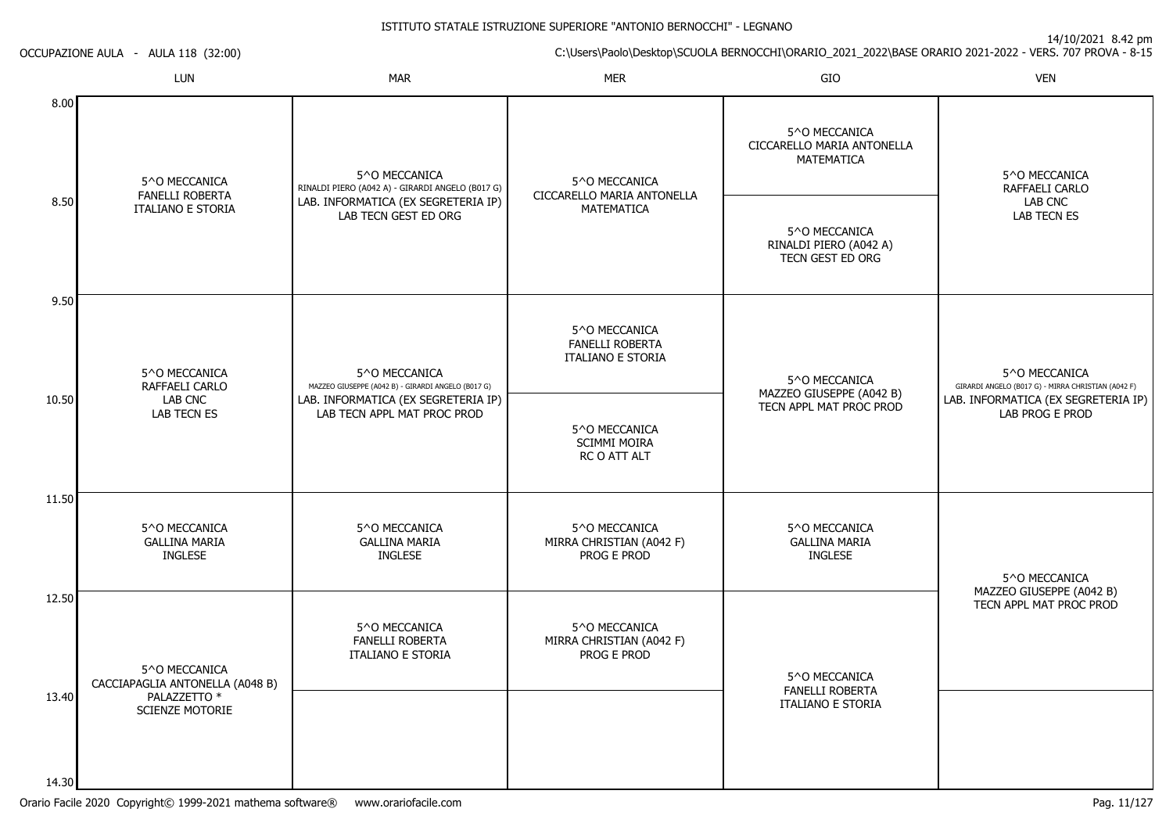14/10/2021 8.42 pm

C:\Users\Paolo\Desktop\SCUOLA BERNOCCHI\ORARIO\_2021\_2022\BASE ORARIO 2021-2022 - VERS. 707 PROVA - 8-15

OCCUPAZIONE AULA - AULA 118 (32:00)

|                | LUN                                                     | <b>MAR</b>                                                                                                                                                                             | <b>MER</b>                                                          | GIO                                                         | <b>VEN</b>                                                          |
|----------------|---------------------------------------------------------|----------------------------------------------------------------------------------------------------------------------------------------------------------------------------------------|---------------------------------------------------------------------|-------------------------------------------------------------|---------------------------------------------------------------------|
| 8.00           | 5^0 MECCANICA                                           | 5^O MECCANICA<br>RINALDI PIERO (A042 A) - GIRARDI ANGELO (B017 G)<br><b>FANELLI ROBERTA</b><br>LAB. INFORMATICA (EX SEGRETERIA IP)<br><b>ITALIANO E STORIA</b><br>LAB TECN GEST ED ORG | 5^O MECCANICA<br>CICCARELLO MARIA ANTONELLA<br><b>MATEMATICA</b>    | 5^0 MECCANICA<br>CICCARELLO MARIA ANTONELLA<br>MATEMATICA   | 5^0 MECCANICA<br>RAFFAELI CARLO                                     |
| 8.50           |                                                         |                                                                                                                                                                                        |                                                                     | 5^O MECCANICA<br>RINALDI PIERO (A042 A)<br>TECN GEST ED ORG | LAB CNC<br>LAB TECN ES                                              |
| 9.50           | 5^O MECCANICA<br>RAFFAELI CARLO                         | 5^0 MECCANICA<br>MAZZEO GIUSEPPE (A042 B) - GIRARDI ANGELO (B017 G)                                                                                                                    | 5^0 MECCANICA<br><b>FANELLI ROBERTA</b><br><b>ITALIANO E STORIA</b> | 5^O MECCANICA<br>MAZZEO GIUSEPPE (A042 B)                   | 5^0 MECCANICA<br>GIRARDI ANGELO (B017 G) - MIRRA CHRISTIAN (A042 F) |
| 10.50          | LAB CNC<br><b>LAB TECN ES</b>                           | LAB. INFORMATICA (EX SEGRETERIA IP)<br>LAB TECN APPL MAT PROC PROD                                                                                                                     | 5^O MECCANICA<br><b>SCIMMI MOIRA</b><br>RC O ATT ALT                | TECN APPL MAT PROC PROD                                     | LAB. INFORMATICA (EX SEGRETERIA IP)<br>LAB PROG E PROD              |
| 11.50          | 5^0 MECCANICA<br><b>GALLINA MARIA</b><br><b>INGLESE</b> | 5^0 MECCANICA<br><b>GALLINA MARIA</b><br><b>INGLESE</b>                                                                                                                                | 5^0 MECCANICA<br>MIRRA CHRISTIAN (A042 F)<br>PROG E PROD            | 5^O MECCANICA<br><b>GALLINA MARIA</b><br><b>INGLESE</b>     | 5^O MECCANICA                                                       |
| 12.50          | 5^0 MECCANICA<br>CACCIAPAGLIA ANTONELLA (A048 B)        | 5^O MECCANICA<br><b>FANELLI ROBERTA</b><br><b>ITALIANO E STORIA</b>                                                                                                                    | 5^O MECCANICA<br>MIRRA CHRISTIAN (A042 F)<br>PROG E PROD            | 5^O MECCANICA                                               | MAZZEO GIUSEPPE (A042 B)<br>TECN APPL MAT PROC PROD                 |
| 13.40<br>14.30 | PALAZZETTO *<br>SCIENZE MOTORIE                         |                                                                                                                                                                                        |                                                                     | <b>FANELLI ROBERTA</b><br>ITALIANO E STORIA                 |                                                                     |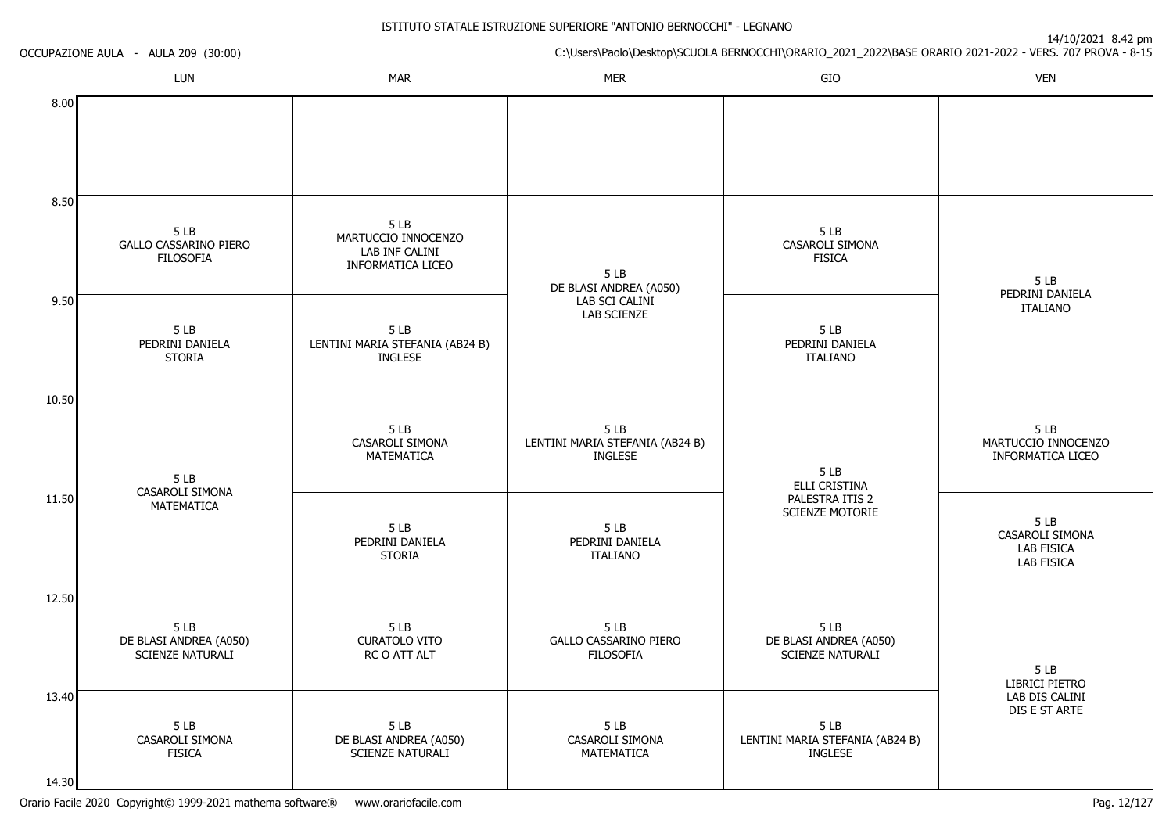| OCCUPAZIONE AULA - AULA 209 (30:00) |                                                          |                                                                   | C:\Users\Paolo\Desktop\SCUOLA BERNOCCHI\ORARIO_2021_2022\BASE ORARIO 2021-2022 - VERS. 707 PROVA - 8-15 |                                                            |                                                    |
|-------------------------------------|----------------------------------------------------------|-------------------------------------------------------------------|---------------------------------------------------------------------------------------------------------|------------------------------------------------------------|----------------------------------------------------|
|                                     | LUN                                                      | <b>MAR</b>                                                        | <b>MER</b>                                                                                              | GIO                                                        | <b>VEN</b>                                         |
| 8.00                                |                                                          |                                                                   |                                                                                                         |                                                            |                                                    |
| 8.50                                |                                                          |                                                                   |                                                                                                         |                                                            |                                                    |
|                                     | 5 LB<br><b>GALLO CASSARINO PIERO</b><br><b>FILOSOFIA</b> | 5LB<br>MARTUCCIO INNOCENZO<br>LAB INF CALINI<br>INFORMATICA LICEO | 5 LB<br>DE BLASI ANDREA (A050)                                                                          | 5LB<br>CASAROLI SIMONA<br><b>FISICA</b>                    | 5LB<br>PEDRINI DANIELA                             |
| 9.50                                | 5 LB<br>PEDRINI DANIELA<br><b>STORIA</b>                 | 5LB<br>LENTINI MARIA STEFANIA (AB24 B)<br><b>INGLESE</b>          | LAB SCI CALINI<br>LAB SCIENZE                                                                           | 5 LB<br>PEDRINI DANIELA<br><b>ITALIANO</b>                 | <b>ITALIANO</b>                                    |
| 10.50                               |                                                          |                                                                   |                                                                                                         |                                                            |                                                    |
|                                     | 5LB<br>CASAROLI SIMONA                                   | 5LB<br>CASAROLI SIMONA<br>MATEMATICA                              | 5 LB<br>LENTINI MARIA STEFANIA (AB24 B)<br><b>INGLESE</b>                                               | 5LB<br>ELLI CRISTINA<br>PALESTRA ITIS 2<br>SCIENZE MOTORIE | 5LB<br>MARTUCCIO INNOCENZO<br>INFORMATICA LICEO    |
| 11.50                               | MATEMATICA                                               | 5 LB<br>PEDRINI DANIELA<br><b>STORIA</b>                          | 5LB<br>PEDRINI DANIELA<br><b>ITALIANO</b>                                                               |                                                            | 5LB<br>CASAROLI SIMONA<br>LAB FISICA<br>LAB FISICA |
| 12.50                               |                                                          |                                                                   |                                                                                                         |                                                            |                                                    |
|                                     | 5LB<br>DE BLASI ANDREA (A050)<br><b>SCIENZE NATURALI</b> | 5LB<br><b>CURATOLO VITO</b><br>RC O ATT ALT                       | 5 LB<br>GALLO CASSARINO PIERO<br><b>FILOSOFIA</b>                                                       | 5LB<br>DE BLASI ANDREA (A050)<br>SCIENZE NATURALI          | 5 LB<br>LIBRICI PIETRO                             |
| 13.40                               |                                                          |                                                                   |                                                                                                         |                                                            | LAB DIS CALINI<br>DIS E ST ARTE                    |
|                                     | 5 LB<br>CASAROLI SIMONA<br>FISICA                        | 5 LB<br>DE BLASI ANDREA (A050)<br>SCIENZE NATURALI                | 5 LB<br>CASAROLI SIMONA<br>MATEMATICA                                                                   | 5 LB<br>LENTINI MARIA STEFANIA (AB24 B)<br><b>INGLESE</b>  |                                                    |
| 14.30                               |                                                          |                                                                   |                                                                                                         |                                                            |                                                    |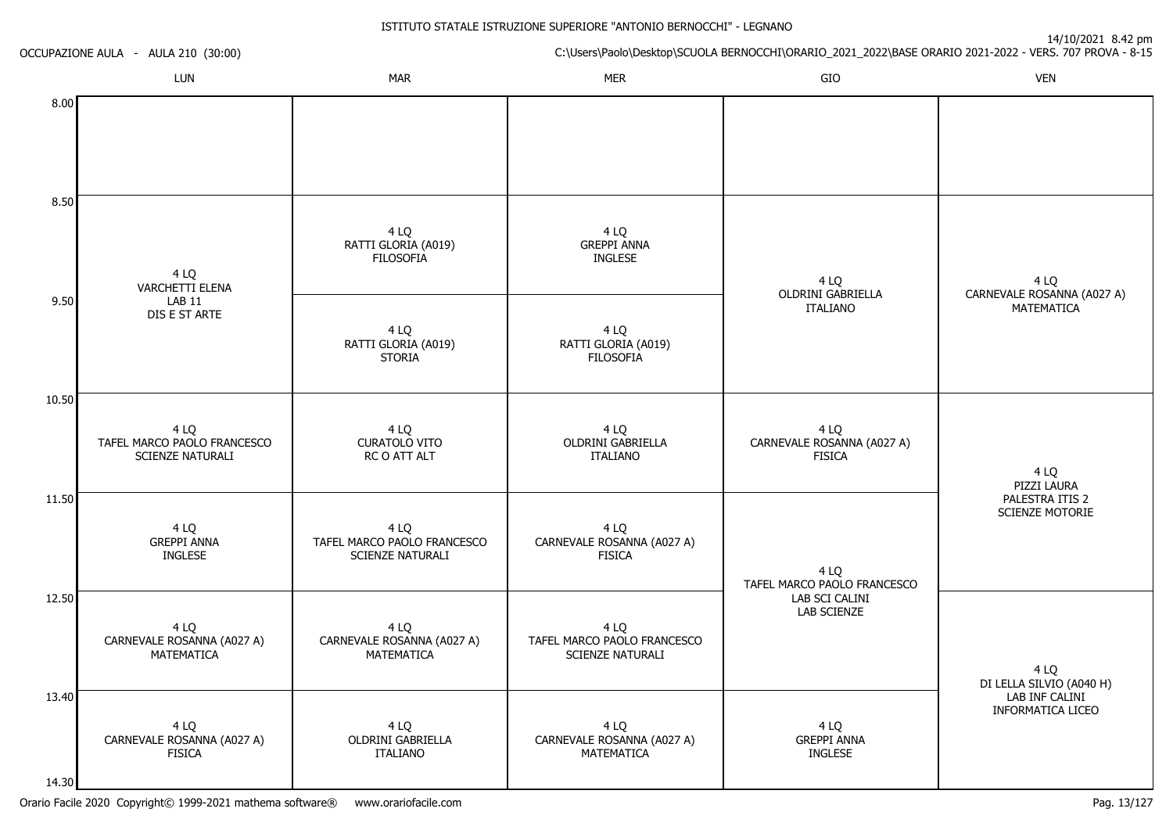| OCCUPAZIONE AULA - AULA 210 (30:00) |                                                         |                                                         |                                                         | 14/10/2021 8.42 pm<br>C:\Users\Paolo\Desktop\SCUOLA BERNOCCHI\ORARIO_2021_2022\BASE ORARIO 2021-2022 - VERS. 707 PROVA - 8-15 |                                            |
|-------------------------------------|---------------------------------------------------------|---------------------------------------------------------|---------------------------------------------------------|-------------------------------------------------------------------------------------------------------------------------------|--------------------------------------------|
|                                     | LUN                                                     | <b>MAR</b>                                              | <b>MER</b>                                              | GIO                                                                                                                           | <b>VEN</b>                                 |
| 8.00                                |                                                         |                                                         |                                                         |                                                                                                                               |                                            |
| 8.50                                |                                                         |                                                         |                                                         |                                                                                                                               |                                            |
|                                     | 4 LQ<br><b>VARCHETTI ELENA</b>                          | 4 LQ<br>RATTI GLORIA (A019)<br><b>FILOSOFIA</b>         | 4 LQ<br><b>GREPPI ANNA</b><br><b>INGLESE</b>            | 4 LQ<br><b>OLDRINI GABRIELLA</b>                                                                                              | 4 LQ<br>CARNEVALE ROSANNA (A027 A)         |
| 9.50                                | <b>LAB 11</b><br>DIS E ST ARTE                          | 4 LQ<br>RATTI GLORIA (A019)<br><b>STORIA</b>            | 4 LQ<br>RATTI GLORIA (A019)<br>FILOSOFIÀ                | <b>ITALIANO</b>                                                                                                               | MATEMATICA                                 |
| 10.50                               |                                                         |                                                         |                                                         |                                                                                                                               |                                            |
|                                     | 4 LQ<br>TAFEL MARCO PAOLO FRANCESCO<br>SCIENZE NATURALI | 4 LQ<br><b>CURATOLO VITO</b><br>RC O ATT ALT            | 4 LQ<br><b>OLDRINI GABRIELLA</b><br><b>ITALIANO</b>     | 4 LQ<br>CARNEVALE ROSANNA (A027 A)<br><b>FISICA</b>                                                                           | 4 LQ<br>PIZZI LAURA                        |
| 11.50                               |                                                         |                                                         |                                                         |                                                                                                                               | PALESTRA ITIS 2<br><b>SCIENZE MOTORIE</b>  |
|                                     | 4 LQ<br><b>GREPPI ANNA</b><br><b>INGLESE</b>            | 4 LQ<br>TAFEL MARCO PAOLO FRANCESCO<br>SCIENZE NATURALI | 4 LQ<br>CARNEVALE ROSANNA (A027 A)<br><b>FISICA</b>     | 4 LQ<br>TAFEL MARCO PAOLO FRANCESCO                                                                                           |                                            |
| 12.50                               | 4 LQ<br>CARNEVALE ROSANNA (A027 A)<br>MATEMATICA        | 4 LQ<br>CARNEVALE ROSANNA (A027 A)<br>MATEMATICA        | 4 LQ<br>TAFEL MARCO PAOLO FRANCESCO<br>SCIENZE NATURALI | LAB SCI CALINI<br>LAB SCIENZE                                                                                                 | 4 LQ<br>DI LELLA SILVIO (A040 H)           |
| 13.40                               |                                                         |                                                         |                                                         |                                                                                                                               | LAB INF CALINI<br><b>INFORMATICA LICEO</b> |
| 14.30                               | 4 LQ<br>CARNEVALE ROSANNA (A027 A)<br><b>FISICA</b>     | 4 LQ<br>OLDRINI GABRIELLA<br>ITALIANO                   | 4 LQ<br>CARNEVALE ROSANNA (A027 A)<br>MATEMATICA        | 4 LQ<br><b>GREPPI ANNA</b><br><b>INGLESE</b>                                                                                  |                                            |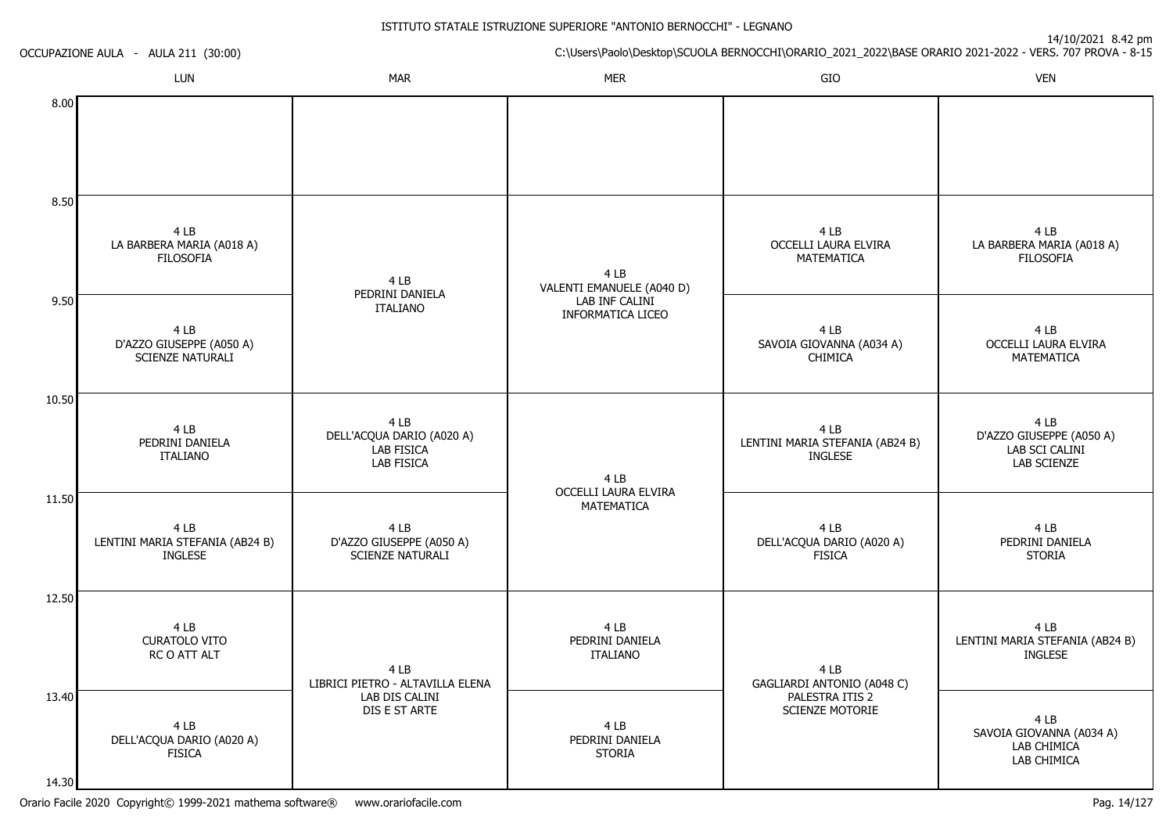| OCCUPAZIONE AULA - AULA 211 (30:00) |                                                             |                                                                      | 14/10/2021 8.42 pm<br>C:\Users\Paolo\Desktop\SCUOLA BERNOCCHI\ORARIO_2021_2022\BASE ORARIO 2021-2022 - VERS. 707 PROVA - 8-15 |                                                           |                                                                   |  |
|-------------------------------------|-------------------------------------------------------------|----------------------------------------------------------------------|-------------------------------------------------------------------------------------------------------------------------------|-----------------------------------------------------------|-------------------------------------------------------------------|--|
|                                     | LUN                                                         | <b>MAR</b>                                                           | <b>MER</b>                                                                                                                    | GIO                                                       | <b>VEN</b>                                                        |  |
| 8.00                                |                                                             |                                                                      |                                                                                                                               |                                                           |                                                                   |  |
| 8.50                                | 4 LB<br>LA BARBERA MARIA (A018 A)<br><b>FILOSOFIA</b>       | 4 LB                                                                 | 4 LB<br>VALENTI EMANUELE (A040 D)                                                                                             | 4 LB<br>OCCELLI LAURA ELVIRA<br>MATEMATICA                | 4 LB<br>LA BARBERA MARIA (A018 A)<br><b>FILOSOFIA</b>             |  |
| 9.50                                | 4 LB<br>D'AZZO GIUSEPPE (A050 A)<br><b>SCIENZE NATURALI</b> | PEDRINI DANIELA<br><b>ITALIANO</b>                                   | LAB INF CALINI<br><b>INFORMATICA LICEO</b>                                                                                    | 4 LB<br>SAVOIA GIOVANNA (A034 A)<br><b>CHIMICA</b>        | 4 LB<br>OCCELLI LAURA ELVIRA<br><b>MATEMATICA</b>                 |  |
| 10.50                               | 4 LB<br>PEDRINI DANIELA<br><b>ITALIANO</b>                  | 4 LB<br>DELL'ACQUA DARIO (A020 A)<br><b>LAB FISICA</b><br>LAB FISICA | 4LB                                                                                                                           | 4 LB<br>LENTINI MARIA STEFANIA (AB24 B)<br><b>INGLESE</b> | 4 LB<br>D'AZZO GIUSEPPE (A050 A)<br>LAB SCI CALINI<br>LAB SCIENZE |  |
| 11.50                               | 4 LB<br>LENTINI MARIA STEFANIA (AB24 B)<br><b>INGLESE</b>   | 4 LB<br>D'AZZO GIUSEPPE (A050 A)<br><b>SCIENZE NATURALI</b>          | OCCELLI LAURA ELVIRA<br>MATEMATICA                                                                                            | 4 LB<br>DELL'ACQUA DARIO (A020 A)<br><b>FISICA</b>        | 4 LB<br>PEDRINI DANIELA<br><b>STORIA</b>                          |  |
| 12.50                               | 4 LB<br><b>CURATOLO VITO</b><br>RC O ATT ALT                | 4 LB<br>LIBRICI PIETRO - ALTAVILLA ELENA                             | 4 LB<br>PEDRINI DANIELA<br><b>ITALIANO</b>                                                                                    | 4 LB<br>GAGLIARDI ANTONIO (A048 C)                        | 4 LB<br>LENTINI MARIA STEFANIA (AB24 B)<br>INGLESE                |  |
| 13.40<br>14.30                      | 4 LB<br>DELL'ACQUA DARIO (A020 A)<br><b>FISICA</b>          | LAB DIS CALINI<br>DIS E ST ARTE                                      | 4 LB<br>PEDRINI DANIELA<br><b>STORIA</b>                                                                                      | PALESTRA ITIS 2<br>SCIENZE MOTORIE                        | 4 LB<br>SAVOIA GIOVANNA (A034 A)<br>LAB CHIMICA<br>LAB CHIMICA    |  |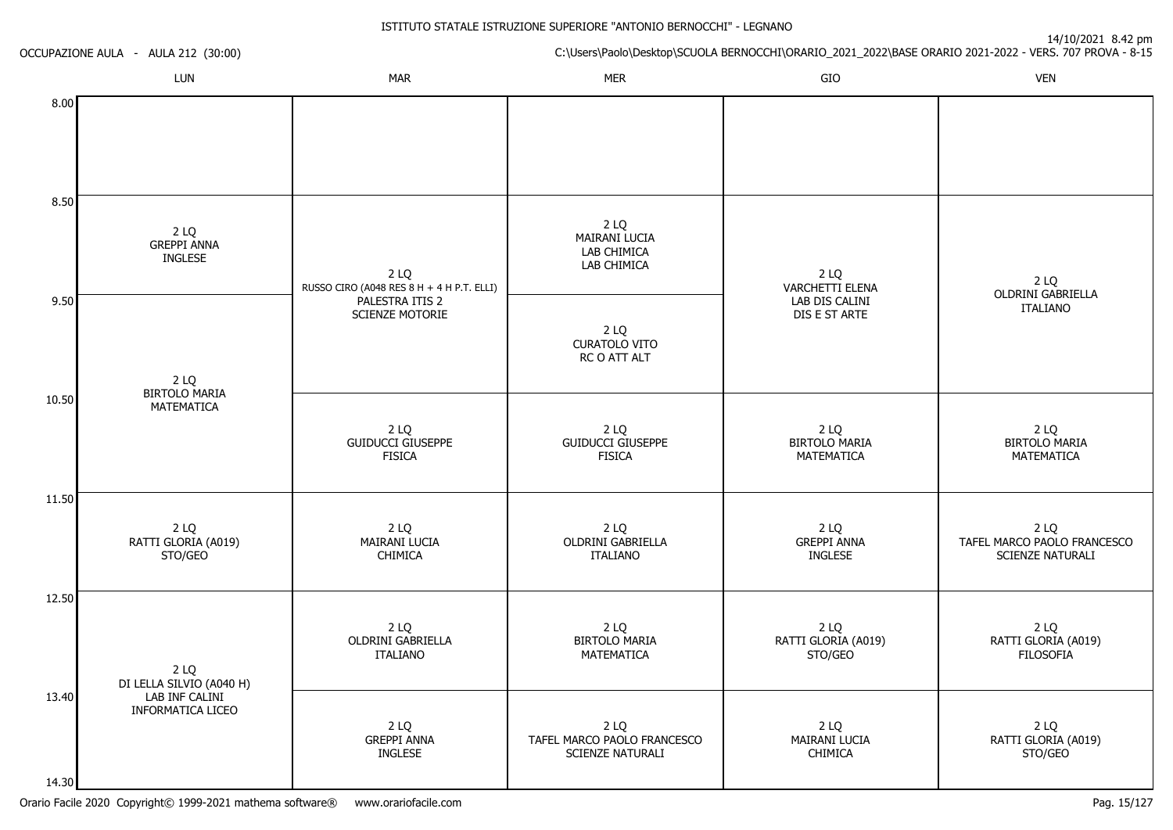|                | OCCUPAZIONE AULA - AULA 212 (30:00)        | 14/10/2021 0.42 pm<br>C:\Users\Paolo\Desktop\SCUOLA BERNOCCHI\ORARIO_2021_2022\BASE ORARIO 2021-2022 - VERS. 707 PROVA - 8-15 |                                                         |                                                    |                                                         |
|----------------|--------------------------------------------|-------------------------------------------------------------------------------------------------------------------------------|---------------------------------------------------------|----------------------------------------------------|---------------------------------------------------------|
|                | LUN                                        | <b>MAR</b>                                                                                                                    | <b>MER</b>                                              | GIO                                                | <b>VEN</b>                                              |
| 8.00           |                                            |                                                                                                                               |                                                         |                                                    |                                                         |
| 8.50           | 2 LQ<br><b>GREPPI ANNA</b><br>INGLESE      | 2 LQ                                                                                                                          | 2 LQ<br>MAIRANI LUCIA<br>LAB CHIMICA<br>LAB CHIMICA     | 2 LQ                                               |                                                         |
| 9.50           | 2 LQ<br><b>BIRTOLO MARIA</b><br>MATEMATICA | RUSSO CIRO (A048 RES 8 H + 4 H P.T. ELLI)<br>PALESTRA ITIS 2<br>SCIENZE MOTORIE                                               | 2 LQ<br><b>CURATOLO VITO</b><br>RC O ATT ALT            | VARCHETTI ELENA<br>LAB DIS CALINI<br>DIS E ST ARTE | 2 LQ<br>OLDRINI GABRIELLA<br><b>ITALIANO</b>            |
| 10.50          |                                            | 2LQ<br><b>GUIDUCCI GIUSEPPE</b><br><b>FISICA</b>                                                                              | 2LQ<br><b>GUIDUCCI GIUSEPPE</b><br><b>FISICA</b>        | 2LQ<br><b>BIRTOLO MARIA</b><br>MATEMATICA          | 2 LQ<br><b>BIRTOLO MARIA</b><br>MATEMATICA              |
| 11.50          | 2 LQ<br>RATTI GLORIA (A019)<br>STO/GEO     | 2 LQ<br>MAIRANI LUCIA<br><b>CHIMICA</b>                                                                                       | 2 LQ<br>OLDRINI GABRIELLA<br>ITALIANO                   | 2LQ<br><b>GREPPI ANNA</b><br><b>INGLESE</b>        | 2 LQ<br>TAFEL MARCO PAOLO FRANCESCO<br>SCIENZE NATURALI |
| 12.50          | 2 LQ<br>DI LELLA SILVIO (A040 H)           | 2 LQ<br><b>OLDRINI GABRIELLA</b><br><b>ITALIANO</b>                                                                           | 2LQ<br><b>BIRTOLO MARIA</b><br>MATEMATICA               | 2 LQ<br>RATTI GLORIA (A019)<br>STO/GEO             | 2 LQ<br>RATTI GLORIA (A019)<br><b>FILOSOFIA</b>         |
| 13.40<br>14.30 | LAB INF CALINI<br>INFORMATICA LICEO        | 2 LQ<br><b>GREPPI ANNA</b><br><b>INGLESE</b>                                                                                  | 2 LQ<br>TAFEL MARCO PAOLO FRANCESCO<br>SCIENZE NATURALI | 2 LQ<br>MAIRANI LUCIA<br>CHIMICA                   | 2 LQ<br>RATTI GLORIA (A019)<br>STO/GEO                  |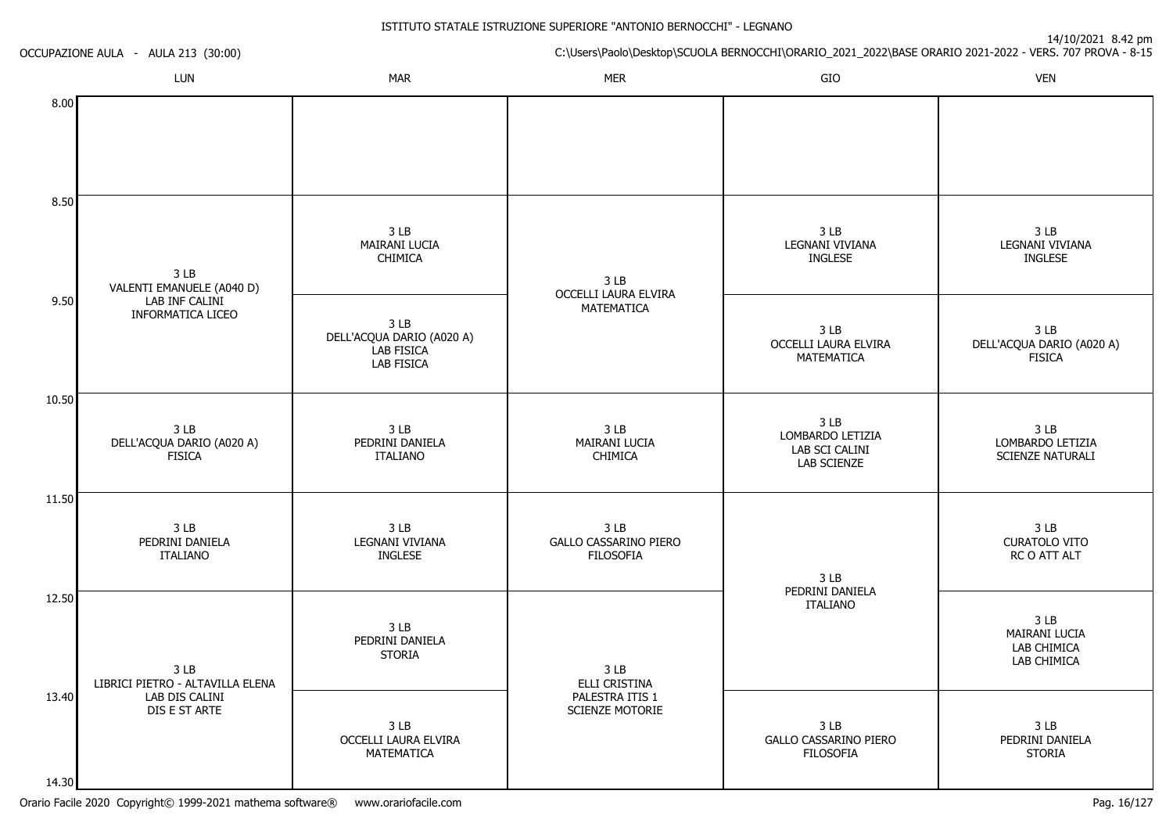| OCCUPAZIONE AULA - AULA 213 (30:00) |                                                    |                                                                                 | $\frac{1}{2}$ if $\frac{1}{2}$ is $\frac{1}{2}$ is $\frac{1}{2}$ is $\frac{1}{2}$ is $\frac{1}{2}$ is $\frac{1}{2}$ is $\frac{1}{2}$<br>C:\Users\Paolo\Desktop\SCUOLA BERNOCCHI\ORARIO_2021_2022\BASE ORARIO 2021-2022 - VERS. 707 PROVA - 8-15 |                                                                      |                                                                |  |
|-------------------------------------|----------------------------------------------------|---------------------------------------------------------------------------------|-------------------------------------------------------------------------------------------------------------------------------------------------------------------------------------------------------------------------------------------------|----------------------------------------------------------------------|----------------------------------------------------------------|--|
|                                     | LUN                                                | <b>MAR</b>                                                                      | <b>MER</b>                                                                                                                                                                                                                                      | GIO                                                                  | <b>VEN</b>                                                     |  |
| 8.00                                |                                                    |                                                                                 |                                                                                                                                                                                                                                                 |                                                                      |                                                                |  |
| 8.50                                |                                                    |                                                                                 |                                                                                                                                                                                                                                                 |                                                                      |                                                                |  |
|                                     | 3 LB<br>VALENTI EMANUELE (A040 D)                  | 3 <sub>LB</sub><br><b>MAIRANI LUCIA</b><br><b>CHIMICA</b>                       | 3 LB<br>OCCELLI LAURA ELVIRA<br>MATEMATICA                                                                                                                                                                                                      | 3 <sub>LB</sub><br>LEGNANI VIVIANA<br><b>INGLESE</b>                 | 3 <sub>LB</sub><br>LEGNANI VIVIANA<br><b>INGLESE</b>           |  |
| 9.50                                | LAB INF CALINI<br><b>INFORMATICA LICEO</b>         | 3 <sub>LB</sub><br>DELL'ACQUA DARIO (A020 A)<br>LAB FISICA<br><b>LAB FISICA</b> |                                                                                                                                                                                                                                                 | 3 <sub>LB</sub><br>OCCELLI LAURA ELVIRA<br>MATEMATICA                | 3 <sub>LB</sub><br>DELL'ACQUA DARIO (A020 A)<br><b>FISICA</b>  |  |
| 10.50                               |                                                    |                                                                                 |                                                                                                                                                                                                                                                 |                                                                      |                                                                |  |
|                                     | 3 LB<br>DELL'ACQUA DARIO (A020 A)<br><b>FISICA</b> | 3 LB<br>PEDRINI DANIELA<br><b>ITALIANO</b>                                      | 3LB<br>MAIRANI LUCIA<br><b>CHIMICA</b>                                                                                                                                                                                                          | 3 <sub>LB</sub><br>LOMBARDO LETIZIA<br>LAB SCI CALINI<br>LAB SCIENZE | 3 LB<br>LOMBARDO LETIZIA<br>SCIENZE NATURALI                   |  |
| 11.50                               |                                                    |                                                                                 |                                                                                                                                                                                                                                                 |                                                                      |                                                                |  |
|                                     | 3 LB<br>PEDRINI DANIELA<br><b>ITALIANO</b>         | 3 LB<br>LEGNANI VIVIANA<br><b>INGLESE</b>                                       | 3LB<br>GALLO CASSARINO PIERO<br><b>FILOSOFIA</b>                                                                                                                                                                                                | 3 LB<br>PEDRINI DANIELA<br><b>ITALIANO</b>                           | 3 LB<br><b>CURATOLO VITO</b><br>RC O ATT ALT                   |  |
| 12.50                               | 3 LB<br>LIBRICI PIETRO - ALTAVILLA ELENA           | 3 <sub>LB</sub><br>PEDRINI DANIELA<br><b>STORIA</b>                             | 3 LB<br>ELLI CRISTINA                                                                                                                                                                                                                           |                                                                      | 3 <sub>LB</sub><br>MAIRANI LUCIA<br>LAB CHIMICA<br>LAB CHIMICA |  |
| 13.40                               | LAB DIS CALINI<br>DIS E ST ARTE                    | 3 <sub>LB</sub><br>OCCELLI LAURA ELVIRA<br>MATEMATICA                           | PALESTRA ITIS 1<br>SCIENZE MOTORIE                                                                                                                                                                                                              | 3 LB<br><b>GALLO CASSARINO PIERO</b><br><b>FILOSOFIA</b>             | 3 <sub>LB</sub><br>PEDRINI DANIELA<br><b>STORIA</b>            |  |
| 14.30                               |                                                    |                                                                                 |                                                                                                                                                                                                                                                 |                                                                      |                                                                |  |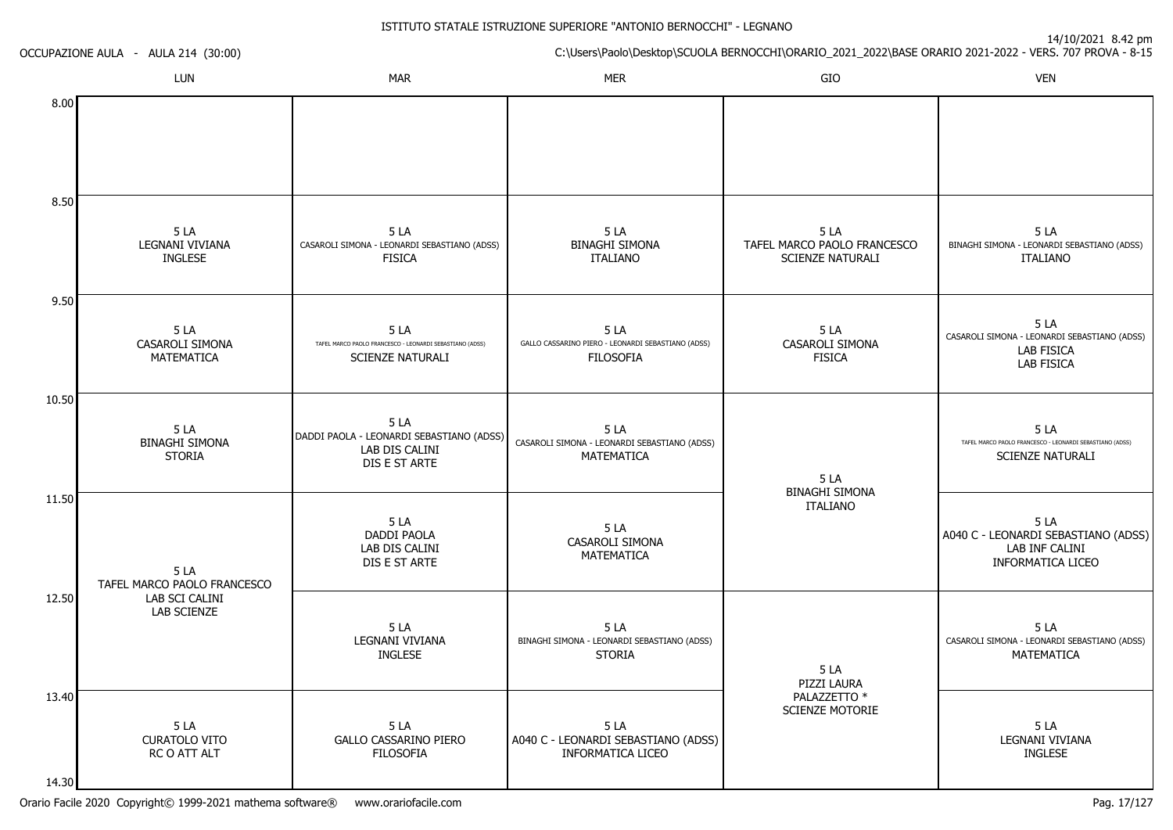| OCCUPAZIONE AULA - AULA 214 (30:00) |                                                                               | 14/10/2021 0.42 pm<br>C:\Users\Paolo\Desktop\SCUOLA BERNOCCHI\ORARIO_2021_2022\BASE ORARIO 2021-2022 - VERS. 707 PROVA - 8-15 |                                                                               |                                                         |                                                                                            |
|-------------------------------------|-------------------------------------------------------------------------------|-------------------------------------------------------------------------------------------------------------------------------|-------------------------------------------------------------------------------|---------------------------------------------------------|--------------------------------------------------------------------------------------------|
|                                     | LUN                                                                           | <b>MAR</b>                                                                                                                    | <b>MER</b>                                                                    | ${\sf GIO}$                                             | <b>VEN</b>                                                                                 |
| 8.00                                |                                                                               |                                                                                                                               |                                                                               |                                                         |                                                                                            |
| 8.50                                | 5LA<br>LEGNANI VIVIANA<br><b>INGLESE</b>                                      | 5LA<br>CASAROLI SIMONA - LEONARDI SEBASTIANO (ADSS)<br><b>FISICA</b>                                                          | 5LA<br><b>BINAGHI SIMONA</b><br><b>ITALIANO</b>                               | 5 LA<br>TAFEL MARCO PAOLO FRANCESCO<br>SCIENZE NATURALI | 5LA<br>BINAGHI SIMONA - LEONARDI SEBASTIANO (ADSS)<br><b>ITALIANO</b>                      |
| 9.50                                | 5LA<br>CASAROLI SIMONA<br>MATEMATICA                                          | 5LA<br>TAFEL MARCO PAOLO FRANCESCO - LEONARDI SEBASTIANO (ADSS)<br><b>SCIENZE NATURALI</b>                                    | 5LA<br>GALLO CASSARINO PIERO - LEONARDI SEBASTIANO (ADSS)<br><b>FILOSOFIA</b> | 5LA<br>CASAROLI SIMONA<br><b>FISICA</b>                 | 5LA<br>CASAROLI SIMONA - LEONARDI SEBASTIANO (ADSS)<br>LAB FISICA<br><b>LAB FISICA</b>     |
| 10.50                               | 5LA<br><b>BINAGHI SIMONA</b><br><b>STORIA</b>                                 | 5LA<br>DADDI PAOLA - LEONARDI SEBASTIANO (ADSS)<br>LAB DIS CALINI<br>DIS E ST ARTE                                            | 5LA<br>CASAROLI SIMONA - LEONARDI SEBASTIANO (ADSS)<br>MATEMATICA             | 5LA                                                     | 5LA<br>TAFEL MARCO PAOLO FRANCESCO - LEONARDI SEBASTIANO (ADSS)<br><b>SCIENZE NATURALI</b> |
| 11.50                               | 5LA<br>TAFEL MARCO PAOLO FRANCESCO                                            | 5LA<br><b>DADDI PAOLA</b><br>LAB DIS CALINI<br>DIS E ST ARTE                                                                  | 5LA<br>CASAROLI SIMONA<br>MATEMATICA                                          | <b>BINAGHI SIMONA</b><br><b>ITALIANO</b>                | 5LA<br>A040 C - LEONARDI SEBASTIANO (ADSS)<br>LAB INF CALINI<br><b>INFORMATICA LICEO</b>   |
| 12.50                               | LAB SCI CALINI<br><b>LAB SCIENZE</b><br>5 LA<br>CURATOLO VITO<br>RC O ATT ALT | 5LA<br>LEGNANI VIVIANA<br><b>INGLESE</b>                                                                                      | 5LA<br>BINAGHI SIMONA - LEONARDI SEBASTIANO (ADSS)<br><b>STORIA</b>           | 5 LA<br>PIZZI LAURA                                     | 5LA<br>CASAROLI SIMONA - LEONARDI SEBASTIANO (ADSS)<br>MATEMATICA                          |
| 13.40<br>14.30                      |                                                                               | 5 LA<br><b>GALLO CASSARINO PIERO</b><br><b>FILOSOFIA</b>                                                                      | 5LA<br>A040 C - LEONARDI SEBASTIANO (ADSS)<br>INFORMATICA LICEO               | PALAZZETTO *<br>SCIENZE MOTORIE                         | 5 LA<br>LEGNANI VIVIANA<br>INGLESE                                                         |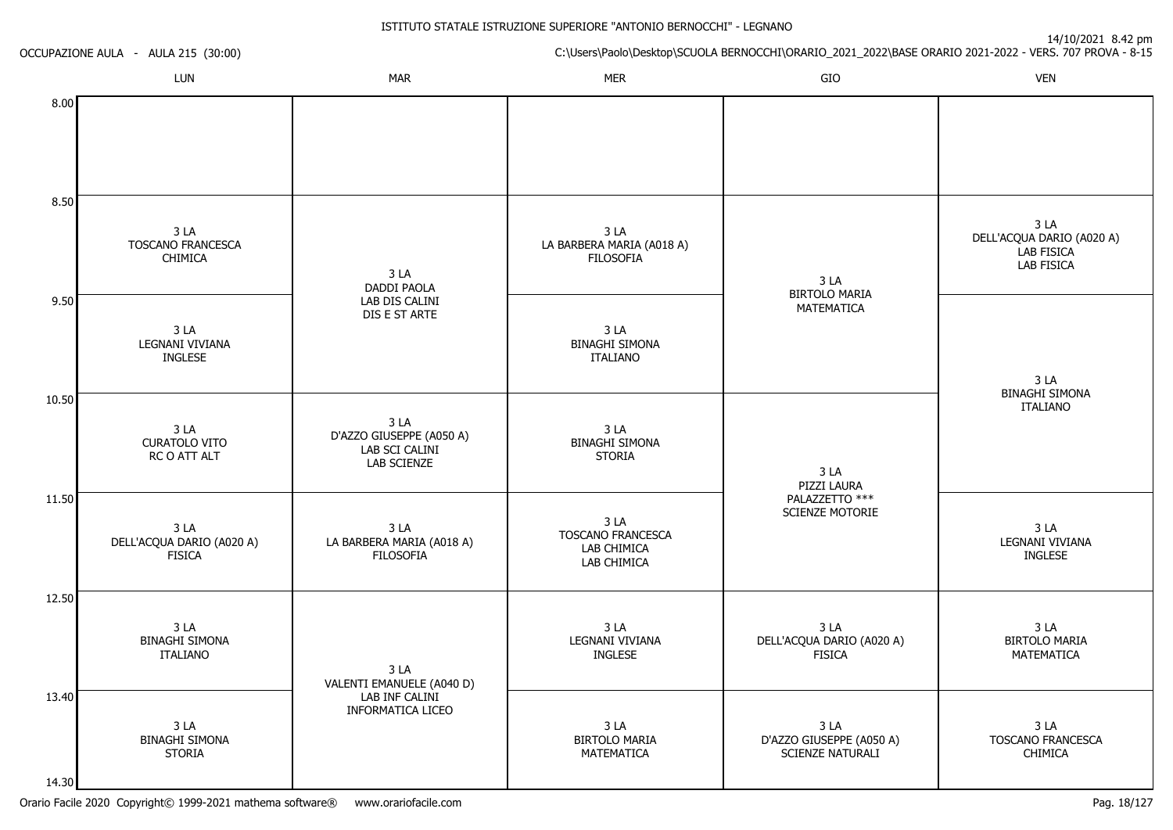| OCCUPAZIONE AULA - AULA 215 (30:00) |                                                       |                                                                   | $T$ וווען בד <sub>י</sub> ט בבטב<br>C:\Users\Paolo\Desktop\SCUOLA BERNOCCHI\ORARIO_2021_2022\BASE ORARIO 2021-2022 - VERS. 707 PROVA - 8-15 |                                                                     |                                                                                 |  |
|-------------------------------------|-------------------------------------------------------|-------------------------------------------------------------------|---------------------------------------------------------------------------------------------------------------------------------------------|---------------------------------------------------------------------|---------------------------------------------------------------------------------|--|
|                                     | LUN                                                   | <b>MAR</b>                                                        | <b>MER</b>                                                                                                                                  | GIO                                                                 | <b>VEN</b>                                                                      |  |
| 8.00                                |                                                       |                                                                   |                                                                                                                                             |                                                                     |                                                                                 |  |
| 8.50                                |                                                       |                                                                   |                                                                                                                                             |                                                                     |                                                                                 |  |
|                                     | 3LA<br>TOSCANO FRANCESCA<br><b>CHIMICA</b>            | 3LA<br><b>DADDI PAOLA</b>                                         | 3LA<br>LA BARBERA MARIA (A018 A)<br><b>FILOSOFIA</b>                                                                                        | 3LA                                                                 | 3 <sub>LA</sub><br>DELL'ACQUA DARIO (A020 A)<br><b>LAB FISICA</b><br>LAB FISICA |  |
| 9.50                                | 3 <sub>L</sub> A<br>LEGNANI VIVIANA<br><b>INGLESE</b> | LAB DIS CALINI<br>DIS E ST ARTE                                   | 3LA<br><b>BINAGHI SIMONA</b><br><b>ITALIANO</b>                                                                                             | <b>BIRTOLO MARIA</b><br>MATEMATICA                                  | 3LA                                                                             |  |
| 10.50                               |                                                       |                                                                   |                                                                                                                                             |                                                                     | <b>BINAGHI SIMONA</b><br><b>ITALIANO</b>                                        |  |
|                                     | 3LA<br><b>CURATOLO VITO</b><br>RC O ATT ALT           | 3 LA<br>D'AZZO GIUSEPPE (A050 A)<br>LAB SCI CALINI<br>LAB SCIENZE | 3LA<br><b>BINAGHI SIMONA</b><br><b>STORIA</b>                                                                                               | 3 <sub>LA</sub><br>PIZZI LAURA<br>PALAZZETTO ***<br>SCIENZE MOTORIE |                                                                                 |  |
| 11.50                               | 3LA<br>DELL'ACQUA DARIO (A020 A)<br><b>FISICA</b>     | 3 LA<br>LA BARBERA MARIA (A018 A)<br><b>FILOSOFIA</b>             | 3 LA<br>TOSCANO FRANCESCA<br>LAB CHIMICA<br>LAB CHIMICA                                                                                     |                                                                     | 3 LA<br>LEGNANI VIVIANA<br><b>INGLESE</b>                                       |  |
| 12.50                               |                                                       |                                                                   |                                                                                                                                             |                                                                     |                                                                                 |  |
|                                     | 3LA<br><b>BINAGHI SIMONA</b><br><b>ITALIANO</b>       | 3 LA<br>VALENTI EMANUELE (A040 D)                                 | 3LA<br>LEGNANI VIVIANA<br><b>INGLESE</b>                                                                                                    | 3 LA<br>DELL'ACQUA DARIO (A020 A)<br><b>FISICA</b>                  | 3LA<br><b>BIRTOLO MARIA</b><br>MATEMATICA                                       |  |
| 13.40                               | 3 LA<br><b>BINAGHI SIMONA</b><br><b>STORIA</b>        | LAB INF CALINI<br>INFORMATICA LICEO                               | 3 <sub>LA</sub><br><b>BIRTOLO MARIA</b><br>MATEMATICA                                                                                       | 3 <sub>LA</sub><br>D'AZZO GIUSEPPE (A050 A)<br>SCIENZE NATURALI     | 3 LA<br>TOSCANO FRANCESCA<br>CHIMICA                                            |  |
| 14.30                               |                                                       |                                                                   |                                                                                                                                             |                                                                     |                                                                                 |  |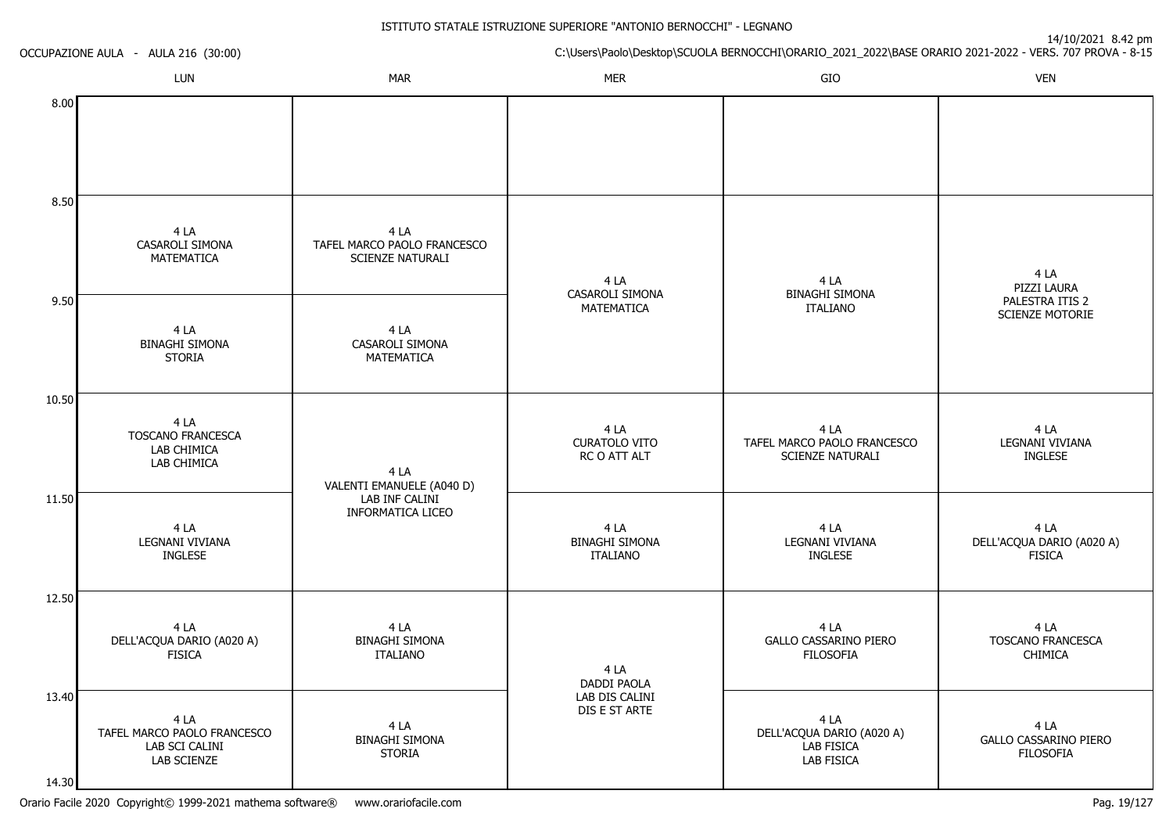| OCCUPAZIONE AULA - AULA 216 (30:00) |                                                                      | 14/10/2021 8.42 pm<br>C:\Users\Paolo\Desktop\SCUOLA BERNOCCHI\ORARIO_2021_2022\BASE ORARIO 2021-2022 - VERS. 707 PROVA - 8-15 |                                                  |                                                               |                                                    |
|-------------------------------------|----------------------------------------------------------------------|-------------------------------------------------------------------------------------------------------------------------------|--------------------------------------------------|---------------------------------------------------------------|----------------------------------------------------|
|                                     | LUN                                                                  | <b>MAR</b>                                                                                                                    | <b>MER</b>                                       | GIO                                                           | <b>VEN</b>                                         |
| 8.00                                |                                                                      |                                                                                                                               |                                                  |                                                               |                                                    |
| 8.50                                |                                                                      |                                                                                                                               |                                                  |                                                               |                                                    |
|                                     | 4 LA<br>CASAROLI SIMONA<br>MATEMATICA                                | 4 LA<br>TAFEL MARCO PAOLO FRANCESCO<br>SCIENZE NATURALI                                                                       | 4 LA<br>CASAROLI SIMONA                          | 4 LA<br><b>BINAGHI SIMONA</b>                                 | 4 LA<br>PIZZI LAURA                                |
| 9.50                                | 4 LA<br><b>BINAGHI SIMONA</b><br><b>STORIA</b>                       | 4 LA<br>CASAROLI SIMONA<br>MATEMATICA                                                                                         | MATEMATICA                                       | <b>ITALIANO</b>                                               | PALESTRA ITIS 2<br>SCIENZE MOTORIE                 |
| 10.50                               |                                                                      |                                                                                                                               |                                                  |                                                               |                                                    |
|                                     | 4 LA<br><b>TOSCANO FRANCESCA</b><br>LAB CHIMICA<br>LAB CHIMICA       | 4 LA<br>VALENTI EMANUELE (A040 D)<br>LAB INF CALINI<br>INFORMATICA LICEO                                                      | 4 LA<br><b>CURATOLO VITO</b><br>RC O ATT ALT     | 4 LA<br>TAFEL MARCO PAOLO FRANCESCO<br>SCIENZE NATURALI       | 4 LA<br>LEGNANI VIVIANA<br><b>INGLESE</b>          |
| 11.50                               | 4 LA<br>LEGNANI VIVIANA<br><b>INGLESE</b>                            |                                                                                                                               | 4 LA<br><b>BINAGHI SIMONA</b><br><b>ITALIANO</b> | 4 LA<br>LEGNANI VIVIANA<br><b>INGLESE</b>                     | 4 LA<br>DELL'ACQUA DARIO (A020 A)<br><b>FISICA</b> |
| 12.50                               |                                                                      |                                                                                                                               |                                                  |                                                               |                                                    |
|                                     | 4 LA<br>DELL'ACQUA DARIO (A020 A)<br><b>FISICA</b>                   | 4 LA<br><b>BINAGHI SIMONA</b><br><b>ITALIANO</b>                                                                              | 4 LA<br>DADDI PAOLA                              | 4 LA<br>GALLO CASSARINO PIERO<br><b>FILOSOFIA</b>             | 4 LA<br>TOSCANO FRANCESCA<br>CHIMICA               |
| 13.40<br>14.30                      | 4 LA<br>TAFEL MARCO PAOLO FRANCESCO<br>LAB SCI CALINI<br>LAB SCIENZE | 4 LA<br><b>BINAGHI SIMONA</b><br><b>STORIA</b>                                                                                | LAB DIS CALINI<br>DIS E ST ARTE                  | 4 LA<br>DELL'ACQUA DARIO (A020 A)<br>LAB FISICA<br>LAB FISICA | 4 LA<br>GALLO CASSARINO PIERO<br><b>FILOSOFIA</b>  |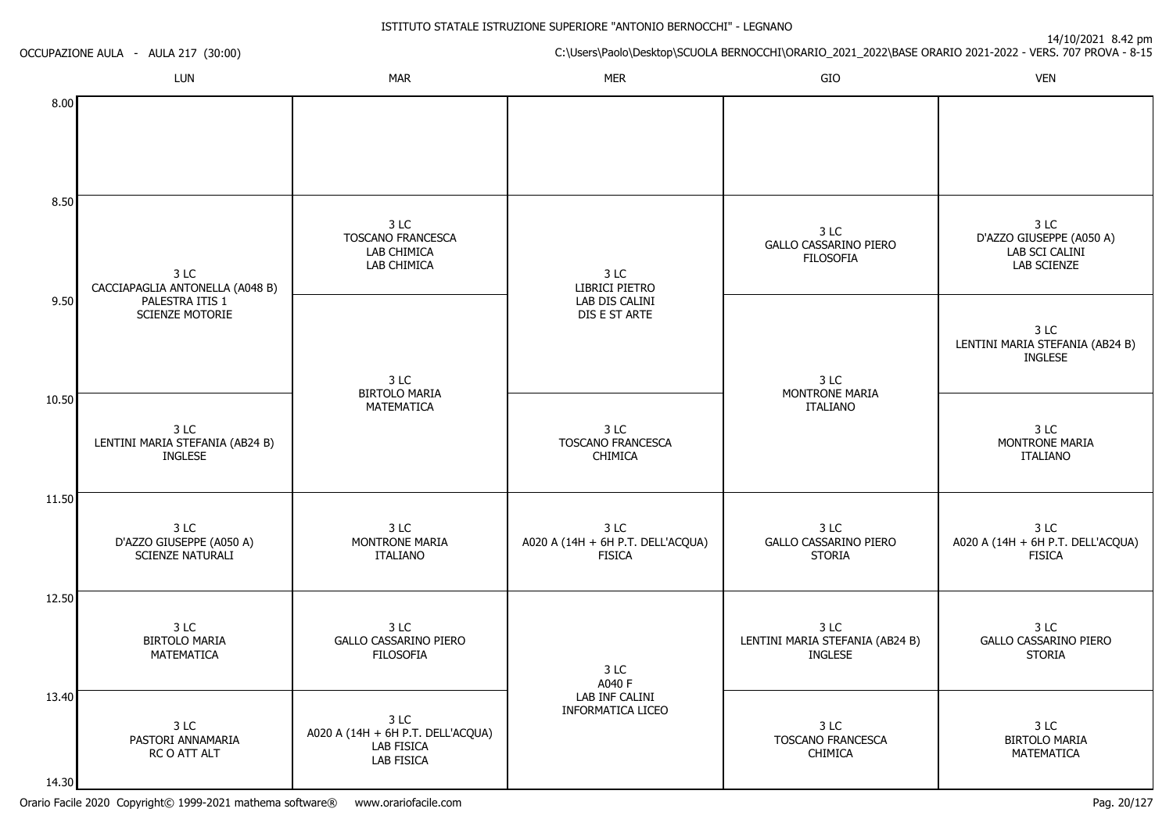| OCCUPAZIONE AULA - AULA 217 (30:00) |                                                             |                                                                       | $17/10/2021$ 0.72 pm<br>C:\Users\Paolo\Desktop\SCUOLA BERNOCCHI\ORARIO_2021_2022\BASE ORARIO 2021-2022 - VERS. 707 PROVA - 8-15 |                                                           |                                                                   |  |
|-------------------------------------|-------------------------------------------------------------|-----------------------------------------------------------------------|---------------------------------------------------------------------------------------------------------------------------------|-----------------------------------------------------------|-------------------------------------------------------------------|--|
|                                     | LUN                                                         | <b>MAR</b>                                                            | <b>MER</b>                                                                                                                      | GIO                                                       | <b>VEN</b>                                                        |  |
| 8.00                                |                                                             |                                                                       |                                                                                                                                 |                                                           |                                                                   |  |
| 8.50                                |                                                             |                                                                       |                                                                                                                                 |                                                           |                                                                   |  |
|                                     | 3 LC<br>CACCIAPAGLIA ANTONELLA (A048 B)                     | 3 LC<br>TOSCANO FRANCESCA<br>LAB CHIMICA<br>LAB CHIMICA               | 3 LC<br>LIBRICI PIETRO                                                                                                          | 3 LC<br><b>GALLO CASSARINO PIERO</b><br><b>FILOSOFIA</b>  | 3 LC<br>D'AZZO GIUSEPPE (A050 A)<br>LAB SCI CALINI<br>LAB SCIENZE |  |
| 9.50                                | PALESTRA ITIS 1<br><b>SCIENZE MOTORIE</b>                   | 3 LC                                                                  | LAB DIS CALINI<br>DIS E ST ARTE                                                                                                 | 3 LC<br>MONTRONE MARIA<br><b>ITALIANO</b>                 | 3 LC<br>LENTINI MARIA STEFANIA (AB24 B)<br><b>INGLESE</b>         |  |
| 10.50                               | 3 LC<br>LENTINI MARIA STEFANIA (AB24 B)<br><b>INGLESE</b>   | <b>BIRTOLO MARIA</b><br>MATEMATICA                                    | 3 LC<br><b>TOSCANO FRANCESCA</b><br><b>CHIMICA</b>                                                                              |                                                           | 3 LC<br>MONTRONE MARIA<br><b>ITALIANO</b>                         |  |
| 11.50                               |                                                             |                                                                       |                                                                                                                                 |                                                           |                                                                   |  |
|                                     | 3 LC<br>D'AZZO GIUSEPPE (A050 A)<br><b>SCIENZE NATURALI</b> | 3 LC<br>MONTRONE MARIA<br><b>ITALIANO</b>                             | 3 LC<br>A020 A (14H + 6H P.T. DELL'ACQUA)<br><b>FISICA</b>                                                                      | 3 LC<br>GALLO CASSARINO PIERO<br><b>STORIA</b>            | 3 LC<br>A020 A (14H + 6H P.T. DELL'ACQUA)<br><b>FISICA</b>        |  |
| 12.50                               |                                                             |                                                                       |                                                                                                                                 |                                                           |                                                                   |  |
|                                     | 3 LC<br><b>BIRTOLO MARIA</b><br>MATEMATICA                  | 3 LC<br><b>GALLO CASSARINO PIERO</b><br><b>FILOSOFIA</b>              | 3 LC<br>A040 F                                                                                                                  | 3 LC<br>LENTINI MARIA STEFANIA (AB24 B)<br><b>INGLESE</b> | 3 LC<br>GALLO CASSARINO PIERO<br><b>STORIA</b>                    |  |
| 13.40<br>14.30                      | 3 LC<br>PASTORI ANNAMARIA<br>RC O ATT ALT                   | 3 LC<br>A020 A (14H + 6H P.T. DELL'ACQUA)<br>LAB FISICA<br>LAB FISICA | LAB INF CALINI<br>INFORMATICA LICEO                                                                                             | 3 LC<br>TOSCANO FRANCESCA<br>CHIMICA                      | 3 LC<br><b>BIRTOLO MARIA</b><br>MATEMATICA                        |  |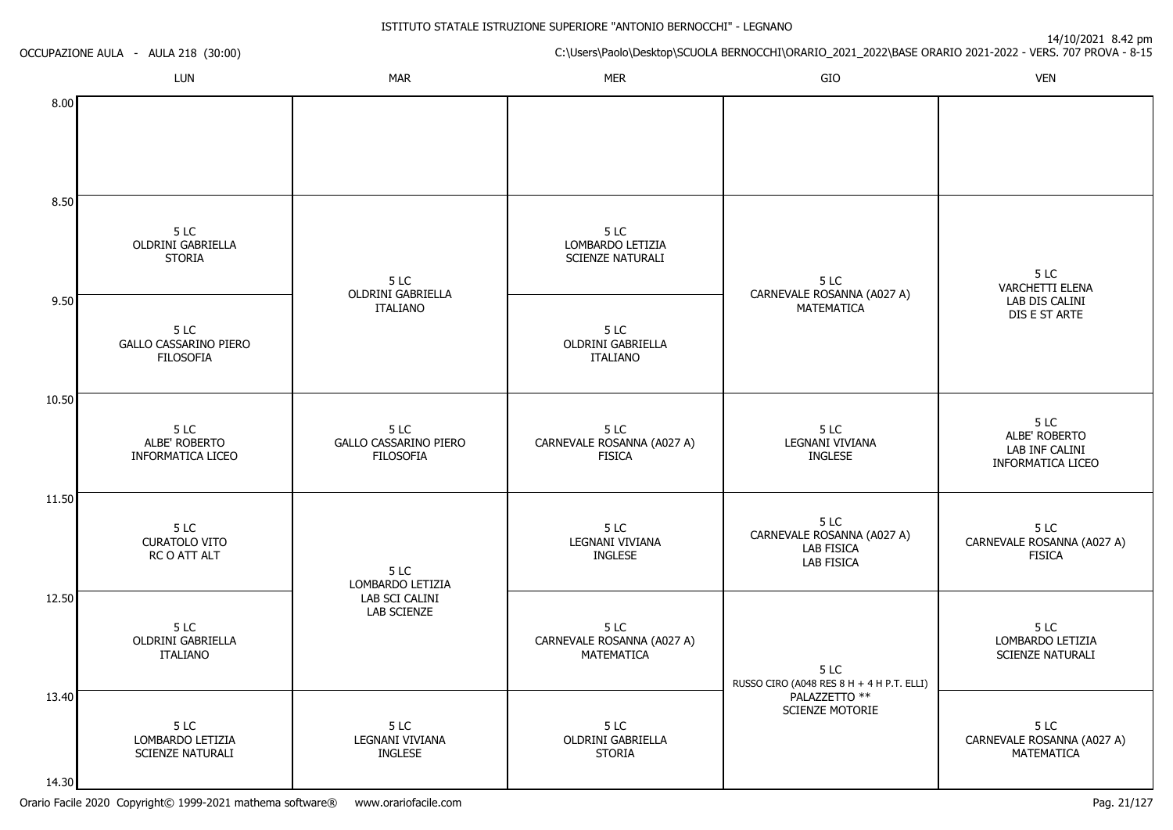| OCCUPAZIONE AULA - AULA 218 (30:00) |                                                          |                                                          | $\frac{1}{2}$ if $\frac{1}{2}$ is $\frac{1}{2}$ is $\frac{1}{2}$ is $\frac{1}{2}$ in $\frac{1}{2}$<br>C:\Users\Paolo\Desktop\SCUOLA BERNOCCHI\ORARIO_2021_2022\BASE ORARIO 2021-2022 - VERS. 707 PROVA - 8-15 |                                                               |                                                                  |  |
|-------------------------------------|----------------------------------------------------------|----------------------------------------------------------|---------------------------------------------------------------------------------------------------------------------------------------------------------------------------------------------------------------|---------------------------------------------------------------|------------------------------------------------------------------|--|
|                                     | LUN                                                      | <b>MAR</b>                                               | <b>MER</b>                                                                                                                                                                                                    | GIO                                                           | <b>VEN</b>                                                       |  |
| 8.00                                |                                                          |                                                          |                                                                                                                                                                                                               |                                                               |                                                                  |  |
| 8.50                                |                                                          |                                                          |                                                                                                                                                                                                               |                                                               |                                                                  |  |
|                                     | 5 LC<br>OLDRINI GABRIELLA<br><b>STORIA</b>               | 5 LC<br>OLDRINI GABRIELLA<br><b>ITALIANO</b>             | 5 LC<br>LOMBARDO LETIZIA<br>SCIENZE NATURALI                                                                                                                                                                  | 5 LC<br>CARNEVALE ROSANNA (A027 A)                            | 5LC<br><b>VARCHETTI ELENA</b><br>LAB DIS CALINI<br>DIS E ST ARTE |  |
| 9.50                                | 5 LC<br><b>GALLO CASSARINO PIERO</b><br><b>FILOSOFIA</b> |                                                          | 5 LC<br>OLDRINI GABRIELLA<br><b>ITALIANO</b>                                                                                                                                                                  | MATEMATICA                                                    |                                                                  |  |
| 10.50                               |                                                          |                                                          |                                                                                                                                                                                                               |                                                               |                                                                  |  |
|                                     | 5 LC<br>ALBE' ROBERTO<br>INFORMATICA LICEO               | 5 LC<br><b>GALLO CASSARINO PIERO</b><br><b>FILOSOFIA</b> | 5 LC<br>CARNEVALE ROSANNA (A027 A)<br><b>FISICA</b>                                                                                                                                                           | 5LC<br>LEGNANI VIVIANA<br><b>INGLESE</b>                      | 5 LC<br>ALBE' ROBERTO<br>LAB INF CALINI<br>INFORMATICA LICEO     |  |
| 11.50                               |                                                          |                                                          |                                                                                                                                                                                                               |                                                               |                                                                  |  |
|                                     | 5LC<br><b>CURATOLO VITO</b><br>RC O ATT ALT              | 5 LC<br>LOMBARDO LETIZIA                                 | 5 LC<br>LEGNANI VIVIANA<br><b>INGLESE</b>                                                                                                                                                                     | 5LC<br>CARNEVALE ROSANNA (A027 A)<br>LAB FISICA<br>LAB FISICA | 5 LC<br>CARNEVALE ROSANNA (A027 A)<br><b>FISICA</b>              |  |
| 12.50                               | 5 LC<br>OLDRINI GABRIELLA<br><b>ITALIANO</b>             | LAB SCI CALINI<br>LAB SCIENZE                            | 5 LC<br>CARNEVALE ROSANNA (A027 A)<br>MATEMATICA                                                                                                                                                              | 5 LC<br>RUSSO CIRO (A048 RES 8 H + 4 H P.T. ELLI)             | 5LC<br>LOMBARDO LETIZIA<br>SCIENZE NATURALI                      |  |
| 13.40                               | 5 LC<br>LOMBARDO LETIZIA<br><b>SCIENZE NATURALI</b>      | 5 LC<br>LEGNANI VIVIANA<br><b>INGLESE</b>                | 5 LC<br>OLDRINI GABRIELLA<br><b>STORIA</b>                                                                                                                                                                    | PALAZZETTO **<br>SCIENZE MOTORIE                              | 5LC<br>CARNEVALE ROSANNA (A027 A)<br>MATEMATICA                  |  |
| 14.30                               |                                                          |                                                          |                                                                                                                                                                                                               |                                                               |                                                                  |  |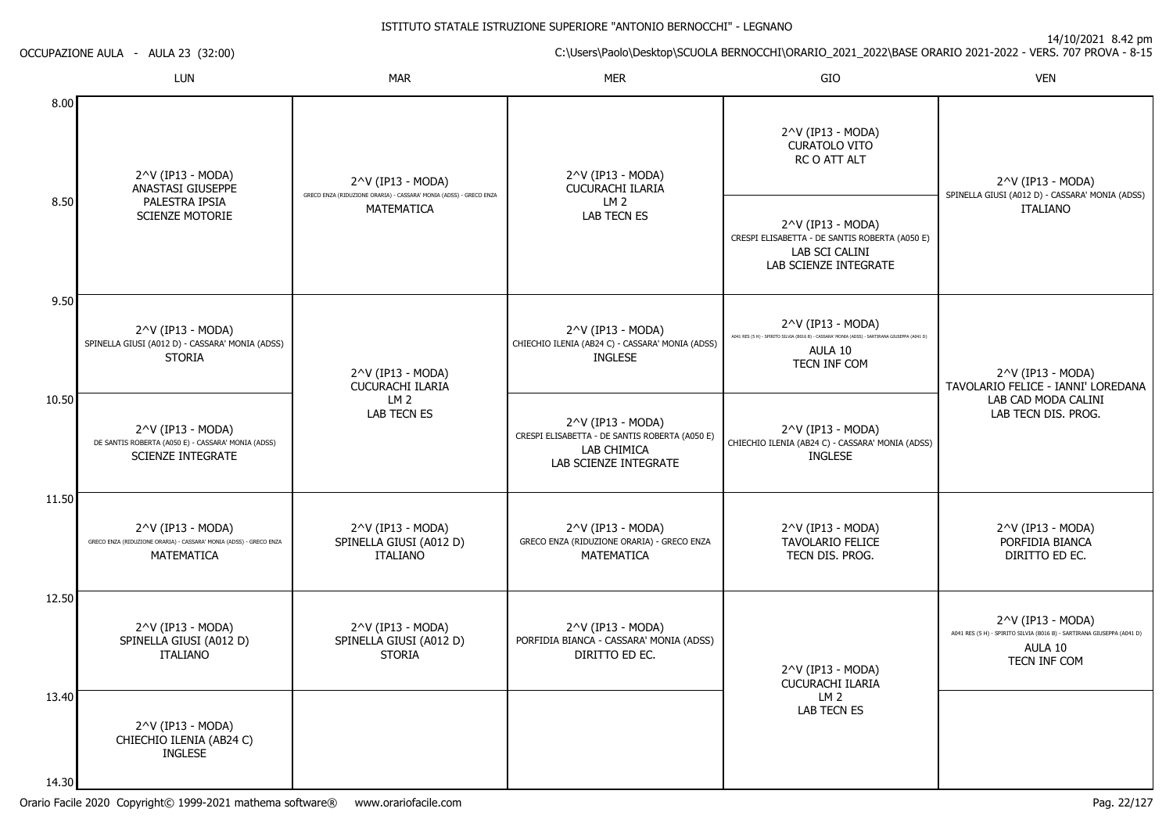14.30

|       | LUN                                                                                                            | <b>MAR</b>                                                                                                   | <b>MER</b>                                                                                                  | GIO                                                                                                                                                      | <b>VEN</b>                                                                                                             |
|-------|----------------------------------------------------------------------------------------------------------------|--------------------------------------------------------------------------------------------------------------|-------------------------------------------------------------------------------------------------------------|----------------------------------------------------------------------------------------------------------------------------------------------------------|------------------------------------------------------------------------------------------------------------------------|
| 8.00  | 2^V (IP13 - MODA)<br>ANASTASI GIUSEPPE<br>PALESTRA IPSIA<br><b>SCIENZE MOTORIE</b>                             | 2^V (IP13 - MODA)<br>GRECO ENZA (RIDUZIONE ORARIA) - CASSARA' MONIA (ADSS) - GRECO ENZA<br><b>MATEMATICA</b> | 2^V (IP13 - MODA)<br><b>CUCURACHI ILARIA</b><br>LM <sub>2</sub><br><b>LAB TECN ES</b>                       | 2^V (IP13 - MODA)<br><b>CURATOLO VITO</b><br>RC O ATT ALT                                                                                                | 2^V (IP13 - MODA)<br>SPINELLA GIUSI (A012 D) - CASSARA' MONIA (ADSS)                                                   |
| 8.50  |                                                                                                                |                                                                                                              |                                                                                                             | 2^V (IP13 - MODA)<br>CRESPI ELISABETTA - DE SANTIS ROBERTA (A050 E)<br>LAB SCI CALINI<br>LAB SCIENZE INTEGRATE                                           | <b>ITALIANO</b>                                                                                                        |
| 9.50  | 2^V (IP13 - MODA)<br>SPINELLA GIUSI (A012 D) - CASSARA' MONIA (ADSS)<br><b>STORIA</b>                          | 2^V (IP13 - MODA)<br>CUCURACHI ILARIA                                                                        | 2^V (IP13 - MODA)<br>CHIECHIO ILENIA (AB24 C) - CASSARA' MONIA (ADSS)<br><b>INGLESE</b>                     | $2^{\wedge}V$ (IP13 - MODA)<br>A041 RES (5 H) - SPIRITO SILVIA (B016 B) - CASSARA' MONIA (ADSS) - SARTIRANA GIUSEPPA (A041 D)<br>AULA 10<br>TECN INF COM | 2^V (IP13 - MODA)<br>TAVOLARIO FELICE - IANNI' LOREDANA                                                                |
| 10.50 | $2^{\wedge}$ V (IP13 - MODA)<br>DE SANTIS ROBERTA (A050 E) - CASSARA' MONIA (ADSS)<br><b>SCIENZE INTEGRATE</b> | LM 2<br><b>LAB TECN ES</b>                                                                                   | 2^V (IP13 - MODA)<br>CRESPI ELISABETTA - DE SANTIS ROBERTA (A050 E)<br>LAB CHIMICA<br>LAB SCIENZE INTEGRATE | $2^{\wedge}V$ (IP13 - MODA)<br>CHIECHIO ILENIA (AB24 C) - CASSARA' MONIA (ADSS)<br><b>INGLESE</b>                                                        | LAB CAD MODA CALINI<br>LAB TECN DIS. PROG.                                                                             |
| 11.50 | 2^V (IP13 - MODA)<br>GRECO ENZA (RIDUZIONE ORARIA) - CASSARA' MONIA (ADSS) - GRECO ENZA<br><b>MATEMATICA</b>   | 2^V (IP13 - MODA)<br>SPINELLA GIUSI (A012 D)<br><b>ITALIANO</b>                                              | 2^V (IP13 - MODA)<br>GRECO ENZA (RIDUZIONE ORARIA) - GRECO ENZA<br><b>MATEMATICA</b>                        | 2^V (IP13 - MODA)<br><b>TAVOLARIO FELICE</b><br>TECN DIS. PROG.                                                                                          | 2^V (IP13 - MODA)<br>PORFIDIA BIANCA<br>DIRITTO ED EC.                                                                 |
| 12.50 | 2^V (IP13 - MODA)<br>SPINELLA GIUSI (A012 D)<br><b>ITALIANO</b>                                                | 2^V (IP13 - MODA)<br>SPINELLA GIUSI (A012 D)<br><b>STORIA</b>                                                | 2^V (IP13 - MODA)<br>PORFIDIA BIANCA - CASSARA' MONIA (ADSS)<br>DIRITTO ED EC.                              | 2^V (IP13 - MODA)<br><b>CUCURACHI ILARIA</b><br>LM <sub>2</sub><br>LAB TECN ES                                                                           | 2^V (IP13 - MODA)<br>A041 RES (5 H) - SPIRITO SILVIA (B016 B) - SARTIRANA GIUSEPPA (A041 D)<br>AULA 10<br>TECN INF COM |
| 13.40 | $2^{\wedge}V$ (IP13 - MODA)<br>CHIECHIO ILENIA (AB24 C)<br><b>INGLESE</b>                                      |                                                                                                              |                                                                                                             |                                                                                                                                                          |                                                                                                                        |

OCCUPAZIONE AULA - AULA 23 (32:00)

14/10/2021 8.42 pm

C:\Users\Paolo\Desktop\SCUOLA BERNOCCHI\ORARIO\_2021\_2022\BASE ORARIO 2021-2022 - VERS. 707 PROVA - 8-15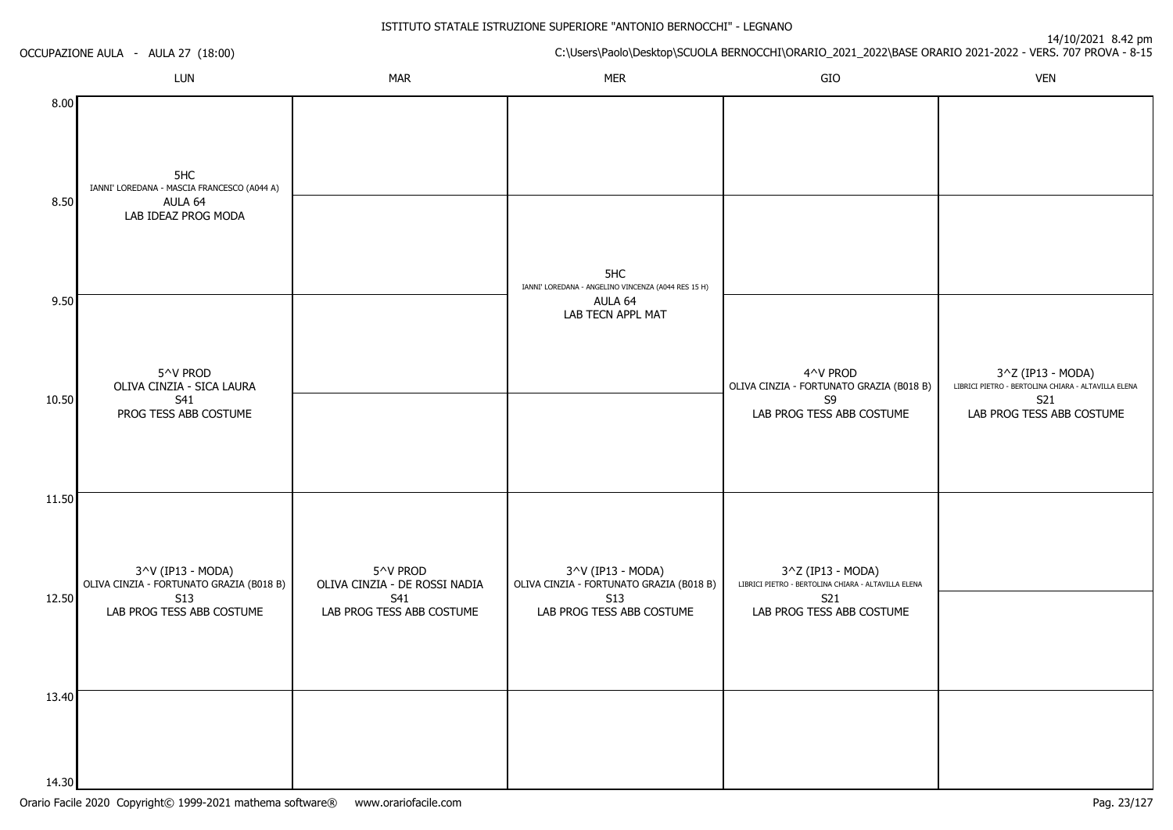OCCUPAZIONE AULA - AULA 27 (18:00)

|              | LUN                                                                                  | <b>MAR</b>                                | <b>MER</b>                                                                          | ${\sf GIO}$                                                                             | <b>VEN</b>                                                                                                   |
|--------------|--------------------------------------------------------------------------------------|-------------------------------------------|-------------------------------------------------------------------------------------|-----------------------------------------------------------------------------------------|--------------------------------------------------------------------------------------------------------------|
| 8.00<br>8.50 | 5HC<br>IANNI' LOREDANA - MASCIA FRANCESCO (A044 A)<br>AULA 64<br>LAB IDEAZ PROG MODA |                                           | 5HC                                                                                 |                                                                                         |                                                                                                              |
| 9.50         |                                                                                      |                                           | IANNI' LOREDANA - ANGELINO VINCENZA (A044 RES 15 H)<br>AULA 64<br>LAB TECN APPL MAT |                                                                                         |                                                                                                              |
| 10.50        | 5^V PROD<br>OLIVA CINZIA - SICA LAURA<br>S41<br>PROG TESS ABB COSTUME                |                                           |                                                                                     | 4^V PROD<br>OLIVA CINZIA - FORTUNATO GRAZIA (B018 B)<br>S9<br>LAB PROG TESS ABB COSTUME | 3^Z (IP13 - MODA)<br>LIBRICI PIETRO - BERTOLINA CHIARA - ALTAVILLA ELENA<br>S21<br>LAB PROG TESS ABB COSTUME |
| 11.50        | 3^V (IP13 - MODA)<br>OLIVA CINZIA - FORTUNATO GRAZIA (B018 B)                        | 5^V PROD<br>OLIVA CINZIA - DE ROSSI NADIA | 3^V (IP13 - MODA)<br>OLIVA CINZIA - FORTUNATO GRAZIA (B018 B)                       | 3^Z (IP13 - MODA)<br>LIBRICI PIETRO - BERTOLINA CHIARA - ALTAVILLA ELENA                |                                                                                                              |
| 12.50        | <b>S13</b><br>LAB PROG TESS ABB COSTUME                                              | S41<br>LAB PROG TESS ABB COSTUME          | S13<br>LAB PROG TESS ABB COSTUME                                                    | S21<br>LAB PROG TESS ABB COSTUME                                                        |                                                                                                              |
| 13.40        |                                                                                      |                                           |                                                                                     |                                                                                         |                                                                                                              |
| 14.30        |                                                                                      |                                           |                                                                                     |                                                                                         |                                                                                                              |

C:\Users\Paolo\Desktop\SCUOLA BERNOCCHI\ORARIO\_2021\_2022\BASE ORARIO 2021-2022 - VERS. 707 PROVA - 8-15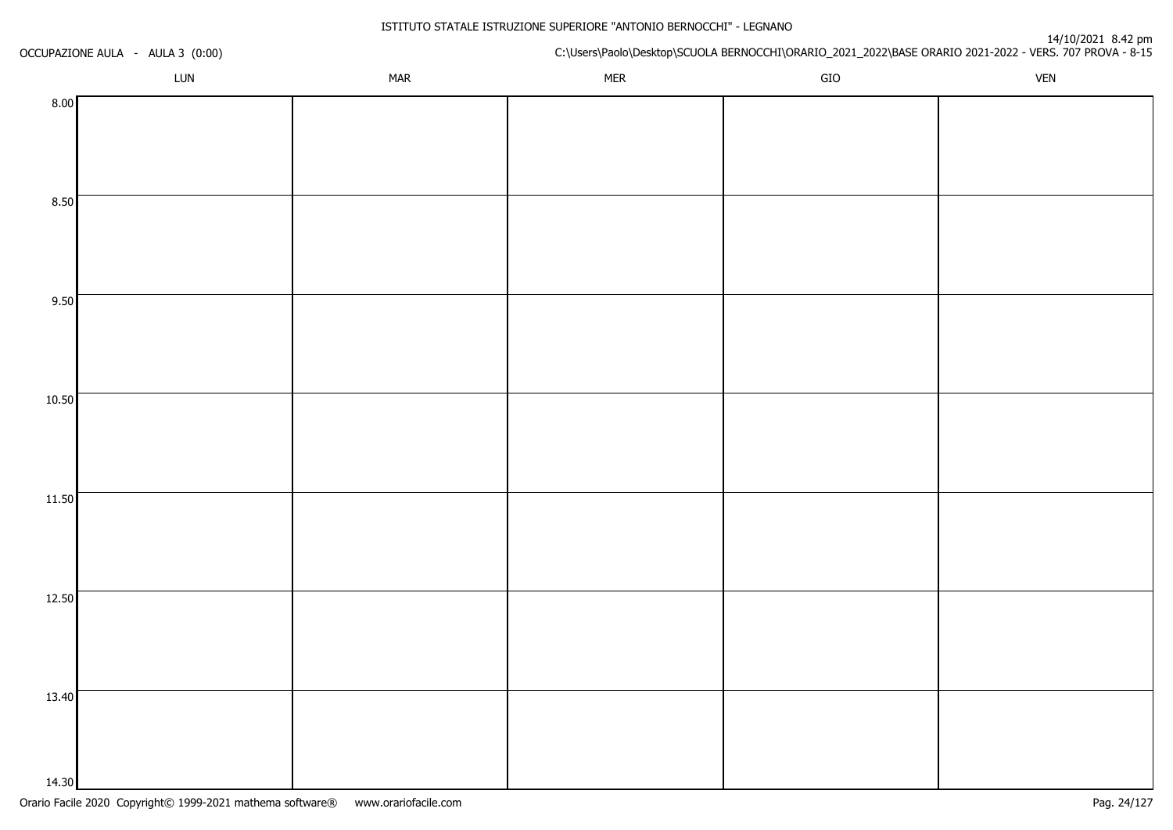| OCCUPAZIONE AULA - AULA 3 (0:00) |     |            |            | n4/10/2021_8.42_pm<br>C:\Users\Paolo\Desktop\SCUOLA BERNOCCHI\ORARIO_2021_2022\BASE ORARIO 2021-2022 - VERS. 707 PROVA - 8-15 |            |
|----------------------------------|-----|------------|------------|-------------------------------------------------------------------------------------------------------------------------------|------------|
|                                  | LUN | <b>MAR</b> | <b>MER</b> | GIO                                                                                                                           | <b>VEN</b> |
| 8.00                             |     |            |            |                                                                                                                               |            |
|                                  |     |            |            |                                                                                                                               |            |
|                                  |     |            |            |                                                                                                                               |            |
|                                  |     |            |            |                                                                                                                               |            |
| 8.50                             |     |            |            |                                                                                                                               |            |
|                                  |     |            |            |                                                                                                                               |            |
|                                  |     |            |            |                                                                                                                               |            |
|                                  |     |            |            |                                                                                                                               |            |
| 9.50                             |     |            |            |                                                                                                                               |            |
|                                  |     |            |            |                                                                                                                               |            |
|                                  |     |            |            |                                                                                                                               |            |
| 10.50                            |     |            |            |                                                                                                                               |            |
|                                  |     |            |            |                                                                                                                               |            |
|                                  |     |            |            |                                                                                                                               |            |
|                                  |     |            |            |                                                                                                                               |            |
| 11.50                            |     |            |            |                                                                                                                               |            |
|                                  |     |            |            |                                                                                                                               |            |
|                                  |     |            |            |                                                                                                                               |            |
|                                  |     |            |            |                                                                                                                               |            |
| 12.50                            |     |            |            |                                                                                                                               |            |
|                                  |     |            |            |                                                                                                                               |            |
|                                  |     |            |            |                                                                                                                               |            |
|                                  |     |            |            |                                                                                                                               |            |
| 13.40                            |     |            |            |                                                                                                                               |            |
|                                  |     |            |            |                                                                                                                               |            |
|                                  |     |            |            |                                                                                                                               |            |
| 14.30                            |     |            |            |                                                                                                                               |            |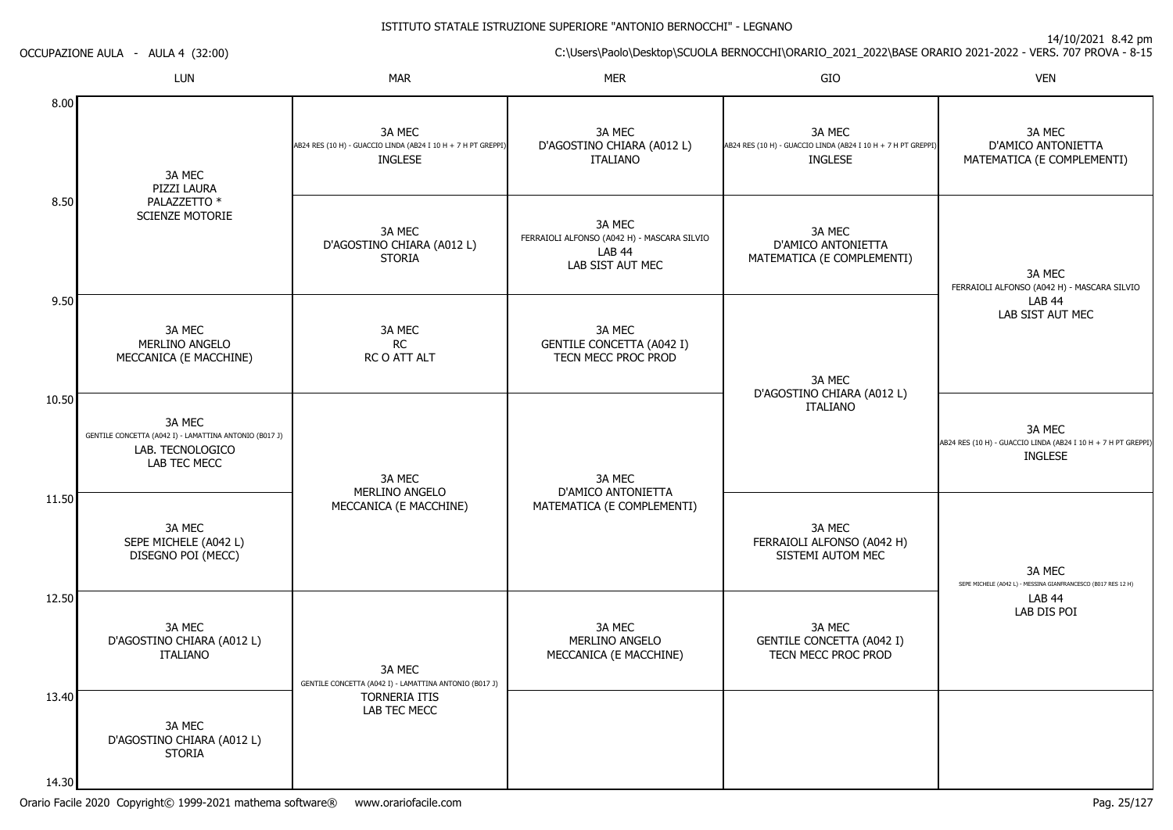14/10/2021 8.42 pm

C:\Users\Paolo\Desktop\SCUOLA BERNOCCHI\ORARIO\_2021\_2022\BASE ORARIO 2021-2022 - VERS. 707 PROVA - 8-15 OCCUPAZIONE AULA - AULA 4 (32:00)LUNN MAR MAR MER SIO O VEN 8.008.509.5010.5011.5012.5013.4014.303A MEC PIZZI LAURA PALAZZETTO \* SCIENZE MOTORIE3A MECMERI INO ANGEI O MECCANICA (E MACCHINE)3A MEC GENTILE CONCETTA (A042 I) - LAMATTINA ANTONIO (B017 J)LAB. TECNOLOGICOLAB TEC MECC3A MEC SEPE MICHELE (A042 L) DISEGNO POI (MECC)3A MEC D'AGOSTINO CHIARA (A012 L)ITALIANO3A MEC D'AGOSTINO CHIARA (A012 L)STORIA3A MEC AB24 RES (10 H) - GUACCIO LINDA (AB24 I 10 H + 7 H PT GREPPI)INGLESE3A MEC D'AGOSTINO CHIARA (A012 L)**STORIA** 3A MECRC RC O ATT ALT3A MECMERI INO ANGELO MECCANICA (E MACCHINE)3A MEC GENTILE CONCETTA (A042 I) - LAMATTINA ANTONIO (B017 J) TORNERIA ITIS LAB TEC MECC3A MEC D'AGOSTINO CHIARA (A012 L)ITALIANO3A MEC FERRAIOLI ALFONSO (A042 H) - MASCARA SILVIOLAB 44 LAB SIST AUT MEC3A MEC GENTILE CONCETTA (A042 I)TECN MECC PROC PROD3A MEC D'AMICO ANTONIETTA MATEMATICA (E COMPLEMENTI)3A MECMERI INO ANGELO MECCANICA (E MACCHINE)3A MEC AB24 RES (10 H) - GUACCIO LINDA (AB24 I 10 H + 7 H PT GREPPI)INGLESE3A MEC D'AMICO ANTONIETTA MATEMATICA (E COMPLEMENTI)3A MEC D'AGOSTINO CHIARA (A012 L)ITALIANO3A MEC FERRAIOLI ALFONSO (A042 H)SISTEMI AUTOM MEC3A MEC GENTILE CONCETTA (A042 I)TECN MECC PROC PROD3A MEC D'AMICO ANTONIETTA MATEMATICA (E COMPLEMENTI)3A MEC FERRAIOLI ALFONSO (A042 H) - MASCARA SILVIOLAB 44 LAB SIST AUT MEC3A MEC AB24 RES (10 H) - GUACCIO LINDA (AB24 I 10 H + 7 H PT GREPPI)INGLESE3A MEC SEPE MICHELE (A042 L) - MESSINA GIANFRANCESCO (B017 RES 12 H)LAB 44LAB DIS POI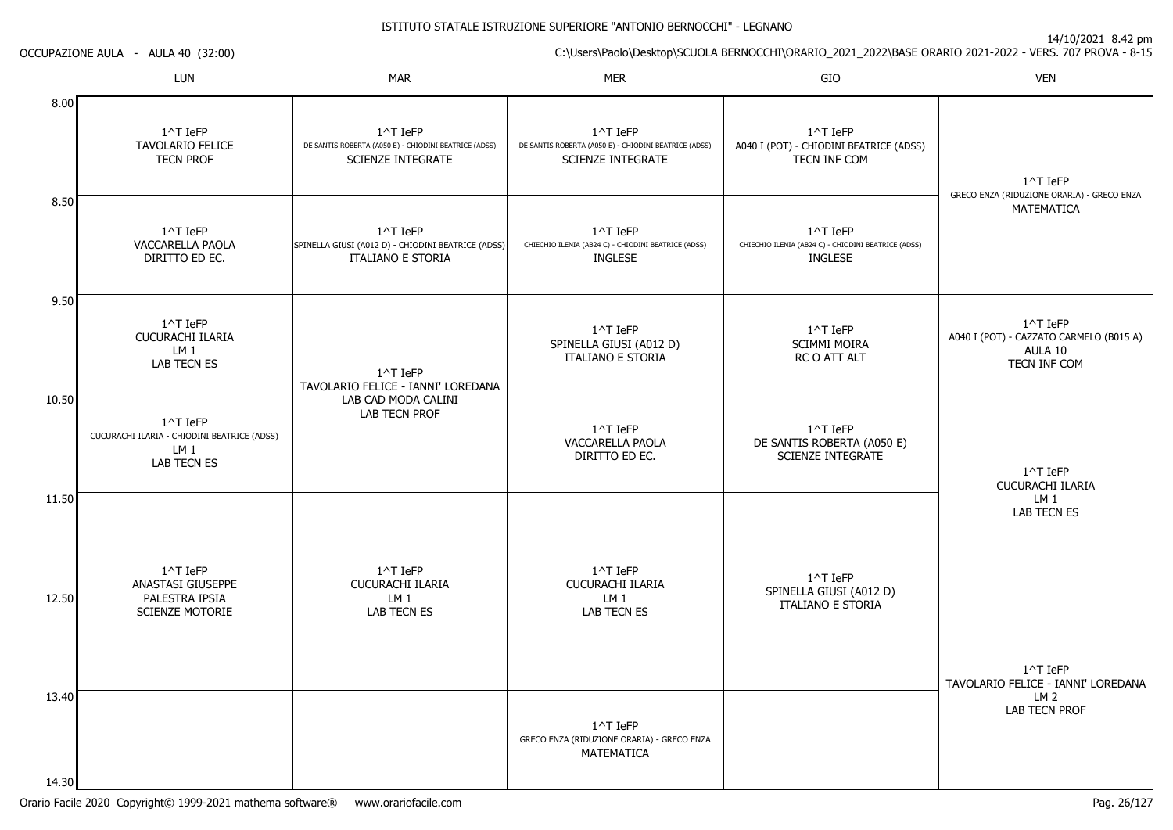C:\Users\Paolo\Desktop\SCUOLA BERNOCCHI\ORARIO\_2021\_2022\BASE ORARIO 2021-2022 - VERS. 707 PROVA - 8-15

|                | LUN                                                                                              | MAR                                                                                           | MER                                                                                           | GIO                                                                               | VEN                                                                                       |
|----------------|--------------------------------------------------------------------------------------------------|-----------------------------------------------------------------------------------------------|-----------------------------------------------------------------------------------------------|-----------------------------------------------------------------------------------|-------------------------------------------------------------------------------------------|
| 8.00           | $1^{\wedge}$ T IeFP<br>TAVOLARIO FELICE<br><b>TECN PROF</b>                                      | 1^T IeFP<br>DE SANTIS ROBERTA (A050 E) - CHIODINI BEATRICE (ADSS)<br><b>SCIENZE INTEGRATE</b> | 1^T IeFP<br>DE SANTIS ROBERTA (A050 E) - CHIODINI BEATRICE (ADSS)<br><b>SCIENZE INTEGRATE</b> | 1^T IeFP<br>A040 I (POT) - CHIODINI BEATRICE (ADSS)<br>TECN INF COM               | $1^{\wedge}$ T IeFP                                                                       |
| 8.50           | 1^T IeFP<br>VACCARELLA PAOLA<br>DIRITTO ED EC.                                                   | 1^T IeFP<br>SPINELLA GIUSI (A012 D) - CHIODINI BEATRICE (ADSS)<br><b>ITALIANO E STORIA</b>    | 1^T IeFP<br>CHIECHIO ILENIA (AB24 C) - CHIODINI BEATRICE (ADSS)<br><b>INGLESE</b>             | 1^T IeFP<br>CHIECHIO ILENIA (AB24 C) - CHIODINI BEATRICE (ADSS)<br><b>INGLESE</b> | GRECO ENZA (RIDUZIONE ORARIA) - GRECO ENZA<br>MATEMATICA                                  |
| 9.50           | $1^{\wedge}$ T IeFP<br>CUCURACHI ILARIA<br>LM <sub>1</sub><br><b>LAB TECN ES</b>                 | 1^T IeFP<br>TAVOLARIO FELICE - IANNI' LOREDANA<br>LAB CAD MODA CALINI<br>LAB TECN PROF        | 1^T IeFP<br>SPINELLA GIUSI (A012 D)<br><b>ITALIANO E STORIA</b>                               | 1^T IeFP<br><b>SCIMMI MOIRA</b><br>RC O ATT ALT                                   | $1^{\wedge}$ T IeFP<br>A040 I (POT) - CAZZATO CARMELO (B015 A)<br>AULA 10<br>TECN INF COM |
| 10.50          | $1^{\wedge}$ T IeFP<br>CUCURACHI ILARIA - CHIODINI BEATRICE (ADSS)<br>LM 1<br><b>LAB TECN ES</b> |                                                                                               | 1^T IeFP<br>VACCARELLA PAOLA<br>DIRITTO ED EC.                                                | 1^T IeFP<br>DE SANTIS ROBERTA (A050 E)<br><b>SCIENZE INTEGRATE</b>                | 1^T IeFP<br><b>CUCURACHI ILARIA</b>                                                       |
| 11.50          | 1^T IeFP<br>ANASTASI GIUSEPPE                                                                    | $1^{\wedge}$ T IeFP<br>CUCURACHI ILARIA                                                       | 1^T IeFP<br><b>CUCURACHI ILARIA</b>                                                           | 1^T IeFP<br>SPINELLA GIUSI (A012 D)                                               | LM <sub>1</sub><br>LAB TECN ES                                                            |
| 12.50          | PALESTRA IPSIA<br><b>SCIENZE MOTORIE</b>                                                         | LM <sub>1</sub><br><b>LAB TECN ES</b>                                                         | LM <sub>1</sub><br>LAB TECN ES                                                                | <b>ITALIANO E STORIA</b>                                                          | 1^T IeFP<br>TAVOLARIO FELICE - IANNI' LOREDANA                                            |
| 13.40          |                                                                                                  |                                                                                               | $1^{\wedge}$ T IeFP<br>GRECO ENZA (RIDUZIONE ORARIA) - GRECO ENZA<br>MATEMATICA               |                                                                                   | LM <sub>2</sub><br><b>LAB TECN PROF</b>                                                   |
| 14 30 <b>I</b> |                                                                                                  |                                                                                               |                                                                                               |                                                                                   |                                                                                           |

OCCUPAZIONE AULA - AULA 40 (32:00)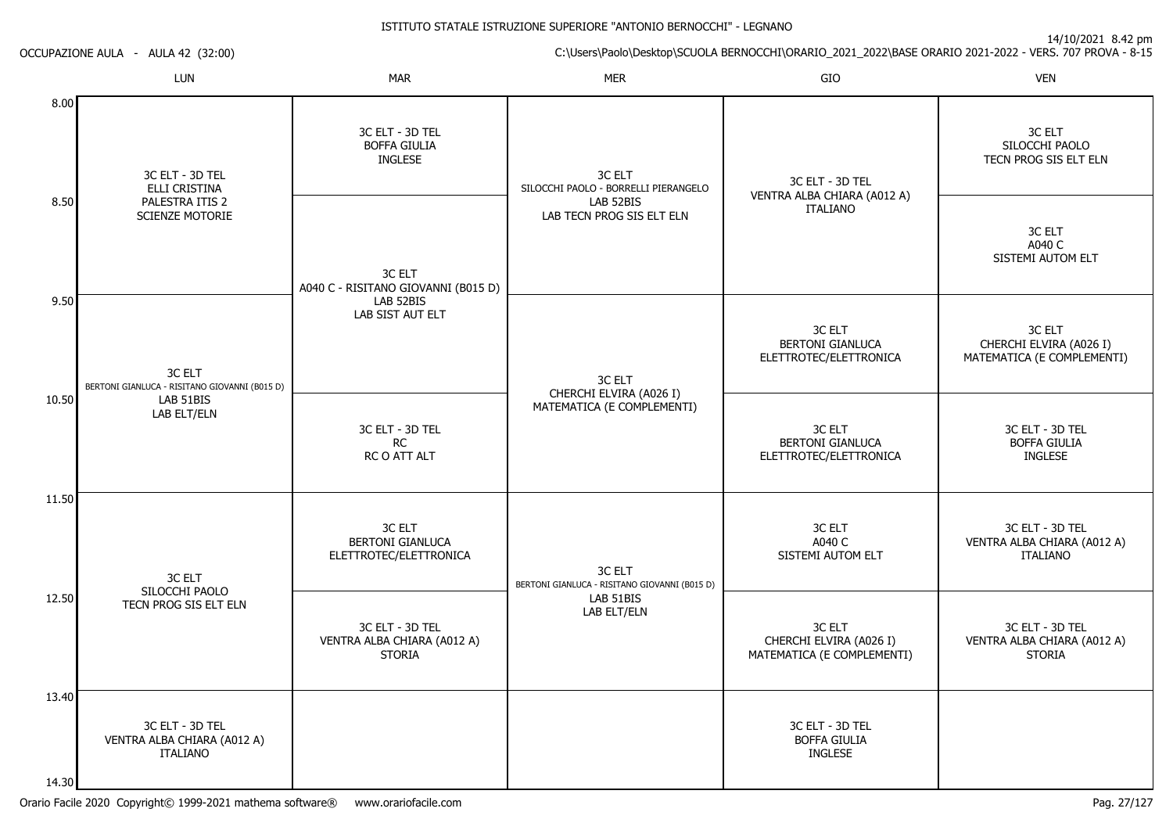14/10/2021 8.42 pm

C:\Users\Paolo\Desktop\SCUOLA BERNOCCHI\ORARIO\_2021\_2022\BASE ORARIO 2021-2022 - VERS. 707 PROVA - 8-15

OCCUPAZIONE AULA - AULA 42 (32:00)

|                | LUN                                                                                 | <b>MAR</b>                                                      | <b>MER</b>                                                                               | GIO                                                               | <b>VEN</b>                                                        |
|----------------|-------------------------------------------------------------------------------------|-----------------------------------------------------------------|------------------------------------------------------------------------------------------|-------------------------------------------------------------------|-------------------------------------------------------------------|
| 8.00           | 3C ELT - 3D TEL<br>ELLI CRISTINA<br>PALESTRA ITIS 2<br>SCIENZE MOTORIE              | 3C ELT - 3D TEL<br><b>BOFFA GIULIA</b><br>INGLESE               | 3C ELT<br>SILOCCHI PAOLO - BORRELLI PIERANGELO<br>LAB 52BIS<br>LAB TECN PROG SIS ELT ELN | 3C ELT - 3D TEL<br>VENTRA ALBA CHIARA (A012 A)<br><b>ITALIANO</b> | 3C ELT<br>SILOCCHI PAOLO<br>TECN PROG SIS ELT ELN                 |
| 8.50           |                                                                                     | 3C ELT<br>A040 C - RISITANO GIOVANNI (B015 D)                   |                                                                                          |                                                                   | 3C ELT<br>A040 C<br>SISTEMI AUTOM ELT                             |
| 9.50           | 3C ELT<br>BERTONI GIANLUCA - RISITANO GIOVANNI (B015 D)<br>LAB 51BIS<br>LAB ELT/ELN | LAB 52BIS<br>LAB SIST AUT ELT                                   | 3C ELT<br>CHERCHI ELVIRA (A026 I)<br>MATEMATICA (E COMPLEMENTI)                          | 3C ELT<br><b>BERTONI GIANLUCA</b><br>ELETTROTEC/ELETTRONICA       | 3C ELT<br>CHERCHI ELVIRA (A026 I)<br>MATEMATICA (E COMPLEMENTI)   |
| 10.50          |                                                                                     | 3C ELT - 3D TEL<br>RC<br>RC O ATT ALT                           |                                                                                          | 3C ELT<br><b>BERTONI GIANLUCA</b><br>ELETTROTEC/ELETTRONICA       | 3C ELT - 3D TEL<br><b>BOFFA GIULIA</b><br><b>INGLESE</b>          |
| 11.50          | 3C ELT                                                                              | 3C ELT<br><b>BERTONI GIANLUCA</b><br>ELETTROTEC/ELETTRONICA     | 3C ELT<br>BERTONI GIANLUCA - RISITANO GIOVANNI (B015 D)                                  | 3C ELT<br>A040 C<br>SISTEMI AUTOM ELT                             | 3C ELT - 3D TEL<br>VENTRA ALBA CHIARA (A012 A)<br><b>ITALIANO</b> |
| 12.50          | SILOCCHI PAOLO<br>TECN PROG SIS ELT ELN                                             | 3C ELT - 3D TEL<br>VENTRA ALBA CHIARA (A012 A)<br><b>STORIA</b> | LAB 51BIS<br>LAB ELT/ELN                                                                 | 3C ELT<br>CHERCHI ELVIRA (A026 I)<br>MATEMATICA (E COMPLEMENTI)   | 3C ELT - 3D TEL<br>VENTRA ALBA CHIARA (A012 A)<br><b>STORIA</b>   |
| 13.40<br>14.30 | 3C ELT - 3D TEL<br>VENTRA ALBA CHIARA (A012 A)<br><b>ITALIANO</b>                   |                                                                 |                                                                                          | 3C ELT - 3D TEL<br><b>BOFFA GIULIA</b><br><b>INGLESE</b>          |                                                                   |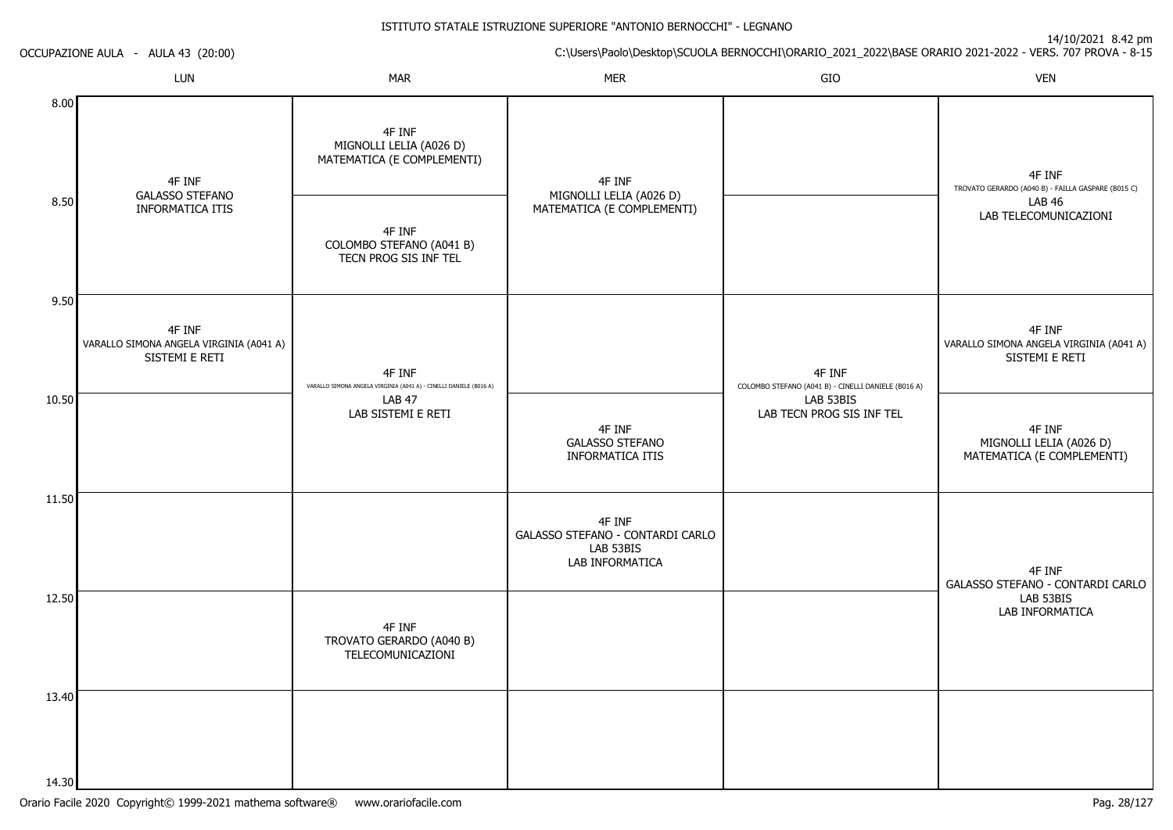14/10/2021 8.42 pm

ISTITUTO STATALE ISTRUZIONE SUPERIORE "ANTONIO BERNOCCHI" - LEGNANOC:\Users\Paolo\Desktop\SCUOLA BERNOCCHI\ORARIO\_2021\_2022\BASE ORARIO 2021-2022 - VERS. 707 PROVA - 8-15 OCCUPAZIONE AULA - AULA 43 (20:00)LUNN MAR MAR MER SIO O VEN 8.008.509.5010.5011.5012.5013.404F INF GALASSO STEFANO INFORMATICA ITIS4F INF VARALLO SIMONA ANGELA VIRGINIA (A041 A)SISTEMI E RETI4F INF MIGNOLLI LELIA (A026 D) MATEMATICA (E COMPLEMENTI)4F INF COLOMBO STEFANO (A041 B)TECN PROG SIS INF TEL4F INF VARALLO SIMONA ANGELA VIRGINIA (A041 A) - CINELLI DANIELE (B016 A)LAB 47 LAB SISTEMI E RETI4F INF TROVATO GERARDO (A040 B)TELECOMUNICAZIONI4F INF MIGNOLLI LELIA (A026 D) MATEMATICA (E COMPLEMENTI)4F INF GALASSO STEFANO INFORMATICA ITIS4F INF GALASSO STEFANO - CONTARDI CARLOLAB 53BIS LAB INFORMATICA4F INF COLOMBO STEFANO (A041 B) - CINELLI DANIELE (B016 A)LAB 53BIS LAB TECN PROG SIS INF TEL4F INF TROVATO GERARDO (A040 B) - FAILLA GASPARE (B015 C)LAB 46 LAB TELECOMUNICAZIONI4F INF VARALLO SIMONA ANGELA VIRGINIA (A041 A)SISTEMI E RETI4F INF MIGNOLLI LELIA (A026 D) MATEMATICA (E COMPLEMENTI)4F INF GALASSO STEFANO - CONTARDI CARLOLAB 53BISLAB INFORMATICA

14.30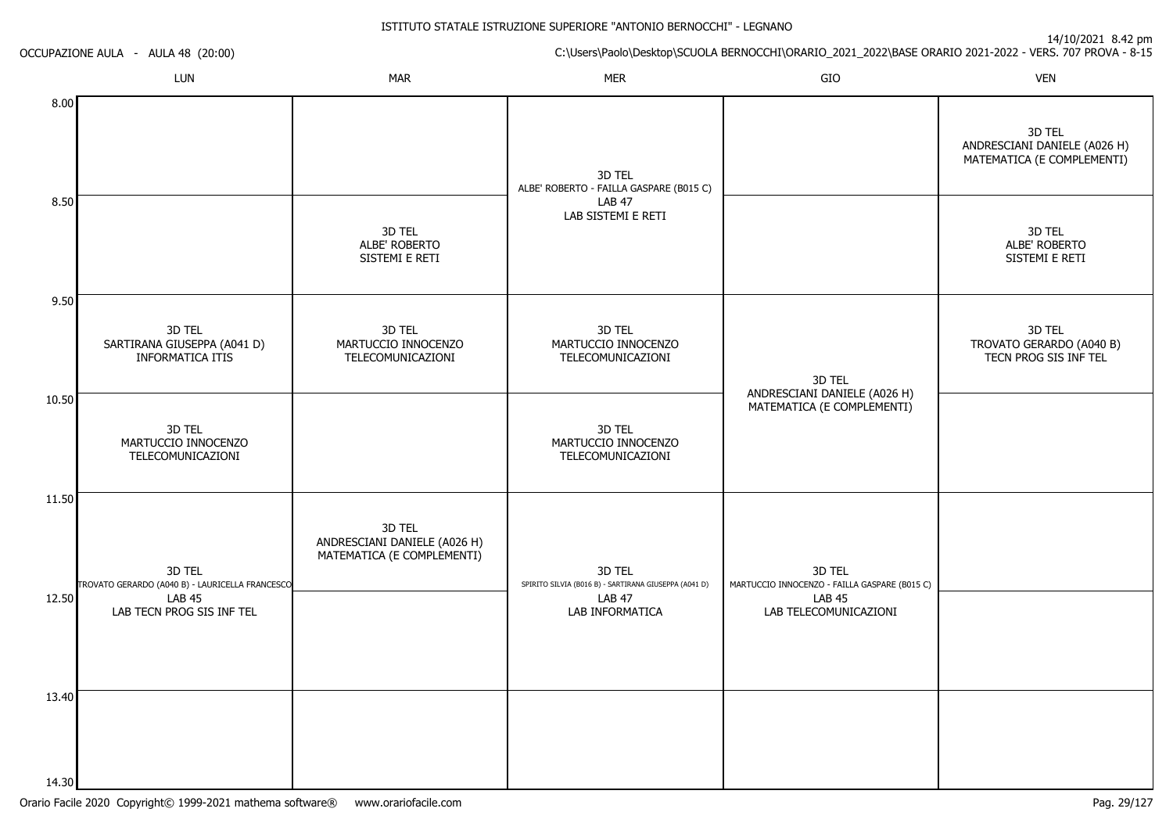ISTITUTO STATALE ISTRUZIONE SUPERIORE "ANTONIO BERNOCCHI" - LEGNANOC:\Users\Paolo\Desktop\SCUOLA BERNOCCHI\ORARIO\_2021\_2022\BASE ORARIO 2021-2022 - VERS. 707 PROVA - 8-15 14/10/2021 8.42 pmOCCUPAZIONE AULA - AULA 48 (20:00)LUNN MAR MAR MER SIO O VEN 8.008.509.5010.5011.5012.5013.403D TEL SARTIRANA GIUSEPPA (A041 D)INFORMATICA ITIS3D TEL MARTUCCIO INNOCENZO TELECOMUNICAZIONI3D TEL TROVATO GERARDO (A040 B) - LAURICELLA FRANCESCOLAB 45 LAB TECN PROG SIS INF TEL3D TEL ALBE' ROBERTO SISTEMI E RETI3D TEL MARTUCCIO INNOCENZO TELECOMUNICAZIONI3D TEL ANDRESCIANI DANIELE (A026 H) MATEMATICA (E COMPLEMENTI)3D TEL ALBE' ROBERTO - FAILLA GASPARE (B015 C)LAB 47 LAB SISTEMI E RETI3D TEL MARTUCCIO INNOCENZO TELECOMUNICAZIONI3D TEL MARTUCCIO INNOCENZO TELECOMUNICAZIONI3D TEL SPIRITO SILVIA (B016 B) - SARTIRANA GIUSEPPA (A041 D)LAB 47 LAB INFORMATICA3D TEL ANDRESCIANI DANIELE (A026 H) MATEMATICA (E COMPLEMENTI)3D TEL MARTUCCIO INNOCENZO - FAILLA GASPARE (B015 C) LAB 45 LAB TELECOMUNICAZIONI3D TEL ANDRESCIANI DANIELE (A026 H) MATEMATICA (E COMPLEMENTI)3D TEL ALBE' ROBERTO SISTEMI E RETI3D TEL TROVATO GERARDO (A040 B)TECN PROG SIS INF TEL

14.30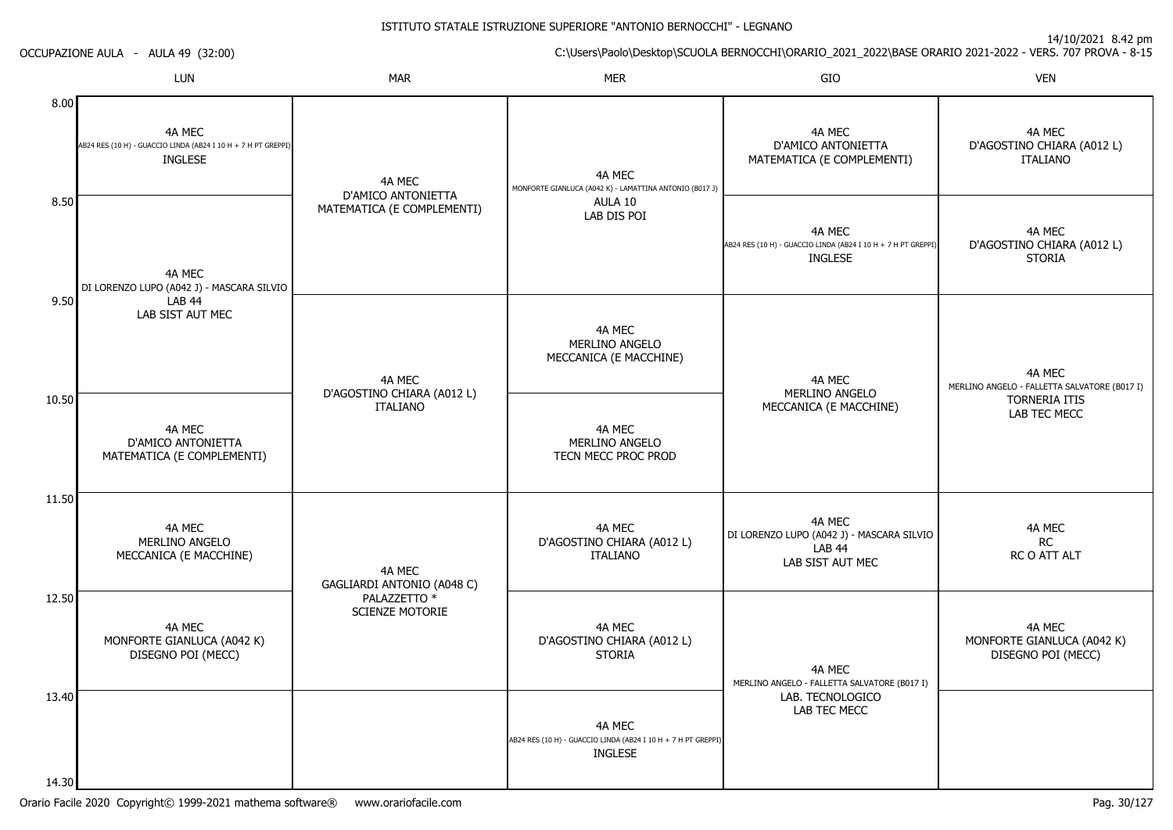| OCCUPAZIONE AULA - AULA 49 (32:00) |                                                                                           | $14/10/2021$ 0.42 pm<br>C:\Users\Paolo\Desktop\SCUOLA BERNOCCHI\ORARIO_2021_2022\BASE ORARIO 2021-2022 - VERS. 707 PROVA - 8-15 |                                                                                           |                                                                                           |                                                            |  |
|------------------------------------|-------------------------------------------------------------------------------------------|---------------------------------------------------------------------------------------------------------------------------------|-------------------------------------------------------------------------------------------|-------------------------------------------------------------------------------------------|------------------------------------------------------------|--|
|                                    | LUN                                                                                       | <b>MAR</b>                                                                                                                      | <b>MER</b>                                                                                | GIO                                                                                       | <b>VEN</b>                                                 |  |
| 8.00                               | 4A MEC<br>AB24 RES (10 H) - GUACCIO LINDA (AB24 I 10 H + 7 H PT GREPPI)<br><b>INGLESE</b> | 4A MEC<br>D'AMICO ANTONIETTA                                                                                                    | 4A MEC<br>MONFORTE GIANLUCA (A042 K) - LAMATTINA ANTONIO (B017 J)                         | 4A MEC<br>D'AMICO ANTONIETTA<br>MATEMATICA (E COMPLEMENTI)                                | 4A MEC<br>D'AGOSTINO CHIARA (A012L)<br><b>ITALIANO</b>     |  |
| 8.50                               | 4A MEC<br>DI LORENZO LUPO (A042 J) - MASCARA SILVIO                                       | MATEMATICA (E COMPLEMENTI)                                                                                                      | AULA 10<br>LAB DIS POI                                                                    | 4A MEC<br>AB24 RES (10 H) - GUACCIO LINDA (AB24 I 10 H + 7 H PT GREPPI)<br><b>INGLESE</b> | 4A MEC<br>D'AGOSTINO CHIARA (A012L)<br><b>STORIA</b>       |  |
| 9.50                               | <b>LAB 44</b><br>LAB SIST AUT MEC                                                         | 4A MEC                                                                                                                          | 4A MEC<br>MERLINO ANGELO<br>MECCANICA (E MACCHINE)                                        | 4A MEC<br>MERLINO ANGELO                                                                  | 4A MEC<br>MERLINO ANGELO - FALLETTA SALVATORE (B017 I)     |  |
| 10.50                              | 4A MEC<br>D'AMICO ANTONIETTA<br>MATEMATICA (E COMPLEMENTI)                                | D'AGOSTINO CHIARA (A012L)<br><b>ITALIANO</b>                                                                                    | 4A MEC<br>MERLINO ANGELO<br>TECN MECC PROC PROD                                           | MECCANICA (E MACCHINE)                                                                    | TORNERIA ITIS<br>LAB TEC MECC                              |  |
| 11.50                              | 4A MEC<br>MERLINO ANGELO<br>MECCANICA (E MACCHINE)                                        | 4A MEC<br>GAGLIARDI ANTONIO (A048 C)<br>PALAZZETTO *<br><b>SCIENZE MOTORIE</b>                                                  | 4A MEC<br>D'AGOSTINO CHIARA (A012L)<br><b>ITALIANO</b>                                    | 4A MEC<br>DI LORENZO LUPO (A042 J) - MASCARA SILVIO<br><b>LAB 44</b><br>LAB SIST AUT MEC  | 4A MEC<br>RC<br>RC O ATT ALT                               |  |
| 12.50                              | 4A MEC<br>MONFORTE GIANLUCA (A042 K)<br>DISEGNO POI (MECC)                                |                                                                                                                                 | 4A MEC<br>D'AGOSTINO CHIARA (A012L)<br><b>STORIA</b>                                      | 4A MEC<br>MERLINO ANGELO - FALLETTA SALVATORE (B017 I)                                    | 4A MEC<br>MONFORTE GIANLUCA (A042 K)<br>DISEGNO POI (MECC) |  |
| 13.40<br>14.30                     |                                                                                           |                                                                                                                                 | 4A MEC<br>AB24 RES (10 H) - GUACCIO LINDA (AB24 I 10 H + 7 H PT GREPPI)<br><b>INGLESE</b> | LAB. TECNOLOGICO<br>LAB TEC MECC                                                          |                                                            |  |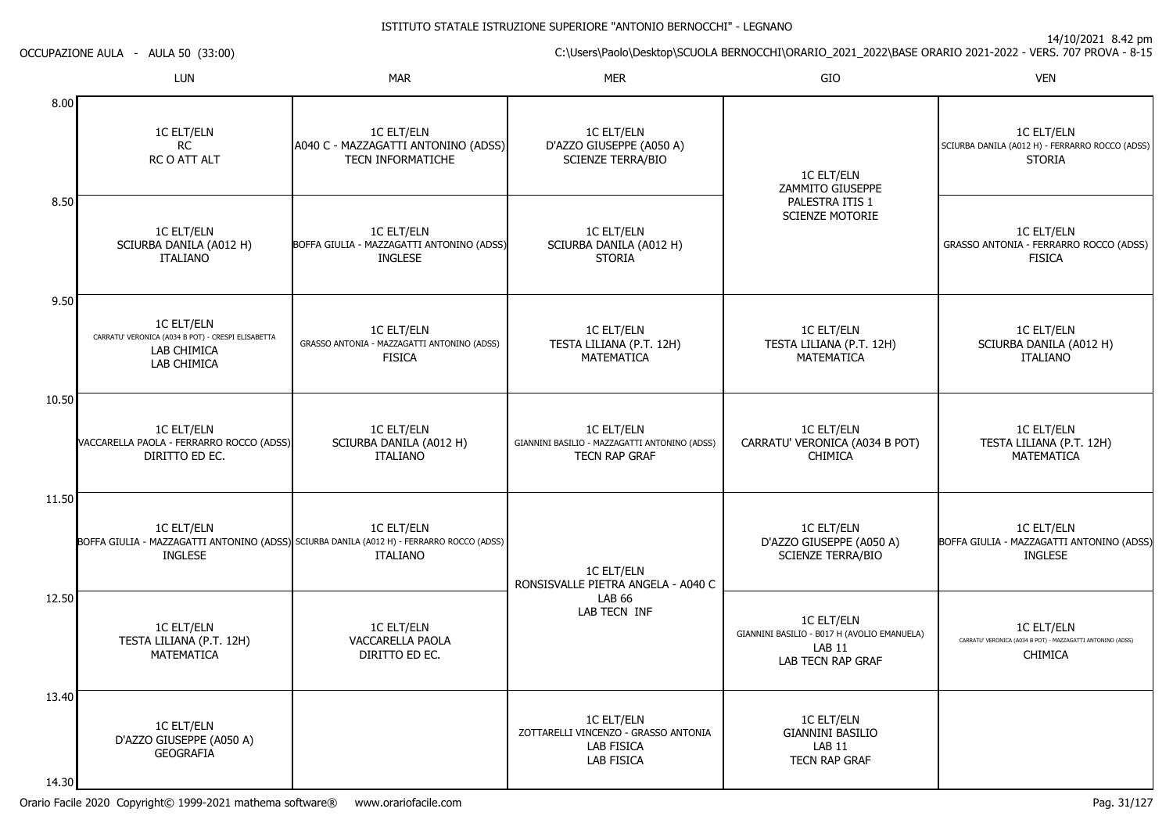14/10/2021 8.42 pm

C:\Users\Paolo\Desktop\SCUOLA BERNOCCHI\ORARIO\_2021\_2022\BASE ORARIO 2021-2022 - VERS. 707 PROVA - 8-15 LUNN MAR MAR MER SIO O VEN 8.008.509.5010.5011.5012.5013.401C ELT/ELNRC RC O ATT ALT1C ELT/ELN SCIURBA DANILA (A012 H)ITALIANO1C ELT/ELN CARRATU' VERONICA (A034 B POT) - CRESPI ELISABETTALAB CHIMICA LAB CHIMICA1C ELT/ELN VACCARELLA PAOLA - FERRARRO ROCCO (ADSS)DIRITTO ED EC.1C ELT/ELN BOFFA GIULIA - MAZZAGATTI ANTONINO (ADSS) SCIURBA DANILA (A012 H) - FERRARRO ROCCO (ADSS)INGLESE1C ELT/ELN TESTA LILIANA (P.T. 12H)**MATEMATICA** 1C ELT/ELN D'AZZO GIUSEPPE (A050 A)**GEOGRAFIA** 1C ELT/ELN A040 C - MAZZAGATTI ANTONINO (ADSS)TECN INFORMATICHE1C ELT/ELN BOFFA GIULIA - MAZZAGATTI ANTONINO (ADSS)INGLESE1C ELT/ELN GRASSO ANTONIA - MAZZAGATTI ANTONINO (ADSS)FISICA1C ELT/ELN SCIURBA DANILA (A012 H)ITALIANO1C ELT/ELNITALIANO1C ELT/ELN VACCARELLA PAOLADIRITTO ED EC.1C ELT/ELN D'AZZO GIUSEPPE (A050 A)SCIENZE TERRA/BIO1C ELT/ELN SCIURBA DANILA (A012 H)STORIA1C ELT/ELN TESTA LILIANA (P.T. 12H)**MATEMATICA** 1C ELT/ELN GIANNINI BASILIO - MAZZAGATTI ANTONINO (ADSS)TECN RAP GRAF1C ELT/ELN RONSISVALLE PIETRA ANGELA - A040 CLAB 66 LAB TECN INF1C ELT/ELN ZOTTARELLI VINCENZO - GRASSO ANTONIALAB FISICA LAB FISICA1C ELT/ELN ZAMMITO GIUSEPPE PALESTRA ITIS 1 SCIENZE MOTORIE1C ELT/ELN TESTA LILIANA (P.T. 12H)**MATEMATICA** 1C ELT/ELN CARRATU' VERONICA (A034 B POT)CHIMICA1C ELT/ELN D'AZZO GIUSEPPE (A050 A)SCIENZE TERRA/BIO1C ELT/ELN GIANNINI BASILIO - B017 H (AVOLIO EMANUELA)LAB 11 LAB TECN RAP GRAF1C ELT/ELN GIANNINI BASILIOLAB 11 TECN RAP GRAF1C ELT/ELN SCIURBA DANILA (A012 H) - FERRARRO ROCCO (ADSS)STORIA1C ELT/ELN GRASSO ANTONIA - FERRARRO ROCCO (ADSS)**FISICA** 1C ELT/ELN SCIURBA DANILA (A012 H)ITALIANO1C ELT/ELN TESTA LILIANA (P.T. 12H)**MATFMATICA** 1C ELT/ELN BOFFA GIULIA - MAZZAGATTI ANTONINO (ADSS)INGLESE1C ELT/ELN CARRATU' VERONICA (A034 B POT) - MAZZAGATTI ANTONINO (ADSS)CHIMICA

14.30

OCCUPAZIONE AULA - AULA 50 (33:00)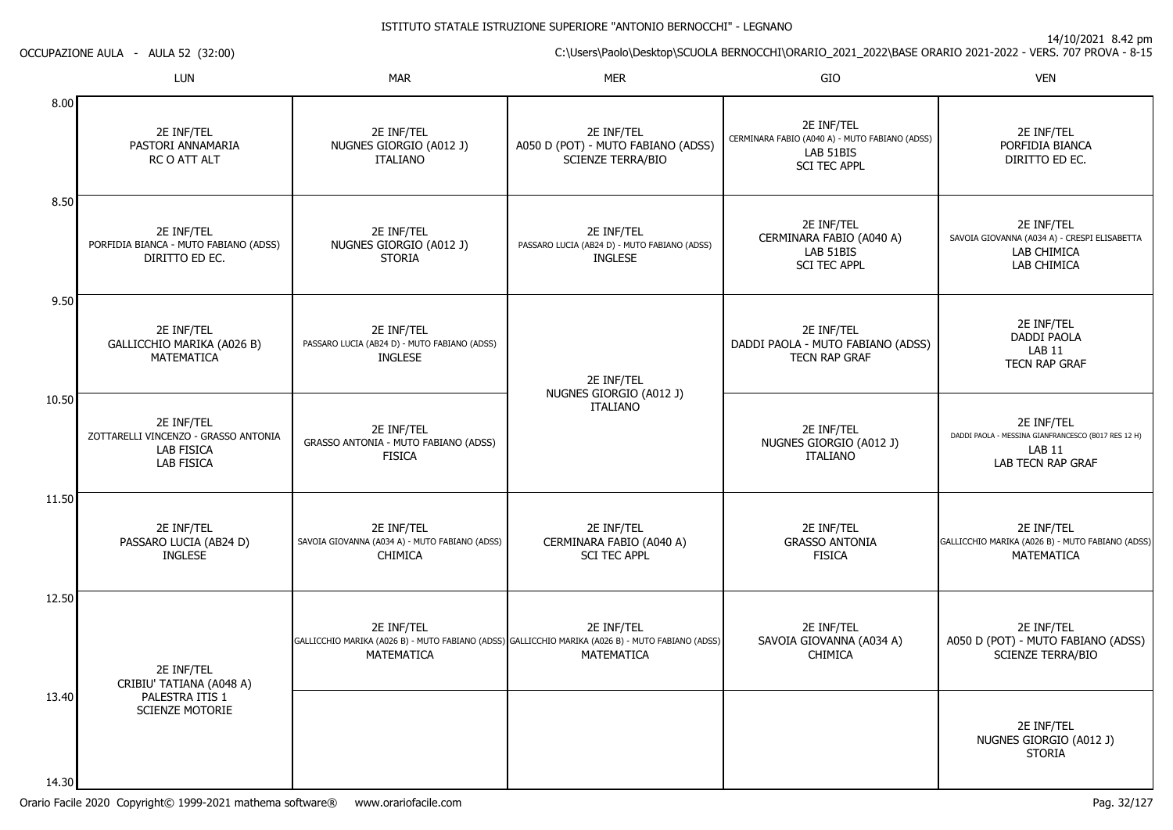| OCCUPAZIONE AULA - AULA 52 (32:00) |                                                                                              | C:\Users\Paolo\Desktop\SCUOLA BERNOCCHI\ORARIO_2021_2022\BASE ORARIO 2021-2022 - VERS. 707 PROVA - 8-15 |                                                                                                                               |                                                                                                  |                                                                                                         |  |
|------------------------------------|----------------------------------------------------------------------------------------------|---------------------------------------------------------------------------------------------------------|-------------------------------------------------------------------------------------------------------------------------------|--------------------------------------------------------------------------------------------------|---------------------------------------------------------------------------------------------------------|--|
|                                    | <b>LUN</b>                                                                                   | <b>MAR</b>                                                                                              | <b>MER</b>                                                                                                                    | GIO                                                                                              | <b>VEN</b>                                                                                              |  |
| 8.00                               | 2E INF/TEL<br>PASTORI ANNAMARIA<br>RC O ATT ALT                                              | 2E INF/TEL<br>NUGNES GIORGIO (A012 J)<br><b>ITALIANO</b>                                                | 2E INF/TEL<br>A050 D (POT) - MUTO FABIANO (ADSS)<br><b>SCIENZE TERRA/BIO</b>                                                  | 2E INF/TEL<br>CERMINARA FABIO (A040 A) - MUTO FABIANO (ADSS)<br>LAB 51BIS<br><b>SCI TEC APPL</b> | 2E INF/TEL<br>PORFIDIA BIANCA<br>DIRITTO ED EC.                                                         |  |
| 8.50                               | 2E INF/TEL<br>PORFIDIA BIANCA - MUTO FABIANO (ADSS)<br>DIRITTO ED EC.                        | 2E INF/TEL<br>NUGNES GIORGIO (A012 J)<br><b>STORIA</b>                                                  | 2E INF/TEL<br>PASSARO LUCIA (AB24 D) - MUTO FABIANO (ADSS)<br><b>INGLESE</b>                                                  | 2E INF/TEL<br>CERMINARA FABIO (A040 A)<br>LAB 51BIS<br><b>SCI TEC APPL</b>                       | 2E INF/TEL<br>SAVOIA GIOVANNA (A034 A) - CRESPI ELISABETTA<br>LAB CHIMICA<br>LAB CHIMICA                |  |
| 9.50                               | 2E INF/TEL<br>GALLICCHIO MARIKA (A026 B)<br><b>MATEMATICA</b>                                | 2E INF/TEL<br>PASSARO LUCIA (AB24 D) - MUTO FABIANO (ADSS)<br><b>INGLESE</b>                            | 2E INF/TEL                                                                                                                    | 2E INF/TEL<br>DADDI PAOLA - MUTO FABIANO (ADSS)<br><b>TECN RAP GRAF</b>                          | 2E INF/TEL<br><b>DADDI PAOLA</b><br><b>LAB 11</b><br><b>TECN RAP GRAF</b>                               |  |
| 10.50                              | 2E INF/TEL<br>ZOTTARELLI VINCENZO - GRASSO ANTONIA<br><b>LAB FISICA</b><br><b>LAB FISICA</b> | 2E INF/TEL<br>GRASSO ANTONIA - MUTO FABIANO (ADSS)<br><b>FISICA</b>                                     | NUGNES GIORGIO (A012 J)<br><b>ITALIANO</b>                                                                                    | 2E INF/TEL<br>NUGNES GIORGIO (A012 J)<br><b>ITALIANO</b>                                         | 2E INF/TEL<br>DADDI PAOLA - MESSINA GIANFRANCESCO (B017 RES 12 H)<br><b>LAB 11</b><br>LAB TECN RAP GRAF |  |
| 11.50                              | 2E INF/TEL<br>PASSARO LUCIA (AB24 D)<br><b>INGLESE</b>                                       | 2E INF/TEL<br>SAVOIA GIOVANNA (A034 A) - MUTO FABIANO (ADSS)<br><b>CHIMICA</b>                          | 2E INF/TEL<br>CERMINARA FABIO (A040 A)<br><b>SCI TEC APPL</b>                                                                 | 2E INF/TEL<br><b>GRASSO ANTONIA</b><br><b>FISICA</b>                                             | 2E INF/TEL<br>GALLICCHIO MARIKA (A026 B) - MUTO FABIANO (ADSS)<br>MATEMATICA                            |  |
| 12.50                              | 2E INF/TEL<br>CRIBIU' TATIANA (A048 A)                                                       | 2E INF/TEL<br>MATEMATICA                                                                                | 2E INF/TEL<br>GALLICCHIO MARIKA (A026 B) - MUTO FABIANO (ADSS) GALLICCHIO MARIKA (A026 B) - MUTO FABIANO (ADSS)<br>MATEMATICA | 2E INF/TEL<br>SAVOIA GIOVANNA (A034 A)<br><b>CHIMICA</b>                                         | 2E INF/TEL<br>A050 D (POT) - MUTO FABIANO (ADSS)<br><b>SCIENZE TERRA/BIO</b>                            |  |
| 13.40                              | PALESTRA ITIS 1<br>SCIENZE MOTORIE                                                           |                                                                                                         |                                                                                                                               |                                                                                                  | 2E INF/TEL<br>NUGNES GIORGIO (A012 J)<br><b>STORIA</b>                                                  |  |
| 14.30                              |                                                                                              |                                                                                                         |                                                                                                                               |                                                                                                  |                                                                                                         |  |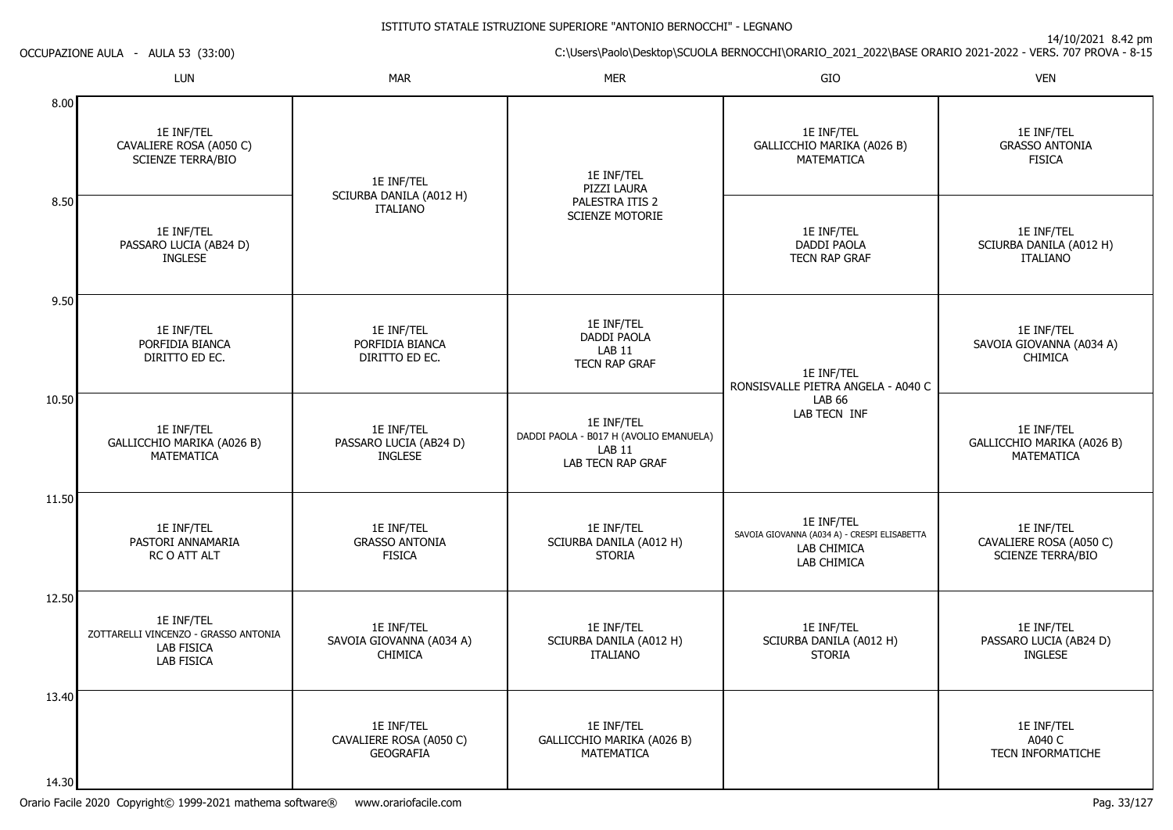14/10/2021 8.42 pm

C:\Users\Paolo\Desktop\SCUOLA BERNOCCHI\ORARIO\_2021\_2022\BASE ORARIO 2021-2022 - VERS. 707 PROVA - 8-15 LUN

| OCCUPAZIONE AULA |  | AULA 53 (33:00) |  |  |
|------------------|--|-----------------|--|--|
|------------------|--|-----------------|--|--|

|                | LUN                                                                                   | <b>MAR</b>                                                | <b>MER</b>                                                                                            | GIO                                                                                      | <b>VEN</b>                                                 |
|----------------|---------------------------------------------------------------------------------------|-----------------------------------------------------------|-------------------------------------------------------------------------------------------------------|------------------------------------------------------------------------------------------|------------------------------------------------------------|
| 8.00           | 1E INF/TEL<br>CAVALIERE ROSA (A050 C)<br><b>SCIENZE TERRA/BIO</b>                     | 1E INF/TEL                                                | 1E INF/TEL<br>PIZZI LAURA                                                                             | 1E INF/TEL<br>GALLICCHIO MARIKA (A026 B)<br>MATEMATICA                                   | 1E INF/TEL<br><b>GRASSO ANTONIA</b><br><b>FISICA</b>       |
| 8.50           | 1E INF/TEL<br>PASSARO LUCIA (AB24 D)<br><b>INGLESE</b>                                | SCIURBA DANILA (A012 H)<br><b>ITALIANO</b>                | PALESTRA ITIS 2<br><b>SCIENZE MOTORIE</b>                                                             | 1E INF/TEL<br><b>DADDI PAOLA</b><br>TECN RAP GRAF                                        | 1E INF/TEL<br>SCIURBA DANILA (A012 H)<br><b>ITALIANO</b>   |
| 9.50           | 1E INF/TEL<br>PORFIDIA BIANCA<br>DIRITTO ED EC.                                       | 1E INF/TEL<br>PORFIDIA BIANCA<br>DIRITTO ED EC.           | 1E INF/TEL<br><b>DADDI PAOLA</b><br>LAB <sub>11</sub><br><b>TECN RAP GRAF</b>                         | 1E INF/TEL<br>RONSISVALLE PIETRA ANGELA - A040 C<br>LAB 66<br>LAB TECN INF               | 1E INF/TEL<br>SAVOIA GIOVANNA (A034 A)<br><b>CHIMICA</b>   |
| 10.50          | 1E INF/TEL<br>GALLICCHIO MARIKA (A026 B)<br><b>MATEMATICA</b>                         | 1E INF/TEL<br>PASSARO LUCIA (AB24 D)<br><b>INGLESE</b>    | 1E INF/TEL<br>DADDI PAOLA - B017 H (AVOLIO EMANUELA)<br>LAB <sub>11</sub><br><b>LAB TECN RAP GRAF</b> |                                                                                          | 1E INF/TEL<br>GALLICCHIO MARIKA (A026 B)<br>MATEMATICA     |
| 11.50          | 1E INF/TEL<br>PASTORI ANNAMARIA<br>RC O ATT ALT                                       | 1E INF/TEL<br><b>GRASSO ANTONIA</b><br><b>FISICA</b>      | 1E INF/TEL<br>SCIURBA DANILA (A012 H)<br><b>STORIA</b>                                                | 1E INF/TEL<br>SAVOIA GIOVANNA (A034 A) - CRESPI ELISABETTA<br>LAB CHIMICA<br>LAB CHIMICA | 1E INF/TEL<br>CAVALIERE ROSA (A050 C)<br>SCIENZE TERRA/BIO |
| 12.50          | 1E INF/TEL<br>ZOTTARELLI VINCENZO - GRASSO ANTONIA<br><b>LAB FISICA</b><br>LAB FISICA | 1E INF/TEL<br>SAVOIA GIOVANNA (A034 A)<br><b>CHIMICA</b>  | 1E INF/TEL<br>SCIURBA DANILA (A012 H)<br><b>ITALIANO</b>                                              | 1E INF/TEL<br>SCIURBA DANILA (A012 H)<br><b>STORIA</b>                                   | 1E INF/TEL<br>PASSARO LUCIA (AB24 D)<br><b>INGLESE</b>     |
| 13.40<br>14.30 |                                                                                       | 1E INF/TEL<br>CAVALIERE ROSA (A050 C)<br><b>GEOGRAFIA</b> | 1E INF/TEL<br>GALLICCHIO MARIKA (A026 B)<br>MATEMATICA                                                |                                                                                          | <b>1E INF/TEL</b><br>A040 C<br><b>TECN INFORMATICHE</b>    |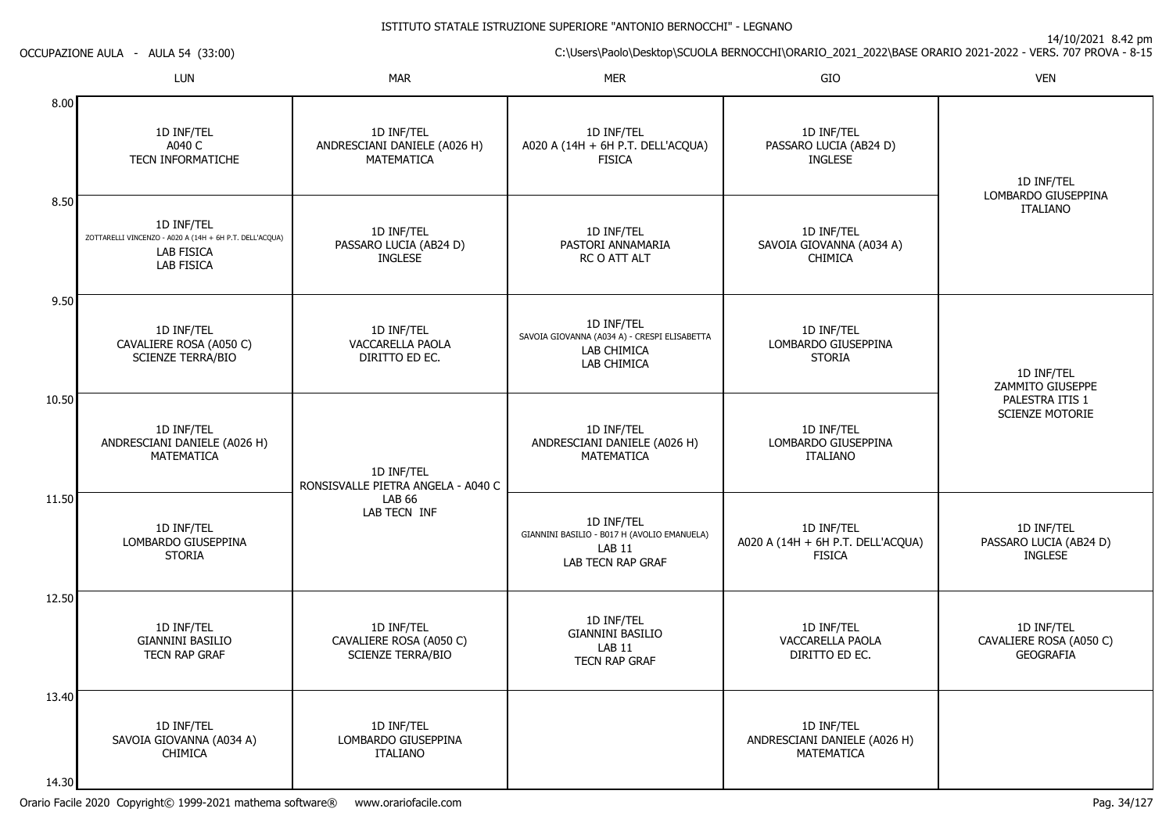14/10/2021 8.42 pm

C:\Users\Paolo\Desktop\SCUOLA BERNOCCHI\ORARIO\_2021\_2022\BASE ORARIO 2021-2022 - VERS. 707 PROVA - 8-15

LUNN MAR MAR MER SIO O VEN 8.008.509.5010.5011.5012.5013.4014.301D INF/TELA040 C TECN INFORMATICHE1D INF/TEL ZOTTARELLI VINCENZO - A020 A (14H + 6H P.T. DELL'ACQUA)LAB FISICA LAB FISICA1D INF/TEL CAVALIERE ROSA (A050 C)SCIENZE TERRA/BIO1D INF/TEL ANDRESCIANI DANIELE (A026 H)MATEMATICA1D INF/TEL LOMBARDO GIUSEPPINA**STORIA** 1D INF/TEL GIANNINI BASILIO TECN RAP GRAF1D INF/TEL SAVOIA GIOVANNA (A034 A)CHIMICA1D INF/TEL ANDRESCIANI DANIELE (A026 H)MATEMATICA1D INF/TEL PASSARO LUCIA (AB24 D)INGLESE1D INF/TEL VACCARELLA PAOLADIRITTO ED EC.1D INF/TEL RONSISVALLE PIETRA ANGELA - A040 CLAB 66 LAB TECN INF1D INF/TEL CAVALIERE ROSA (A050 C)SCIENZE TERRA/BIO1D INF/TEL LOMBARDO GIUSEPPINAITALIANO1D INF/TEL A020 A (14H + 6H P.T. DELL'ACQUA)FISICA1D INF/TEL PASTORI ANNAMARIARC O ATT ALT1D INF/TEL SAVOIA GIOVANNA (A034 A) - CRESPI ELISABETTALAB CHIMICA LAB CHIMICA1D INF/TEL ANDRESCIANI DANIELE (A026 H)MATEMATICA1D INF/TEL GIANNINI BASILIO - B017 H (AVOLIO EMANUELA)LAB 11 LAB TECN RAP GRAF1D INF/TEL GIANNINI BASILIOLAB 11 TECN RAP GRAF1D INF/TEL PASSARO LUCIA (AB24 D)INGLESE1D INF/TEL SAVOIA GIOVANNA (A034 A)**CHIMICA** 1D INF/TEL LOMBARDO GIUSEPPINASTORIA1D INF/TEL LOMBARDO GIUSEPPINAITALIANO1D INF/TEL A020 A (14H + 6H P.T. DELL'ACQUA)**FISICA** 1D INF/TEL VACCARELLA PAOLADIRITTO ED EC.1D INF/TEL ANDRESCIANI DANIELE (A026 H)MATEMATICA1D INF/TEL LOMBARDO GIUSEPPINAITALIANO1D INF/TEL ZAMMITO GIUSEPPE PALESTRA ITIS 1 SCIENZE MOTORIE1D INF/TEL PASSARO LUCIA (AB24 D)INGLESE1D INF/TEL CAVALIERE ROSA (A050 C)**GEOGRAFIA** 

OCCUPAZIONE AULA - AULA 54 (33:00)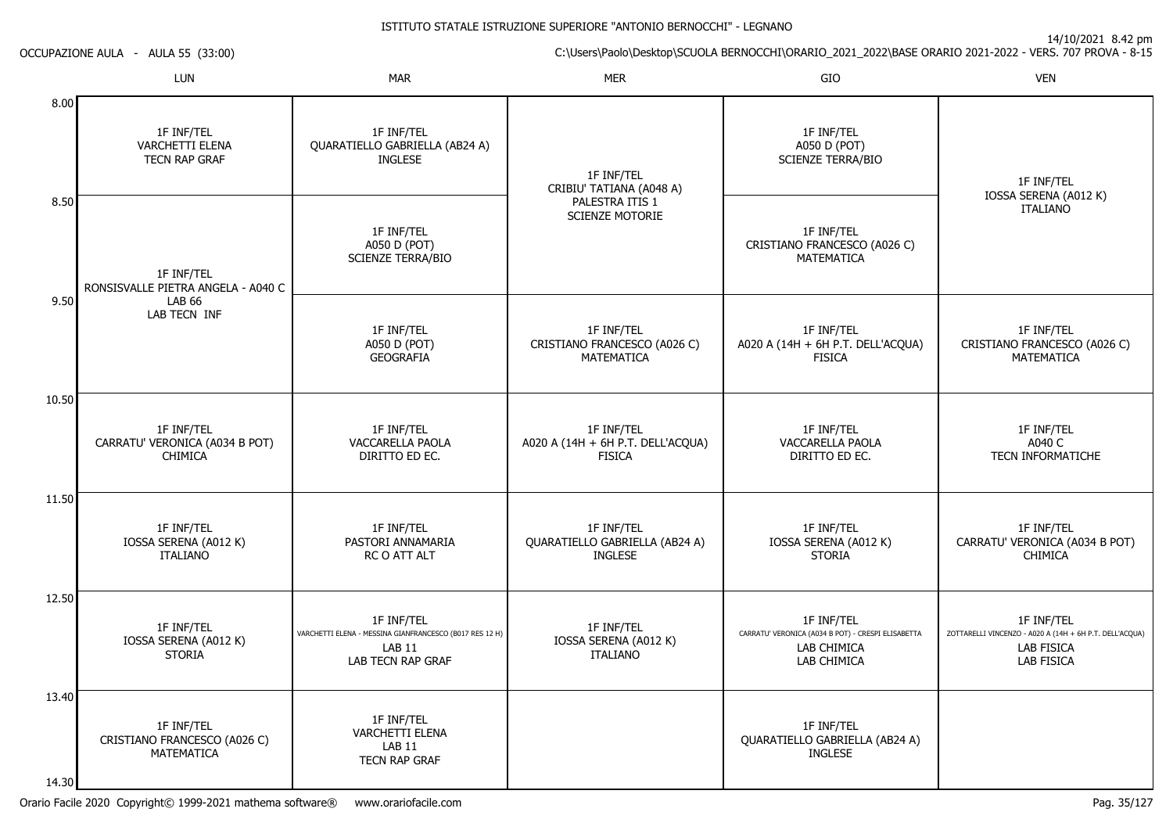14/10/2021 8.42 pm

C:\Users\Paolo\Desktop\SCUOLA BERNOCCHI\ORARIO\_2021\_2022\BASE ORARIO 2021-2022 - VERS. 707 PROVA - 8-15

N MAR MAR MER SIO O VEN 8.008.509.5010.5011.5012.5013.4014.301F INF/TEL VARCHETTI ELENA TECN RAP GRAF1F INF/TEL RONSISVALLE PIETRA ANGELA - A040 CLAB 66 LAB TECN INF1F INF/TEL CARRATU' VERONICA (A034 B POT)CHIMICA1F INF/TEL IOSSA SERENA (A012 K)ITALIANO1F INF/TEL IOSSA SERENA (A012 K)STORIA1F INF/TEL CRISTIANO FRANCESCO (A026 C)MATEMATICA1F INF/TEL QUARATIELLO GABRIELLA (AB24 A)INGLESE1F INF/TEL A050 D (POT) SCIENZE TERRA/BIO1F INF/TEL A050 D (POT) GEOGRAFIA1F INF/TEL VACCARELLA PAOLADIRITTO ED EC.1F INF/TEL PASTORI ANNAMARIARC O ATT ALT1F INF/TEL VARCHETTI ELENA - MESSINA GIANFRANCESCO (B017 RES 12 H)LAB 11 LAB TECN RAP GRAF1F INF/TEL VARCHETTI ELENALAB 11 TECN RAP GRAF1F INF/TEL CRIBIU' TATIANA (A048 A)PALESTRA ITIS 1 SCIENZE MOTORIE1F INF/TEL CRISTIANO FRANCESCO (A026 C)MATEMATICA1F INF/TEL A020 A (14H + 6H P.T. DELL'ACQUA)**FISICA** 1F INF/TEL QUARATIELLO GABRIELLA (AB24 A)INGLESE1F INF/TEL IOSSA SERENA (A012 K)ITALIANO1F INF/TEL A050 D (POT) SCIENZE TERRA/BIO1F INF/TEL CRISTIANO FRANCESCO (A026 C)MATEMATICA1F INF/TEL A020 A (14H + 6H P.T. DELL'ACQUA)FISICA1F INF/TEL VACCARELLA PAOLADIRITTO ED EC.1F INF/TEL IOSSA SERENA (A012 K)**STORIA** 1F INF/TEL CARRATU' VERONICA (A034 B POT) - CRESPI ELISABETTALAB CHIMICA LAB CHIMICA1F INF/TEL QUARATIELLO GABRIELLA (AB24 A)INGLESE1F INF/TEL IOSSA SERENA (A012 K)ITALIANO1F INF/TEL CRISTIANO FRANCESCO (A026 C)MATEMATICA1F INF/TELA040 C TECN INFORMATICHE1F INF/TEL CARRATU' VERONICA (A034 B POT)CHIMICA1F INF/TEL ZOTTARELLI VINCENZO - A020 A (14H + 6H P.T. DELL'ACQUA)LAB FISICALAB FISICA

OCCUPAZIONE AULA - AULA 55 (33:00)

LUN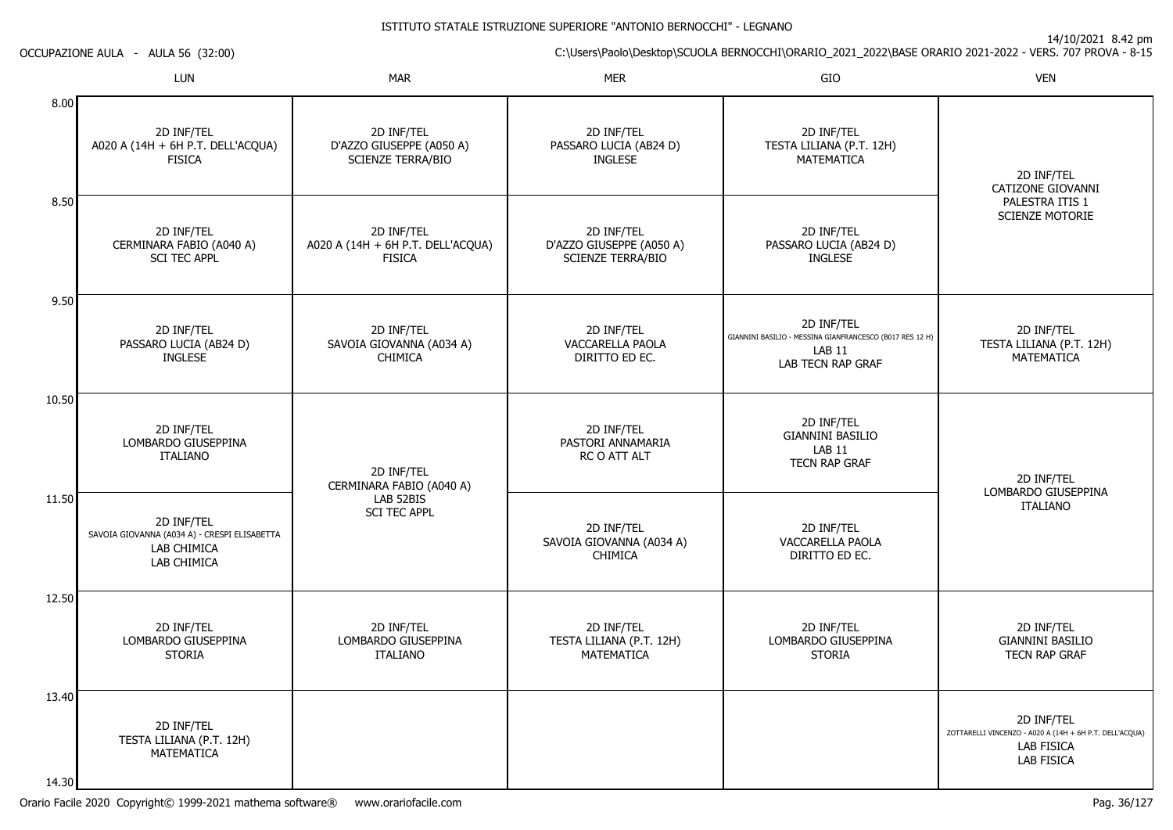14/10/2021 8.42 pm

C:\Users\Paolo\Desktop\SCUOLA BERNOCCHI\ORARIO\_2021\_2022\BASE ORARIO 2021-2022 - VERS. 707 PROVA - 8-15

OCCUPAZIONE AULA - AULA 56 (32:00)

|                | <b>LUN</b>                                                                               | <b>MAR</b>                                                                 | <b>MER</b>                                                         | GIO                                                                                                          | <b>VEN</b>                                                                                               |
|----------------|------------------------------------------------------------------------------------------|----------------------------------------------------------------------------|--------------------------------------------------------------------|--------------------------------------------------------------------------------------------------------------|----------------------------------------------------------------------------------------------------------|
| 8.00           | 2D INF/TEL<br>A020 A (14H + 6H P.T. DELL'ACQUA)<br><b>FISICA</b>                         | 2D INF/TEL<br>D'AZZO GIUSEPPE (A050 A)<br><b>SCIENZE TERRA/BIO</b>         | 2D INF/TEL<br>PASSARO LUCIA (AB24 D)<br><b>INGLESE</b>             | 2D INF/TEL<br>TESTA LILIANA (P.T. 12H)<br><b>MATEMATICA</b>                                                  | 2D INF/TEL<br>CATIZONE GIOVANNI<br>PALESTRA ITIS 1<br><b>SCIENZE MOTORIE</b>                             |
| 8.50           | 2D INF/TEL<br>CERMINARA FABIO (A040 A)<br><b>SCI TEC APPL</b>                            | 2D INF/TEL<br>A020 A (14H + 6H P.T. DELL'ACQUA)<br><b>FISICA</b>           | 2D INF/TEL<br>D'AZZO GIUSEPPE (A050 A)<br><b>SCIENZE TERRA/BIO</b> | 2D INF/TEL<br>PASSARO LUCIA (AB24 D)<br><b>INGLESE</b>                                                       |                                                                                                          |
| 9.50           | 2D INF/TEL<br>PASSARO LUCIA (AB24 D)<br><b>INGLESE</b>                                   | 2D INF/TEL<br>SAVOIA GIOVANNA (A034 A)<br><b>CHIMICA</b>                   | 2D INF/TEL<br>VACCARELLA PAOLA<br>DIRITTO ED EC.                   | 2D INF/TEL<br>GIANNINI BASILIO - MESSINA GIANFRANCESCO (B017 RES 12 H)<br><b>LAB 11</b><br>LAB TECN RAP GRAF | 2D INF/TEL<br>TESTA LILIANA (P.T. 12H)<br>MATEMATICA                                                     |
| 10.50          | 2D INF/TEL<br>LOMBARDO GIUSEPPINA<br><b>ITALIANO</b>                                     | 2D INF/TEL<br>CERMINARA FABIO (A040 A)<br>LAB 52BIS<br><b>SCI TEC APPL</b> | 2D INF/TEL<br>PASTORI ANNAMARIA<br>RC O ATT ALT                    | 2D INF/TEL<br><b>GIANNINI BASILIO</b><br>LAB <sub>11</sub><br><b>TECN RAP GRAF</b>                           | 2D INF/TEL                                                                                               |
| 11.50          | 2D INF/TEL<br>SAVOIA GIOVANNA (A034 A) - CRESPI ELISABETTA<br>LAB CHIMICA<br>LAB CHIMICA |                                                                            | 2D INF/TEL<br>SAVOIA GIOVANNA (A034 A)<br><b>CHIMICA</b>           | 2D INF/TEL<br>VACCARELLA PAOLA<br>DIRITTO ED EC.                                                             | LOMBARDO GIUSEPPINA<br><b>ITALIANO</b>                                                                   |
| 12.50          | 2D INF/TEL<br>LOMBARDO GIUSEPPINA<br><b>STORIA</b>                                       | 2D INF/TEL<br>LOMBARDO GIUSEPPINA<br><b>ITALIANO</b>                       | 2D INF/TEL<br>TESTA LILIANA (P.T. 12H)<br><b>MATEMATICA</b>        | 2D INF/TEL<br>LOMBARDO GIUSEPPINA<br><b>STORIA</b>                                                           | 2D INF/TEL<br><b>GIANNINI BASILIO</b><br>TECN RAP GRAF                                                   |
| 13.40<br>14.30 | 2D INF/TEL<br>TESTA LILIANA (P.T. 12H)<br><b>MATEMATICA</b>                              |                                                                            |                                                                    |                                                                                                              | 2D INF/TEL<br>ZOTTARELLI VINCENZO - A020 A (14H + 6H P.T. DELL'ACQUA)<br><b>LAB FISICA</b><br>LAB FISICA |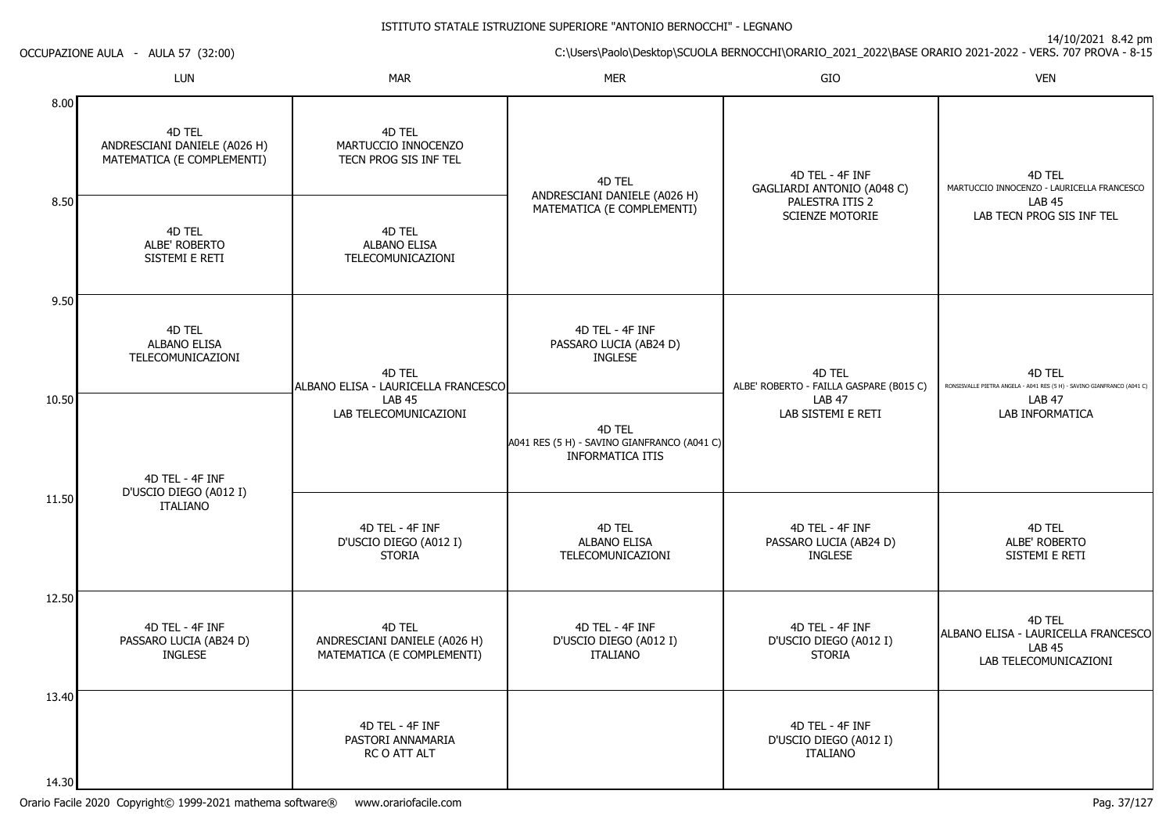# Orario Facile 2020 Copyright© 1999-2021 mathema software® www.orariofacile.com Pag. 37/127

OCCUPAZIONE AULA - AULA 57 (32:00)

|       | LUN                                                                  | <b>MAR</b>                                                           | <b>MER</b>                                                                       | GIO                                                         | <b>VEN</b>                                                                              |
|-------|----------------------------------------------------------------------|----------------------------------------------------------------------|----------------------------------------------------------------------------------|-------------------------------------------------------------|-----------------------------------------------------------------------------------------|
| 8.00  | 4D TEL<br>ANDRESCIANI DANIELE (A026 H)<br>MATEMATICA (E COMPLEMENTI) | 4D TEL<br>MARTUCCIO INNOCENZO<br>TECN PROG SIS INF TEL               | 4D TEL<br>ANDRESCIANI DANIELE (A026 H)                                           | 4D TEL - 4F INF<br>GAGLIARDI ANTONIO (A048 C)               | 4D TEL<br>MARTUCCIO INNOCENZO - LAURICELLA FRANCESCO                                    |
| 8.50  | 4D TEL<br>ALBE' ROBERTO<br>SISTEMI E RETI                            | 4D TEL<br>ALBANO ELISA<br>TELECOMUNICAZIONI                          | MATEMATICA (E COMPLEMENTI)                                                       | PALESTRA ITIS 2<br><b>SCIENZE MOTORIE</b>                   | <b>LAB 45</b><br>LAB TECN PROG SIS INF TEL                                              |
| 9.50  | 4D TEL<br><b>ALBANO ELISA</b><br>TELECOMUNICAZIONI                   | 4D TEL<br>ALBANO ELISA - LAURICELLA FRANCESCO                        | 4D TEL - 4F INF<br>PASSARO LUCIA (AB24 D)<br><b>INGLESE</b>                      | 4D TEL<br>ALBE' ROBERTO - FAILLA GASPARE (B015 C)           | 4D TEL<br>RONSISVALLE PIETRA ANGELA - A041 RES (5 H) - SAVINO GIANFRANCO (A041 C)       |
| 10.50 | 4D TEL - 4F INF<br>D'USCIO DIEGO (A012 I)                            | <b>LAB 45</b><br>LAB TELECOMUNICAZIONI                               | 4D TEL<br>A041 RES (5 H) - SAVINO GIANFRANCO (A041 C)<br><b>INFORMATICA ITIS</b> | <b>LAB 47</b><br>LAB SISTEMI E RETI                         | <b>LAB 47</b><br>LAB INFORMATICA                                                        |
| 11.50 | <b>ITALIANO</b>                                                      | 4D TEL - 4F INF<br>D'USCIO DIEGO (A012 I)<br><b>STORIA</b>           | 4D TEL<br><b>ALBANO ELISA</b><br>TELECOMUNICAZIONI                               | 4D TEL - 4F INF<br>PASSARO LUCIA (AB24 D)<br><b>INGLESE</b> | 4D TEL<br>ALBE' ROBERTO<br>SISTEMI E RETI                                               |
| 12.50 | 4D TEL - 4F INF<br>PASSARO LUCIA (AB24 D)<br><b>INGLESE</b>          | 4D TEL<br>ANDRESCIANI DANIELE (A026 H)<br>MATEMATICA (E COMPLEMENTI) | 4D TEL - 4F INF<br>D'USCIO DIEGO (A012 I)<br><b>ITALIANO</b>                     | 4D TEL - 4F INF<br>D'USCIO DIEGO (A012 I)<br><b>STORIA</b>  | 4D TEL<br>ALBANO ELISA - LAURICELLA FRANCESCO<br><b>LAB 45</b><br>LAB TELECOMUNICAZIONI |
| 13.40 |                                                                      | 4D TEL - 4F INF<br>PASTORI ANNAMARIA<br>RC O ATT ALT                 |                                                                                  | 4D TEL - 4F INF<br>D'USCIO DIEGO (A012 I)<br>ITALIANO       |                                                                                         |
| 14.30 |                                                                      |                                                                      |                                                                                  |                                                             |                                                                                         |

14/10/2021 8.42 pm

C:\Users\Paolo\Desktop\SCUOLA BERNOCCHI\ORARIO\_2021\_2022\BASE ORARIO 2021-2022 - VERS. 707 PROVA - 8-15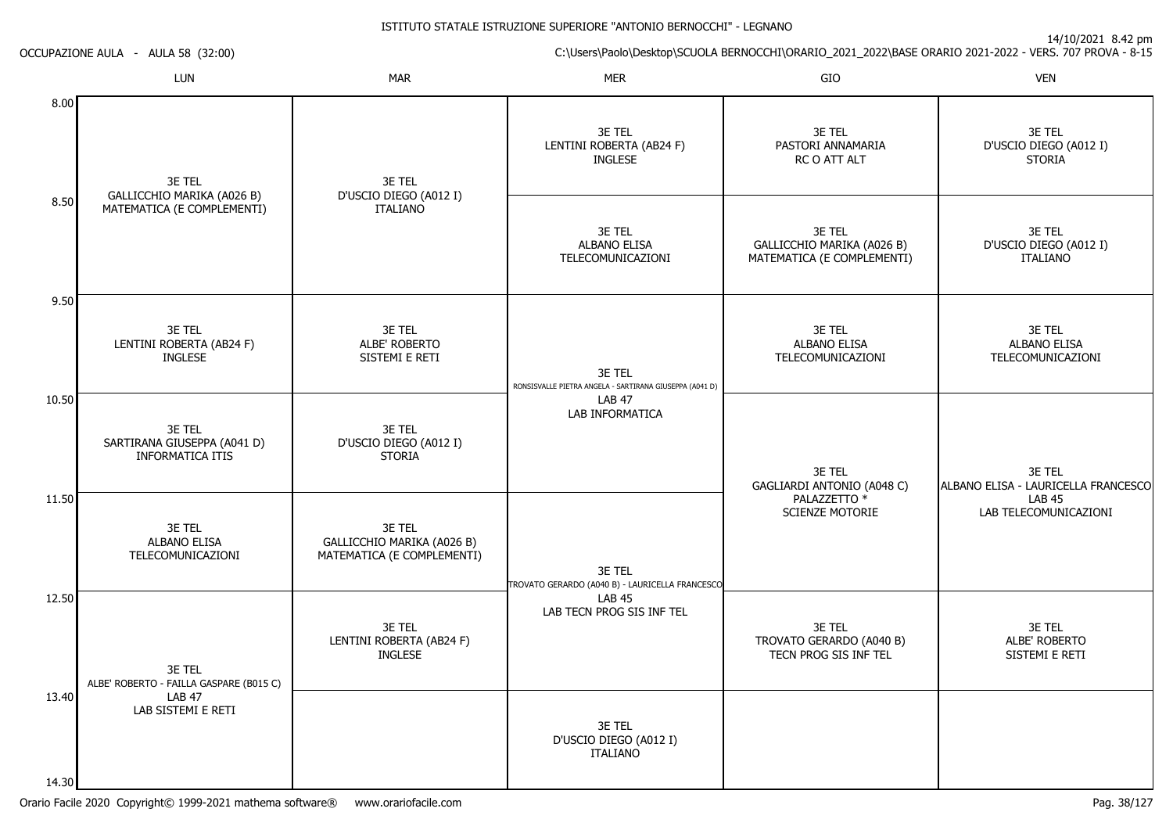14/10/2021 8.42 pm

C:\Users\Paolo\Desktop\SCUOLA BERNOCCHI\ORARIO\_2021\_2022\BASE ORARIO 2021-2022 - VERS. 707 PROVA - 8-15 OCCUPAZIONE AULA - AULA 58 (32:00)

|                             | LUN                                                              | <b>MAR</b>                                                         | <b>MER</b>                                                        | GIO                                                                | <b>VEN</b>                                          |
|-----------------------------|------------------------------------------------------------------|--------------------------------------------------------------------|-------------------------------------------------------------------|--------------------------------------------------------------------|-----------------------------------------------------|
| 8.00                        | 3E TEL                                                           | 3E TEL                                                             | 3E TEL<br>LENTINI ROBERTA (AB24 F)<br><b>INGLESE</b>              | 3E TEL<br>PASTORI ANNAMARIA<br>RC O ATT ALT                        | 3E TEL<br>D'USCIO DIEGO (A012 I)<br><b>STORIA</b>   |
| 8.50                        | GALLICCHIO MARIKA (A026 B)<br>MATEMATICA (E COMPLEMENTI)         | D'USCIO DIEGO (A012 I)<br><b>ITALIANO</b>                          | 3E TEL<br><b>ALBANO ELISA</b><br>TELECOMUNICAZIONI                | 3E TEL<br>GALLICCHIO MARIKA (A026 B)<br>MATEMATICA (E COMPLEMENTI) | 3E TEL<br>D'USCIO DIEGO (A012 I)<br><b>ITALIANO</b> |
| 9.50                        | 3E TEL<br>LENTINI ROBERTA (AB24 F)<br><b>INGLESE</b>             | 3E TEL<br>ALBE' ROBERTO<br>SISTEMI E RETI                          | 3E TEL<br>RONSISVALLE PIETRA ANGELA - SARTIRANA GIUSEPPA (A041 D) | 3E TEL<br><b>ALBANO ELISA</b><br>TELECOMUNICAZIONI                 | 3E TEL<br><b>ALBANO ELISA</b><br>TELECOMUNICAZIONI  |
| 10.50                       | 3E TEL<br>SARTIRANA GIUSEPPA (A041 D)<br><b>INFORMATICA ITIS</b> | 3E TEL<br>D'USCIO DIEGO (A012 I)<br><b>STORIA</b>                  | <b>LAB 47</b><br>LAB INFORMATICA                                  | 3E TEL<br>GAGLIARDI ANTONIO (A048 C)                               | 3E TEL<br>ALBANO ELISA - LAURICELLA FRANCESCO       |
| 11.50                       | 3E TEL<br><b>ALBANO ELISA</b><br>TELECOMUNICAZIONI               | 3E TEL<br>GALLICCHIO MARIKA (A026 B)<br>MATEMATICA (E COMPLEMENTI) | 3E TEL<br>TROVATO GERARDO (A040 B) - LAURICELLA FRANCESCO         | PALAZZETTO <sup>*</sup><br><b>SCIENZE MOTORIE</b>                  | <b>LAB 45</b><br>LAB TELECOMUNICAZIONI              |
| 12.50                       | 3E TEL<br>ALBE' ROBERTO - FAILLA GASPARE (B015 C)                | 3E TEL<br>LENTINI ROBERTA (AB24 F)<br><b>INGLESE</b>               | <b>LAB 45</b><br>LAB TECN PROG SIS INF TEL                        | 3E TEL<br>TROVATO GERARDO (A040 B)<br>TECN PROG SIS INF TEL        | 3E TEL<br>ALBE' ROBERTO<br>SISTEMI E RETI           |
| 13.40<br>14.30 <sup>1</sup> | <b>LAB 47</b><br>LAB SISTEMI E RETI                              |                                                                    | 3E TEL<br>D'USCIO DIEGO (A012 I)<br><b>ITALIANO</b>               |                                                                    |                                                     |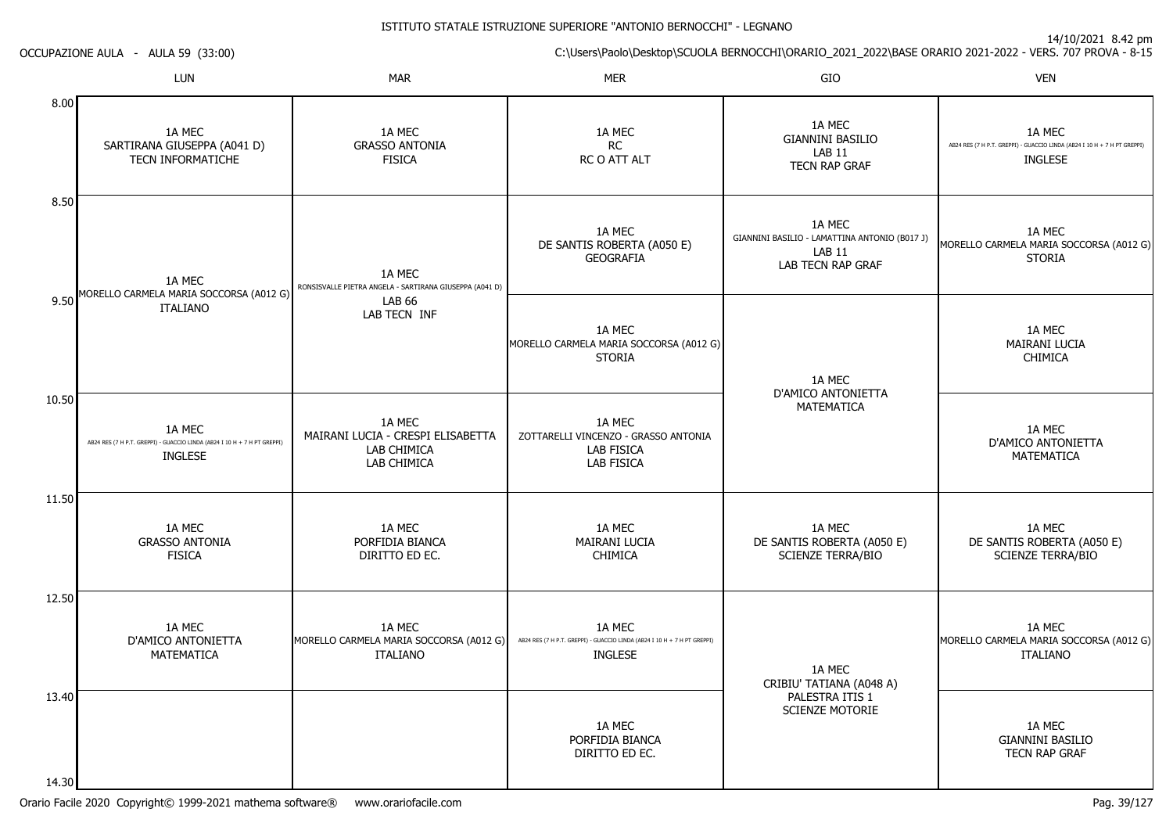C:\Users\Paolo\Desktop\SCUOLA BERNOCCHI\ORARIO\_2021\_2022\BASE ORARIO 2021-2022 - VERS. 707 PROVA - 8-15

|                | <b>LUN</b>                                                                                           | <b>MAR</b>                                                                | <b>MER</b>                                                                                           | GIO                                                                                           | <b>VEN</b>                                                                                           |
|----------------|------------------------------------------------------------------------------------------------------|---------------------------------------------------------------------------|------------------------------------------------------------------------------------------------------|-----------------------------------------------------------------------------------------------|------------------------------------------------------------------------------------------------------|
| 8.00           | 1A MEC<br>SARTIRANA GIUSEPPA (A041 D)<br>TECN INFORMATICHE                                           | 1A MEC<br><b>GRASSO ANTONIA</b><br><b>FISICA</b>                          | 1A MEC<br><b>RC</b><br>RC O ATT ALT                                                                  | 1A MEC<br><b>GIANNINI BASILIO</b><br><b>LAB 11</b><br>TECN RAP GRAF                           | 1A MEC<br>AB24 RES (7 H P.T. GREPPI) - GUACCIO LINDA (AB24 I 10 H + 7 H PT GREPPI)<br><b>INGLESE</b> |
| 8.50           | 1A MEC<br>MORELLO CARMELA MARIA SOCCORSA (A012 G)                                                    | 1A MEC<br>RONSISVALLE PIETRA ANGELA - SARTIRANA GIUSEPPA (A041 D)         | 1A MEC<br>DE SANTIS ROBERTA (A050 E)<br><b>GEOGRAFIA</b>                                             | 1A MEC<br>GIANNINI BASILIO - LAMATTINA ANTONIO (B017 J)<br><b>LAB 11</b><br>LAB TECN RAP GRAF | 1A MEC<br>MORELLO CARMELA MARIA SOCCORSA (A012 G)<br><b>STORIA</b>                                   |
| 9.50           | <b>ITALIANO</b>                                                                                      | <b>LAB 66</b><br>LAB TECN INF                                             | 1A MEC<br>MORELLO CARMELA MARIA SOCCORSA (A012 G)<br><b>STORIA</b>                                   | 1A MEC<br>D'AMICO ANTONIETTA                                                                  | 1A MEC<br><b>MAIRANI LUCIA</b><br>CHIMICA                                                            |
| 10.50          | 1A MEC<br>AB24 RES (7 H P.T. GREPPI) - GUACCIO LINDA (AB24 I 10 H + 7 H PT GREPPI)<br><b>INGLESE</b> | 1A MEC<br>MAIRANI LUCIA - CRESPI ELISABETTA<br>LAB CHIMICA<br>LAB CHIMICA | 1A MEC<br>ZOTTARELLI VINCENZO - GRASSO ANTONIA<br>LAB FISICA<br><b>LAB FISICA</b>                    | MATEMATICA                                                                                    | 1A MEC<br>D'AMICO ANTONIETTA<br><b>MATEMATICA</b>                                                    |
| 11.50          | 1A MEC<br><b>GRASSO ANTONIA</b><br><b>FISICA</b>                                                     | 1A MEC<br>PORFIDIA BIANCA<br>DIRITTO ED EC.                               | 1A MEC<br>MAIRANI LUCIA<br><b>CHIMICA</b>                                                            | 1A MEC<br>DE SANTIS ROBERTA (A050 E)<br><b>SCIENZE TERRA/BIO</b>                              | 1A MEC<br>DE SANTIS ROBERTA (A050 E)<br><b>SCIENZE TERRA/BIO</b>                                     |
| 12.50          | 1A MEC<br><b>D'AMICO ANTONIETTA</b><br><b>MATEMATICA</b>                                             | 1A MEC<br>MORELLO CARMELA MARIA SOCCORSA (A012 G)<br><b>ITALIANO</b>      | 1A MEC<br>AB24 RES (7 H P.T. GREPPI) - GUACCIO LINDA (AB24 I 10 H + 7 H PT GREPPI)<br><b>INGLESE</b> | 1A MEC<br>CRIBIU' TATIANA (A048 A)                                                            | 1A MEC<br>MORELLO CARMELA MARIA SOCCORSA (A012 G)<br><b>ITALIANO</b>                                 |
| 13.40<br>14.30 |                                                                                                      |                                                                           | 1A MEC<br>PORFIDIA BIANCA<br>DIRITTO ED EC.                                                          | PALESTRA ITIS 1<br><b>SCIENZE MOTORIE</b>                                                     | 1A MEC<br><b>GIANNINI BASILIO</b><br><b>TECN RAP GRAF</b>                                            |

## OCCUPAZIONE AULA - AULA 59 (33:00)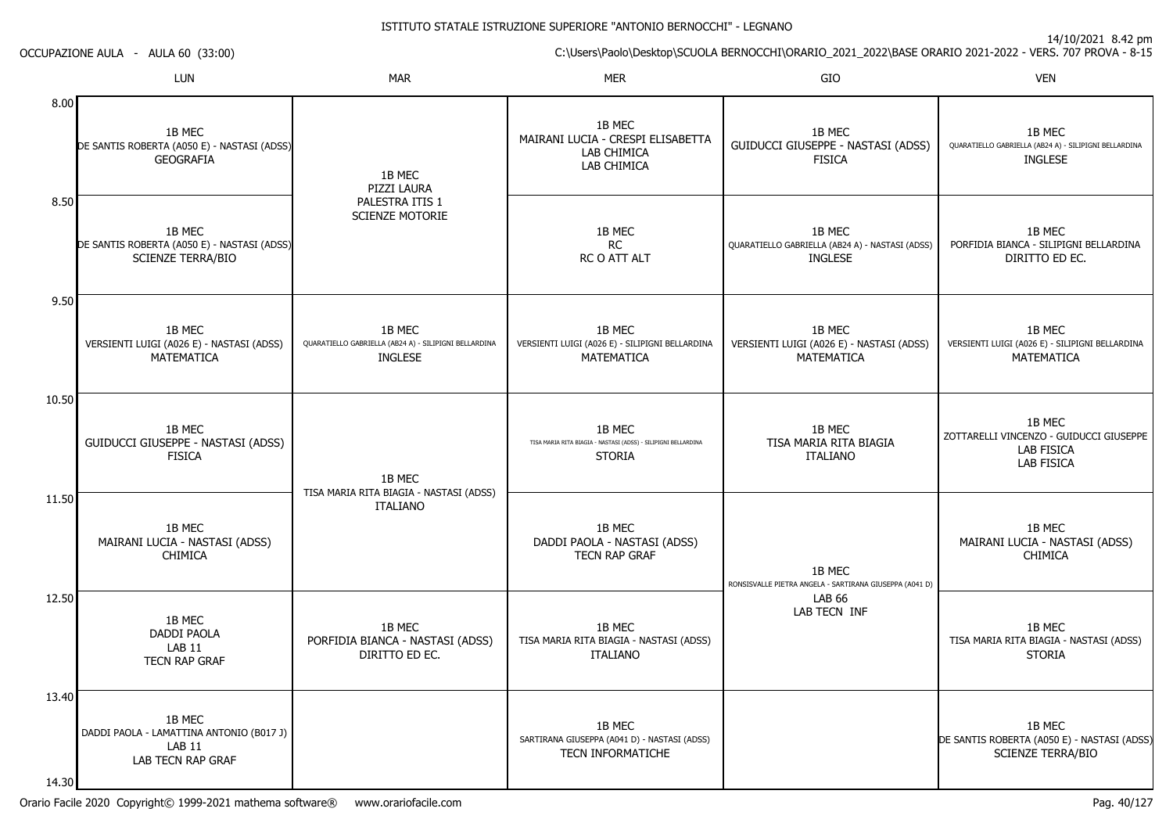14/10/2021 8.42 pm

C:\Users\Paolo\Desktop\SCUOLA BERNOCCHI\ORARIO\_2021\_2022\BASE ORARIO 2021-2022 - VERS. 707 PROVA - 8-15 OCCUPAZIONE AULA - AULA 60 (33:00)LUNN MAR MAR MER SIO O VEN 8.008.509.5010.5011.5012.5013.4014.301B MEC DE SANTIS ROBERTA (A050 E) - NASTASI (ADSS)GEOGRAFIA1B MEC DE SANTIS ROBERTA (A050 E) - NASTASI (ADSS)SCIENZE TERRA/BIO1B MEC VERSIENTI LUIGI (A026 E) - NASTASI (ADSS)MATEMATICA1B MEC GUIDUCCI GIUSEPPE - NASTASI (ADSS)FISICA1B MEC MAIRANI LUCIA - NASTASI (ADSS)**CHIMICA** 1B MEC DADDI PAOLALAB 11 TECN RAP GRAF1B MEC DADDI PAOLA - LAMATTINA ANTONIO (B017 J)LAB 11 LAB TECN RAP GRAF1B MEC PIZZI LAURA PALESTRA ITIS 1 SCIENZE MOTORIE1B MEC QUARATIELLO GABRIELLA (AB24 A) - SILIPIGNI BELLARDINAINGLESE1B MEC TISA MARIA RITA BIAGIA - NASTASI (ADSS)ITALIANO1B MEC PORFIDIA BIANCA - NASTASI (ADSS)DIRITTO ED EC.1B MEC MAIRANI LUCIA - CRESPI ELISABETTALAB CHIMICA LAB CHIMICA1B MECRC RC O ATT ALT1B MEC VERSIENTI LUIGI (A026 E) - SILIPIGNI BELLARDINAMATEMATICA1B MEC TISA MARIA RITA BIAGIA - NASTASI (ADSS) - SILIPIGNI BELLARDINASTORIA1B MEC DADDI PAOLA - NASTASI (ADSS)TECN RAP GRAF1B MEC TISA MARIA RITA BIAGIA - NASTASI (ADSS)ITALIANO1B MEC SARTIRANA GIUSEPPA (A041 D) - NASTASI (ADSS)TECN INFORMATICHE1B MEC GUIDUCCI GIUSEPPE - NASTASI (ADSS)FISICA1B MEC QUARATIELLO GABRIELLA (AB24 A) - NASTASI (ADSS)INGLESE1B MEC VERSIENTI LUIGI (A026 E) - NASTASI (ADSS)MATEMATICA1B MEC TISA MARIA RITA BIAGIAITALIANO1B MEC RONSISVALLE PIETRA ANGELA - SARTIRANA GIUSEPPA (A041 D)LAB 66 LAB TECN INF1B MEC QUARATIELLO GABRIELLA (AB24 A) - SILIPIGNI BELLARDINAINGLESE1B MEC PORFIDIA BIANCA - SILIPIGNI BELLARDINADIRITTO ED EC.1B MEC VERSIENTI LUIGI (A026 E) - SILIPIGNI BELLARDINAMATEMATICA1B MEC ZOTTARELLI VINCENZO - GUIDUCCI GIUSEPPELAB FISICA LAB FISICA1B MEC MAIRANI LUCIA - NASTASI (ADSS)CHIMICA1B MEC TISA MARIA RITA BIAGIA - NASTASI (ADSS)STORIA1B MEC DE SANTIS ROBERTA (A050 E) - NASTASI (ADSS)SCIENZE TERRA/BIO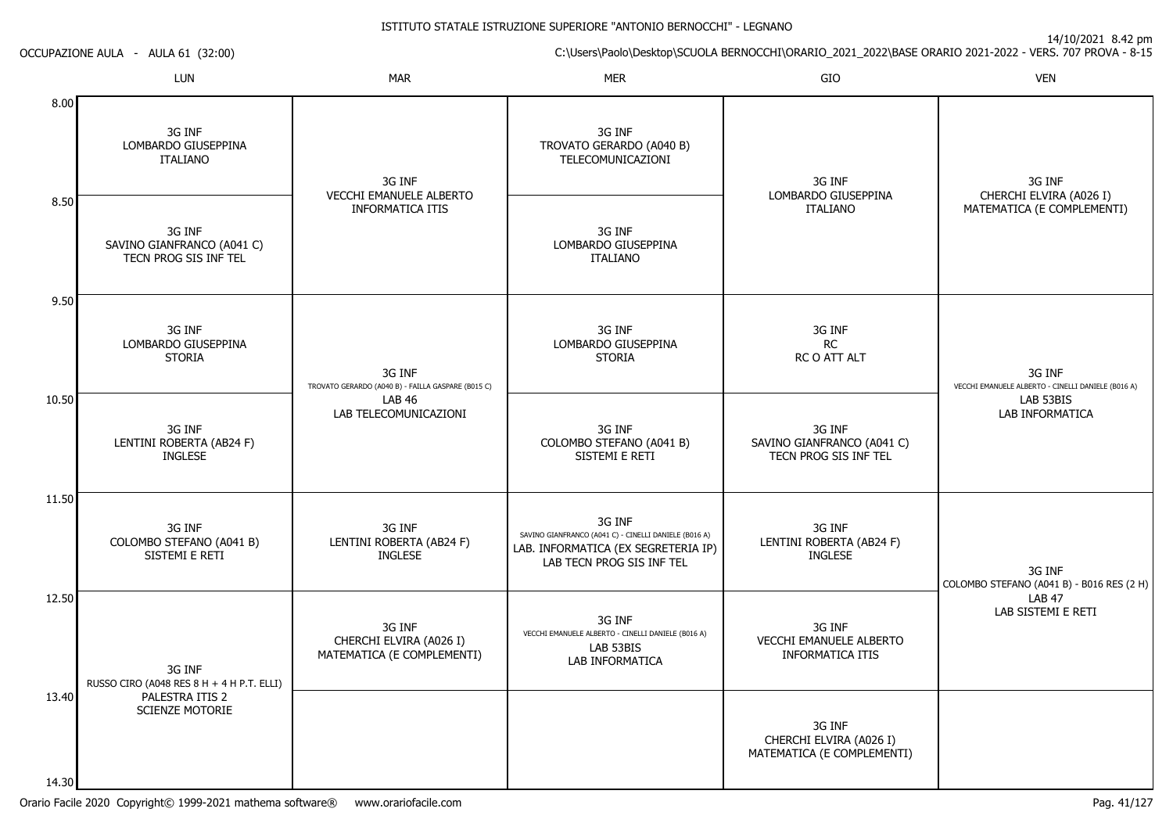|                | ITALIANO                                                      | 3G INF<br><b>VECCHI EMANUELE ALBERTO</b>                        | <b>TELECOMUNICAZIONI</b>                                                                                                            | 3G INF<br>LOMBARDO GIUSEPPINA                                   | 3G INF<br>CHERCHI ELVIRA (A026 I)                            |
|----------------|---------------------------------------------------------------|-----------------------------------------------------------------|-------------------------------------------------------------------------------------------------------------------------------------|-----------------------------------------------------------------|--------------------------------------------------------------|
| 8.50           | 3G INF<br>SAVINO GIANFRANCO (A041 C)<br>TECN PROG SIS INF TEL | <b>INFORMATICA ITIS</b>                                         | 3G INF<br>LOMBARDO GIUSEPPINA<br><b>ITALIANO</b>                                                                                    | <b>ITALIANO</b>                                                 | MATEMATICA (E COMPLEMENTI)                                   |
| 9.50           | 3G INF<br>LOMBARDO GIUSEPPINA<br><b>STORIA</b>                | 3G INF<br>TROVATO GERARDO (A040 B) - FAILLA GASPARE (B015 C)    | 3G INF<br>LOMBARDO GIUSEPPINA<br><b>STORIA</b>                                                                                      | 3G INF<br>RC<br>RC O ATT ALT                                    | 3G INF<br>VECCHI EMANUELE ALBERTO - CINELLI DANIELE (B016 A) |
| 10.50          | 3G INF<br>LENTINI ROBERTA (AB24 F)<br><b>INGLESE</b>          | <b>LAB 46</b><br>LAB TELECOMUNICAZIONI                          | 3G INF<br>COLOMBO STEFANO (A041 B)<br>SISTEMI E RETI                                                                                | 3G INF<br>SAVINO GIANFRANCO (A041 C)<br>TECN PROG SIS INF TEL   | LAB 53BIS<br>LAB INFORMATICA                                 |
| 11.50          | 3G INF<br>COLOMBO STEFANO (A041 B)<br>SISTEMI E RETI          | 3G INF<br>LENTINI ROBERTA (AB24 F)<br>INGLESE                   | 3G INF<br>SAVINO GIANFRANCO (A041 C) - CINELLI DANIELE (B016 A)<br>LAB. INFORMATICA (EX SEGRETERIA IP)<br>LAB TECN PROG SIS INF TEL | 3G INF<br>LENTINI ROBERTA (AB24 F)<br><b>INGLESE</b>            | 3G INF<br>COLOMBO STEFANO (A041 B) - B016 RES (2 H)          |
| 12.50          | 3G INF<br>RUSSO CIRO (A048 RES 8 H + 4 H P.T. ELLI)           | 3G INF<br>CHERCHI ELVIRA (A026 I)<br>MATEMATICA (E COMPLEMENTI) | 3G INF<br>VECCHI EMANUELE ALBERTO - CINELLI DANIELE (B016 A)<br>LAB 53BIS<br><b>LAB INFORMATICA</b>                                 | 3G INF<br><b>VECCHI EMANUELE ALBERTO</b><br>INFORMATICA ITIS    | <b>LAB 47</b><br>LAB SISTEMI E RETI                          |
| 13.40<br>14.30 | PALESTRA ITIS 2<br><b>SCIENZE MOTORIE</b>                     |                                                                 |                                                                                                                                     | 3G INF<br>CHERCHI ELVIRA (A026 I)<br>MATEMATICA (E COMPLEMENTI) |                                                              |

3G INFTROVATO GERARDO (A040 B)

ISTITUTO STATALE ISTRUZIONE SUPERIORE "ANTONIO BERNOCCHI" - LEGNANO

N MAR MAR MER SIO

OCCUPAZIONE AULA - AULA 61 (32:00)

LUN

3G INFLOMBARDO GIUSEPPINA

8.00

14/10/2021 8.42 pm

C:\Users\Paolo\Desktop\SCUOLA BERNOCCHI\ORARIO\_2021\_2022\BASE ORARIO 2021-2022 - VERS. 707 PROVA - 8-15

O VEN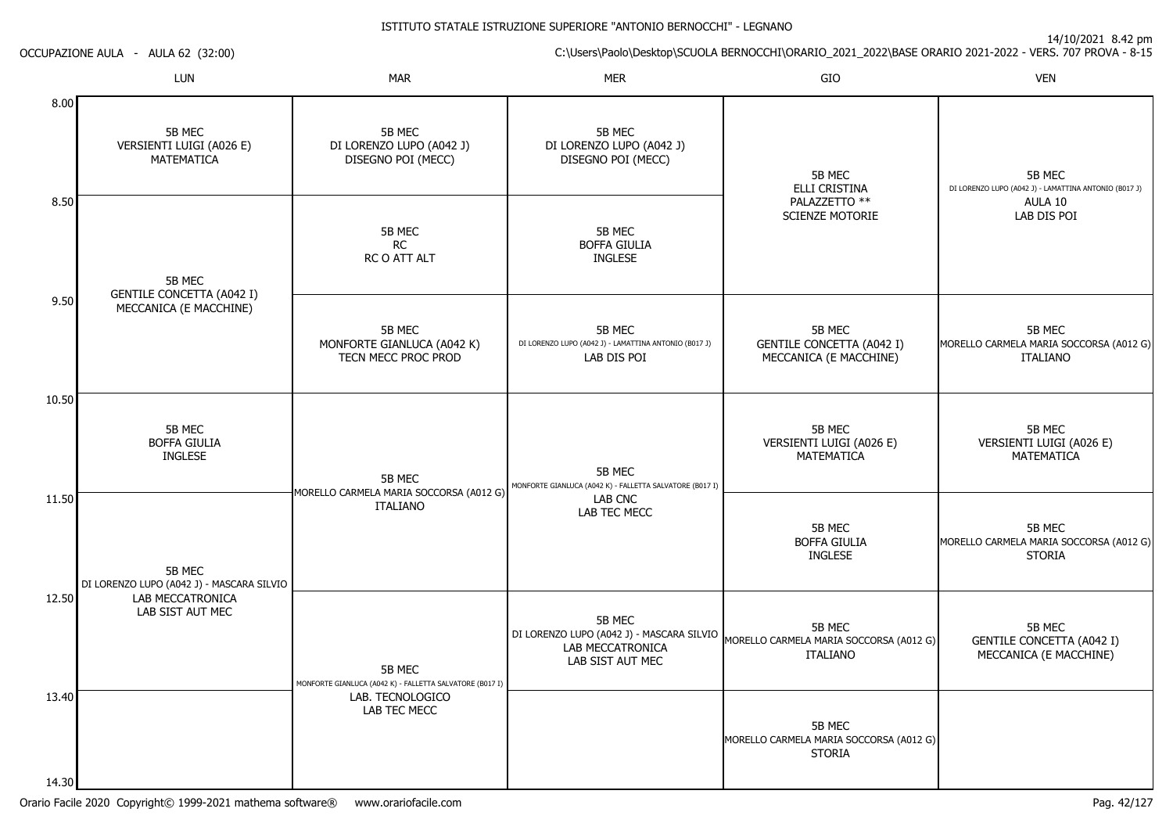14/10/2021 8.42 pm

C:\Users\Paolo\Desktop\SCUOLA BERNOCCHI\ORARIO\_2021\_2022\BASE ORARIO 2021-2022 - VERS. 707 PROVA - 8-15

OCCUPAZIONE AULA - AULA 62 (32:00)

|                | LUN                                                        | <b>MAR</b>                                                         | <b>MER</b>                                                                                  | GIO                                                                  | <b>VEN</b>                                                           |
|----------------|------------------------------------------------------------|--------------------------------------------------------------------|---------------------------------------------------------------------------------------------|----------------------------------------------------------------------|----------------------------------------------------------------------|
| 8.00           | 5B MEC<br>VERSIENTI LUIGI (A026 E)<br>MATEMATICA           | 5B MEC<br>DI LORENZO LUPO (A042 J)<br>DISEGNO POI (MECC)           | 5B MEC<br>DI LORENZO LUPO (A042 J)<br>DISEGNO POI (MECC)                                    | 5B MEC<br>ELLI CRISTINA                                              | 5B MEC<br>DI LORENZO LUPO (A042 J) - LAMATTINA ANTONIO (B017 J)      |
| 8.50           | 5B MEC                                                     | 5B MEC<br><b>RC</b><br>RC O ATT ALT                                | 5B MEC<br><b>BOFFA GIULIA</b><br><b>INGLESE</b>                                             | PALAZZETTO **<br><b>SCIENZE MOTORIE</b>                              | AULA 10<br>LAB DIS POI                                               |
| 9.50           | <b>GENTILE CONCETTA (A042 I)</b><br>MECCANICA (E MACCHINE) | 5B MEC<br>MONFORTE GIANLUCA (A042 K)<br>TECN MECC PROC PROD        | 5B MEC<br>DI LORENZO LUPO (A042 J) - LAMATTINA ANTONIO (B017 J)<br>LAB DIS POI              | 5B MEC<br><b>GENTILE CONCETTA (A042 I)</b><br>MECCANICA (E MACCHINE) | 5B MEC<br>MORELLO CARMELA MARIA SOCCORSA (A012 G)<br><b>ITALIANO</b> |
| 10.50          | 5B MEC<br><b>BOFFA GIULIA</b><br><b>INGLESE</b>            | 5B MEC<br>MORELLO CARMELA MARIA SOCCORSA (A012 G)                  | 5B MEC<br>MONFORTE GIANLUCA (A042 K) - FALLETTA SALVATORE (B017 I)                          | 5B MEC<br>VERSIENTI LUIGI (A026 E)<br><b>MATEMATICA</b>              | 5B MEC<br>VERSIENTI LUIGI (A026 E)<br>MATEMATICA                     |
| 11.50          | 5B MEC<br>DI LORENZO LUPO (A042 J) - MASCARA SILVIO        | <b>ITALIANO</b>                                                    | LAB CNC<br>LAB TEC MECC                                                                     | 5B MEC<br><b>BOFFA GIULIA</b><br><b>INGLESE</b>                      | 5B MEC<br>MORELLO CARMELA MARIA SOCCORSA (A012 G)<br><b>STORIA</b>   |
| 12.50          | LAB MECCATRONICA<br>LAB SIST AUT MEC                       | 5B MEC<br>MONFORTE GIANLUCA (A042 K) - FALLETTA SALVATORE (B017 I) | 5B MEC<br>DI LORENZO LUPO (A042 J) - MASCARA SILVIO<br>LAB MECCATRONICA<br>LAB SIST AUT MEC | 5B MEC<br>MORELLO CARMELA MARIA SOCCORSA (A012 G)<br><b>ITALIANO</b> | 5B MEC<br><b>GENTILE CONCETTA (A042 I)</b><br>MECCANICA (E MACCHINE) |
| 13.40<br>14.30 |                                                            | LAB. TECNOLOGICO<br>LAB TEC MECC                                   |                                                                                             | 5B MEC<br>MORELLO CARMELA MARIA SOCCORSA (A012 G)<br><b>STORIA</b>   |                                                                      |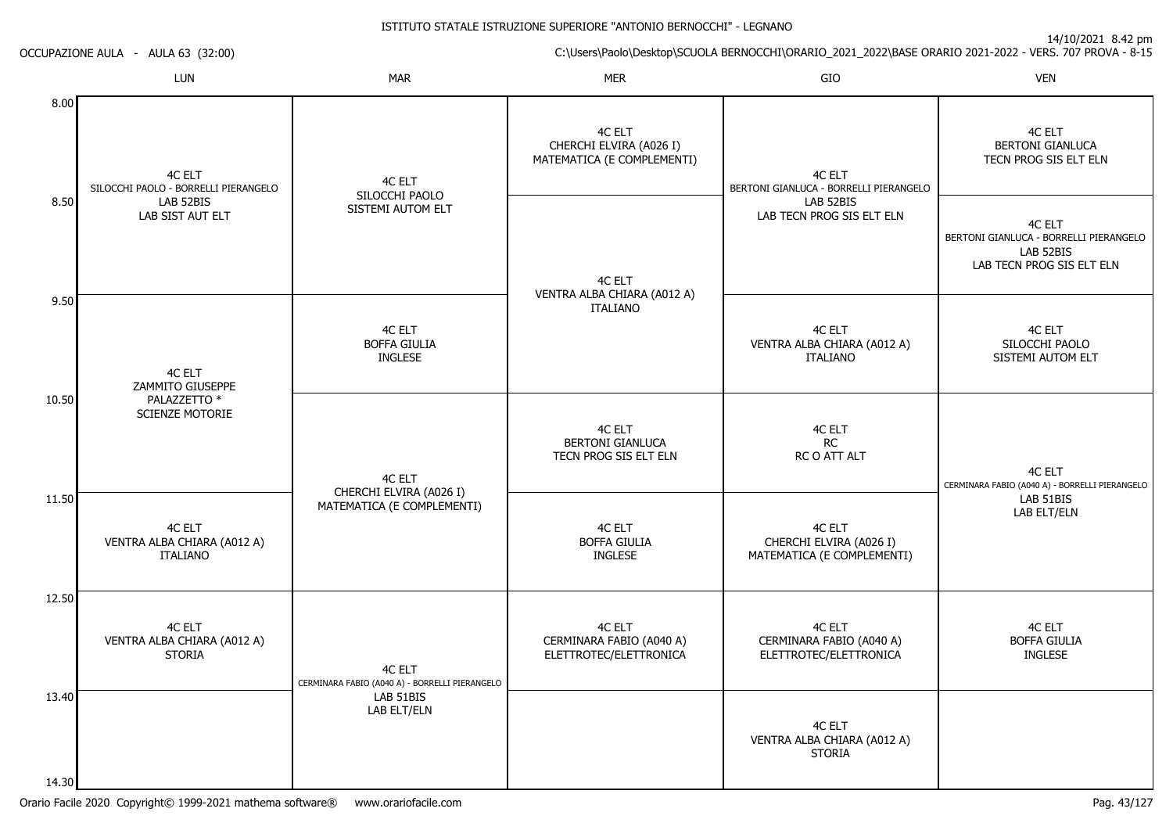14/10/2021 8.42 pm

C:\Users\Paolo\Desktop\SCUOLA BERNOCCHI\ORARIO\_2021\_2022\BASE ORARIO 2021-2022 - VERS. 707 PROVA - 8-15

|  | <b>OCCUPAZIONE AULA</b> |  | AULA 63 (32:00) |  |
|--|-------------------------|--|-----------------|--|
|--|-------------------------|--|-----------------|--|

|                | LUN                                                                             | <b>MAR</b>                                               | <b>MER</b>                                                      | GIO                                                             | <b>VEN</b>                                                                                 |
|----------------|---------------------------------------------------------------------------------|----------------------------------------------------------|-----------------------------------------------------------------|-----------------------------------------------------------------|--------------------------------------------------------------------------------------------|
| 8.00           | 4C ELT<br>SILOCCHI PAOLO - BORRELLI PIERANGELO<br>LAB 52BIS<br>LAB SIST AUT ELT | 4C ELT                                                   | 4C ELT<br>CHERCHI ELVIRA (A026 I)<br>MATEMATICA (E COMPLEMENTI) | 4C ELT<br>BERTONI GIANLUCA - BORRELLI PIERANGELO                | 4C ELT<br><b>BERTONI GIANLUCA</b><br>TECN PROG SIS ELT ELN                                 |
| 8.50           |                                                                                 | SILOCCHI PAOLO<br>SISTEMI AUTOM ELT                      | 4C ELT                                                          | LAB 52BIS<br>LAB TECN PROG SIS ELT ELN                          | 4C ELT<br>BERTONI GIANLUCA - BORRELLI PIERANGELO<br>LAB 52BIS<br>LAB TECN PROG SIS ELT ELN |
| 9.50           | 4C ELT                                                                          | 4C ELT<br><b>BOFFA GIULIA</b><br><b>INGLESE</b>          | VENTRA ALBA CHIARA (A012 A)<br><b>ITALIANO</b>                  | 4C ELT<br>VENTRA ALBA CHIARA (A012 A)<br><b>ITALIANO</b>        | 4C ELT<br>SILOCCHI PAOLO<br>SISTEMI AUTOM ELT                                              |
| 10.50          | ZAMMITO GIUSEPPE<br>PALAZZETTO *<br><b>SCIENZE MOTORIE</b>                      | 4C ELT                                                   | 4C ELT<br><b>BERTONI GIANLUCA</b><br>TECN PROG SIS ELT ELN      | 4C ELT<br><b>RC</b><br>RC O ATT ALT                             | 4C ELT<br>CERMINARA FABIO (A040 A) - BORRELLI PIERANGELO                                   |
| 11.50          | 4C ELT<br>VENTRA ALBA CHIARA (A012 A)<br><b>ITALIANO</b>                        | CHERCHI ELVIRA (A026 I)<br>MATEMATICA (E COMPLEMENTI)    | 4C ELT<br><b>BOFFA GIULIA</b><br><b>INGLESE</b>                 | 4C ELT<br>CHERCHI ELVIRA (A026 I)<br>MATEMATICA (E COMPLEMENTI) | LAB 51BIS<br>LAB ELT/ELN                                                                   |
| 12.50          | 4C ELT<br>VENTRA ALBA CHIARA (A012 A)<br><b>STORIA</b>                          | 4C ELT<br>CERMINARA FABIO (A040 A) - BORRELLI PIERANGELO | 4C ELT<br>CERMINARA FABIO (A040 A)<br>ELETTROTEC/ELETTRONICA    | 4C ELT<br>CERMINARA FABIO (A040 A)<br>ELETTROTEC/ELETTRONICA    | 4C ELT<br><b>BOFFA GIULIA</b><br><b>INGLESE</b>                                            |
| 13.40<br>14.30 |                                                                                 | LAB 51BIS<br>LAB ELT/ELN                                 |                                                                 | 4C ELT<br>VENTRA ALBA CHIARA (A012 A)<br><b>STORIA</b>          |                                                                                            |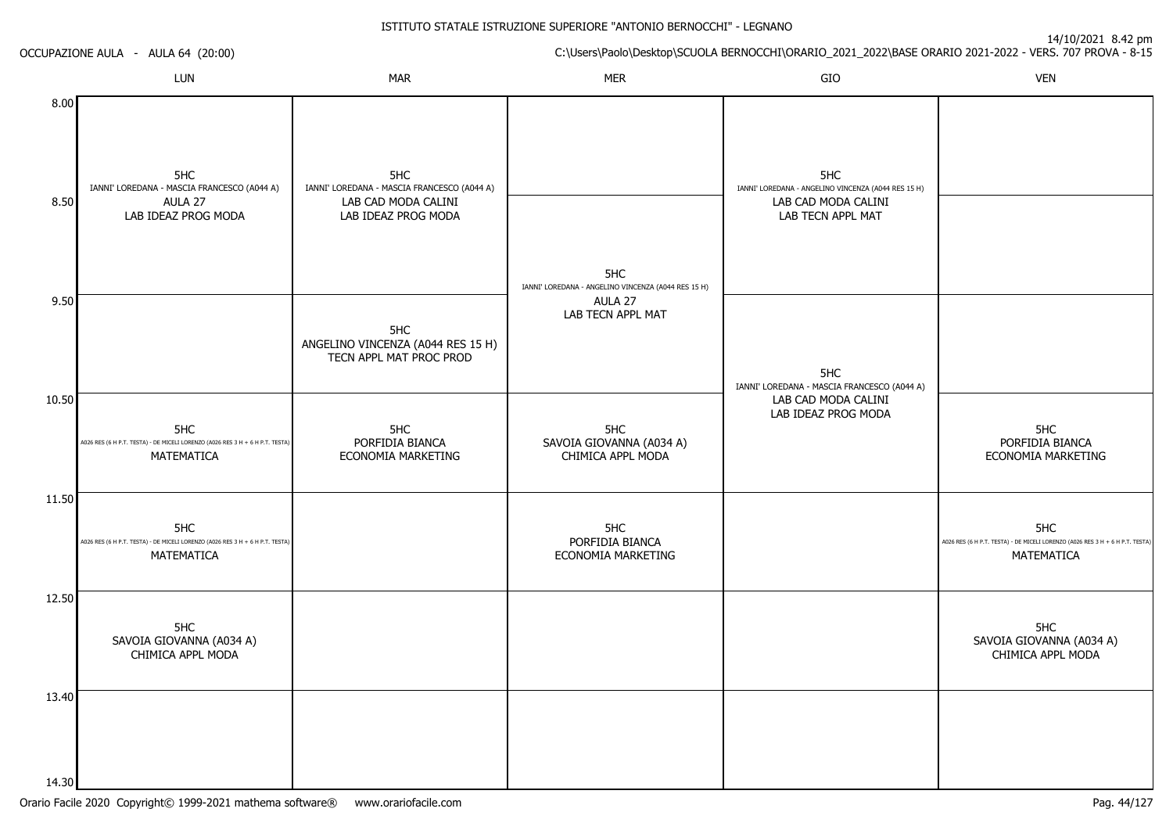|              | OCCUPAZIONE AULA - AULA 64 (20:00)                                                                 |                                                                                                  |                                                            |                                                                                                        | C:\Users\Paolo\Desktop\SCUOLA BERNOCCHI\ORARIO_2021_2022\BASE ORARIO 2021-2022 - VERS. 707 PROVA - 8-15 |
|--------------|----------------------------------------------------------------------------------------------------|--------------------------------------------------------------------------------------------------|------------------------------------------------------------|--------------------------------------------------------------------------------------------------------|---------------------------------------------------------------------------------------------------------|
|              | LUN                                                                                                | <b>MAR</b>                                                                                       | <b>MER</b>                                                 | GIO                                                                                                    | <b>VEN</b>                                                                                              |
| 8.00<br>8.50 | 5HC<br>IANNI' LOREDANA - MASCIA FRANCESCO (A044 A)<br>AULA 27<br>LAB IDEAZ PROG MODA               | 5HC<br>IANNI' LOREDANA - MASCIA FRANCESCO (A044 A)<br>LAB CAD MODA CALINI<br>LAB IDEAZ PROG MODA | 5HC<br>IANNI' LOREDANA - ANGELINO VINCENZA (A044 RES 15 H) | 5HC<br>IANNI' LOREDANA - ANGELINO VINCENZA (A044 RES 15 H)<br>LAB CAD MODA CALINI<br>LAB TECN APPL MAT |                                                                                                         |
| 9.50         |                                                                                                    | 5HC<br>ANGELINO VINCENZA (A044 RES 15 H)<br>TECN APPL MAT PROC PROD                              | AULA 27<br>LAB TECN APPL MAT                               | 5HC<br>IANNI' LOREDANA - MASCIA FRANCESCO (A044 A)                                                     |                                                                                                         |
| 10.50        | 5HC<br>A026 RES (6 H P.T. TESTA) - DE MICELI LORENZO (A026 RES 3 H + 6 H P.T. TESTA)<br>MATEMATICA | 5HC<br>PORFIDIA BIANCA<br>ECONOMIA MARKETING                                                     | 5HC<br>SAVOIA GIOVANNA (A034 A)<br>CHIMICA APPL MODA       | LAB CAD MODA CALINI<br>LAB IDEAZ PROG MODA                                                             | 5HC<br>PORFIDIA BIANCA<br>ECONOMIA MARKETING                                                            |
| 11.50        | 5HC<br>A026 RES (6 H P.T. TESTA) - DE MICELI LORENZO (A026 RES 3 H + 6 H P.T. TESTA)<br>MATEMATICA |                                                                                                  | 5HC<br>PORFIDIA BIANCA<br>ECONOMIA MARKETING               |                                                                                                        | 5HC<br>A026 RES (6 H P.T. TESTA) - DE MICELI LORENZO (A026 RES 3 H + 6 H P.T. TESTA)<br>MATEMATICA      |
| 12.50        | 5HC<br>SAVOIA GIOVANNA (A034 A)<br>CHIMICA APPL MODA                                               |                                                                                                  |                                                            |                                                                                                        | 5HC<br>SAVOIA GIOVANNA (A034 A)<br>CHIMICA APPL MODA                                                    |
| 13.40        |                                                                                                    |                                                                                                  |                                                            |                                                                                                        |                                                                                                         |
| 14.30        |                                                                                                    |                                                                                                  |                                                            |                                                                                                        |                                                                                                         |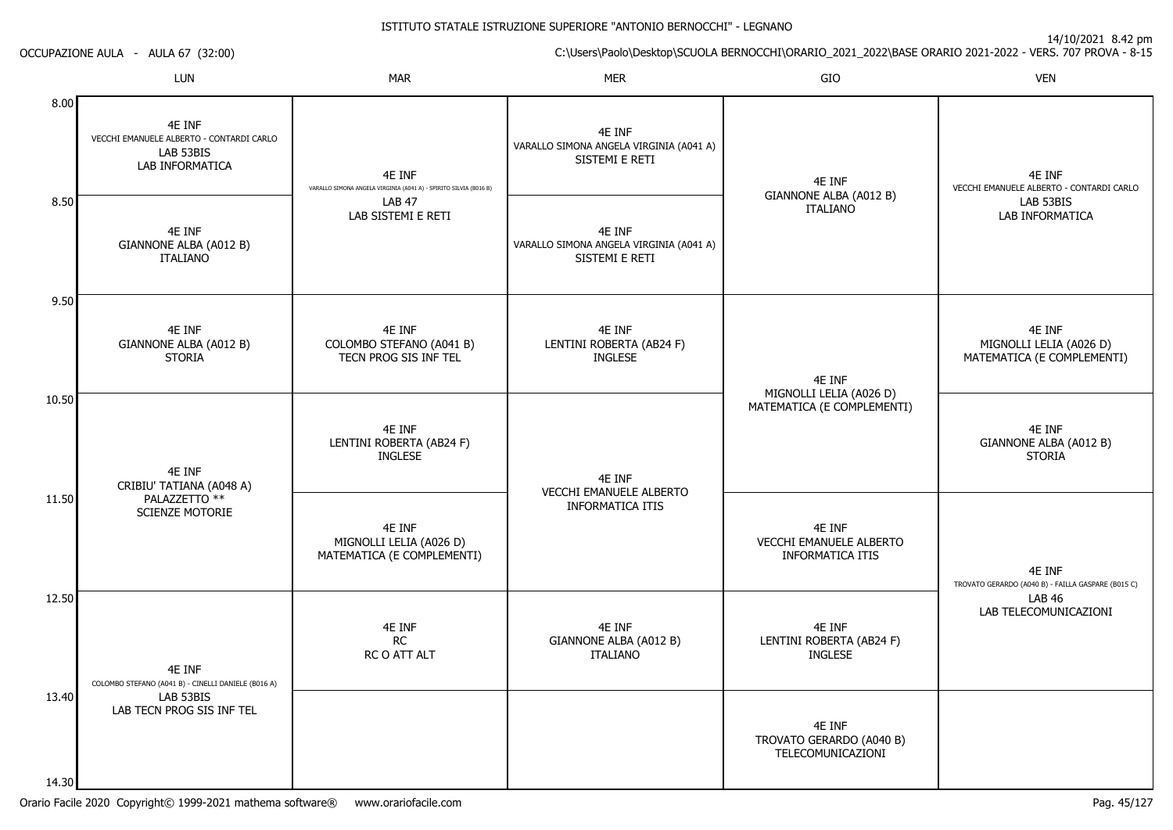| C:\Users\Paolo\Desktop\SCUOLA BERNOCCHI\ORARIO_2021_2022\BASE ORARIO 2021-2022 - VERS. 707 PROVA - 8-15 |  |  |
|---------------------------------------------------------------------------------------------------------|--|--|

OCCUPAZIONE AULA - AULA 67 (32:00)

|                         | LUN                                                                                                     | <b>MAR</b>                                                                  | Mer                                                                 | GIO                                                     | <b>VEN</b>                                                      |
|-------------------------|---------------------------------------------------------------------------------------------------------|-----------------------------------------------------------------------------|---------------------------------------------------------------------|---------------------------------------------------------|-----------------------------------------------------------------|
| 8.00                    | 4E INF<br>VECCHI EMANUELE ALBERTO - CONTARDI CARLO<br>LAB 53BIS<br>LAB INFORMATICA                      | 4E INF<br>VARALLO SIMONA ANGELA VIRGINIA (A041 A) - SPIRITO SILVIA (B016 B) | 4E INF<br>VARALLO SIMONA ANGELA VIRGINIA (A041 A)<br>SISTEMI E RETI | 4E INF<br>GIANNONE ALBA (A012 B)                        | 4E INF<br>VECCHI EMANUELE ALBERTO - CONTARDI CARLO              |
| 8.50                    | 4E INF<br>GIANNONE ALBA (A012 B)<br><b>ITALIANO</b>                                                     | <b>LAB 47</b><br>LAB SISTEMI E RETI                                         | 4E INF<br>VARALLO SIMONA ANGELA VIRGINIA (A041 A)<br>SISTEMI E RETI | <b>ITALIANO</b>                                         | LAB 53BIS<br>LAB INFORMATICA                                    |
| 9.50                    | 4E INF<br>GIANNONE ALBA (A012 B)<br><b>STORIA</b>                                                       | 4E INF<br>COLOMBO STEFANO (A041 B)<br>TECN PROG SIS INF TEL                 | 4E INF<br>LENTINI ROBERTA (AB24 F)<br><b>INGLESE</b>                | 4E INF<br>MIGNOLLI LELIA (A026 D)                       | 4E INF<br>MIGNOLLI LELIA (A026 D)<br>MATEMATICA (E COMPLEMENTI) |
| 10.50                   | 4E INF<br>CRIBIU' TATIANA (A048 A)<br>PALAZZETTO <sup>**</sup><br><b>SCIENZE MOTORIE</b>                | 4E INF<br>LENTINI ROBERTA (AB24 F)<br><b>INGLESE</b>                        | 4E INF<br><b>VECCHI EMANUELE ALBERTO</b><br><b>INFORMATICA ITIS</b> | MATEMATICA (E COMPLEMENTI)                              | 4E INF<br>GIANNONE ALBA (A012 B)<br><b>STORIA</b>               |
| 11.50                   |                                                                                                         | 4E INF<br>MIGNOLLI LELIA (A026 D)<br>MATEMATICA (E COMPLEMENTI)             |                                                                     | 4E INF<br>VECCHI EMANUELE ALBERTO<br>INFORMATICA ITIS   | 4E INF<br>TROVATO GERARDO (A040 B) - FAILLA GASPARE (B015 C)    |
| 12.50                   | 4E INF<br>COLOMBO STEFANO (A041 B) - CINELLI DANIELE (B016 A)<br>LAB 53BIS<br>LAB TECN PROG SIS INF TEL | 4E INF<br><b>RC</b><br>RC O ATT ALT                                         | 4E INF<br>GIANNONE ALBA (A012 B)<br><b>ITALIANO</b>                 | 4E INF<br>LENTINI ROBERTA (AB24 F)<br><b>INGLESE</b>    | <b>LAB 46</b><br>LAB TELECOMUNICAZIONI                          |
| 13.40<br>14.30 <b>L</b> |                                                                                                         |                                                                             |                                                                     | 4E INF<br>TROVATO GERARDO (A040 B)<br>TELECOMUNICAZIONI |                                                                 |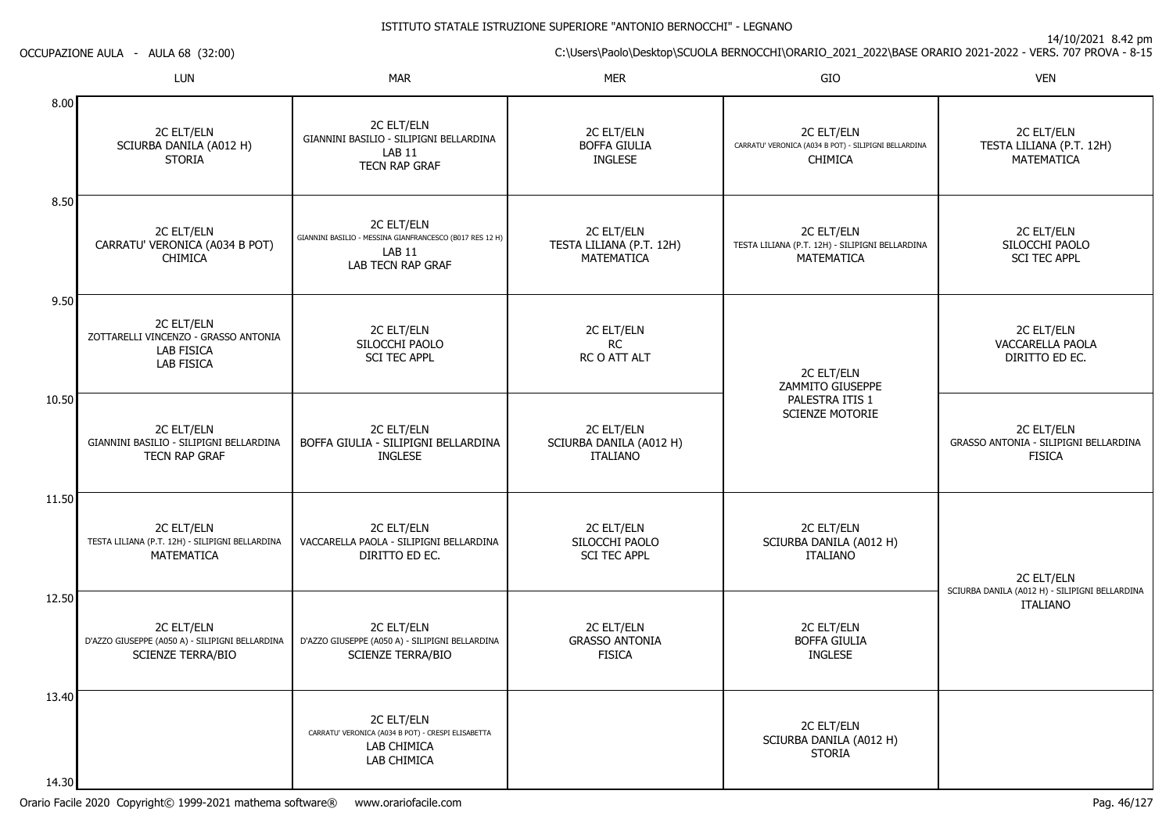C:\Users\Paolo\Desktop\SCUOLA BERNOCCHI\ORARIO\_2021\_2022\BASE ORARIO 2021-2022 - VERS. 707 PROVA - 8-15

|                    | <b>LUN</b>                                                                                          | <b>MAR</b>                                                                                                              | <b>MER</b>                                                  | GIO                                                                                   | <b>VEN</b>                                                           |
|--------------------|-----------------------------------------------------------------------------------------------------|-------------------------------------------------------------------------------------------------------------------------|-------------------------------------------------------------|---------------------------------------------------------------------------------------|----------------------------------------------------------------------|
| 8.00               | 2C ELT/ELN<br>SCIURBA DANILA (A012 H)<br><b>STORIA</b>                                              | 2C ELT/ELN<br>GIANNINI BASILIO - SILIPIGNI BELLARDINA<br>LAB <sub>11</sub><br><b>TECN RAP GRAF</b>                      | 2C ELT/ELN<br><b>BOFFA GIULIA</b><br>INGLESE                | 2C ELT/ELN<br>CARRATU' VERONICA (A034 B POT) - SILIPIGNI BELLARDINA<br><b>CHIMICA</b> | 2C ELT/ELN<br>TESTA LILIANA (P.T. 12H)<br>MATEMATICA                 |
| 8.50               | 2C ELT/ELN<br>CARRATU' VERONICA (A034 B POT)<br><b>CHIMICA</b>                                      | <b>2C ELT/ELN</b><br>GIANNINI BASILIO - MESSINA GIANFRANCESCO (B017 RES 12 H)<br>LAB <sub>11</sub><br>LAB TECN RAP GRAF | 2C ELT/ELN<br>TESTA LILIANA (P.T. 12H)<br><b>MATEMATICA</b> | 2C ELT/ELN<br>TESTA LILIANA (P.T. 12H) - SILIPIGNI BELLARDINA<br>MATEMATICA           | 2C ELT/ELN<br>SILOCCHI PAOLO<br><b>SCI TEC APPL</b>                  |
| 9.50               | <b>2C ELT/ELN</b><br>ZOTTARELLI VINCENZO - GRASSO ANTONIA<br><b>LAB FISICA</b><br><b>LAB FISICA</b> | 2C ELT/ELN<br>SILOCCHI PAOLO<br><b>SCI TEC APPL</b>                                                                     | 2C ELT/ELN<br><b>RC</b><br>RC O ATT ALT                     | 2C ELT/ELN<br>ZAMMITO GIUSEPPE                                                        | 2C ELT/ELN<br>VACCARELLA PAOLA<br>DIRITTO ED EC.                     |
| 10.50              | 2C ELT/ELN<br>GIANNINI BASILIO - SILIPIGNI BELLARDINA<br><b>TECN RAP GRAF</b>                       | <b>2C ELT/ELN</b><br>BOFFA GIULIA - SILIPIGNI BELLARDINA<br><b>INGLESE</b>                                              | 2C ELT/ELN<br>SCIURBA DANILA (A012 H)<br><b>ITALIANO</b>    | PALESTRA ITIS 1<br><b>SCIENZE MOTORIE</b>                                             | 2C ELT/ELN<br>GRASSO ANTONIA - SILIPIGNI BELLARDINA<br><b>FISICA</b> |
| 11.50              | 2C ELT/ELN<br>TESTA LILIANA (P.T. 12H) - SILIPIGNI BELLARDINA<br><b>MATEMATICA</b>                  | 2C ELT/ELN<br>VACCARELLA PAOLA - SILIPIGNI BELLARDINA<br>DIRITTO ED EC.                                                 | 2C ELT/ELN<br>SILOCCHI PAOLO<br><b>SCI TEC APPL</b>         | 2C ELT/ELN<br>SCIURBA DANILA (A012 H)<br><b>ITALIANO</b>                              | 2C ELT/ELN                                                           |
| 12.50              | 2C ELT/ELN<br>D'AZZO GIUSEPPE (A050 A) - SILIPIGNI BELLARDINA<br><b>SCIENZE TERRA/BIO</b>           | 2C ELT/ELN<br>D'AZZO GIUSEPPE (A050 A) - SILIPIGNI BELLARDINA<br><b>SCIENZE TERRA/BIO</b>                               | 2C ELT/ELN<br><b>GRASSO ANTONIA</b><br><b>FISICA</b>        | 2C ELT/ELN<br><b>BOFFA GIULIA</b><br><b>INGLESE</b>                                   | SCIURBA DANILA (A012 H) - SILIPIGNI BELLARDINA<br><b>ITALIANO</b>    |
| 13.40  <br>14 30 I |                                                                                                     | <b>2C ELT/ELN</b><br>CARRATU' VERONICA (A034 B POT) - CRESPI ELISABETTA<br>LAB CHIMICA<br>LAB CHIMICA                   |                                                             | 2C ELT/ELN<br>SCIURBA DANILA (A012 H)<br><b>STORIA</b>                                |                                                                      |

OCCUPAZIONE AULA - AULA 68 (32:00)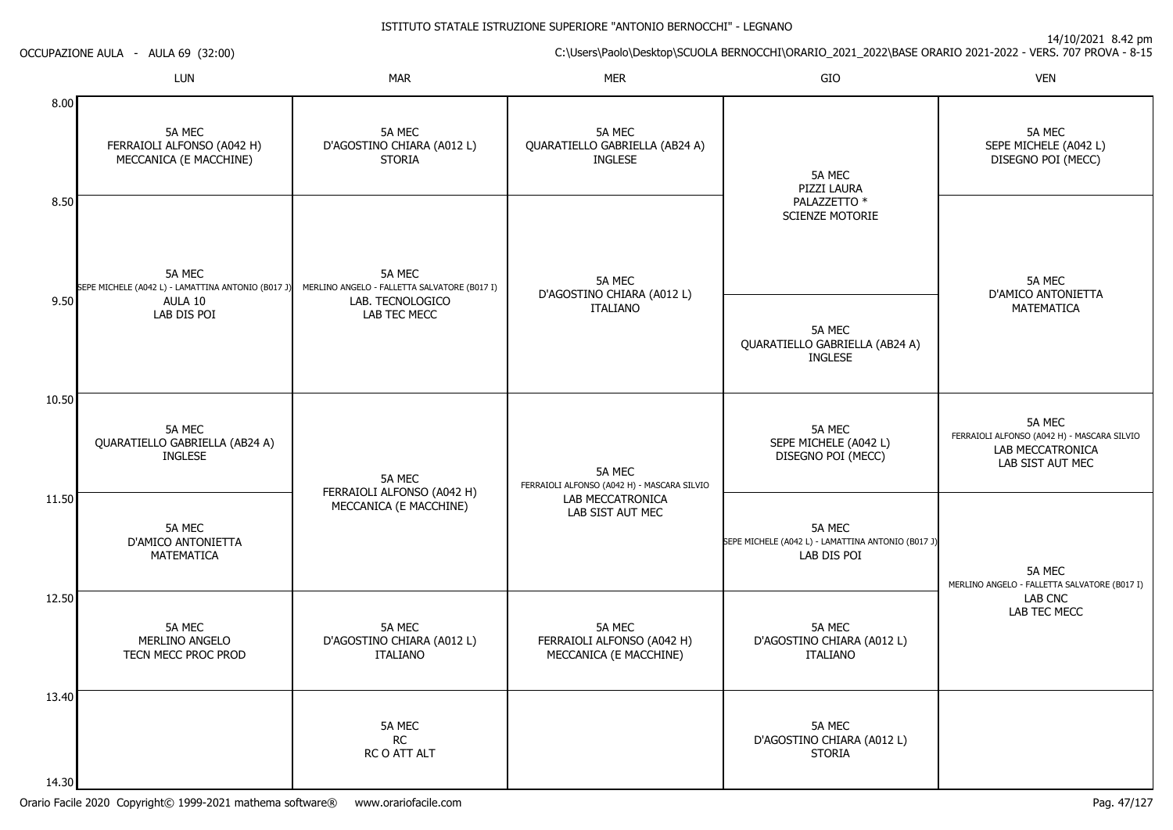14/10/2021 8.42 pm

C:\Users\Paolo\Desktop\SCUOLA BERNOCCHI\ORARIO\_2021\_2022\BASE ORARIO 2021-2022 - VERS. 707 PROVA - 8-15

OCCUPAZIONE AULA - AULA 69 (32:00)

|       | LUN                                                            | <b>MAR</b>                                             | <b>MER</b>                                                     | GIO                                                                         | <b>VEN</b>                                                                                    |
|-------|----------------------------------------------------------------|--------------------------------------------------------|----------------------------------------------------------------|-----------------------------------------------------------------------------|-----------------------------------------------------------------------------------------------|
| 8.00  | 5A MEC<br>FERRAIOLI ALFONSO (A042 H)<br>MECCANICA (E MACCHINE) | 5A MEC<br>D'AGOSTINO CHIARA (A012L)<br><b>STORIA</b>   | 5A MEC<br>QUARATIELLO GABRIELLA (AB24 A)<br><b>INGLESE</b>     | 5A MEC<br>PIZZI LAURA                                                       | 5A MEC<br>SEPE MICHELE (A042 L)<br>DISEGNO POI (MECC)                                         |
| 8.50  | 5A MEC<br>SEPE MICHELE (A042 L) - LAMATTINA ANTONIO (B017 J)   | 5A MEC<br>MERLINO ANGELO - FALLETTA SALVATORE (B017 I) | 5A MEC<br>D'AGOSTINO CHIARA (A012L)                            | PALAZZETTO *<br>SCIENZE MOTORIE                                             | 5A MEC<br>D'AMICO ANTONIETTA                                                                  |
| 9.50  | AULA 10<br>LAB DIS POI                                         | LAB. TECNOLOGICO<br>LAB TEC MECC                       | <b>ITALIANO</b>                                                | 5A MEC<br>QUARATIELLO GABRIELLA (AB24 A)<br><b>INGLESE</b>                  | MATEMATICA                                                                                    |
| 10.50 | 5A MEC<br>QUARATIELLO GABRIELLA (AB24 A)<br><b>INGLESE</b>     | 5A MEC                                                 | 5A MEC<br>FERRAIOLI ALFONSO (A042 H) - MASCARA SILVIO          | 5A MEC<br>SEPE MICHELE (A042 L)<br>DISEGNO POI (MECC)                       | 5A MEC<br>FERRAIOLI ALFONSO (A042 H) - MASCARA SILVIO<br>LAB MECCATRONICA<br>LAB SIST AUT MEC |
| 11.50 | 5A MEC<br>D'AMICO ANTONIETTA<br><b>MATEMATICA</b>              | FERRAIOLI ALFONSO (A042 H)<br>MECCANICA (E MACCHINE)   | LAB MECCATRONICA<br>LAB SIST AUT MEC                           | 5A MEC<br>SEPE MICHELE (A042 L) - LAMATTINA ANTONIO (B017 J)<br>LAB DIS POI | 5A MEC<br>MERLINO ANGELO - FALLETTA SALVATORE (B017 I)                                        |
| 12.50 | 5A MEC<br>MERLINO ANGELO<br>TECN MECC PROC PROD                | 5A MEC<br>D'AGOSTINO CHIARA (A012L)<br><b>ITALIANO</b> | 5A MEC<br>FERRAIOLI ALFONSO (A042 H)<br>MECCANICA (E MACCHINE) | 5A MEC<br>D'AGOSTINO CHIARA (A012L)<br><b>ITALIANO</b>                      | LAB CNC<br>LAB TEC MECC                                                                       |
| 13.40 |                                                                | 5A MEC<br><b>RC</b><br>RC O ATT ALT                    |                                                                | 5A MEC<br>D'AGOSTINO CHIARA (A012L)<br><b>STORIA</b>                        |                                                                                               |
| 14.30 |                                                                |                                                        |                                                                |                                                                             |                                                                                               |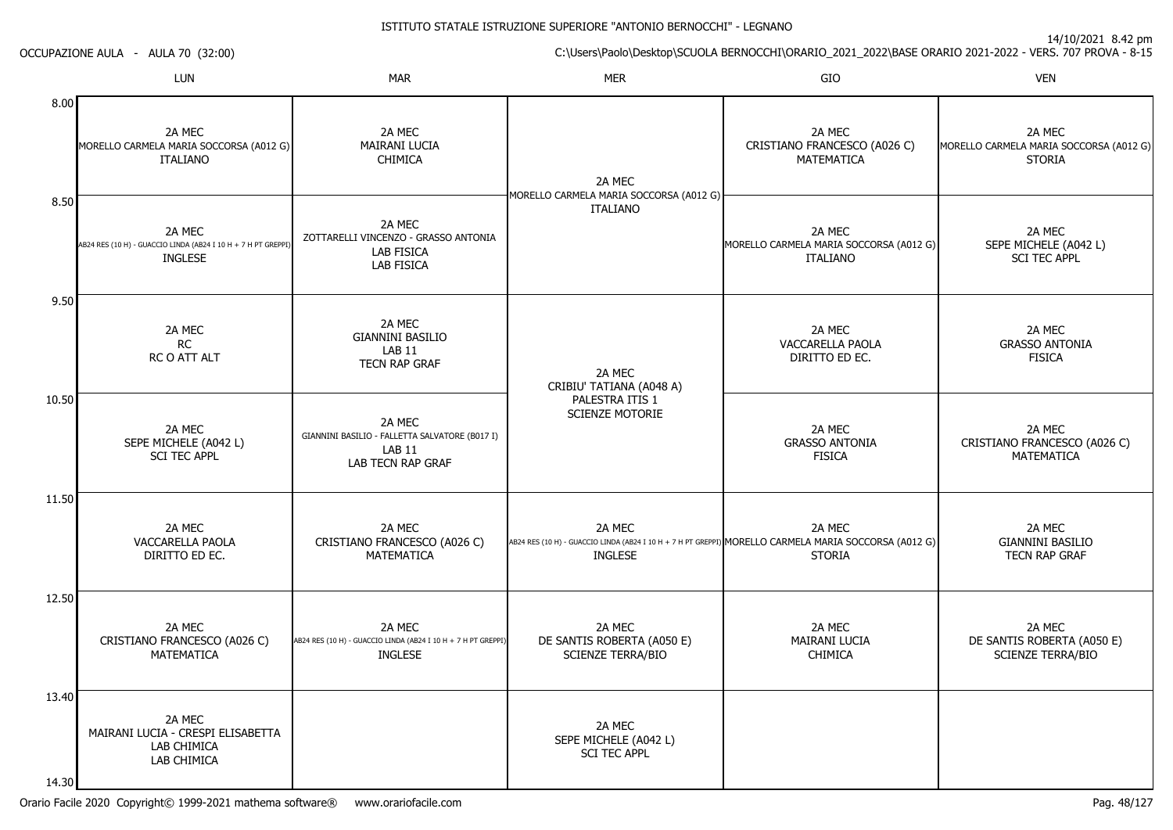|                | OCCUPAZIONE AULA - AULA 70 (32:00)                                                        | $\frac{1}{2}$ is $\frac{1}{2}$ is $\frac{1}{2}$ is the pine<br>C:\Users\Paolo\Desktop\SCUOLA BERNOCCHI\ORARIO_2021_2022\BASE ORARIO 2021-2022 - VERS. 707 PROVA - 8-15 |                                                                  |                                                                                                                                  |                                                                    |  |
|----------------|-------------------------------------------------------------------------------------------|------------------------------------------------------------------------------------------------------------------------------------------------------------------------|------------------------------------------------------------------|----------------------------------------------------------------------------------------------------------------------------------|--------------------------------------------------------------------|--|
|                | LUN                                                                                       | <b>MAR</b>                                                                                                                                                             | <b>MER</b>                                                       | GIO                                                                                                                              | <b>VEN</b>                                                         |  |
| 8.00           | 2A MEC<br>MORELLO CARMELA MARIA SOCCORSA (A012 G)<br><b>ITALIANO</b>                      | 2A MEC<br>MAIRANI LUCIA<br>CHIMICA                                                                                                                                     | 2A MEC                                                           | 2A MEC<br>CRISTIANO FRANCESCO (A026 C)<br>MATEMATICA                                                                             | 2A MEC<br>MORELLO CARMELA MARIA SOCCORSA (A012 G)<br><b>STORIA</b> |  |
| 8.50           | 2A MEC<br>AB24 RES (10 H) - GUACCIO LINDA (AB24 I 10 H + 7 H PT GREPPI)<br><b>INGLESE</b> | 2A MEC<br>ZOTTARELLI VINCENZO - GRASSO ANTONIA<br>LAB FISICA<br><b>LAB FISICA</b>                                                                                      | MORELLO CARMELA MARIA SOCCORSA (A012 G)<br><b>ITALIANO</b>       | 2A MEC<br>MORELLO CARMELA MARIA SOCCORSA (A012 G)<br>ITALIANO                                                                    | 2A MEC<br>SEPE MICHELE (A042 L)<br><b>SCI TEC APPL</b>             |  |
| 9.50           | 2A MEC<br><b>RC</b><br>RC O ATT ALT                                                       | 2A MEC<br><b>GIANNINI BASILIO</b><br><b>LAB 11</b><br><b>TECN RAP GRAF</b>                                                                                             | 2A MEC<br>CRIBIU' TATIANA (A048 A)                               | 2A MEC<br>VACCARELLA PAOLA<br>DIRITTO ED EC.                                                                                     | 2A MEC<br><b>GRASSO ANTONIA</b><br>FISICA                          |  |
| 10.50          | 2A MEC<br>SEPE MICHELE (A042 L)<br><b>SCI TEC APPL</b>                                    | 2A MEC<br>GIANNINI BASILIO - FALLETTA SALVATORE (B017 I)<br><b>LAB 11</b><br>LAB TECN RAP GRAF                                                                         | PALESTRA ITIS 1<br><b>SCIENZE MOTORIE</b>                        | 2A MEC<br><b>GRASSO ANTONIA</b><br><b>FISICA</b>                                                                                 | 2A MEC<br>CRISTIANO FRANCESCO (A026 C)<br>MATEMATICA               |  |
| 11.50          | 2A MEC<br>VACCARELLA PAOLA<br>DIRITTO ED EC.                                              | 2A MEC<br>CRISTIANO FRANCESCO (A026 C)<br>MATEMATICA                                                                                                                   | 2A MEC<br><b>INGLESE</b>                                         | 2A MEC<br>AB24 RES (10 H) - GUACCIO LINDA (AB24 I 10 H + 7 H PT GREPPI) MORELLO CARMELA MARIA SOCCORSA (A012 G)<br><b>STORIA</b> | 2A MEC<br><b>GIANNINI BASILIO</b><br>TECN RAP GRAF                 |  |
| 12.50          | 2A MEC<br>CRISTIANO FRANCESCO (A026 C)<br>MATEMATICA                                      | 2A MEC<br>AB24 RES (10 H) - GUACCIO LINDA (AB24 I 10 H + 7 H PT GREPPI)<br><b>INGLESE</b>                                                                              | 2A MEC<br>DE SANTIS ROBERTA (A050 E)<br><b>SCIENZE TERRA/BIO</b> | 2A MEC<br><b>MAIRANI LUCIA</b><br>CHIMICA                                                                                        | 2A MEC<br>DE SANTIS ROBERTA (A050 E)<br><b>SCIENZE TERRA/BIO</b>   |  |
| 13.40<br>14.30 | 2A MEC<br>MAIRANI LUCIA - CRESPI ELISABETTA<br>LAB CHIMICA<br>LAB CHIMICA                 |                                                                                                                                                                        | 2A MEC<br>SEPE MICHELE (A042 L)<br><b>SCI TEC APPL</b>           |                                                                                                                                  |                                                                    |  |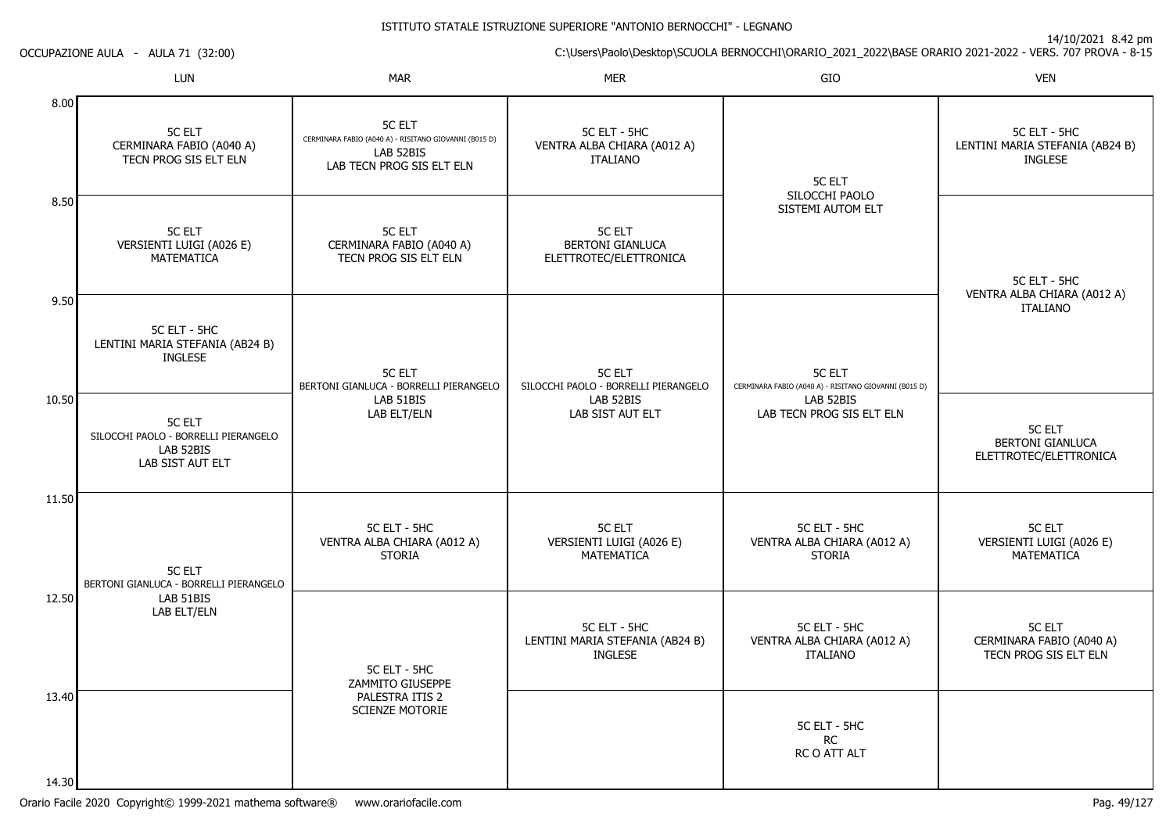14/10/2021 8.42 pm

C:\Users\Paolo\Desktop\SCUOLA BERNOCCHI\ORARIO\_2021\_2022\BASE ORARIO 2021-2022 - VERS. 707 PROVA - 8-15

OCCUPAZIONE AULA - AULA 71 (32:00)

|                | LUN                                                                                    | <b>MAR</b>                                                                                                       | <b>MER</b>                                                         | GIO                                                                    | <b>VEN</b>                                                         |
|----------------|----------------------------------------------------------------------------------------|------------------------------------------------------------------------------------------------------------------|--------------------------------------------------------------------|------------------------------------------------------------------------|--------------------------------------------------------------------|
| 8.00           | <b>5C ELT</b><br>CERMINARA FABIO (A040 A)<br>TECN PROG SIS ELT ELN                     | <b>5C ELT</b><br>CERMINARA FABIO (A040 A) - RISITANO GIOVANNI (B015 D)<br>LAB 52BIS<br>LAB TECN PROG SIS ELT ELN | 5C ELT - 5HC<br>VENTRA ALBA CHIARA (A012 A)<br><b>ITALIANO</b>     | 5C ELT                                                                 | 5C ELT - 5HC<br>LENTINI MARIA STEFANIA (AB24 B)<br>INGLESE         |
| 8.50           | <b>5C ELT</b><br>VERSIENTI LUIGI (A026 E)<br>MATEMATICA                                | <b>5C ELT</b><br>CERMINARA FABIO (A040 A)<br>TECN PROG SIS ELT ELN                                               | <b>5C ELT</b><br><b>BERTONI GIANLUCA</b><br>ELETTROTEC/ELETTRONICA | SILOCCHI PAOLO<br>SISTEMI AUTOM ELT                                    | 5C ELT - 5HC<br>VENTRA ALBA CHIARA (A012 A)                        |
| 9.50           | 5C ELT - 5HC<br>LENTINI MARIA STEFANIA (AB24 B)<br><b>INGLESE</b>                      | <b>5C ELT</b><br>BERTONI GIANLUCA - BORRELLI PIERANGELO                                                          | 5C ELT<br>SILOCCHI PAOLO - BORRELLI PIERANGELO                     | <b>5C ELT</b><br>CERMINARA FABIO (A040 A) - RISITANO GIOVANNI (B015 D) | <b>ITALIANO</b>                                                    |
| 10.50          | <b>5C ELT</b><br>SILOCCHI PAOLO - BORRELLI PIERANGELO<br>LAB 52BIS<br>LAB SIST AUT ELT | LAB 51BIS<br>LAB ELT/ELN                                                                                         | LAB 52BIS<br>LAB SIST AUT ELT                                      | LAB 52BIS<br>LAB TECN PROG SIS ELT ELN                                 | <b>5C ELT</b><br><b>BERTONI GIANLUCA</b><br>ELETTROTEC/ELETTRONICA |
| 11.50          | <b>5C ELT</b><br>BERTONI GIANLUCA - BORRELLI PIERANGELO                                | 5C ELT - 5HC<br>VENTRA ALBA CHIARA (A012 A)<br><b>STORIA</b>                                                     | 5C ELT<br>VERSIENTI LUIGI (A026 E)<br><b>MATEMATICA</b>            | 5C ELT - 5HC<br>VENTRA ALBA CHIARA (A012 A)<br><b>STORIA</b>           | <b>5C ELT</b><br>VERSIENTI LUIGI (A026 E)<br><b>MATEMATICA</b>     |
| 12.50          | LAB 51BIS<br>LAB ELT/ELN                                                               | 5C ELT - 5HC<br>ZAMMITO GIUSEPPE                                                                                 | 5C ELT - 5HC<br>LENTINI MARIA STEFANIA (AB24 B)<br><b>INGLESE</b>  | 5C ELT - 5HC<br>VENTRA ALBA CHIARA (A012 A)<br><b>ITALIANO</b>         | <b>5C ELT</b><br>CERMINARA FABIO (A040 A)<br>TECN PROG SIS ELT ELN |
| 13.40<br>14.30 |                                                                                        | PALESTRA ITIS 2<br><b>SCIENZE MOTORIE</b>                                                                        |                                                                    | 5C ELT - 5HC<br><b>RC</b><br>RC O ATT ALT                              |                                                                    |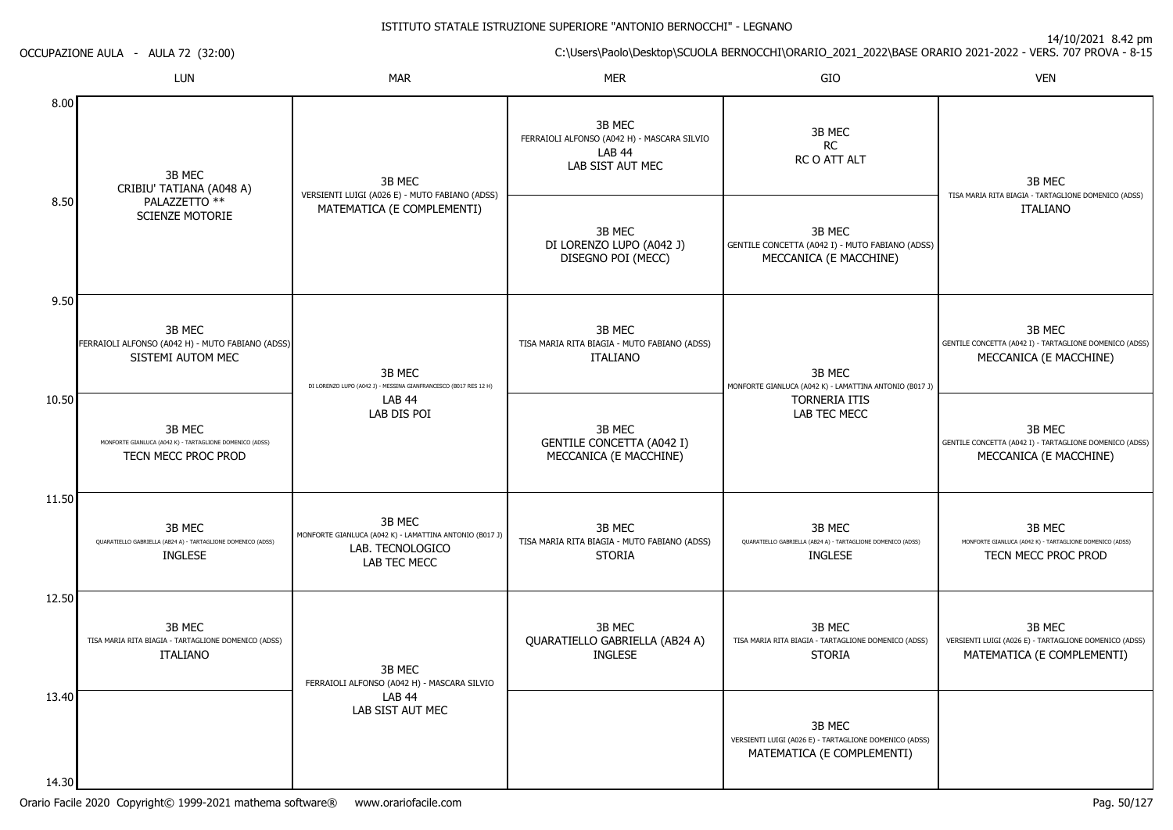14/10/2021 8.42 pm

C:\Users\Paolo\Desktop\SCUOLA BERNOCCHI\ORARIO\_2021\_2022\BASE ORARIO 2021-2022 - VERS. 707 PROVA - 8-15 OCCUPAZIONE AULA - AULA 72 (32:00)LUNN MAR MAR MER SIO O VEN 8.008.509.5010.5011.5012.5013.4014.303B MEC CRIBIU' TATIANA (A048 A)PALAZZETTO \*\* SCIENZE MOTORIE3B MEC FERRAIOLI ALFONSO (A042 H) - MUTO FABIANO (ADSS)SISTEMI AUTOM MEC3B MEC MONFORTE GIANLUCA (A042 K) - TARTAGLIONE DOMENICO (ADSS)TECN MECC PROC PROD3B MEC QUARATIELLO GABRIELLA (AB24 A) - TARTAGLIONE DOMENICO (ADSS)INGLESE3B MEC TISA MARIA RITA BIAGIA - TARTAGLIONE DOMENICO (ADSS)ITALIANO3B MEC VERSIENTI LUIGI (A026 E) - MUTO FABIANO (ADSS)MATEMATICA (E COMPLEMENTI)3B MEC DI LORENZO LUPO (A042 J) - MESSINA GIANFRANCESCO (B017 RES 12 H)LAB 44 LAB DIS POI3B MEC MONFORTE GIANLUCA (A042 K) - LAMATTINA ANTONIO (B017 J)LAB. TECNOLOGICOLAB TEC MECC3B MEC FERRAIOLI ALFONSO (A042 H) - MASCARA SILVIOLAB 44 LAB SIST AUT MEC3B MEC FERRAIOLI ALFONSO (A042 H) - MASCARA SILVIOLAB 44 LAB SIST AUT MEC3B MEC DI LORENZO LUPO (A042 J)DISEGNO POI (MECC)3B MEC TISA MARIA RITA BIAGIA - MUTO FABIANO (ADSS)ITALIANO3B MEC GENTILE CONCETTA (A042 I) MECCANICA (E MACCHINE)3B MEC TISA MARIA RITA BIAGIA - MUTO FABIANO (ADSS)STORIA3B MEC QUARATIELLO GABRIELLA (AB24 A)INGLESE3B MECRC RC O ATT ALT3B MEC GENTILE CONCETTA (A042 I) - MUTO FABIANO (ADSS)MECCANICA (E MACCHINE)3B MEC MONFORTE GIANLUCA (A042 K) - LAMATTINA ANTONIO (B017 J)TORNERIA ITIS LAB TEC MECC3B MEC QUARATIELLO GABRIELLA (AB24 A) - TARTAGLIONE DOMENICO (ADSS)INGLESE3B MEC TISA MARIA RITA BIAGIA - TARTAGLIONE DOMENICO (ADSS)STORIA3B MEC VERSIENTI LUIGI (A026 E) - TARTAGLIONE DOMENICO (ADSS)MATEMATICA (E COMPLEMENTI)3B MEC TISA MARIA RITA BIAGIA - TARTAGLIONE DOMENICO (ADSS)ITALIANO3B MEC GENTILE CONCETTA (A042 I) - TARTAGLIONE DOMENICO (ADSS)MECCANICA (E MACCHINE)3B MEC GENTILE CONCETTA (A042 I) - TARTAGLIONE DOMENICO (ADSS)MECCANICA (E MACCHINE)3B MEC MONFORTE GIANLUCA (A042 K) - TARTAGLIONE DOMENICO (ADSS)TECN MECC PROC PROD3B MEC VERSIENTI LUIGI (A026 E) - TARTAGLIONE DOMENICO (ADSS)MATEMATICA (E COMPLEMENTI)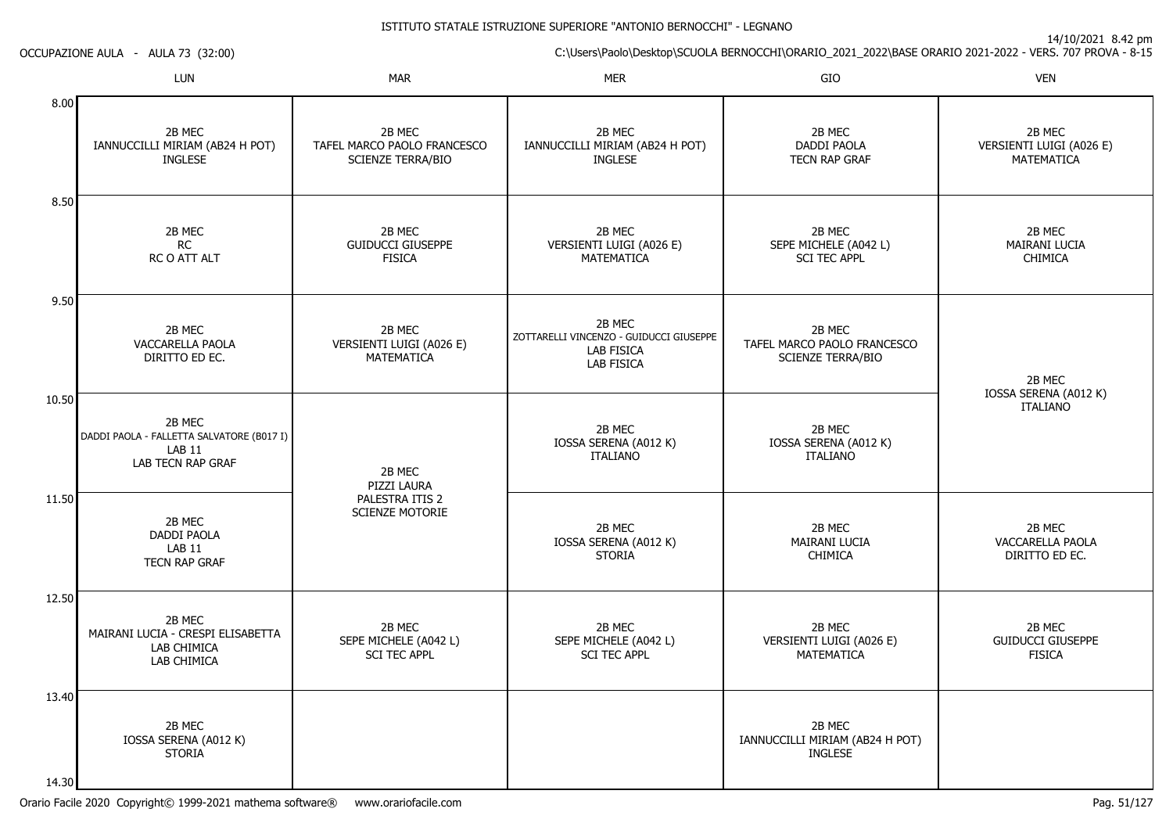14/10/2021 8.42 pm

C:\Users\Paolo\Desktop\SCUOLA BERNOCCHI\ORARIO\_2021\_2022\BASE ORARIO 2021-2022 - VERS. 707 PROVA - 8-15 OCCUPAZIONE AULA - AULA 73 (32:00)LUNN MAR MAR MER SIO O VEN 8.008.509.5010.5011.5012.5013.4014.302B MEC IANNUCCILLI MIRIAM (AB24 H POT)INGLESE2B MECRC RC O ATT ALT2B MEC VACCARELLA PAOLADIRITTO ED EC.2B MEC DADDI PAOLA - FALLETTA SALVATORE (B017 I)LAB 11 LAB TECN RAP GRAF2B MEC DADDI PAOLALAB 11 TECN RAP GRAF2B MEC MAIRANI LUCIA - CRESPI ELISABETTALAB CHIMICA LAB CHIMICA2B MEC IOSSA SERENA (A012 K)STORIA2B MEC TAFEL MARCO PAOLO FRANCESCOSCIENZE TERRA/BIO2B MEC GUIDUCCI GIUSEPPE**FISICA** 2B MEC VERSIENTI LUIGI (A026 E)MATEMATICA2B MEC PIZZI LAURA PALESTRA ITIS 2 SCIENZE MOTORIE2B MEC SEPE MICHELE (A042 L)SCI TEC APPL2B MEC IANNUCCILLI MIRIAM (AB24 H POT)INGLESE2B MEC VERSIENTI LUIGI (A026 E)MATEMATICA2B MEC ZOTTARELLI VINCENZO - GUIDUCCI GIUSEPPELAB FISICA LAB FISICA2B MEC IOSSA SERENA (A012 K)ITALIANO2B MEC IOSSA SERENA (A012 K)**STORIA** 2B MEC SEPE MICHELE (A042 L)SCI TEC APPL2B MEC DADDI PAOLA TECN RAP GRAF2B MEC SEPE MICHELE (A042 L)SCI TEC APPL 2B MEC TAFEL MARCO PAOLO FRANCESCOSCIENZE TERRA/BIO2B MEC IOSSA SERENA (A012 K)ITALIANO2B MEC MAIRANI LUCIA**CHIMICA** 2B MEC VERSIENTI LUIGI (A026 E)MATEMATICA2B MEC IANNUCCILLI MIRIAM (AB24 H POT)**INGLESE** 2B MEC VERSIENTI LUIGI (A026 E)MATEMATICA2B MEC MAIRANI LUCIACHIMICA2B MEC IOSSA SERENA (A012 K)ITALIANO2B MEC VACCARELLA PAOLADIRITTO ED EC.2B MEC GUIDUCCI GIUSEPPEFISICA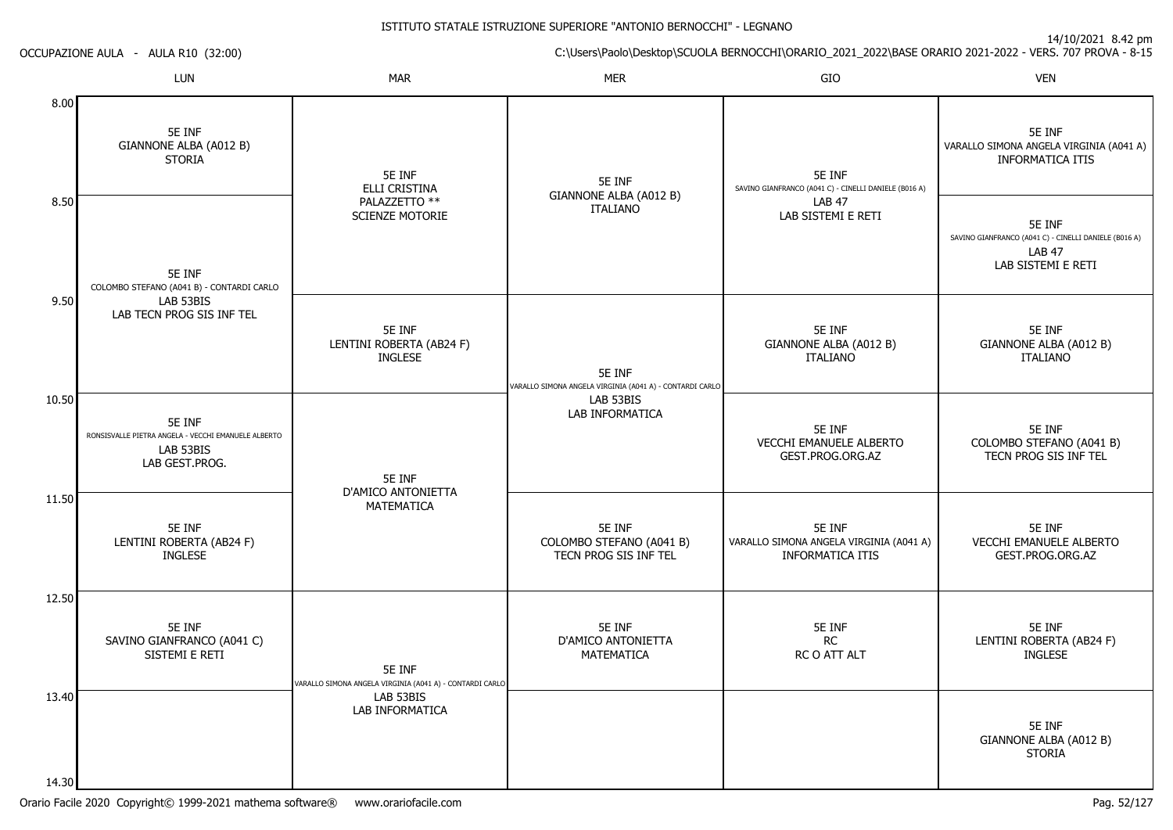|                | OCCUPAZIONE AULA - AULA R10 (32:00)                                                          |                                                                    |                                                                    |                                                                       | C:\Users\Paolo\Desktop\SCUOLA BERNOCCHI\ORARIO_2021_2022\BASE ORARIO 2021-2022 - VERS. 707 PROVA - 8-15 |
|----------------|----------------------------------------------------------------------------------------------|--------------------------------------------------------------------|--------------------------------------------------------------------|-----------------------------------------------------------------------|---------------------------------------------------------------------------------------------------------|
|                | <b>LUN</b>                                                                                   | <b>MAR</b>                                                         | <b>MER</b>                                                         | GIO                                                                   | <b>VEN</b>                                                                                              |
| 8.00           | 5E INF<br>GIANNONE ALBA (A012 B)<br><b>STORIA</b>                                            | 5E INF<br>ELLI CRISTINA                                            | 5E INF                                                             | 5E INF<br>SAVINO GIANFRANCO (A041 C) - CINELLI DANIELE (B016 A)       | 5E INF<br>VARALLO SIMONA ANGELA VIRGINIA (A041 A)<br><b>INFORMATICA ITIS</b>                            |
| 8.50           | 5E INF<br>COLOMBO STEFANO (A041 B) - CONTARDI CARLO                                          | PALAZZETTO **<br>SCIENZE MOTORIE                                   | GIANNONE ALBA (A012 B)<br><b>ITALIANO</b>                          | <b>LAB 47</b><br>LAB SISTEMI E RETI                                   | 5E INF<br>SAVINO GIANFRANCO (A041 C) - CINELLI DANIELE (B016 A)<br><b>LAB 47</b><br>LAB SISTEMI E RETI  |
| 9.50           | LAB 53BIS<br>LAB TECN PROG SIS INF TEL                                                       | 5E INF<br>LENTINI ROBERTA (AB24 F)<br><b>INGLESE</b>               | 5E INF<br>VARALLO SIMONA ANGELA VIRGINIA (A041 A) - CONTARDI CARLO | 5E INF<br>GIANNONE ALBA (A012 B)<br><b>ITALIANO</b>                   | 5E INF<br>GIANNONE ALBA (A012 B)<br><b>ITALIANO</b>                                                     |
| 10.50          | 5E INF<br>RONSISVALLE PIETRA ANGELA - VECCHI EMANUELE ALBERTO<br>LAB 53BIS<br>LAB GEST.PROG. | 5E INF                                                             | LAB 53BIS<br>LAB INFORMATICA                                       | 5E INF<br>VECCHI EMANUELE ALBERTO<br>GEST.PROG.ORG.AZ                 | 5E INF<br>COLOMBO STEFANO (A041 B)<br>TECN PROG SIS INF TEL                                             |
| 11.50          | 5E INF<br>LENTINI ROBERTA (AB24 F)<br><b>INGLESE</b>                                         | D'AMICO ANTONIETTA<br>MATEMATICA                                   | 5E INF<br>COLOMBO STEFANO (A041 B)<br>TECN PROG SIS INF TEL        | 5E INF<br>VARALLO SIMONA ANGELA VIRGINIA (A041 A)<br>INFORMATICA ITIS | 5E INF<br>VECCHI EMANUELE ALBERTO<br>GEST.PROG.ORG.AZ                                                   |
| 12.50          | 5E INF<br>SAVINO GIANFRANCO (A041 C)<br>SISTEMI E RETI                                       | 5E INF<br>VARALLO SIMONA ANGELA VIRGINIA (A041 A) - CONTARDI CARLO | 5E INF<br>D'AMICO ANTONIETTA<br>MATEMATICA                         | 5E INF<br>RC<br>RC O ATT ALT                                          | 5E INF<br>LENTINI ROBERTA (AB24 F)<br><b>INGLESE</b>                                                    |
| 13.40<br>14.30 |                                                                                              | LAB 53BIS<br>LAB INFORMATICA                                       |                                                                    |                                                                       | 5E INF<br>GIANNONE ALBA (A012 B)<br><b>STORIA</b>                                                       |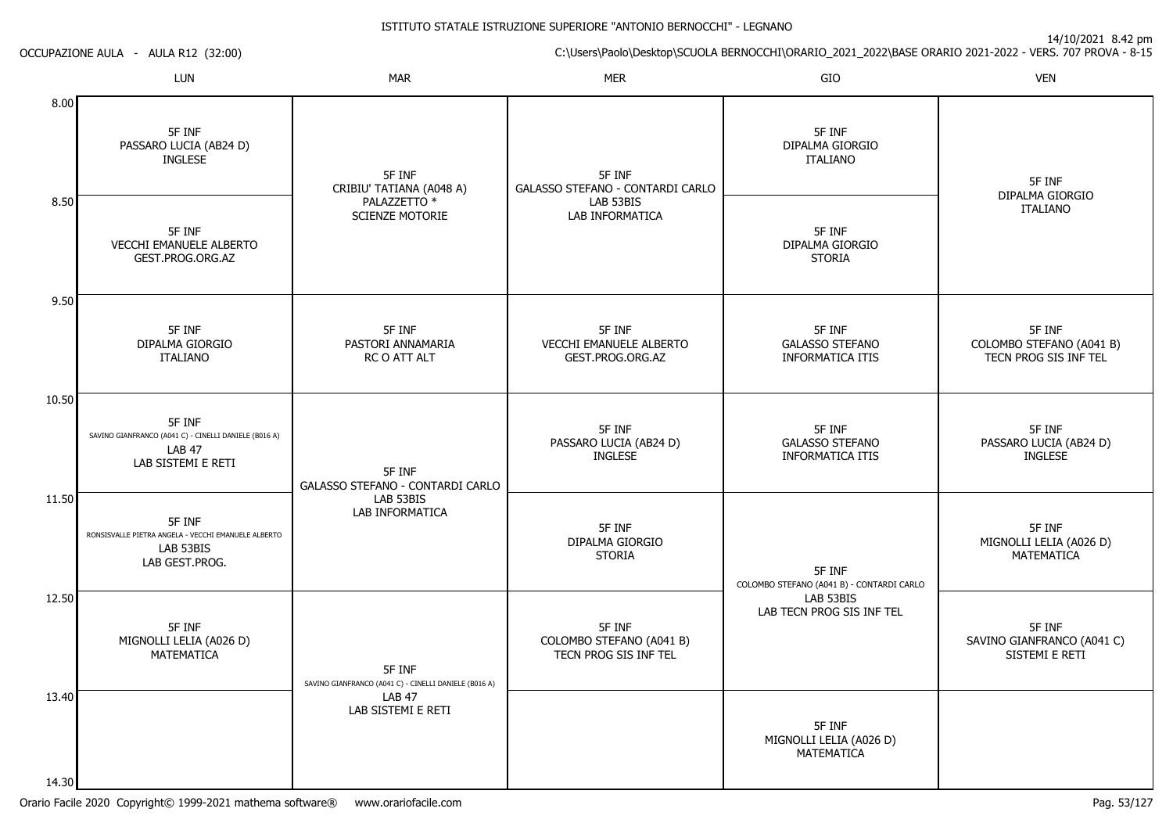|       | OCCUPAZIONE AULA - AULA R12 (32:00)                                                                    |                                                                 |                                                             | C:\Users\Paolo\Desktop\SCUOLA BERNOCCHI\ORARIO_2021_2022\BASE ORARIO 2021-2022 - VERS. 707 PROVA - 8-15 |                                                             |
|-------|--------------------------------------------------------------------------------------------------------|-----------------------------------------------------------------|-------------------------------------------------------------|---------------------------------------------------------------------------------------------------------|-------------------------------------------------------------|
|       | LUN                                                                                                    | <b>MAR</b>                                                      | <b>MER</b>                                                  | GIO                                                                                                     | <b>VEN</b>                                                  |
| 8.00  | 5F INF<br>PASSARO LUCIA (AB24 D)<br><b>INGLESE</b>                                                     | 5F INF<br>CRIBIU' TATIANA (A048 A)                              | 5F INF<br>GALASSO STEFANO - CONTARDI CARLO                  | 5F INF<br>DIPALMA GIORGIO<br><b>ITALIANO</b>                                                            | 5F INF                                                      |
| 8.50  | 5F INF<br><b>VECCHI EMANUELE ALBERTO</b><br>GEST.PROG.ORG.AZ                                           | PALAZZETTO *<br><b>SCIENZE MOTORIE</b>                          | LAB 53BIS<br>LAB INFORMATICA                                | 5F INF<br>DIPALMA GIORGIO<br><b>STORIA</b>                                                              | DIPALMA GIORGIO<br><b>ITALIANO</b>                          |
| 9.50  | 5F INF<br>DIPALMA GIORGIO<br><b>ITALIANO</b>                                                           | 5F INF<br>PASTORI ANNAMARIA<br>RC O ATT ALT                     | 5F INF<br>VECCHI EMANUELE ALBERTO<br>GEST.PROG.ORG.AZ       | 5F INF<br><b>GALASSO STEFANO</b><br><b>INFORMATICA ITIS</b>                                             | 5F INF<br>COLOMBO STEFANO (A041 B)<br>TECN PROG SIS INF TEL |
| 10.50 | 5F INF<br>SAVINO GIANFRANCO (A041 C) - CINELLI DANIELE (B016 A)<br><b>LAB 47</b><br>LAB SISTEMI E RETI | 5F INF<br>GALASSO STEFANO - CONTARDI CARLO                      | 5F INF<br>PASSARO LUCIA (AB24 D)<br><b>INGLESE</b>          | 5F INF<br><b>GALASSO STEFANO</b><br>INFORMATICA ITIS                                                    | 5F INF<br>PASSARO LUCIA (AB24 D)<br><b>INGLESE</b>          |
| 11.50 | 5F INF<br>RONSISVALLE PIETRA ANGELA - VECCHI EMANUELE ALBERTO<br>LAB 53BIS<br>LAB GEST.PROG.           | LAB 53BIS<br>LAB INFORMATICA                                    | 5F INF<br>DIPALMA GIORGIO<br><b>STORIA</b>                  | 5F INF<br>COLOMBO STEFANO (A041 B) - CONTARDI CARLO                                                     | 5F INF<br>MIGNOLLI LELIA (A026 D)<br>MATEMATICA             |
| 12.50 | 5F INF<br>MIGNOLLI LELIA (A026 D)<br>MATEMATICA                                                        | 5F INF<br>SAVINO GIANFRANCO (A041 C) - CINELLI DANIELE (B016 A) | 5F INF<br>COLOMBO STEFANO (A041 B)<br>TECN PROG SIS INF TEL | LAB 53BIS<br>LAB TECN PROG SIS INF TEL                                                                  | 5F INF<br>SAVINO GIANFRANCO (A041 C)<br>SISTEMI E RETI      |
| 13.40 |                                                                                                        | <b>LAB 47</b><br>LAB SISTEMI E RETI                             |                                                             | 5F INF<br>MIGNOLLI LELIA (A026 D)<br>MATEMATICA                                                         |                                                             |
| 14.30 |                                                                                                        |                                                                 |                                                             |                                                                                                         |                                                             |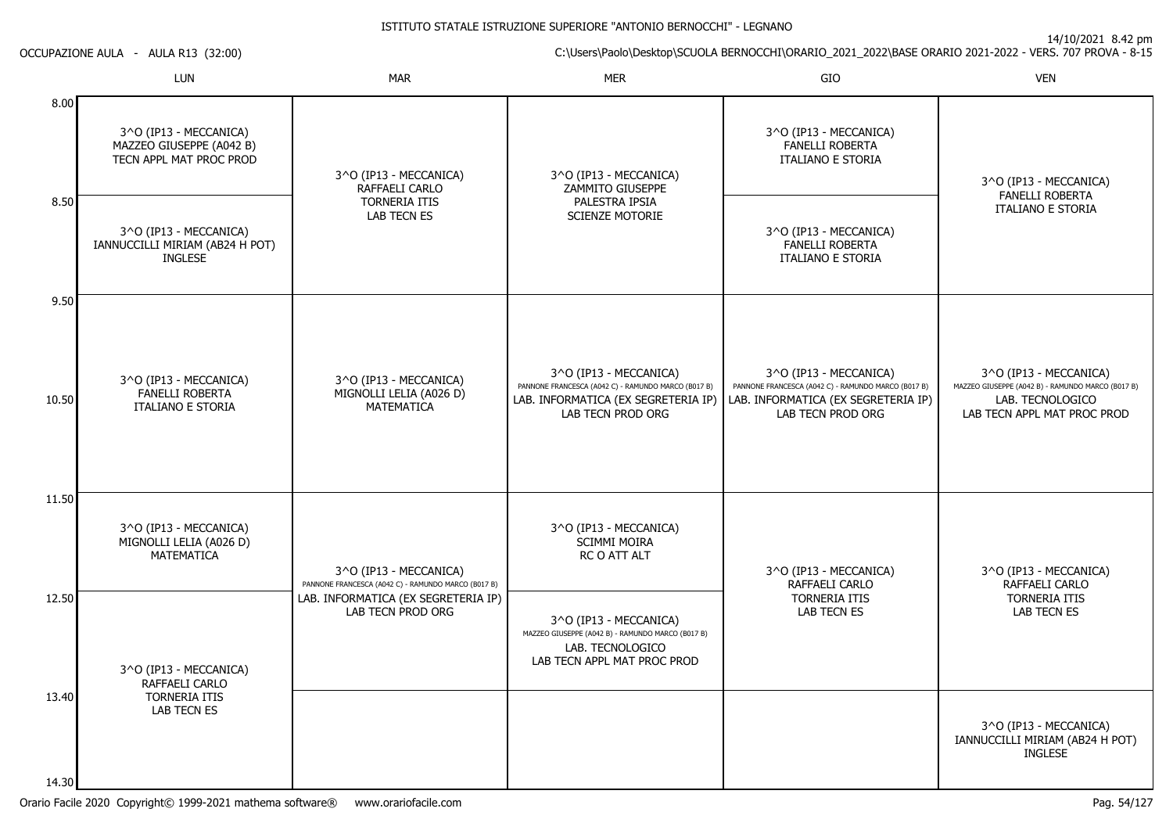14/10/2021 8.42 pm

C:\Users\Paolo\Desktop\SCUOLA BERNOCCHI\ORARIO\_2021\_2022\BASE ORARIO 2021-2022 - VERS. 707 PROVA - 8-15

OCCUPAZIONE AULA - AULA R13 (32:00)

|                | LUN                                                                           | <b>MAR</b>                                                                      | <b>MER</b>                                                                                                                                | GIO                                                                                                                                       | <b>VEN</b>                                                                                                                     |
|----------------|-------------------------------------------------------------------------------|---------------------------------------------------------------------------------|-------------------------------------------------------------------------------------------------------------------------------------------|-------------------------------------------------------------------------------------------------------------------------------------------|--------------------------------------------------------------------------------------------------------------------------------|
| 8.00           | 3^O (IP13 - MECCANICA)<br>MAZZEO GIUSEPPE (A042 B)<br>TECN APPL MAT PROC PROD | 3^O (IP13 - MECCANICA)<br>RAFFAELI CARLO                                        | 3^O (IP13 - MECCANICA)<br>ZAMMITO GIUSEPPE                                                                                                | 3^O (IP13 - MECCANICA)<br>FANELLI ROBERTA<br><b>ITALIANO E STORIA</b>                                                                     | 3^O (IP13 - MECCANICA)<br><b>FANELLI ROBERTA</b>                                                                               |
| 8.50           | 3^O (IP13 - MECCANICA)<br>IANNUCCILLI MIRIAM (AB24 H POT)<br><b>INGLESE</b>   | <b>TORNERIA ITIS</b><br>PALESTRA IPSIA<br>LAB TECN ES<br><b>SCIENZE MOTORIE</b> |                                                                                                                                           | 3^O (IP13 - MECCANICA)<br>FANELLI ROBERTA<br><b>ITALIANO E STORIA</b>                                                                     | <b>ITALIANO E STORIA</b>                                                                                                       |
| 9.50<br>10.50  | 3^O (IP13 - MECCANICA)<br>FANELLI ROBERTA<br><b>ITALIANO E STORIA</b>         | 3^O (IP13 - MECCANICA)<br>MIGNOLLI LELIA (A026 D)<br><b>MATEMATICA</b>          | 3^O (IP13 - MECCANICA)<br>PANNONE FRANCESCA (A042 C) - RAMUNDO MARCO (B017 B)<br>LAB. INFORMATICA (EX SEGRETERIA IP)<br>LAB TECN PROD ORG | 3^O (IP13 - MECCANICA)<br>PANNONE FRANCESCA (A042 C) - RAMUNDO MARCO (B017 B)<br>LAB. INFORMATICA (EX SEGRETERIA IP)<br>LAB TECN PROD ORG | 3^O (IP13 - MECCANICA)<br>MAZZEO GIUSEPPE (A042 B) - RAMUNDO MARCO (B017 B)<br>LAB. TECNOLOGICO<br>LAB TECN APPL MAT PROC PROD |
| 11.50          | 3^O (IP13 - MECCANICA)<br>MIGNOLLI LELIA (A026 D)<br><b>MATEMATICA</b>        | 3^O (IP13 - MECCANICA)<br>PANNONE FRANCESCA (A042 C) - RAMUNDO MARCO (B017 B)   | 3^O (IP13 - MECCANICA)<br><b>SCIMMI MOIRA</b><br>RC O ATT ALT                                                                             | 3^O (IP13 - MECCANICA)<br>RAFFAELI CARLO                                                                                                  | 3^O (IP13 - MECCANICA)<br>RAFFAELI CARLO                                                                                       |
| 12.50          | 3^O (IP13 - MECCANICA)<br>RAFFAELI CARLO                                      | LAB. INFORMATICA (EX SEGRETERIA IP)<br>LAB TECN PROD ORG                        | 3^O (IP13 - MECCANICA)<br>MAZZEO GIUSEPPE (A042 B) - RAMUNDO MARCO (B017 B)<br>LAB. TECNOLOGICO<br>LAB TECN APPL MAT PROC PROD            | <b>TORNERIA ITIS</b><br>LAB TECN ES                                                                                                       | <b>TORNERIA ITIS</b><br>LAB TECN ES                                                                                            |
| 13.40<br>14.30 | <b>TORNERIA ITIS</b><br>LAB TECN ES                                           |                                                                                 |                                                                                                                                           |                                                                                                                                           | 3^O (IP13 - MECCANICA)<br>IANNUCCILLI MIRIAM (AB24 H POT)<br><b>INGLESE</b>                                                    |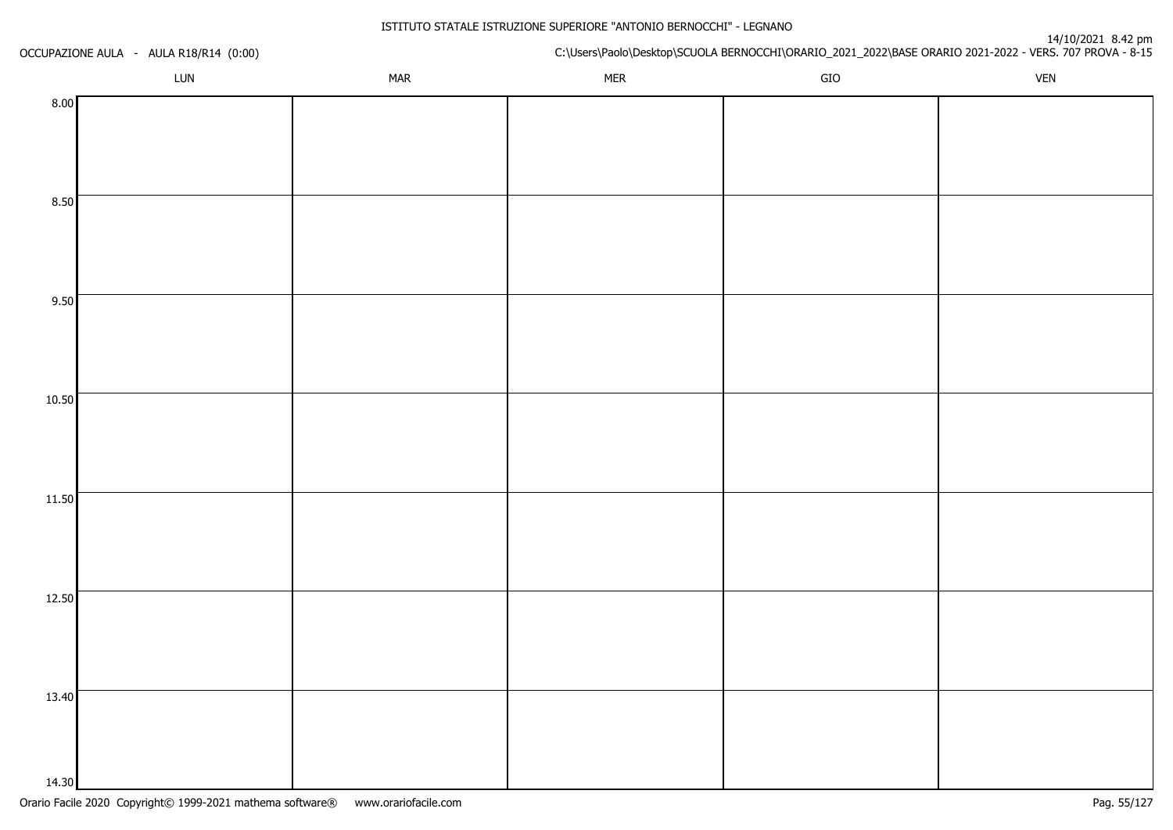| OCCUPAZIONE AULA - AULA R18/R14 (0:00) |     |            | rty to/2021-6.42-<br>C:\Users\Paolo\Desktop\SCUOLA BERNOCCHI\ORARIO_2021_2022\BASE ORARIO 2021-2022 - VERS. 707 PROVA - 8-15 |             |            |  |
|----------------------------------------|-----|------------|------------------------------------------------------------------------------------------------------------------------------|-------------|------------|--|
|                                        | LUN | <b>MAR</b> | <b>MER</b>                                                                                                                   | ${\sf GIO}$ | <b>VEN</b> |  |
| 8.00                                   |     |            |                                                                                                                              |             |            |  |
|                                        |     |            |                                                                                                                              |             |            |  |
|                                        |     |            |                                                                                                                              |             |            |  |
|                                        |     |            |                                                                                                                              |             |            |  |
| 8.50                                   |     |            |                                                                                                                              |             |            |  |
|                                        |     |            |                                                                                                                              |             |            |  |
|                                        |     |            |                                                                                                                              |             |            |  |
| 9.50                                   |     |            |                                                                                                                              |             |            |  |
|                                        |     |            |                                                                                                                              |             |            |  |
|                                        |     |            |                                                                                                                              |             |            |  |
|                                        |     |            |                                                                                                                              |             |            |  |
| 10.50                                  |     |            |                                                                                                                              |             |            |  |
|                                        |     |            |                                                                                                                              |             |            |  |
|                                        |     |            |                                                                                                                              |             |            |  |
|                                        |     |            |                                                                                                                              |             |            |  |
| 11.50                                  |     |            |                                                                                                                              |             |            |  |
|                                        |     |            |                                                                                                                              |             |            |  |
|                                        |     |            |                                                                                                                              |             |            |  |
| 12.50                                  |     |            |                                                                                                                              |             |            |  |
|                                        |     |            |                                                                                                                              |             |            |  |
|                                        |     |            |                                                                                                                              |             |            |  |
|                                        |     |            |                                                                                                                              |             |            |  |
| 13.40                                  |     |            |                                                                                                                              |             |            |  |
|                                        |     |            |                                                                                                                              |             |            |  |
|                                        |     |            |                                                                                                                              |             |            |  |
| 14.30                                  |     |            |                                                                                                                              |             |            |  |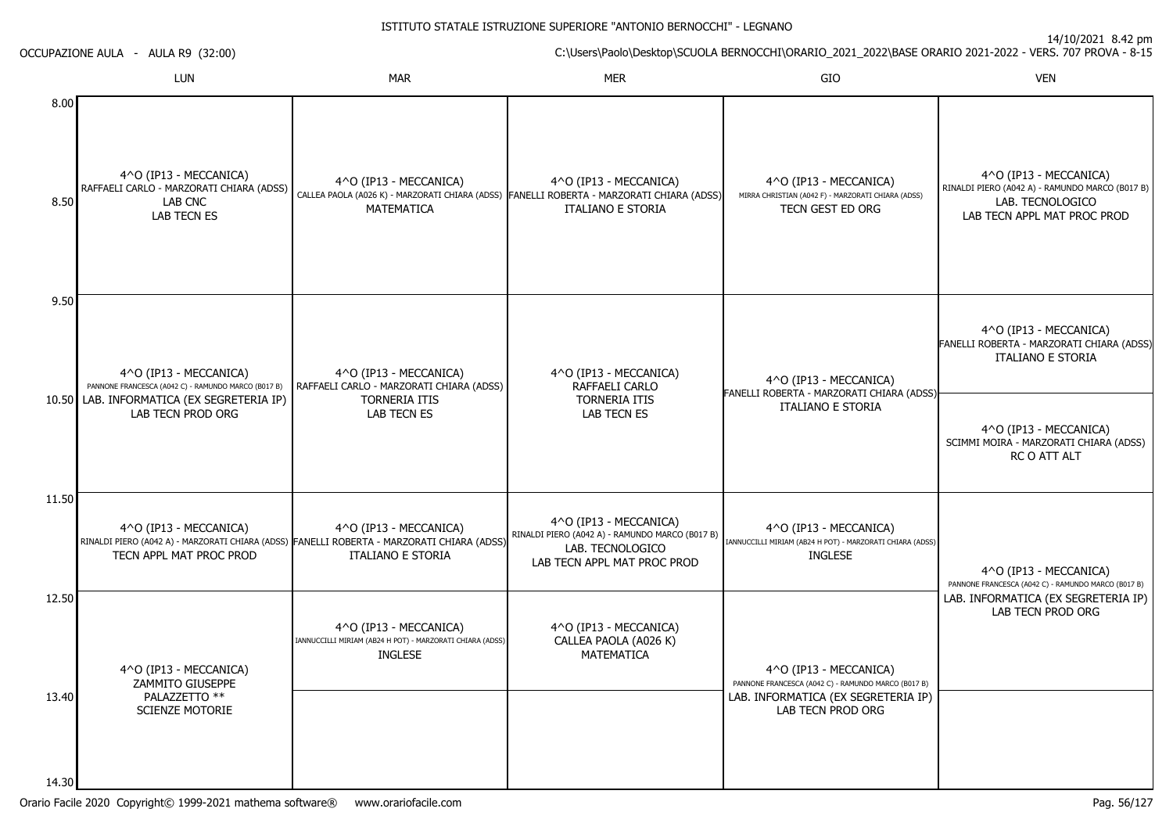|                | OCCUPAZIONE AULA - AULA R9 (32:00)                                                           |                                                                                                                                                  |                                                                                                                                          | C:\Users\Paolo\Desktop\SCUOLA BERNOCCHI\ORARIO_2021_2022\BASE ORARIO 2021-2022 - VERS. 707 PROVA - 8-15 |                                                                                                                              |
|----------------|----------------------------------------------------------------------------------------------|--------------------------------------------------------------------------------------------------------------------------------------------------|------------------------------------------------------------------------------------------------------------------------------------------|---------------------------------------------------------------------------------------------------------|------------------------------------------------------------------------------------------------------------------------------|
|                | <b>LUN</b>                                                                                   | <b>MAR</b>                                                                                                                                       | <b>MER</b>                                                                                                                               | GIO                                                                                                     | <b>VEN</b>                                                                                                                   |
| 8.00<br>8.50   | 4^O (IP13 - MECCANICA)<br>RAFFAELI CARLO - MARZORATI CHIARA (ADSS)<br>LAB CNC<br>LAB TECN ES | 4^O (IP13 - MECCANICA)<br><b>MATEMATICA</b>                                                                                                      | 4^O (IP13 - MECCANICA)<br>CALLEA PAOLA (A026 K) - MARZORATI CHIARA (ADSS) FANELLI ROBERTA - MARZORATI CHIARA (ADSS)<br>ITALIANO E STORIA | 4^O (IP13 - MECCANICA)<br>MIRRA CHRISTIAN (A042 F) - MARZORATI CHIARA (ADSS)<br>TECN GEST ED ORG        | 4^O (IP13 - MECCANICA)<br>RINALDI PIERO (A042 A) - RAMUNDO MARCO (B017 B)<br>LAB. TECNOLOGICO<br>LAB TECN APPL MAT PROC PROD |
| 9.50           | 4^O (IP13 - MECCANICA)<br>PANNONE FRANCESCA (A042 C) - RAMUNDO MARCO (B017 B)                | 4^O (IP13 - MECCANICA)<br>RAFFAELI CARLO - MARZORATI CHIARA (ADSS)                                                                               | 4^O (IP13 - MECCANICA)<br>RAFFAELI CARLO                                                                                                 | 4^O (IP13 - MECCANICA)<br>FANELLI ROBERTA - MARZORATI CHIARA (ADSS)                                     | 4^O (IP13 - MECCANICA)<br>FANELLI ROBERTA - MARZORATI CHIARA (ADSS)<br><b>ITALIANO E STORIA</b>                              |
|                | 10.50 LAB. INFORMATICA (EX SEGRETERIA IP)<br>LAB TECN PROD ORG                               | <b>TORNERIA ITIS</b><br>LAB TECN ES                                                                                                              | <b>TORNERIA ITIS</b><br>LAB TECN ES                                                                                                      | ITALIANO E STORIA                                                                                       | 4^O (IP13 - MECCANICA)<br>SCIMMI MOIRA - MARZORATI CHIARA (ADSS)<br>RC O ATT ALT                                             |
| 11.50          | 4^O (IP13 - MECCANICA)<br>TECN APPL MAT PROC PROD                                            | 4^O (IP13 - MECCANICA)<br>RINALDI PIERO (A042 A) - MARZORATI CHIARA (ADSS) FANELLI ROBERTA - MARZORATI CHIARA (ADSS)<br><b>ITALIANO E STORIA</b> | 4^O (IP13 - MECCANICA)<br>RINALDI PIERO (A042 A) - RAMUNDO MARCO (B017 B)<br>LAB. TECNOLOGICO<br>LAB TECN APPL MAT PROC PROD             | 4^O (IP13 - MECCANICA)<br>IANNUCCILLI MIRIAM (AB24 H POT) - MARZORATI CHIARA (ADSS)<br><b>INGLESE</b>   | 4^O (IP13 - MECCANICA)<br>PANNONE FRANCESCA (A042 C) - RAMUNDO MARCO (B017 B)                                                |
| 12.50          | 4^O (IP13 - MECCANICA)<br>ZAMMITO GIUSEPPE                                                   | 4^O (IP13 - MECCANICA)<br>IANNUCCILLI MIRIAM (AB24 H POT) - MARZORATI CHIARA (ADSS)<br><b>INGLESE</b>                                            | 4^O (IP13 - MECCANICA)<br>CALLEA PAOLA (A026 K)<br>MATEMATICA                                                                            | 4^O (IP13 - MECCANICA)<br>PANNONE FRANCESCA (A042 C) - RAMUNDO MARCO (B017 B)                           | LAB. INFORMATICA (EX SEGRETERIA IP)<br>LAB TECN PROD ORG                                                                     |
| 13.40<br>14.30 | PALAZZETTO **<br><b>SCIENZE MOTORIE</b>                                                      |                                                                                                                                                  |                                                                                                                                          | LAB. INFORMATICA (EX SEGRETERIA IP)<br>LAB TECN PROD ORG                                                |                                                                                                                              |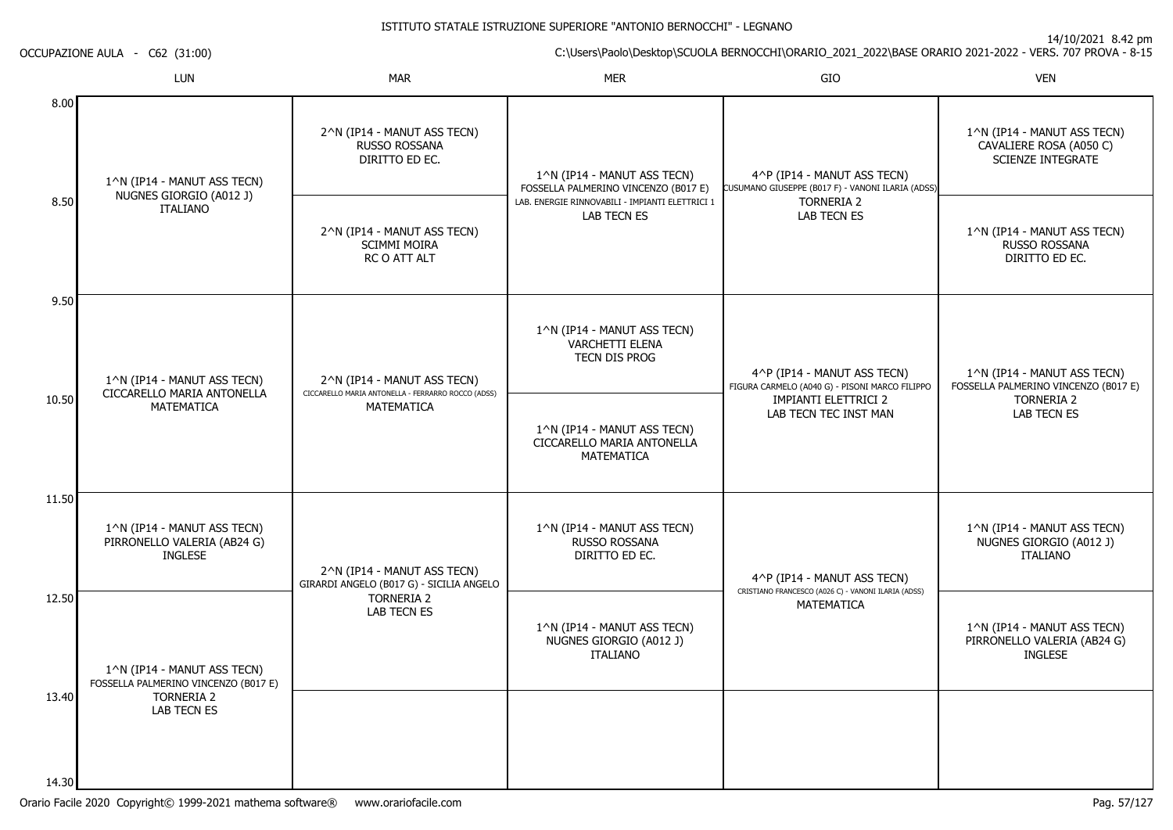14/10/2021 8.42 pm

C:\Users\Paolo\Desktop\SCUOLA BERNOCCHI\ORARIO\_2021\_2022\BASE ORARIO 2021-2022 - VERS. 707 PROVA - 8-15

OCCUPAZIONE AULA - C62 (31:00)

|                | LUN                                                                          | <b>MAR</b>                                                                        | <b>MER</b>                                                                | GIO                                                                              | <b>VEN</b>                                                                         |
|----------------|------------------------------------------------------------------------------|-----------------------------------------------------------------------------------|---------------------------------------------------------------------------|----------------------------------------------------------------------------------|------------------------------------------------------------------------------------|
| 8.00           | 1^N (IP14 - MANUT ASS TECN)                                                  | 2^N (IP14 - MANUT ASS TECN)<br>RUSSO ROSSANA<br>DIRITTO ED EC.                    | 1^N (IP14 - MANUT ASS TECN)<br>FOSSELLA PALMERINO VINCENZO (B017 E)       | 4^P (IP14 - MANUT ASS TECN)<br>CUSUMANO GIUSEPPE (B017 F) - VANONI ILARIA (ADSS) | 1^N (IP14 - MANUT ASS TECN)<br>CAVALIERE ROSA (A050 C)<br><b>SCIENZE INTEGRATE</b> |
| 8.50           | NUGNES GIORGIO (A012 J)<br><b>ITALIANO</b>                                   | 2^N (IP14 - MANUT ASS TECN)<br><b>SCIMMI MOIRA</b><br>RC O ATT ALT                | LAB. ENERGIE RINNOVABILI - IMPIANTI ELETTRICI 1<br>LAB TECN ES            | <b>TORNERIA 2</b><br><b>LAB TECN ES</b>                                          | 1^N (IP14 - MANUT ASS TECN)<br>RUSSO ROSSANA<br>DIRITTO ED EC.                     |
| 9.50           | 1^N (IP14 - MANUT ASS TECN)<br>CICCARELLO MARIA ANTONELLA                    | 2^N (IP14 - MANUT ASS TECN)<br>CICCARELLO MARIA ANTONELLA - FERRARRO ROCCO (ADSS) | 1^N (IP14 - MANUT ASS TECN)<br>VARCHETTI ELENA<br>TECN DIS PROG           | 4^P (IP14 - MANUT ASS TECN)<br>FIGURA CARMELO (A040 G) - PISONI MARCO FILIPPO    | 1^N (IP14 - MANUT ASS TECN)<br>FOSSELLA PALMERINO VINCENZO (B017 E)                |
| 10.50          | MATEMATICA                                                                   | <b>MATEMATICA</b>                                                                 | 1^N (IP14 - MANUT ASS TECN)<br>CICCARELLO MARIA ANTONELLA<br>MATEMATICA   | <b>IMPIANTI ELETTRICI 2</b><br>LAB TECN TEC INST MAN                             | <b>TORNERIA 2</b><br><b>LAB TECN ES</b>                                            |
| 11.50          | 1^N (IP14 - MANUT ASS TECN)<br>PIRRONELLO VALERIA (AB24 G)<br><b>INGLESE</b> | 2^N (IP14 - MANUT ASS TECN)<br>GIRARDI ANGELO (B017 G) - SICILIA ANGELO           | 1^N (IP14 - MANUT ASS TECN)<br>RUSSO ROSSANA<br>DIRITTO ED EC.            | 4^P (IP14 - MANUT ASS TECN)                                                      | 1^N (IP14 - MANUT ASS TECN)<br>NUGNES GIORGIO (A012 J)<br><b>ITALIANO</b>          |
| 12.50          | 1^N (IP14 - MANUT ASS TECN)<br>FOSSELLA PALMERINO VINCENZO (B017 E)          | <b>TORNERIA 2</b><br>LAB TECN ES                                                  | 1^N (IP14 - MANUT ASS TECN)<br>NUGNES GIORGIO (A012 J)<br><b>ITALIANO</b> | CRISTIANO FRANCESCO (A026 C) - VANONI ILARIA (ADSS)<br>MATEMATICA                | 1^N (IP14 - MANUT ASS TECN)<br>PIRRONELLO VALERIA (AB24 G)<br><b>INGLESE</b>       |
| 13.40<br>14.30 | <b>TORNERIA 2</b><br>LAB TECN ES                                             |                                                                                   |                                                                           |                                                                                  |                                                                                    |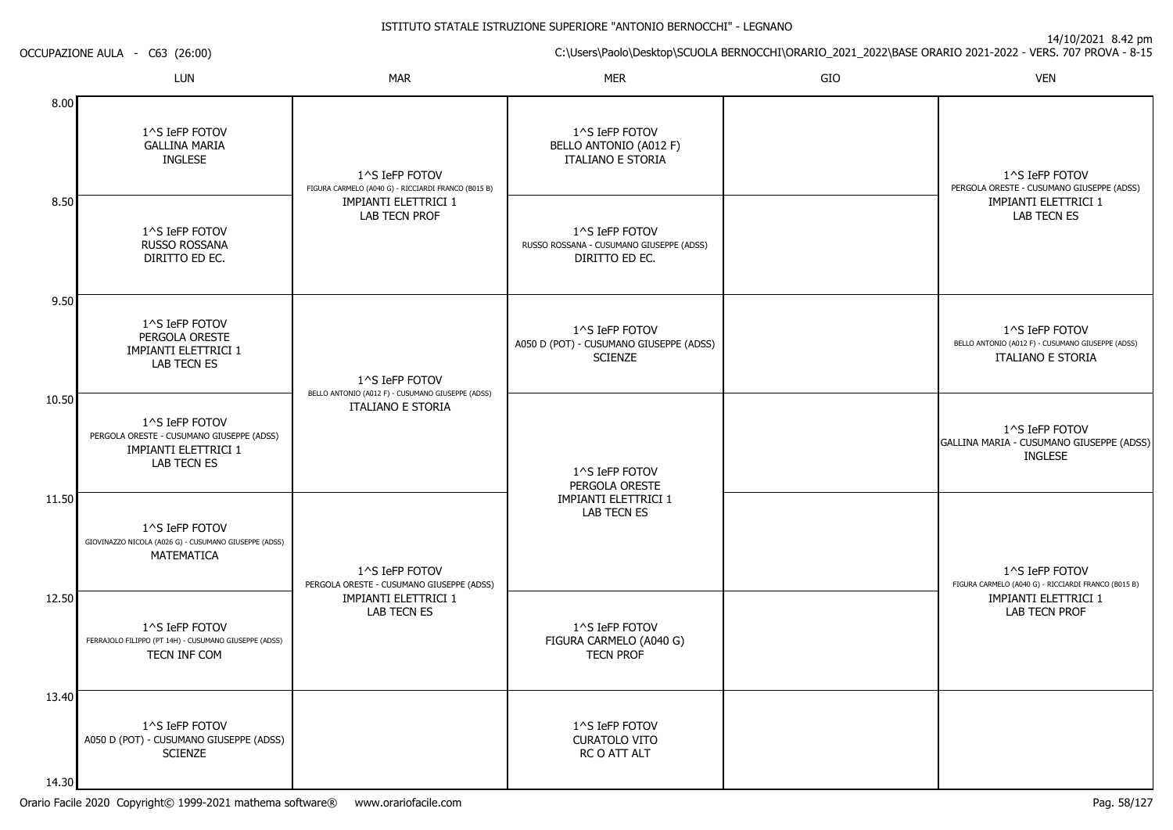14/10/2021 8.42 pm

C:\Users\Paolo\Desktop\SCUOLA BERNOCCHI\ORARIO\_2021\_2022\BASE ORARIO 2021-2022 - VERS. 707 PROVA - 8-15

LUNN MAR MAR MER SIO O VEN 8.008.509.5010.5011.5012.5013.401^S IeFP FOTOV GALLINA MARIAINGLESE1^S IeFP FOTOV RUSSO ROSSANA DIRITTO ED EC.1^S IeFP FOTOV PERGOLA ORESTE IMPIANTI ELETTRICI 1LAB TECN ES1^S IeFP FOTOV PERGOLA ORESTE - CUSUMANO GIUSEPPE (ADSS)IMPIANTI ELETTRICI 1LAB TECN ES1^S IeFP FOTOV GIOVINAZZO NICOLA (A026 G) - CUSUMANO GIUSEPPE (ADSS)**MATFMATICA** 1^S IeFP FOTOV FERRAJOLO FILIPPO (PT 14H) - CUSUMANO GIUSEPPE (ADSS)TECN INF COM1^S IeFP FOTOV A050 D (POT) - CUSUMANO GIUSEPPE (ADSS)**SCIENZE** 1^S IeFP FOTOV FIGURA CARMELO (A040 G) - RICCIARDI FRANCO (B015 B)IMPIANTI ELETTRICI 1LAB TECN PROF1^S IeFP FOTOV BELLO ANTONIO (A012 F) - CUSUMANO GIUSEPPE (ADSS)ITALIANO E STORIA1^S IeFP FOTOV PERGOLA ORESTE - CUSUMANO GIUSEPPE (ADSS)IMPIANTI ELETTRICI 1LAB TECN ES1^S IeFP FOTOV BELLO ANTONIO (A012 F)ITALIANO E STORIA1^S IeFP FOTOV RUSSO ROSSANA - CUSUMANO GIUSEPPE (ADSS)DIRITTO ED EC.1^S IeFP FOTOV A050 D (POT) - CUSUMANO GIUSEPPE (ADSS)**SCIENZE** 1^S IeFP FOTOV PERGOLA ORESTE IMPIANTI ELETTRICI 1LAB TECN ES1^S IeFP FOTOV FIGURA CARMELO (A040 G)TECN PROF1^S IeFP FOTOV CURATOLO VITO RC O ATT ALT1^S IeFP FOTOV PERGOLA ORESTE - CUSUMANO GIUSEPPE (ADSS)IMPIANTI ELETTRICI 1LAB TECN ES1^S IeFP FOTOV BELLO ANTONIO (A012 F) - CUSUMANO GIUSEPPE (ADSS)ITALIANO E STORIA1^S IeFP FOTOV GALLINA MARIA - CUSUMANO GIUSEPPE (ADSS)INGLESE1^S IeFP FOTOV FIGURA CARMELO (A040 G) - RICCIARDI FRANCO (B015 B)IMPIANTI ELETTRICI 1LAB TECN PROF

14.30

OCCUPAZIONE AULA - C63 (26:00)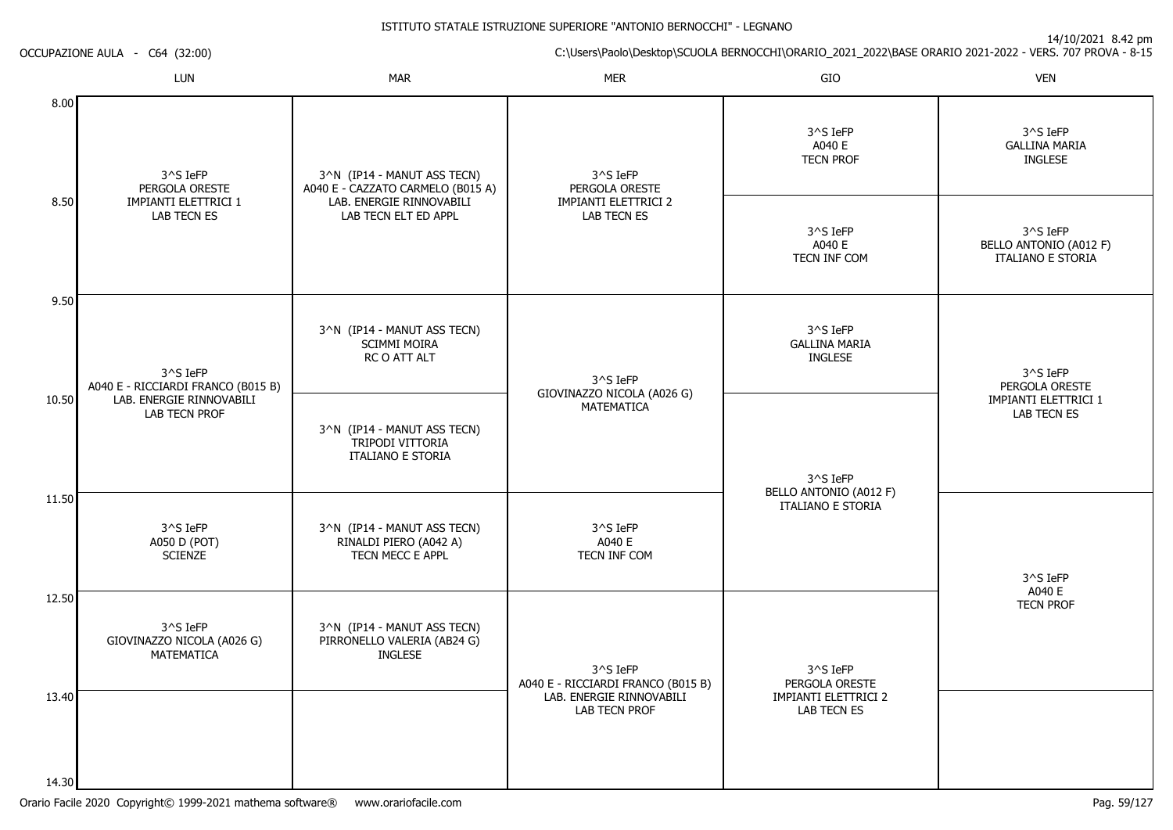14/10/2021 8.42 pm

C:\Users\Paolo\Desktop\SCUOLA BERNOCCHI\ORARIO\_2021\_2022\BASE ORARIO 2021-2022 - VERS. 707 PROVA - 8-15 OCCUPAZIONE AULA - C64 (32:00)

|                | LUN                                                  | <b>MAR</b>                                                                         | <b>MER</b>                                     | GIO                                                | <b>VEN</b>                                                     |
|----------------|------------------------------------------------------|------------------------------------------------------------------------------------|------------------------------------------------|----------------------------------------------------|----------------------------------------------------------------|
| 8.00           | 3^S IeFP                                             | 3^N (IP14 - MANUT ASS TECN)<br>A040 E - CAZZATO CARMELO (B015 A)<br>PERGOLA ORESTE | 3^S IeFP<br>PERGOLA ORESTE                     | 3^S IeFP<br>A040 E<br><b>TECN PROF</b>             | 3^S IeFP<br><b>GALLINA MARIA</b><br><b>INGLESE</b>             |
| 8.50           | IMPIANTI ELETTRICI 1<br>LAB TECN ES                  | LAB. ENERGIE RINNOVABILI<br>LAB TECN ELT ED APPL                                   | <b>IMPIANTI ELETTRICI 2</b><br>LAB TECN ES     | 3^S IeFP<br>A040 E<br>TECN INF COM                 | 3^S IeFP<br>BELLO ANTONIO (A012 F)<br><b>ITALIANO E STORIA</b> |
| 9.50           | 3^S IeFP<br>A040 E - RICCIARDI FRANCO (B015 B)       | 3^N (IP14 - MANUT ASS TECN)<br><b>SCIMMI MOIRA</b><br>RC O ATT ALT                 | 3^S IeFP<br>GIOVINAZZO NICOLA (A026 G)         | 3^S IeFP<br><b>GALLINA MARIA</b><br><b>INGLESE</b> | 3^S IeFP<br>PERGOLA ORESTE                                     |
| 10.50          | LAB. ENERGIE RINNOVABILI<br><b>LAB TECN PROF</b>     | 3^N (IP14 - MANUT ASS TECN)<br>TRIPODI VITTORIA<br><b>ITALIANO E STORIA</b>        | MATEMATICA                                     | $3^s$ S IeFP                                       | IMPIANTI ELETTRICI 1<br>LAB TECN ES                            |
| 11.50          | 3^S IeFP<br>A050 D (POT)<br><b>SCIENZE</b>           | 3^N (IP14 - MANUT ASS TECN)<br>RINALDI PIERO (A042 A)<br>TECN MECC E APPL          | 3^S IeFP<br>A040 E<br>TECN INF COM             | BELLO ANTONIO (A012 F)<br><b>ITALIANO E STORIA</b> | 3^S IeFP                                                       |
| 12.50          | 3^S IeFP<br>GIOVINAZZO NICOLA (A026 G)<br>MATEMATICA | 3^N (IP14 - MANUT ASS TECN)<br>PIRRONELLO VALERIA (AB24 G)<br><b>INGLESE</b>       | 3^S IeFP<br>A040 E - RICCIARDI FRANCO (B015 B) | 3^S IeFP<br>PERGOLA ORESTE                         | A040 E<br><b>TECN PROF</b>                                     |
| 13.40<br>14.30 |                                                      |                                                                                    | LAB. ENERGIE RINNOVABILI<br>LAB TECN PROF      | <b>IMPIANTI ELETTRICI 2</b><br>LAB TECN ES         |                                                                |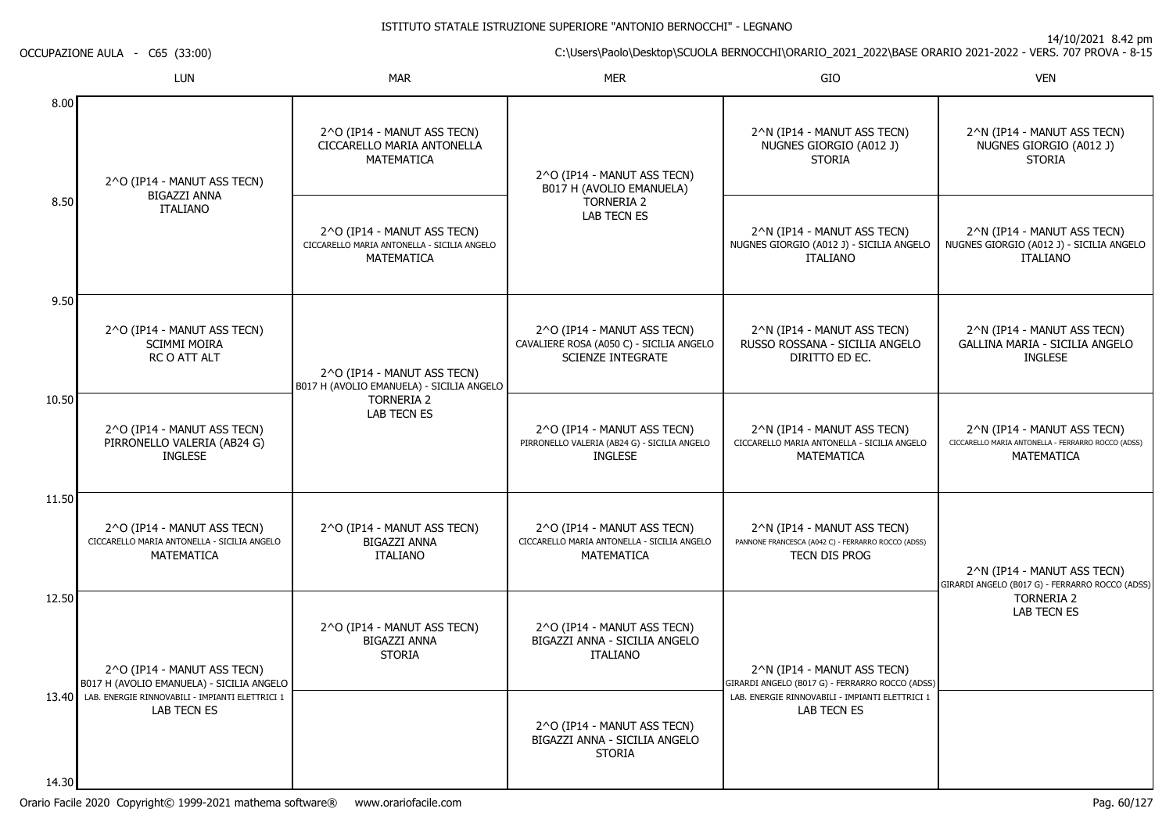14/10/2021 8.42 pm

C:\Users\Paolo\Desktop\SCUOLA BERNOCCHI\ORARIO\_2021\_2022\BASE ORARIO 2021-2022 - VERS. 707 PROVA - 8-15

OCCUPAZIONE AULA - C65 (33:00)

|       | <b>LUN</b>                                                                                      | <b>MAR</b>                                                                               | <b>MER</b>                                                                                      | GIO                                                                                                | <b>VEN</b>                                                                                             |
|-------|-------------------------------------------------------------------------------------------------|------------------------------------------------------------------------------------------|-------------------------------------------------------------------------------------------------|----------------------------------------------------------------------------------------------------|--------------------------------------------------------------------------------------------------------|
| 8.00  | 2^O (IP14 - MANUT ASS TECN)                                                                     | 2^O (IP14 - MANUT ASS TECN)<br>CICCARELLO MARIA ANTONELLA<br><b>MATEMATICA</b>           | 2^O (IP14 - MANUT ASS TECN)<br>B017 H (AVOLIO EMANUELA)                                         | 2^N (IP14 - MANUT ASS TECN)<br>NUGNES GIORGIO (A012 J)<br><b>STORIA</b>                            | 2^N (IP14 - MANUT ASS TECN)<br>NUGNES GIORGIO (A012 J)<br><b>STORIA</b>                                |
| 8.50  | <b>BIGAZZI ANNA</b><br><b>ITALIANO</b>                                                          | 2^O (IP14 - MANUT ASS TECN)<br>CICCARELLO MARIA ANTONELLA - SICILIA ANGELO<br>MATEMATICA | TORNERIA 2<br><b>LAB TECN ES</b>                                                                | 2^N (IP14 - MANUT ASS TECN)<br>NUGNES GIORGIO (A012 J) - SICILIA ANGELO<br><b>ITALIANO</b>         | 2^N (IP14 - MANUT ASS TECN)<br>NUGNES GIORGIO (A012 J) - SICILIA ANGELO<br><b>ITALIANO</b>             |
| 9.50  | 2^O (IP14 - MANUT ASS TECN)<br><b>SCIMMI MOIRA</b><br>RC O ATT ALT                              | 2^O (IP14 - MANUT ASS TECN)<br>B017 H (AVOLIO EMANUELA) - SICILIA ANGELO                 | 2^O (IP14 - MANUT ASS TECN)<br>CAVALIERE ROSA (A050 C) - SICILIA ANGELO<br>SCIENZE INTEGRATE    | 2^N (IP14 - MANUT ASS TECN)<br>RUSSO ROSSANA - SICILIA ANGELO<br>DIRITTO ED EC.                    | 2^N (IP14 - MANUT ASS TECN)<br>GALLINA MARIA - SICILIA ANGELO<br><b>INGLESE</b>                        |
| 10.50 | 2^O (IP14 - MANUT ASS TECN)<br>PIRRONELLO VALERIA (AB24 G)<br><b>INGLESE</b>                    | <b>TORNERIA 2</b><br>LAB TECN ES                                                         | 2^O (IP14 - MANUT ASS TECN)<br>PIRRONELLO VALERIA (AB24 G) - SICILIA ANGELO<br><b>INGLESE</b>   | 2^N (IP14 - MANUT ASS TECN)<br>CICCARELLO MARIA ANTONELLA - SICILIA ANGELO<br>MATEMATICA           | 2^N (IP14 - MANUT ASS TECN)<br>CICCARELLO MARIA ANTONELLA - FERRARRO ROCCO (ADSS)<br><b>MATEMATICA</b> |
| 11.50 | 2^O (IP14 - MANUT ASS TECN)<br>CICCARELLO MARIA ANTONELLA - SICILIA ANGELO<br><b>MATEMATICA</b> | 2^O (IP14 - MANUT ASS TECN)<br>BIGAZZI ANNA<br><b>ITALIANO</b>                           | 2^O (IP14 - MANUT ASS TECN)<br>CICCARELLO MARIA ANTONELLA - SICILIA ANGELO<br><b>MATEMATICA</b> | 2^N (IP14 - MANUT ASS TECN)<br>PANNONE FRANCESCA (A042 C) - FERRARRO ROCCO (ADSS)<br>TECN DIS PROG | 2^N (IP14 - MANUT ASS TECN)<br>GIRARDI ANGELO (B017 G) - FERRARRO ROCCO (ADSS)                         |
| 12.50 | 2^O (IP14 - MANUT ASS TECN)<br>B017 H (AVOLIO EMANUELA) - SICILIA ANGELO                        | 2^O (IP14 - MANUT ASS TECN)<br><b>BIGAZZI ANNA</b><br><b>STORIA</b>                      | 2^O (IP14 - MANUT ASS TECN)<br>BIGAZZI ANNA - SICILIA ANGELO<br><b>ITALIANO</b>                 | 2^N (IP14 - MANUT ASS TECN)<br>GIRARDI ANGELO (B017 G) - FERRARRO ROCCO (ADSS)                     | <b>TORNERIA 2</b><br><b>LAB TECN ES</b>                                                                |
| 14.30 | 13.40 LAB. ENERGIE RINNOVABILI - IMPIANTI ELETTRICI 1<br><b>LAB TECN ES</b>                     |                                                                                          | 2^O (IP14 - MANUT ASS TECN)<br>BIGAZZI ANNA - SICILIA ANGELO<br><b>STORIA</b>                   | LAB. ENERGIE RINNOVABILI - IMPIANTI ELETTRICI 1<br><b>LAB TECN ES</b>                              |                                                                                                        |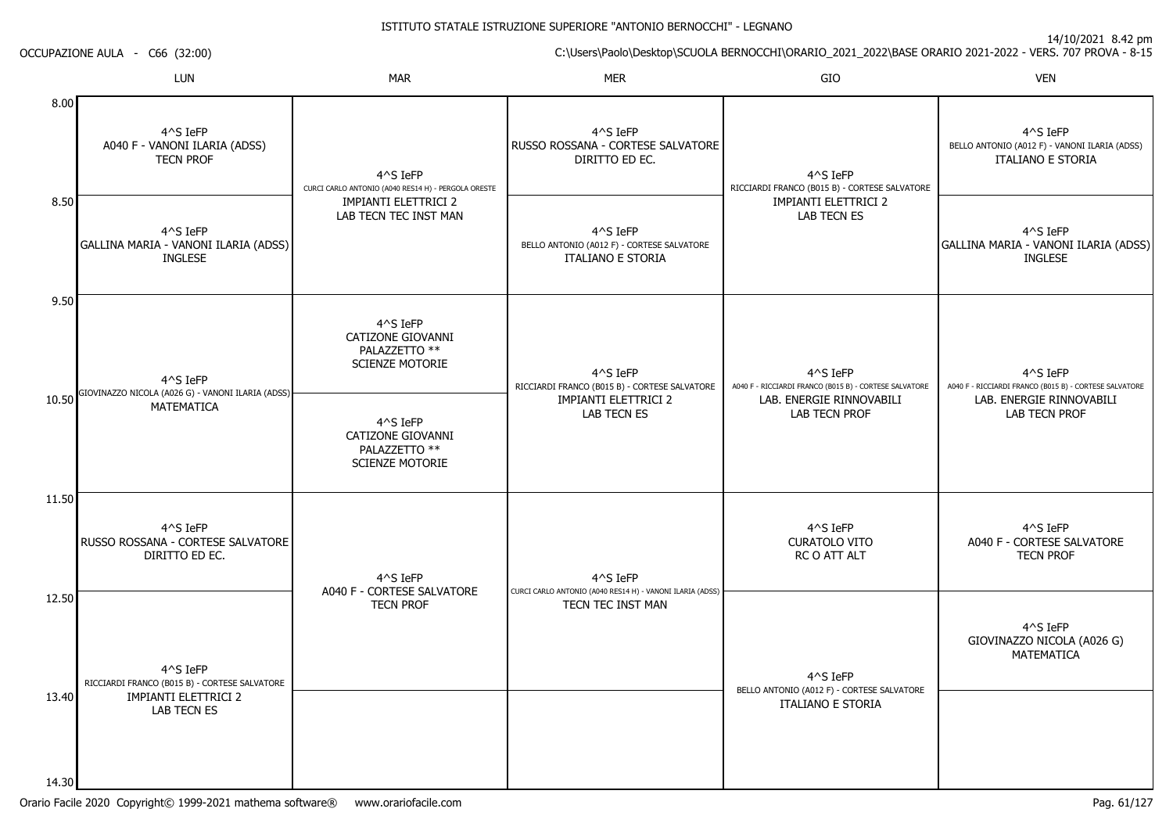14/10/2021 8.42 pm

C:\Users\Paolo\Desktop\SCUOLA BERNOCCHI\ORARIO\_2021\_2022\BASE ORARIO 2021-2022 - VERS. 707 PROVA - 8-15

LUNN MAR MAR MER SIO O VEN 8.008.509.5010.5011.5012.5013.404^S IeFP A040 F - VANONI ILARIA (ADSS)TECN PROF4^S IeFP GALLINA MARIA - VANONI ILARIA (ADSS)INGLESE4^S IeFP GIOVINAZZO NICOLA (A026 G) - VANONI ILARIA (ADSS)MATEMATICA4^S IeFP RUSSO ROSSANA - CORTESE SALVATOREDIRITTO ED EC.4^S IeFP RICCIARDI FRANCO (B015 B) - CORTESE SALVATOREIMPIANTI ELETTRICI 2LAB TECN ES4^S IeFP CURCI CARLO ANTONIO (A040 RES14 H) - PERGOLA ORESTEIMPIANTI ELETTRICI 2 LAB TECN TEC INST MAN4^S IeFP CATIZONE GIOVANNIPALAZZETTO \*\* SCIENZE MOTORIE4^S IeFP CATIZONE GIOVANNIPALAZZETTO \*\* SCIENZE MOTORIE4^S IeFP A040 F - CORTESE SALVATORETECN PROF4^S IeFP RUSSO ROSSANA - CORTESE SALVATOREDIRITTO ED EC.4^S IeFP BELLO ANTONIO (A012 F) - CORTESE SALVATOREITALIANO E STORIA4^S IeFP RICCIARDI FRANCO (B015 B) - CORTESE SALVATOREIMPIANTI ELETTRICI 2LAB TECN ES4^S IeFP CURCI CARLO ANTONIO (A040 RES14 H) - VANONI ILARIA (ADSS)TECN TEC INST MAN4^S IeFP RICCIARDI FRANCO (B015 B) - CORTESE SALVATOREIMPIANTI ELETTRICI 2LAB TECN ES4^S IeFP A040 F - RICCIARDI FRANCO (B015 B) - CORTESE SALVATORELAB. ENERGIE RINNOVABILILAB TECN PROF4^S IeFP CURATOLO VITO RC O ATT ALT4^S IeFP BELLO ANTONIO (A012 F) - CORTESE SALVATOREITALIANO E STORIA4^S IeFP BELLO ANTONIO (A012 F) - VANONI ILARIA (ADSS)ITALIANO E STORIA4^S IeFP GALLINA MARIA - VANONI ILARIA (ADSS)INGLESE4^S IeFP A040 F - RICCIARDI FRANCO (B015 B) - CORTESE SALVATORELAB. ENERGIE RINNOVABILILAB TECN PROF4^S IeFP A040 F - CORTESE SALVATORETECN PROF4^S IeFP GIOVINAZZO NICOLA (A026 G)MATEMATICA

14.30

OCCUPAZIONE AULA - C66 (32:00)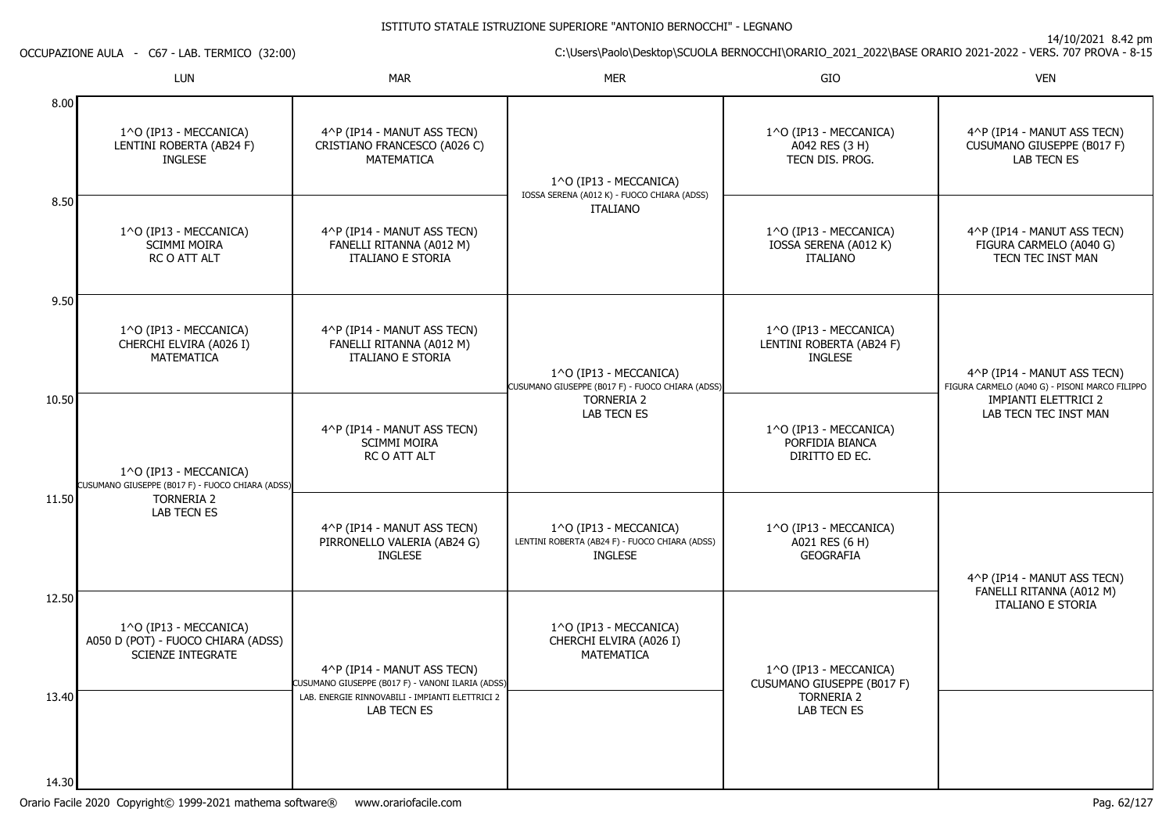14/10/2021 8.42 pm

C:\Users\Paolo\Desktop\SCUOLA BERNOCCHI\ORARIO\_2021\_2022\BASE ORARIO 2021-2022 - VERS. 707 PROVA - 8-15

OCCUPAZIONE AULA - C67 - LAB. TERMICO (32:00)

|                | <b>LUN</b>                                                                               | <b>MAR</b>                                                                          | <b>MER</b>                                                                                 | GIO                                                                  | <b>VEN</b>                                                                    |
|----------------|------------------------------------------------------------------------------------------|-------------------------------------------------------------------------------------|--------------------------------------------------------------------------------------------|----------------------------------------------------------------------|-------------------------------------------------------------------------------|
| 8.00           | 1^O (IP13 - MECCANICA)<br>LENTINI ROBERTA (AB24 F)<br><b>INGLESE</b>                     | 4^P (IP14 - MANUT ASS TECN)<br>CRISTIANO FRANCESCO (A026 C)<br><b>MATEMATICA</b>    | 1^O (IP13 - MECCANICA)<br>IOSSA SERENA (A012 K) - FUOCO CHIARA (ADSS)                      | 1^O (IP13 - MECCANICA)<br>A042 RES (3 H)<br>TECN DIS. PROG.          | 4^P (IP14 - MANUT ASS TECN)<br>CUSUMANO GIUSEPPE (B017 F)<br>LAB TECN ES      |
| 8.50           | 1^O (IP13 - MECCANICA)<br><b>SCIMMI MOIRA</b><br>RC O ATT ALT                            | 4^P (IP14 - MANUT ASS TECN)<br>FANELLI RITANNA (A012 M)<br><b>ITALIANO E STORIA</b> | <b>ITALIANO</b>                                                                            | 1^O (IP13 - MECCANICA)<br>IOSSA SERENA (A012 K)<br><b>ITALIANO</b>   | 4^P (IP14 - MANUT ASS TECN)<br>FIGURA CARMELO (A040 G)<br>TECN TEC INST MAN   |
| 9.50           | 1^O (IP13 - MECCANICA)<br>CHERCHI ELVIRA (A026 I)<br><b>MATEMATICA</b>                   | 4^P (IP14 - MANUT ASS TECN)<br>FANELLI RITANNA (A012 M)<br><b>ITALIANO E STORIA</b> | 1^0 (IP13 - MECCANICA)<br>CUSUMANO GIUSEPPE (B017 F) - FUOCO CHIARA (ADSS)                 | 1^O (IP13 - MECCANICA)<br>LENTINI ROBERTA (AB24 F)<br><b>INGLESE</b> | 4^P (IP14 - MANUT ASS TECN)<br>FIGURA CARMELO (A040 G) - PISONI MARCO FILIPPO |
| 10.50          | 1^O (IP13 - MECCANICA)<br>CUSUMANO GIUSEPPE (B017 F) - FUOCO CHIARA (ADSS)               | 4^P (IP14 - MANUT ASS TECN)<br><b>SCIMMI MOIRA</b><br>RC O ATT ALT                  | <b>TORNERIA 2</b><br>LAB TECN ES                                                           | 1^O (IP13 - MECCANICA)<br>PORFIDIA BIANCA<br>DIRITTO ED EC.          | <b>IMPIANTI ELETTRICI 2</b><br>LAB TECN TEC INST MAN                          |
| 11.50          | <b>TORNERIA 2</b><br><b>LAB TECN ES</b>                                                  | 4^P (IP14 - MANUT ASS TECN)<br>PIRRONELLO VALERIA (AB24 G)<br><b>INGLESE</b>        | 1^O (IP13 - MECCANICA)<br>LENTINI ROBERTA (AB24 F) - FUOCO CHIARA (ADSS)<br><b>INGLESE</b> | 1^O (IP13 - MECCANICA)<br>A021 RES (6 H)<br><b>GEOGRAFIA</b>         | 4^P (IP14 - MANUT ASS TECN)                                                   |
| 12.50          | 1^O (IP13 - MECCANICA)<br>A050 D (POT) - FUOCO CHIARA (ADSS)<br><b>SCIENZE INTEGRATE</b> | 4^P (IP14 - MANUT ASS TECN)<br>CUSUMANO GIUSEPPE (B017 F) - VANONI ILARIA (ADSS)    | 1^O (IP13 - MECCANICA)<br>CHERCHI ELVIRA (A026 I)<br><b>MATEMATICA</b>                     | 1^O (IP13 - MECCANICA)<br>CUSUMANO GIUSEPPE (B017 F)                 | FANELLI RITANNA (A012 M)<br><b>ITALIANO E STORIA</b>                          |
| 13.40<br>14.30 |                                                                                          | LAB. ENERGIE RINNOVABILI - IMPIANTI ELETTRICI 2<br>LAB TECN ES                      |                                                                                            | <b>TORNERIA 2</b><br>LAB TECN ES                                     |                                                                               |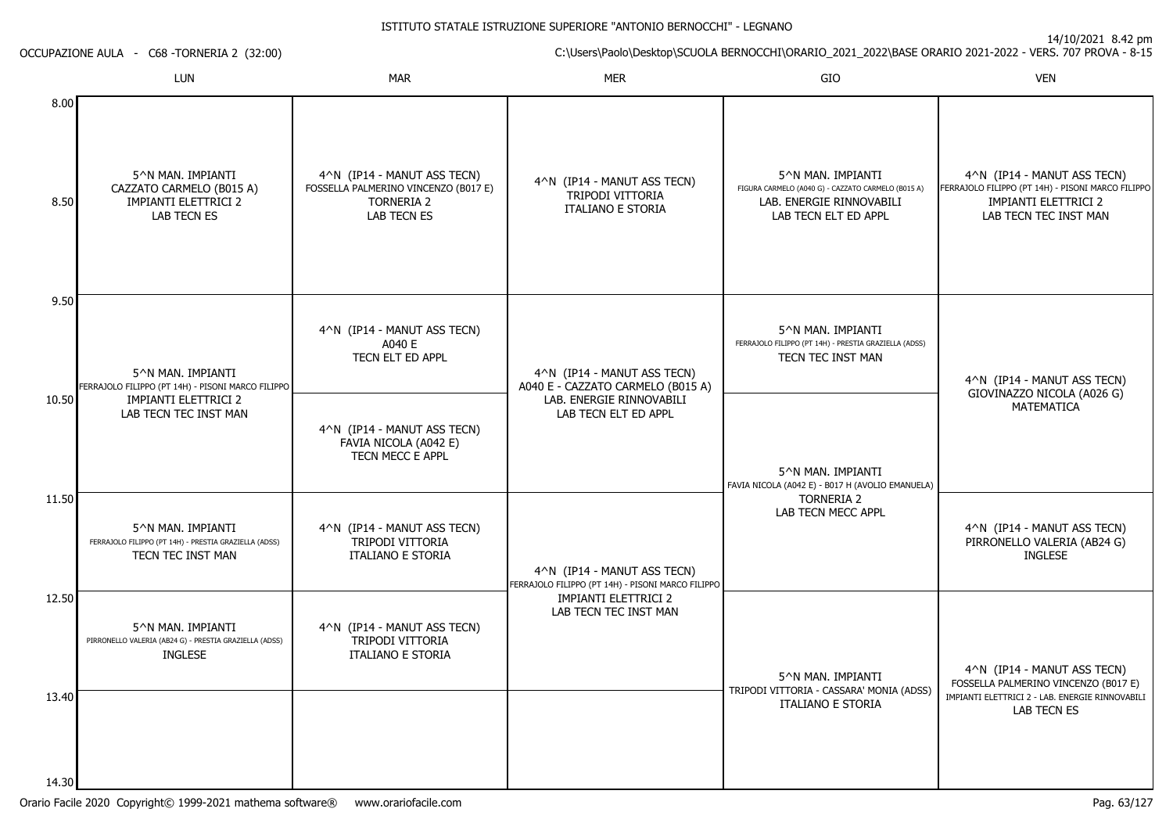14/10/2021 8.42 pm

C:\Users\Paolo\Desktop\SCUOLA BERNOCCHI\ORARIO\_2021\_2022\BASE ORARIO 2021-2022 - VERS. 707 PROVA - 8-15

OCCUPAZIONE AULA - C68 -TORNERIA 2 (32:00)

|                | LUN                                                                                             | <b>MAR</b>                                                                                                     | <b>MER</b>                                                                       | GIO                                                                                                                         | <b>VEN</b>                                                                                                                               |
|----------------|-------------------------------------------------------------------------------------------------|----------------------------------------------------------------------------------------------------------------|----------------------------------------------------------------------------------|-----------------------------------------------------------------------------------------------------------------------------|------------------------------------------------------------------------------------------------------------------------------------------|
| 8.00<br>8.50   | 5^N MAN. IMPIANTI<br>CAZZATO CARMELO (B015 A)<br>IMPIANTI ELETTRICI 2<br><b>LAB TECN ES</b>     | 4^N (IP14 - MANUT ASS TECN)<br>FOSSELLA PALMERINO VINCENZO (B017 E)<br><b>TORNERIA 2</b><br><b>LAB TECN ES</b> | 4^N (IP14 - MANUT ASS TECN)<br>TRIPODI VITTORIA<br><b>ITALIANO E STORIA</b>      | 5^N MAN. IMPIANTI<br>FIGURA CARMELO (A040 G) - CAZZATO CARMELO (B015 A)<br>LAB. ENERGIE RINNOVABILI<br>LAB TECN ELT ED APPL | 4^N (IP14 - MANUT ASS TECN)<br>FERRAJOLO FILIPPO (PT 14H) - PISONI MARCO FILIPPO<br><b>IMPIANTI ELETTRICI 2</b><br>LAB TECN TEC INST MAN |
| 9.50           | 5^N MAN. IMPIANTI<br>FERRAJOLO FILIPPO (PT 14H) - PISONI MARCO FILIPPO                          | 4^N (IP14 - MANUT ASS TECN)<br>A040 E<br>TECN ELT ED APPL                                                      | 4^N (IP14 - MANUT ASS TECN)<br>A040 E - CAZZATO CARMELO (B015 A)                 | 5^N MAN. IMPIANTI<br>FERRAJOLO FILIPPO (PT 14H) - PRESTIA GRAZIELLA (ADSS)<br>TECN TEC INST MAN                             | 4^N (IP14 - MANUT ASS TECN)<br>GIOVINAZZO NICOLA (A026 G)                                                                                |
| 10.50          | <b>IMPIANTI ELETTRICI 2</b><br>LAB TECN TEC INST MAN                                            | 4^N (IP14 - MANUT ASS TECN)<br>FAVIA NICOLA (A042 E)<br>TECN MECC E APPL                                       | LAB. ENERGIE RINNOVABILI<br>LAB TECN ELT ED APPL                                 | 5^N MAN. IMPIANTI<br>FAVIA NICOLA (A042 E) - B017 H (AVOLIO EMANUELA)                                                       | <b>MATEMATICA</b>                                                                                                                        |
| 11.50          | 5^N MAN. IMPIANTI<br>FERRAJOLO FILIPPO (PT 14H) - PRESTIA GRAZIELLA (ADSS)<br>TECN TEC INST MAN | 4^N (IP14 - MANUT ASS TECN)<br>TRIPODI VITTORIA<br><b>ITALIANO E STORIA</b>                                    | 4^N (IP14 - MANUT ASS TECN)<br>FERRAJOLO FILIPPO (PT 14H) - PISONI MARCO FILIPPO | <b>TORNERIA 2</b><br>LAB TECN MECC APPL                                                                                     | 4^N (IP14 - MANUT ASS TECN)<br>PIRRONELLO VALERIA (AB24 G)<br><b>INGLESE</b>                                                             |
| 12.50          | 5^N MAN. IMPIANTI<br>PIRRONELLO VALERIA (AB24 G) - PRESTIA GRAZIELLA (ADSS)<br><b>INGLESE</b>   | 4^N (IP14 - MANUT ASS TECN)<br>TRIPODI VITTORIA<br><b>ITALIANO E STORIA</b>                                    | <b>IMPIANTI ELETTRICI 2</b><br>LAB TECN TEC INST MAN                             | 5^N MAN. IMPIANTI                                                                                                           | 4^N (IP14 - MANUT ASS TECN)<br>FOSSELLA PALMERINO VINCENZO (B017 E)                                                                      |
| 13.40<br>14.30 |                                                                                                 |                                                                                                                |                                                                                  | TRIPODI VITTORIA - CASSARA' MONIA (ADSS)<br><b>ITALIANO E STORIA</b>                                                        | IMPIANTI ELETTRICI 2 - LAB. ENERGIE RINNOVABILI<br><b>LAB TECN ES</b>                                                                    |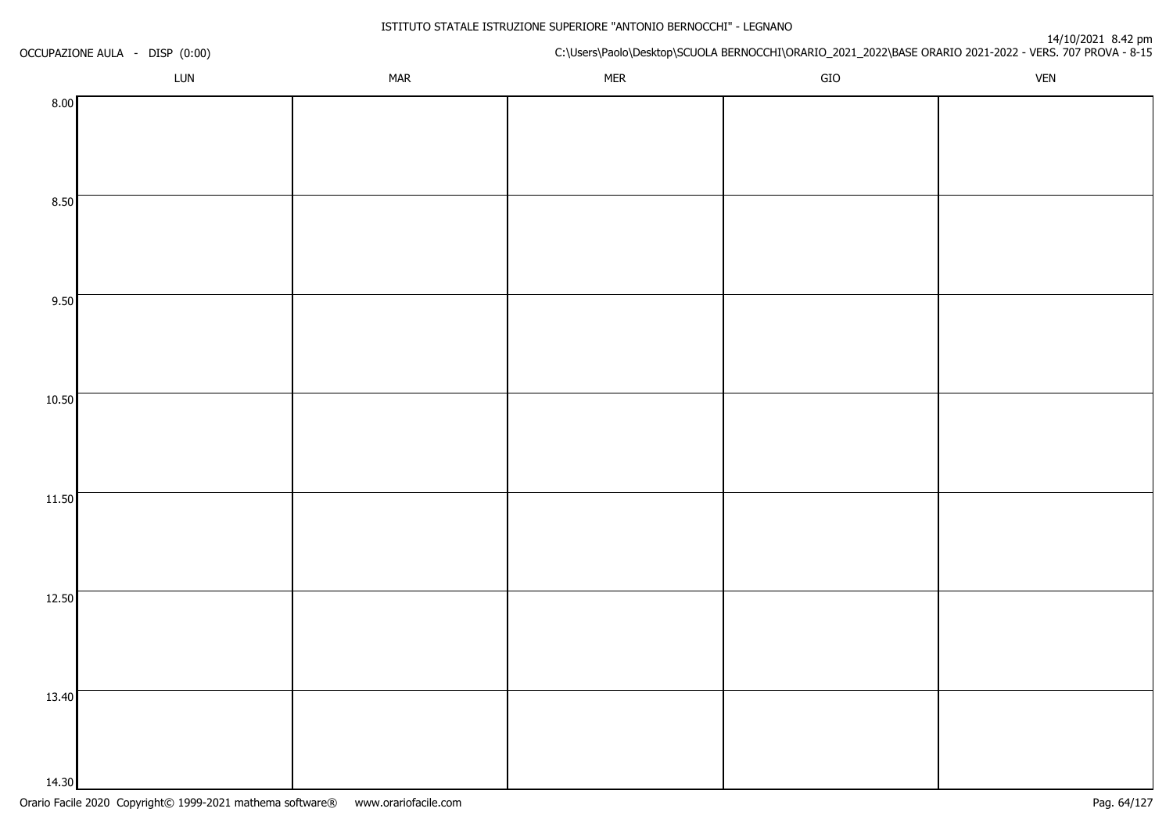| OCCUPAZIONE AULA - DISP (0:00) |     |            | n+10/2021 o.42<br>C:\Users\Paolo\Desktop\SCUOLA BERNOCCHI\ORARIO_2021_2022\BASE ORARIO 2021-2022 - VERS. 707 PROVA - 8-15 |             |             |  |
|--------------------------------|-----|------------|---------------------------------------------------------------------------------------------------------------------------|-------------|-------------|--|
|                                | LUN | <b>MAR</b> | <b>MER</b>                                                                                                                | ${\sf GIO}$ | ${\sf VEN}$ |  |
| 8.00                           |     |            |                                                                                                                           |             |             |  |
|                                |     |            |                                                                                                                           |             |             |  |
|                                |     |            |                                                                                                                           |             |             |  |
|                                |     |            |                                                                                                                           |             |             |  |
| 8.50                           |     |            |                                                                                                                           |             |             |  |
|                                |     |            |                                                                                                                           |             |             |  |
|                                |     |            |                                                                                                                           |             |             |  |
|                                |     |            |                                                                                                                           |             |             |  |
| 9.50                           |     |            |                                                                                                                           |             |             |  |
|                                |     |            |                                                                                                                           |             |             |  |
|                                |     |            |                                                                                                                           |             |             |  |
| 10.50                          |     |            |                                                                                                                           |             |             |  |
|                                |     |            |                                                                                                                           |             |             |  |
|                                |     |            |                                                                                                                           |             |             |  |
|                                |     |            |                                                                                                                           |             |             |  |
| 11.50                          |     |            |                                                                                                                           |             |             |  |
|                                |     |            |                                                                                                                           |             |             |  |
|                                |     |            |                                                                                                                           |             |             |  |
|                                |     |            |                                                                                                                           |             |             |  |
| 12.50                          |     |            |                                                                                                                           |             |             |  |
|                                |     |            |                                                                                                                           |             |             |  |
|                                |     |            |                                                                                                                           |             |             |  |
|                                |     |            |                                                                                                                           |             |             |  |
| 13.40                          |     |            |                                                                                                                           |             |             |  |
|                                |     |            |                                                                                                                           |             |             |  |
|                                |     |            |                                                                                                                           |             |             |  |
| 14.30                          |     |            |                                                                                                                           |             |             |  |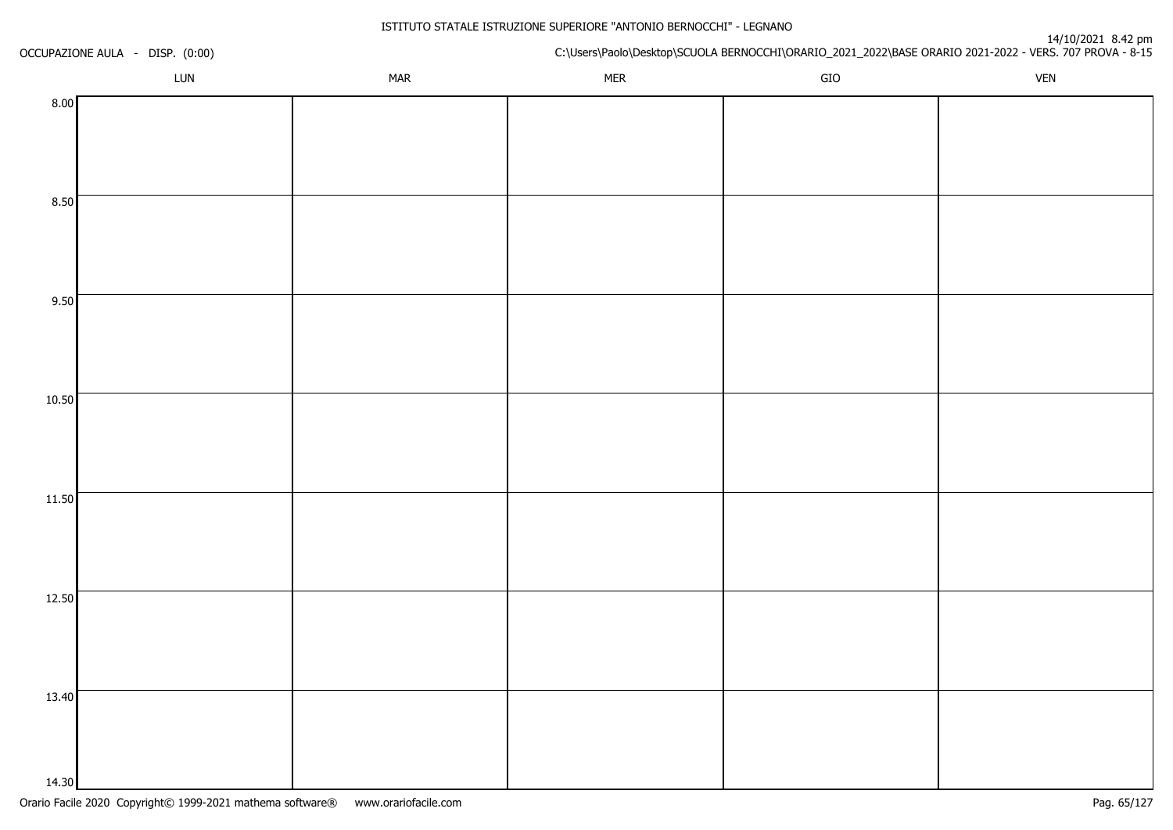| OCCUPAZIONE AULA - DISP. (0:00) |     |            | u+/10/2021 o.42<br>C:\Users\Paolo\Desktop\SCUOLA BERNOCCHI\ORARIO_2021_2022\BASE ORARIO 2021-2022 - VERS. 707 PROVA - 8-15 |             |            |  |
|---------------------------------|-----|------------|----------------------------------------------------------------------------------------------------------------------------|-------------|------------|--|
|                                 | LUN | <b>MAR</b> | <b>MER</b>                                                                                                                 | ${\sf GIO}$ | <b>VEN</b> |  |
| 8.00                            |     |            |                                                                                                                            |             |            |  |
|                                 |     |            |                                                                                                                            |             |            |  |
|                                 |     |            |                                                                                                                            |             |            |  |
|                                 |     |            |                                                                                                                            |             |            |  |
| 8.50                            |     |            |                                                                                                                            |             |            |  |
|                                 |     |            |                                                                                                                            |             |            |  |
|                                 |     |            |                                                                                                                            |             |            |  |
|                                 |     |            |                                                                                                                            |             |            |  |
| 9.50                            |     |            |                                                                                                                            |             |            |  |
|                                 |     |            |                                                                                                                            |             |            |  |
|                                 |     |            |                                                                                                                            |             |            |  |
| 10.50                           |     |            |                                                                                                                            |             |            |  |
|                                 |     |            |                                                                                                                            |             |            |  |
|                                 |     |            |                                                                                                                            |             |            |  |
|                                 |     |            |                                                                                                                            |             |            |  |
| 11.50                           |     |            |                                                                                                                            |             |            |  |
|                                 |     |            |                                                                                                                            |             |            |  |
|                                 |     |            |                                                                                                                            |             |            |  |
|                                 |     |            |                                                                                                                            |             |            |  |
| 12.50                           |     |            |                                                                                                                            |             |            |  |
|                                 |     |            |                                                                                                                            |             |            |  |
|                                 |     |            |                                                                                                                            |             |            |  |
|                                 |     |            |                                                                                                                            |             |            |  |
| 13.40                           |     |            |                                                                                                                            |             |            |  |
|                                 |     |            |                                                                                                                            |             |            |  |
|                                 |     |            |                                                                                                                            |             |            |  |
| 14.30                           |     |            |                                                                                                                            |             |            |  |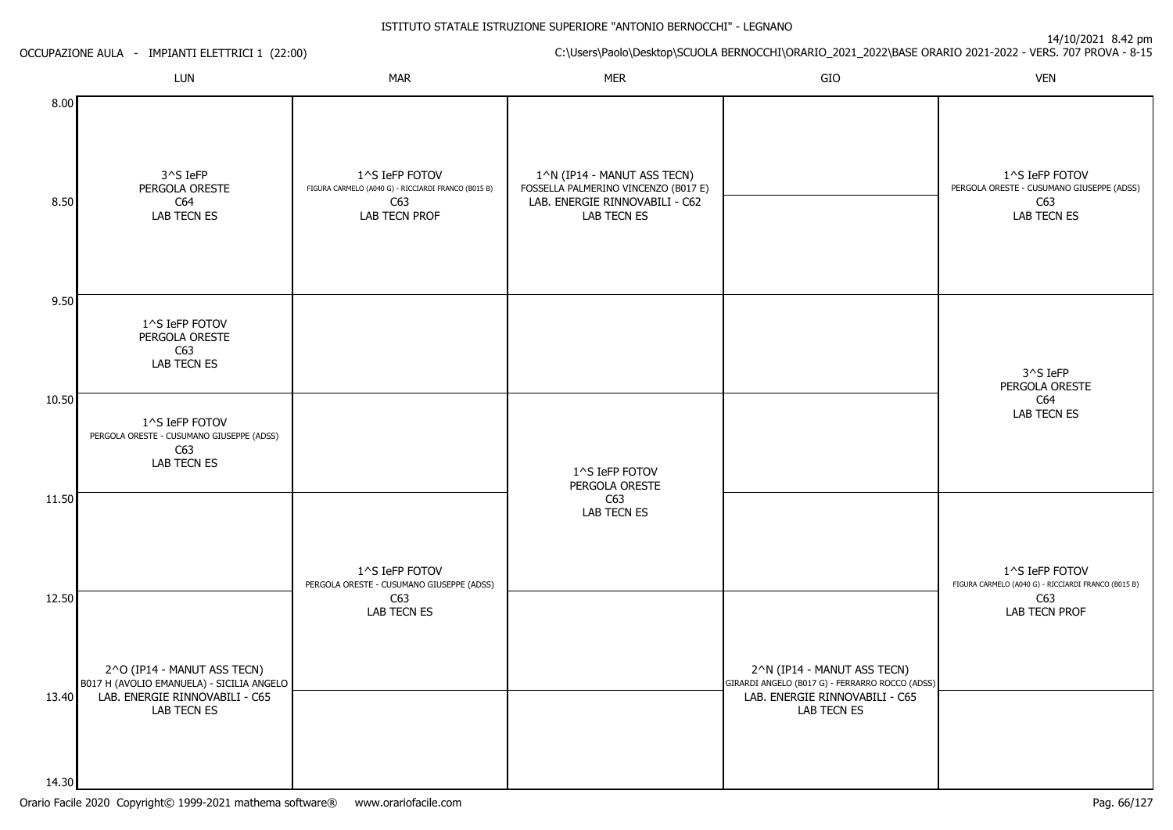# Orario Facile 2020 Copyright© 1999-2021 mathema software® www.orariofacile.com Pag. 66/127

14.30

OCCUPAZIONE AULA - IMPIANTI ELETTRICI 1 (22:00)

|              | LUN                                                                               | <b>MAR</b>                                                                                    | <b>MER</b>                                                                                                           | ${\sf GIO}$                                                                    | <b>VEN</b>                                                                        |
|--------------|-----------------------------------------------------------------------------------|-----------------------------------------------------------------------------------------------|----------------------------------------------------------------------------------------------------------------------|--------------------------------------------------------------------------------|-----------------------------------------------------------------------------------|
| 8.00<br>8.50 | 3^S IeFP<br>PERGOLA ORESTE<br>C64<br>LAB TECN ES                                  | 1^S IeFP FOTOV<br>FIGURA CARMELO (A040 G) - RICCIARDI FRANCO (B015 B)<br>C63<br>LAB TECN PROF | 1^N (IP14 - MANUT ASS TECN)<br>FOSSELLA PALMERINO VINCENZO (B017 E)<br>LAB. ENERGIE RINNOVABILI - C62<br>LAB TECN ES |                                                                                | 1^S IeFP FOTOV<br>PERGOLA ORESTE - CUSUMANO GIUSEPPE (ADSS)<br>C63<br>LAB TECN ES |
| 9.50         | 1^S IeFP FOTOV<br>PERGOLA ORESTE<br>C63<br>LAB TECN ES                            |                                                                                               |                                                                                                                      |                                                                                | 3^S IeFP<br>PERGOLA ORESTE                                                        |
| 10.50        | 1^S IeFP FOTOV<br>PERGOLA ORESTE - CUSUMANO GIUSEPPE (ADSS)<br>C63<br>LAB TECN ES |                                                                                               | 1^S IeFP FOTOV<br>PERGOLA ORESTE                                                                                     |                                                                                | C64<br><b>LAB TECN ES</b>                                                         |
| 11.50        |                                                                                   | 1^S IeFP FOTOV<br>PERGOLA ORESTE - CUSUMANO GIUSEPPE (ADSS)                                   | C63<br>LAB TECN ES                                                                                                   |                                                                                | 1^S IeFP FOTOV<br>FIGURA CARMELO (A040 G) - RICCIARDI FRANCO (B015 B)             |
| 12.50        | 2^O (IP14 - MANUT ASS TECN)<br>B017 H (AVOLIO EMANUELA) - SICILIA ANGELO          | C63<br><b>LAB TECN ES</b>                                                                     |                                                                                                                      | 2^N (IP14 - MANUT ASS TECN)<br>GIRARDI ANGELO (B017 G) - FERRARRO ROCCO (ADSS) | C63<br>LAB TECN PROF                                                              |
| 13.40        | LAB. ENERGIE RINNOVABILI - C65<br>LAB TECN ES                                     |                                                                                               |                                                                                                                      | LAB. ENERGIE RINNOVABILI - C65<br>LAB TECN ES                                  |                                                                                   |

C:\Users\Paolo\Desktop\SCUOLA BERNOCCHI\ORARIO\_2021\_2022\BASE ORARIO 2021-2022 - VERS. 707 PROVA - 8-15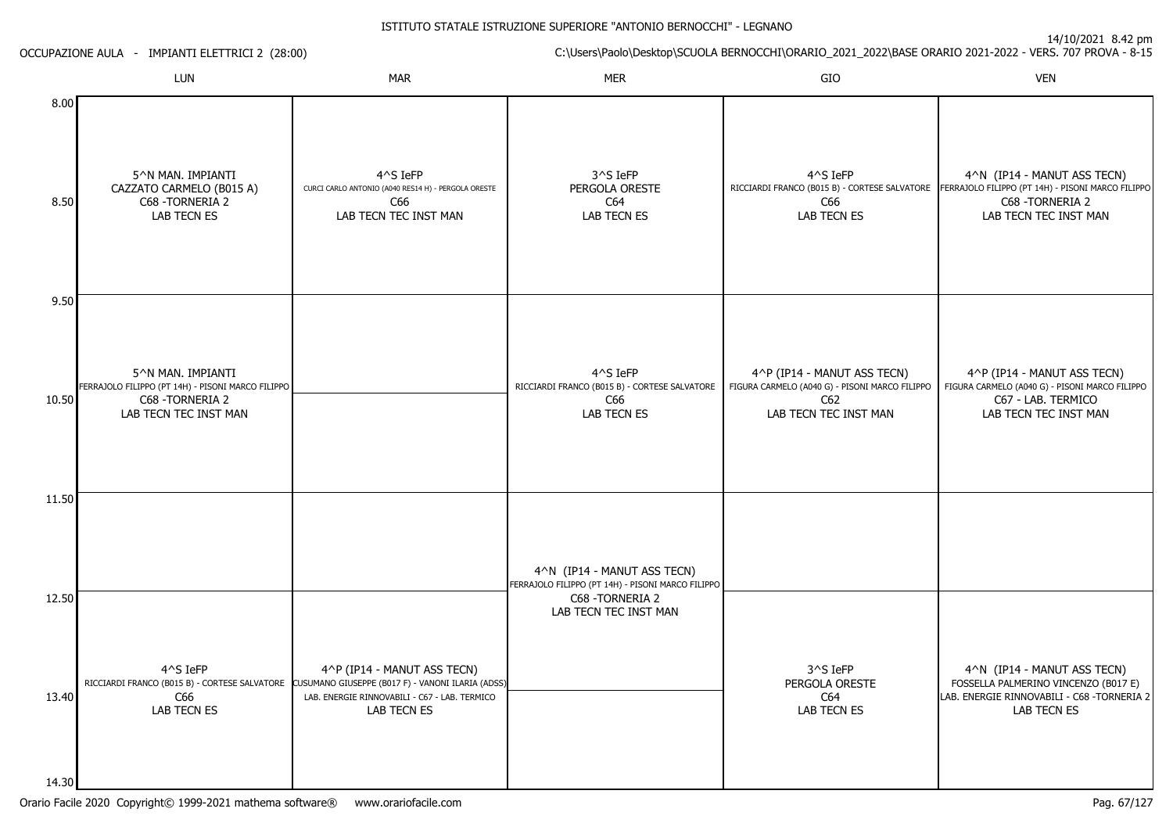| OCCUPAZIONE AULA - IMPIANTI ELETTRICI 2 (28:00) |                                                                                                                     |                                                                                                                                                                 | C:\Users\Paolo\Desktop\SCUOLA BERNOCCHI\ORARIO_2021_2022\BASE ORARIO 2021-2022 - VERS. 707 PROVA - 8-15 |                                                                                                               |                                                                                                                               |  |
|-------------------------------------------------|---------------------------------------------------------------------------------------------------------------------|-----------------------------------------------------------------------------------------------------------------------------------------------------------------|---------------------------------------------------------------------------------------------------------|---------------------------------------------------------------------------------------------------------------|-------------------------------------------------------------------------------------------------------------------------------|--|
|                                                 | LUN                                                                                                                 | MAR                                                                                                                                                             | <b>MER</b>                                                                                              | GIO                                                                                                           | <b>VEN</b>                                                                                                                    |  |
| 8.00<br>8.50                                    | 5^N MAN. IMPIANTI<br>CAZZATO CARMELO (B015 A)<br>C68 - TORNERIA 2<br>LAB TECN ES                                    | 4^S IeFP<br>CURCI CARLO ANTONIO (A040 RES14 H) - PERGOLA ORESTE<br>C66<br>LAB TECN TEC INST MAN                                                                 | 3^S IeFP<br>PERGOLA ORESTE<br>C64<br>LAB TECN ES                                                        | 4^S IeFP<br>RICCIARDI FRANCO (B015 B) - CORTESE SALVATORE<br>C66<br>LAB TECN ES                               | 4^N (IP14 - MANUT ASS TECN)<br>FERRAJOLO FILIPPO (PT 14H) - PISONI MARCO FILIPPO<br>C68 - TORNERIA 2<br>LAB TECN TEC INST MAN |  |
| 9.50                                            |                                                                                                                     |                                                                                                                                                                 |                                                                                                         |                                                                                                               |                                                                                                                               |  |
| 10.50                                           | 5^N MAN. IMPIANTI<br>FERRAJOLO FILIPPO (PT 14H) - PISONI MARCO FILIPPO<br>C68 - TORNERIA 2<br>LAB TECN TEC INST MAN |                                                                                                                                                                 | 4^S IeFP<br>RICCIARDI FRANCO (B015 B) - CORTESE SALVATORE<br>C66<br>LAB TECN ES                         | 4^P (IP14 - MANUT ASS TECN)<br>FIGURA CARMELO (A040 G) - PISONI MARCO FILIPPO<br>C62<br>LAB TECN TEC INST MAN | 4^P (IP14 - MANUT ASS TECN)<br>FIGURA CARMELO (A040 G) - PISONI MARCO FILIPPO<br>C67 - LAB. TERMICO<br>LAB TECN TEC INST MAN  |  |
| 11.50                                           |                                                                                                                     |                                                                                                                                                                 | 4^N (IP14 - MANUT ASS TECN)<br>FERRAJOLO FILIPPO (PT 14H) - PISONI MARCO FILIPPO                        |                                                                                                               |                                                                                                                               |  |
| 12.50                                           | 4^S IeFP                                                                                                            | 4^P (IP14 - MANUT ASS TECN)                                                                                                                                     | C68 - TORNERIA 2<br>LAB TECN TEC INST MAN                                                               | 3^S IeFP                                                                                                      | 4^N (IP14 - MANUT ASS TECN)                                                                                                   |  |
| 13.40                                           | C66<br>LAB TECN ES                                                                                                  | RICCIARDI FRANCO (B015 B) - CORTESE SALVATORE CUSUMANO GIUSEPPE (B017 F) - VANONI ILARIA (ADSS)<br>LAB. ENERGIE RINNOVABILI - C67 - LAB. TERMICO<br>LAB TECN ES |                                                                                                         | PERGOLA ORESTE<br>C64<br>LAB TECN ES                                                                          | FOSSELLA PALMERINO VINCENZO (B017 E)<br>LAB. ENERGIE RINNOVABILI - C68 - TORNERIA 2<br>LAB TECN ES                            |  |
| 14.30                                           |                                                                                                                     |                                                                                                                                                                 |                                                                                                         |                                                                                                               |                                                                                                                               |  |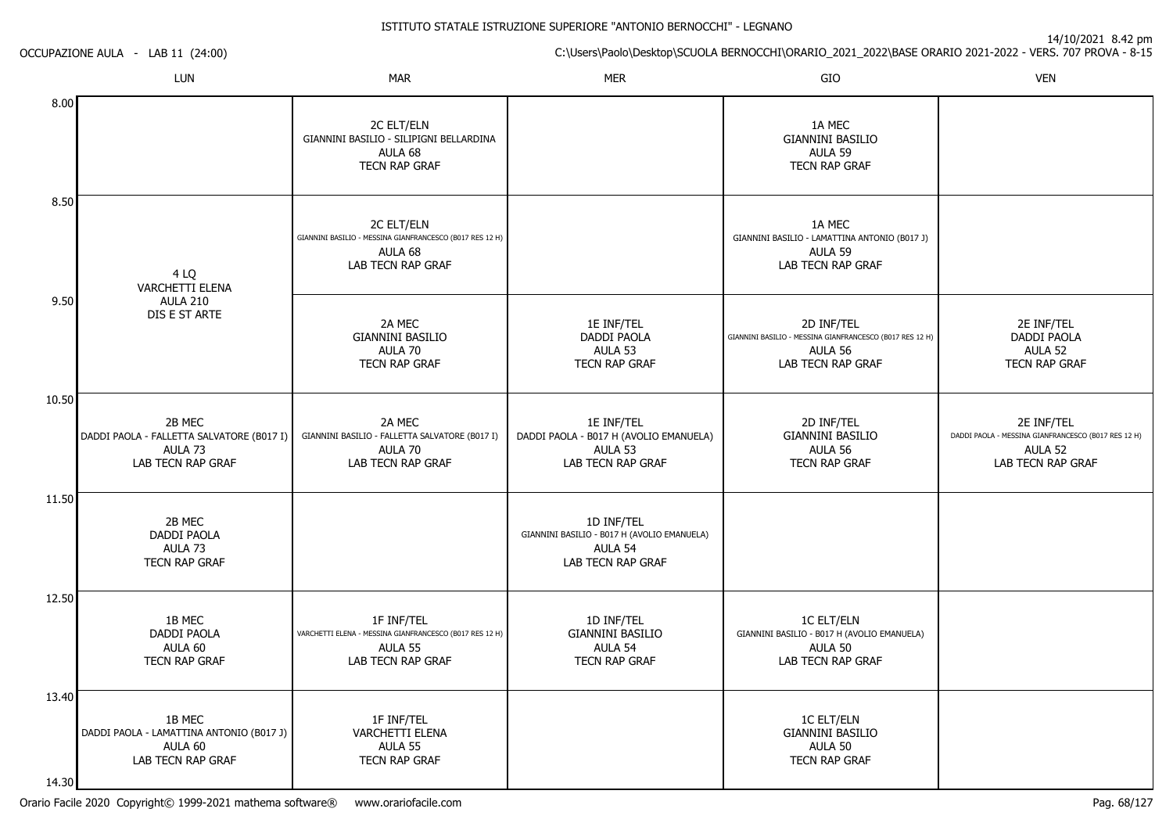14/10/2021 8.42 pm

C:\Users\Paolo\Desktop\SCUOLA BERNOCCHI\ORARIO\_2021\_2022\BASE ORARIO 2021-2022 - VERS. 707 PROVA - 8-15

OCCUPAZIONE AULA - LAB 11 (24:00)

|                | LUN                                                                                       | <b>MAR</b>                                                                                             | <b>MER</b>                                                                                | GIO                                                                                                    | <b>VEN</b>                                                                                        |
|----------------|-------------------------------------------------------------------------------------------|--------------------------------------------------------------------------------------------------------|-------------------------------------------------------------------------------------------|--------------------------------------------------------------------------------------------------------|---------------------------------------------------------------------------------------------------|
| 8.00           |                                                                                           | 2C ELT/ELN<br>GIANNINI BASILIO - SILIPIGNI BELLARDINA<br>AULA 68<br>TECN RAP GRAF                      |                                                                                           | 1A MEC<br><b>GIANNINI BASILIO</b><br>AULA 59<br><b>TECN RAP GRAF</b>                                   |                                                                                                   |
| 8.50           | 4 LQ<br>VARCHETTI ELENA                                                                   | 2C ELT/ELN<br>GIANNINI BASILIO - MESSINA GIANFRANCESCO (B017 RES 12 H)<br>AULA 68<br>LAB TECN RAP GRAF |                                                                                           | 1A MEC<br>GIANNINI BASILIO - LAMATTINA ANTONIO (B017 J)<br>AULA 59<br>LAB TECN RAP GRAF                |                                                                                                   |
| 9.50           | <b>AULA 210</b><br>DIS E ST ARTE                                                          | 2A MEC<br><b>GIANNINI BASILIO</b><br>AULA 70<br>TECN RAP GRAF                                          | 1E INF/TEL<br>DADDI PAOLA<br>AULA 53<br>TECN RAP GRAF                                     | 2D INF/TEL<br>GIANNINI BASILIO - MESSINA GIANFRANCESCO (B017 RES 12 H)<br>AULA 56<br>LAB TECN RAP GRAF | 2E INF/TEL<br>DADDI PAOLA<br>AULA 52<br>TECN RAP GRAF                                             |
| 10.50          | 2B MEC<br>DADDI PAOLA - FALLETTA SALVATORE (B017 I)<br>AULA 73<br>LAB TECN RAP GRAF       | 2A MEC<br>GIANNINI BASILIO - FALLETTA SALVATORE (B017 I)<br>AULA 70<br>LAB TECN RAP GRAF               | 1E INF/TEL<br>DADDI PAOLA - B017 H (AVOLIO EMANUELA)<br>AULA 53<br>LAB TECN RAP GRAF      | 2D INF/TEL<br><b>GIANNINI BASILIO</b><br>AULA 56<br>TECN RAP GRAF                                      | 2E INF/TEL<br>DADDI PAOLA - MESSINA GIANFRANCESCO (B017 RES 12 H)<br>AULA 52<br>LAB TECN RAP GRAF |
| 11.50          | 2B MEC<br>DADDI PAOLA<br>AULA 73<br><b>TECN RAP GRAF</b>                                  |                                                                                                        | 1D INF/TEL<br>GIANNINI BASILIO - B017 H (AVOLIO EMANUELA)<br>AULA 54<br>LAB TECN RAP GRAF |                                                                                                        |                                                                                                   |
| 12.50          | 1B MEC<br><b>DADDI PAOLA</b><br>AULA 60<br><b>TECN RAP GRAF</b>                           | 1F INF/TEL<br>VARCHETTI ELENA - MESSINA GIANFRANCESCO (B017 RES 12 H)<br>AULA 55<br>LAB TECN RAP GRAF  | 1D INF/TEL<br><b>GIANNINI BASILIO</b><br>AULA 54<br><b>TECN RAP GRAF</b>                  | <b>1C ELT/ELN</b><br>GIANNINI BASILIO - B017 H (AVOLIO EMANUELA)<br>AULA 50<br>LAB TECN RAP GRAF       |                                                                                                   |
| 13.40<br>14.30 | 1B MEC<br>DADDI PAOLA - LAMATTINA ANTONIO (B017 J)<br>AULA 60<br><b>LAB TECN RAP GRAF</b> | 1F INF/TEL<br>VARCHETTI ELENA<br>AULA 55<br>TECN RAP GRAF                                              |                                                                                           | <b>1C ELT/ELN</b><br><b>GIANNINI BASILIO</b><br>AULA 50<br><b>TECN RAP GRAF</b>                        |                                                                                                   |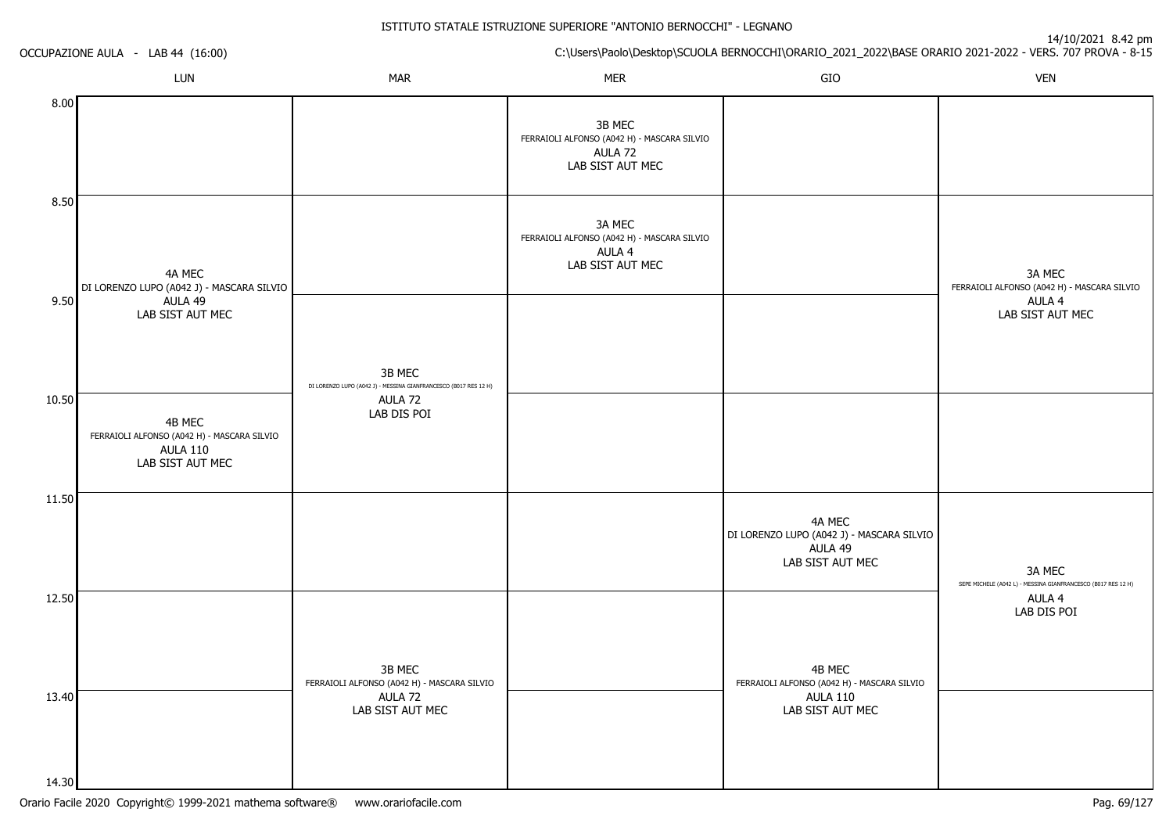14/10/2021 8.42 pm

C:\Users\Paolo\Desktop\SCUOLA BERNOCCHI\ORARIO\_2021\_2022\BASE ORARIO 2021-2022 - VERS. 707 PROVA - 8-15 OCCUPAZIONE AULA - LAB 44 (16:00)LUNN MAR MAR MER SIO O VEN 8.008.509.5010.5011.5012.5013.4014.304A MEC DI LORENZO LUPO (A042 J) - MASCARA SILVIOAULA 49 LAB SIST AUT MEC4B MEC FERRAIOLI ALFONSO (A042 H) - MASCARA SILVIOAULA 110 LAB SIST AUT MEC3B MEC DI LORENZO LUPO (A042 J) - MESSINA GIANFRANCESCO (B017 RES 12 H)AULA 72 LAB DIS POI3B MEC FERRAIOLI ALFONSO (A042 H) - MASCARA SILVIOAULA 72 LAB SIST AUT MEC3B MEC FERRAIOLI ALFONSO (A042 H) - MASCARA SILVIOAULA 72 LAB SIST AUT MEC3A MEC FERRAIOLI ALFONSO (A042 H) - MASCARA SILVIOAULA 4 LAB SIST AUT MEC4A MEC DI LORENZO LUPO (A042 J) - MASCARA SILVIOAULA 49 LAB SIST AUT MEC4B MEC FERRAIOLI ALFONSO (A042 H) - MASCARA SILVIOAULA 110 LAB SIST AUT MEC3A MEC FERRAIOLI ALFONSO (A042 H) - MASCARA SILVIOAULA 4 LAB SIST AUT MEC3A MEC SEPE MICHELE (A042 L) - MESSINA GIANFRANCESCO (B017 RES 12 H)AULA 4LAB DIS POI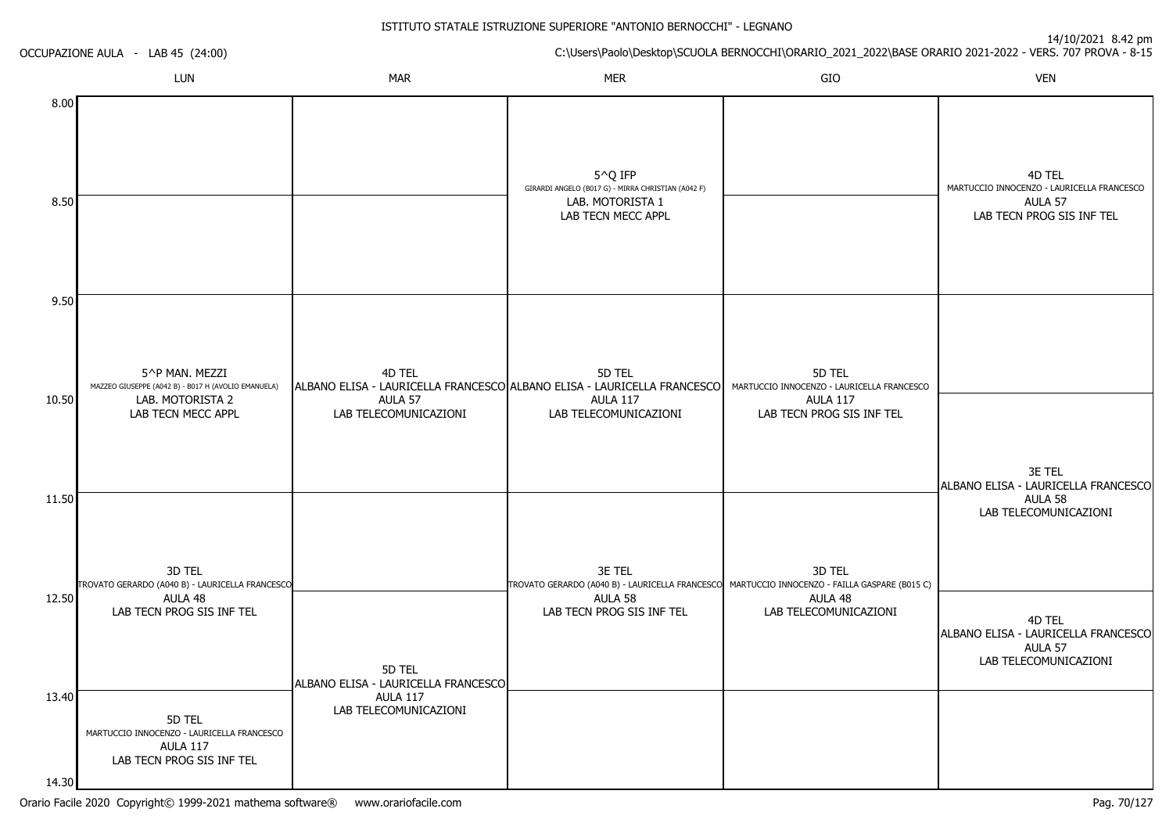|              | OCCUPAZIONE AULA - LAB 45 (24:00)                                                                               |                                               | C:\Users\Paolo\Desktop\SCUOLA BERNOCCHI\ORARIO_2021_2022\BASE ORARIO 2021-2022 - VERS. 707 PROVA - 8-15                               |                                                                                                      |                                                                                              |  |
|--------------|-----------------------------------------------------------------------------------------------------------------|-----------------------------------------------|---------------------------------------------------------------------------------------------------------------------------------------|------------------------------------------------------------------------------------------------------|----------------------------------------------------------------------------------------------|--|
|              | LUN                                                                                                             | <b>MAR</b>                                    | <b>MER</b>                                                                                                                            | GIO                                                                                                  | <b>VEN</b>                                                                                   |  |
| 8.00<br>8.50 |                                                                                                                 |                                               | 5^Q IFP<br>GIRARDI ANGELO (B017 G) - MIRRA CHRISTIAN (A042 F)<br>LAB. MOTORISTA 1<br>LAB TECN MECC APPL                               |                                                                                                      | 4D TEL<br>MARTUCCIO INNOCENZO - LAURICELLA FRANCESCO<br>AULA 57<br>LAB TECN PROG SIS INF TEL |  |
| 9.50         |                                                                                                                 |                                               |                                                                                                                                       |                                                                                                      |                                                                                              |  |
| 10.50        | 5^P MAN. MEZZI<br>MAZZEO GIUSEPPE (A042 B) - B017 H (AVOLIO EMANUELA)<br>LAB. MOTORISTA 2<br>LAB TECN MECC APPL | 4D TEL<br>AULA 57<br>LAB TELECOMUNICAZIONI    | 5D TEL<br>ALBANO ELISA - LAURICELLA FRANCESCO ALBANO ELISA - LAURICELLA FRANCESCO<br><b>AULA 117</b><br>LAB TELECOMUNICAZIONI         | 5D TEL<br>MARTUCCIO INNOCENZO - LAURICELLA FRANCESCO<br><b>AULA 117</b><br>LAB TECN PROG SIS INF TEL |                                                                                              |  |
| 11.50        | 3D TEL                                                                                                          |                                               | 3E TEL                                                                                                                                | 3D TEL                                                                                               | 3E TEL<br>ALBANO ELISA - LAURICELLA FRANCESCO<br>AULA 58<br>LAB TELECOMUNICAZIONI            |  |
| 12.50        | TROVATO GERARDO (A040 B) - LAURICELLA FRANCESCO<br>AULA 48<br>LAB TECN PROG SIS INF TEL                         | 5D TEL<br>ALBANO ELISA - LAURICELLA FRANCESCO | TROVATO GERARDO (A040 B) - LAURICELLA FRANCESCO MARTUCCIO INNOCENZO - FAILLA GASPARE (B015 C)<br>AULA 58<br>LAB TECN PROG SIS INF TEL | AULA 48<br>LAB TELECOMUNICAZIONI                                                                     | 4D TEL<br>ALBANO ELISA - LAURICELLA FRANCESCO<br>AULA 57<br>LAB TELECOMUNICAZIONI            |  |
| 13.40        | 5D TEL<br>MARTUCCIO INNOCENZO - LAURICELLA FRANCESCO<br><b>AULA 117</b><br>LAB TECN PROG SIS INF TEL            | <b>AULA 117</b><br>LAB TELECOMUNICAZIONI      |                                                                                                                                       |                                                                                                      |                                                                                              |  |
| 14.30        |                                                                                                                 |                                               |                                                                                                                                       |                                                                                                      |                                                                                              |  |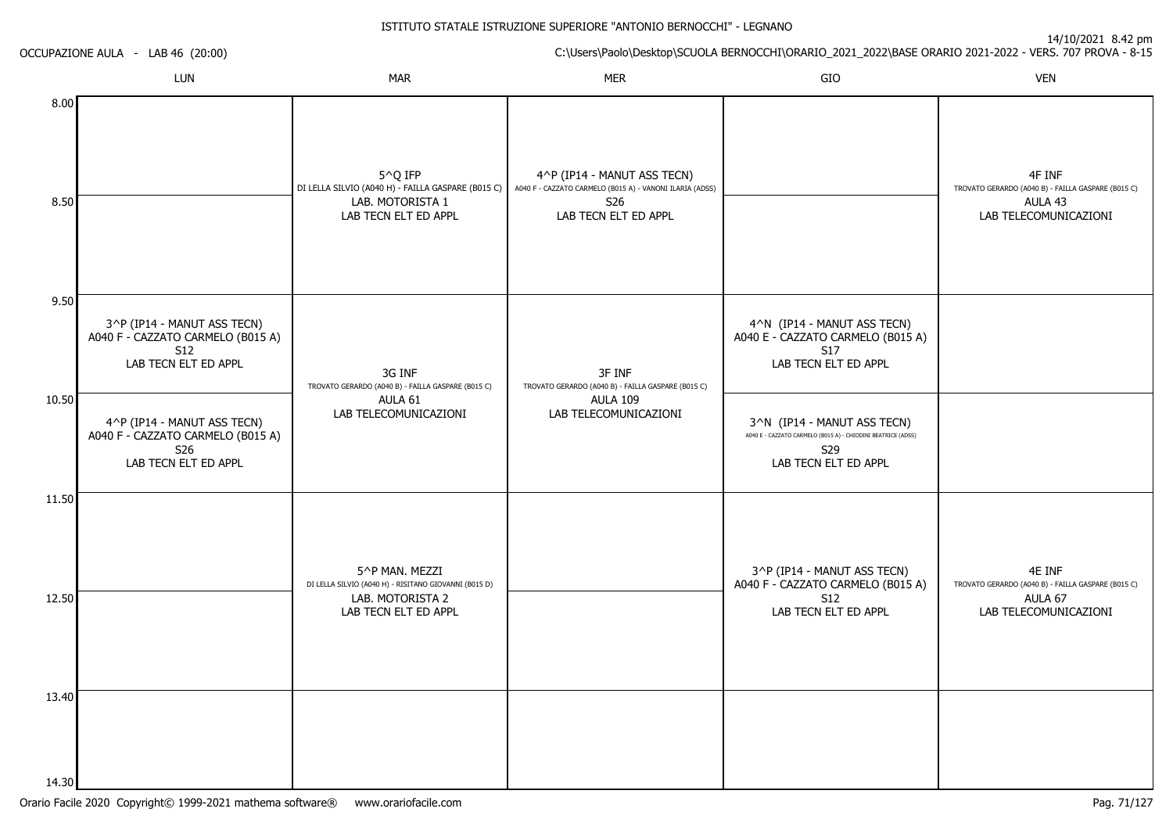14/10/2021 8.42 pm

ISTITUTO STATALE ISTRUZIONE SUPERIORE "ANTONIO BERNOCCHI" - LEGNANOC:\Users\Paolo\Desktop\SCUOLA BERNOCCHI\ORARIO\_2021\_2022\BASE ORARIO 2021-2022 - VERS. 707 PROVA - 8-15 OCCUPAZIONE AULA - LAB 46 (20:00)LUNN MAR MAR MER SIO O VEN 8.008.509.5010.5011.5012.503^P (IP14 - MANUT ASS TECN) A040 F - CAZZATO CARMELO (B015 A)S12 LAB TECN ELT ED APPL4^P (IP14 - MANUT ASS TECN) A040 F - CAZZATO CARMELO (B015 A)S26 LAB TECN ELT ED APPL5^Q IFP DI LELLA SILVIO (A040 H) - FAILLA GASPARE (B015 C) A040 F - CAZZATO CARMELO (B015 A) - VANONI ILARIA (ADSS)LAB. MOTORISTA 1 LAB TECN ELT ED APPL3G INF TROVATO GERARDO (A040 B) - FAILLA GASPARE (B015 C)AULA 61 LAB TELECOMUNICAZIONI5^P MAN. MEZZI DI LELLA SILVIO (A040 H) - RISITANO GIOVANNI (B015 D)LAB. MOTORISTA 2 LAB TECN ELT ED APPL4^P (IP14 - MANUT ASS TECN)S26 LAB TECN ELT ED APPL3F INF TROVATO GERARDO (A040 B) - FAILLA GASPARE (B015 C)AULA 109 LAB TELECOMUNICAZIONI4^N (IP14 - MANUT ASS TECN) A040 E - CAZZATO CARMELO (B015 A)S17 LAB TECN ELT ED APPL3^N (IP14 - MANUT ASS TECN) A040 E - CAZZATO CARMELO (B015 A) - CHIODINI BEATRICE (ADSS)S29 LAB TECN ELT ED APPL3^P (IP14 - MANUT ASS TECN) A040 F - CAZZATO CARMELO (B015 A)S12 LAB TECN ELT ED APPL4F INF TROVATO GERARDO (A040 B) - FAILLA GASPARE (B015 C)AULA 43 LAB TELECOMUNICAZIONI4E INF TROVATO GERARDO (A040 B) - FAILLA GASPARE (B015 C)AULA 67LAB TELECOMUNICAZIONI

13.40

14.30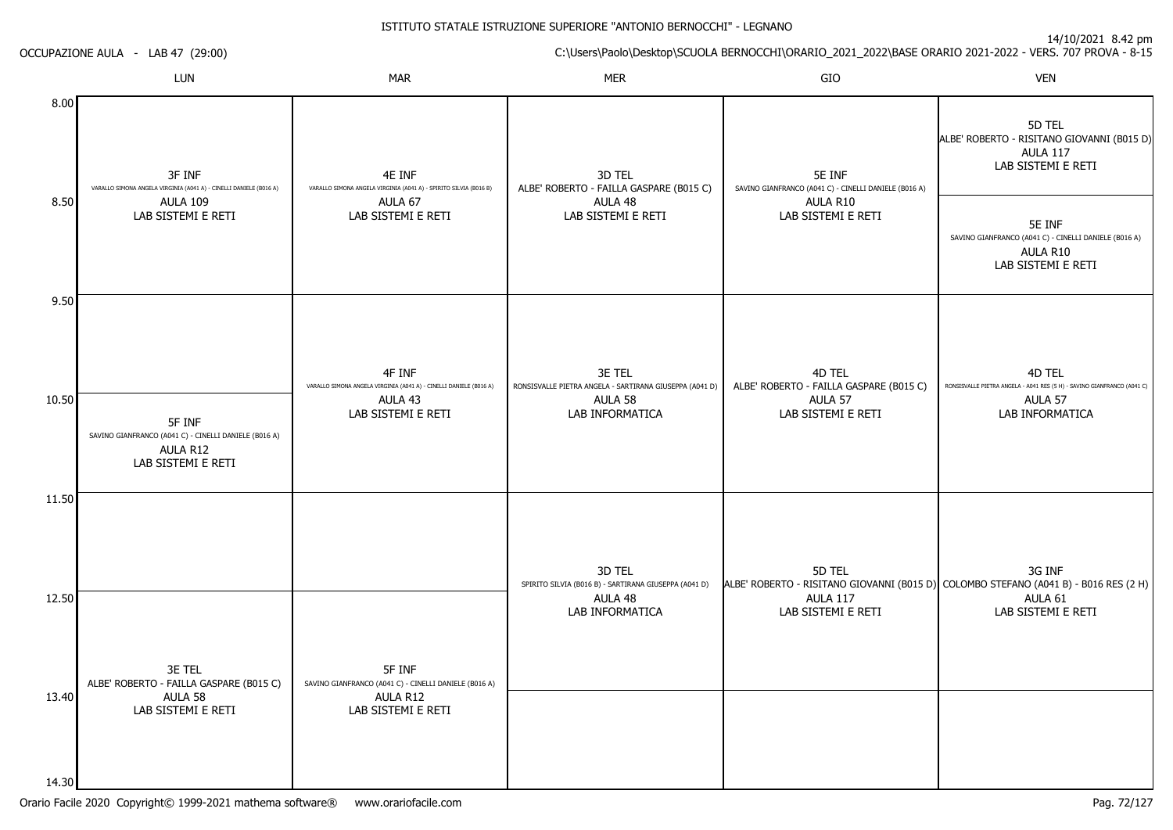ISTITUTO STATALE ISTRUZIONE SUPERIORE "ANTONIO BERNOCCHI" - LEGNANO

|       | OCCUPAZIONE AULA - LAB 47 (29:00)                                                                 |                                                                                                                                            | C:\Users\Paolo\Desktop\SCUOLA BERNOCCHI\ORARIO_2021_2022\BASE ORARIO 2021-2022 - VERS. 707 PROVA - 8-15 |                                                                                               |                                                                                                                       |  |  |
|-------|---------------------------------------------------------------------------------------------------|--------------------------------------------------------------------------------------------------------------------------------------------|---------------------------------------------------------------------------------------------------------|-----------------------------------------------------------------------------------------------|-----------------------------------------------------------------------------------------------------------------------|--|--|
|       | LUN                                                                                               | <b>MAR</b>                                                                                                                                 | <b>MER</b>                                                                                              | GIO                                                                                           | <b>VEN</b>                                                                                                            |  |  |
| 8.00  | 3F INF<br>VARALLO SIMONA ANGELA VIRGINIA (A041 A) - CINELLI DANIELE (B016 A)                      | 4E INF<br>3D TEL<br>5E INF<br>ALBE' ROBERTO - FAILLA GASPARE (B015 C)<br>VARALLO SIMONA ANGELA VIRGINIA (A041 A) - SPIRITO SILVIA (B016 B) | SAVINO GIANFRANCO (A041 C) - CINELLI DANIELE (B016 A)                                                   | 5D TEL<br>ALBE' ROBERTO - RISITANO GIOVANNI (B015 D)<br><b>AULA 117</b><br>LAB SISTEMI E RETI |                                                                                                                       |  |  |
| 8.50  | <b>AULA 109</b><br>LAB SISTEMI E RETI                                                             | AULA 67<br>LAB SISTEMI E RETI                                                                                                              | AULA 48<br>LAB SISTEMI E RETI                                                                           | AULA R10<br>LAB SISTEMI E RETI                                                                | 5E INF<br>SAVINO GIANFRANCO (A041 C) - CINELLI DANIELE (B016 A)<br>AULA R10<br>LAB SISTEMI E RETI                     |  |  |
| 9.50  |                                                                                                   |                                                                                                                                            |                                                                                                         |                                                                                               |                                                                                                                       |  |  |
| 10.50 | 5F INF<br>SAVINO GIANFRANCO (A041 C) - CINELLI DANIELE (B016 A)<br>AULA R12<br>LAB SISTEMI E RETI | 4F INF<br>VARALLO SIMONA ANGELA VIRGINIA (A041 A) - CINELLI DANIELE (B016 A)<br>AULA 43<br>LAB SISTEMI E RETI                              | 3E TEL<br>RONSISVALLE PIETRA ANGELA - SARTIRANA GIUSEPPA (A041 D)<br>AULA 58<br>LAB INFORMATICA         | 4D TEL<br>ALBE' ROBERTO - FAILLA GASPARE (B015 C)<br>AULA 57<br>LAB SISTEMI E RETI            | 4D TEL<br>RONSISVALLE PIETRA ANGELA - A041 RES (5 H) - SAVINO GIANFRANCO (A041 C)<br>AULA 57<br>LAB INFORMATICA       |  |  |
| 11.50 |                                                                                                   |                                                                                                                                            | 3D TEL                                                                                                  | 5D TEL                                                                                        | 3G INF                                                                                                                |  |  |
| 12.50 | 3E TEL                                                                                            | 5F INF                                                                                                                                     | SPIRITO SILVIA (B016 B) - SARTIRANA GIUSEPPA (A041 D)<br>AULA 48<br>LAB INFORMATICA                     | <b>AULA 117</b><br>LAB SISTEMI E RETI                                                         | ALBE' ROBERTO - RISITANO GIOVANNI (B015 D) COLOMBO STEFANO (A041 B) - B016 RES (2 H)<br>AULA 61<br>LAB SISTEMI E RETI |  |  |
| 13.40 | ALBE' ROBERTO - FAILLA GASPARE (B015 C)<br>AULA 58<br>LAB SISTEMI E RETI                          | SAVINO GIANFRANCO (A041 C) - CINELLI DANIELE (B016 A)<br>AULA R12<br>LAB SISTEMI E RETI                                                    |                                                                                                         |                                                                                               |                                                                                                                       |  |  |
| 14.30 |                                                                                                   |                                                                                                                                            |                                                                                                         |                                                                                               |                                                                                                                       |  |  |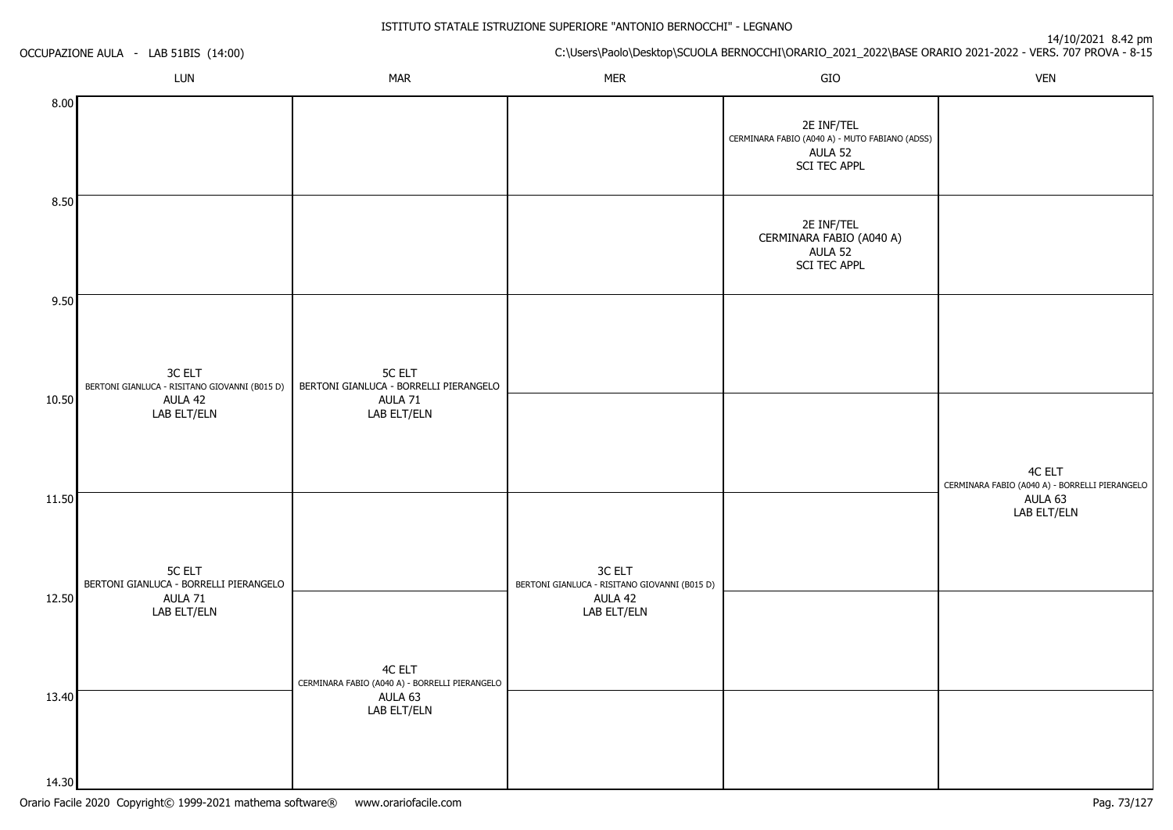14/10/2021 8.42 pm

C:\Users\Paolo\Desktop\SCUOLA BERNOCCHI\ORARIO\_2021\_2022\BASE ORARIO 2021-2022 - VERS. 707 PROVA - 8-15 OCCUPAZIONE AULA - LAB 51BIS (14:00)LUNN MAR MAR MER SIO O VEN 8.008.509.5010.5011.5012.5013.4014.303C ELT BERTONI GIANLUCA - RISITANO GIOVANNI (B015 D) BERTONI GIANLUCA - BORRELLI PIERANGELOAULA 42 LAB ELT/ELN5C ELT BERTONI GIANLUCA - BORRELLI PIERANGELOAULA 71 LAB ELT/ELN5C ELTAULA 71 LAB ELT/ELN4C ELT CERMINARA FABIO (A040 A) - BORRELLI PIERANGELOAULA 63 LAB ELT/ELN3C ELT BERTONI GIANLUCA - RISITANO GIOVANNI (B015 D) AULA 42 LAB ELT/ELN2E INF/TEL CERMINARA FABIO (A040 A) - MUTO FABIANO (ADSS)AULA 52 SCI TEC APPL2E INF/TEL CERMINARA FABIO (A040 A)AULA 52 SCI TEC APPL4C ELT CERMINARA FABIO (A040 A) - BORRELLI PIERANGELOAULA 63LAB ELT/ELN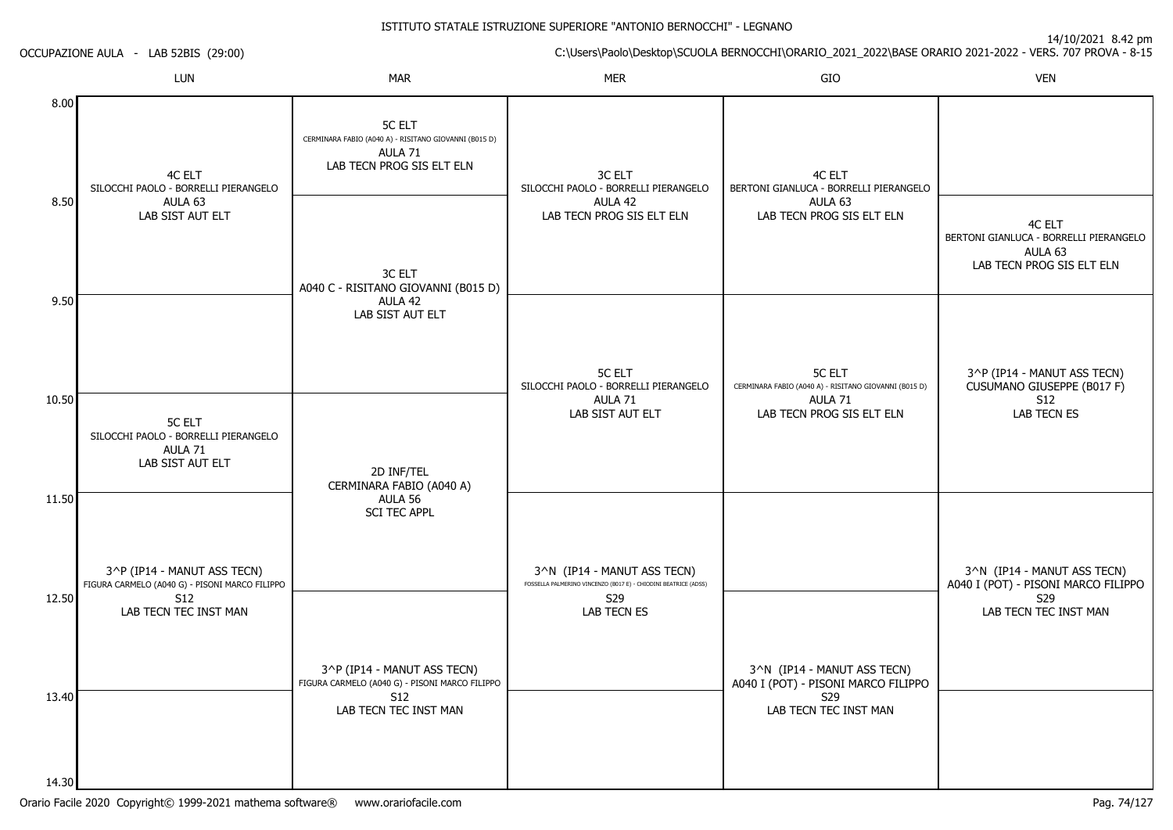14/10/2021 8.42 pm

C:\Users\Paolo\Desktop\SCUOLA BERNOCCHI\ORARIO\_2021\_2022\BASE ORARIO 2021-2022 - VERS. 707 PROVA - 8-15 OCCUPAZIONE AULA - LAB 52BIS (29:00)LUNN MAR MAR MER SIO O VEN 8.008.509.5010.5011.5012.5013.4014.304C ELT SILOCCHI PAOLO - BORRELLI PIERANGELOAULA 63 LAB SIST AUT ELT5C ELT SILOCCHI PAOLO - BORRELLI PIERANGELOAULA 71 LAB SIST AUT ELT3^P (IP14 - MANUT ASS TECN) FIGURA CARMELO (A040 G) - PISONI MARCO FILIPPOS12 LAB TECN TEC INST MAN5C ELT CERMINARA FABIO (A040 A) - RISITANO GIOVANNI (B015 D)AULA 71 LAB TECN PROG SIS ELT ELN3C ELT A040 C - RISITANO GIOVANNI (B015 D) $A$ ULA 42 LAB SIST AUT ELT2D INF/TEL CERMINARA FABIO (A040 A)AULA 56 SCI TEC APPL3^P (IP14 - MANUT ASS TECN) FIGURA CARMELO (A040 G) - PISONI MARCO FILIPPO $S12$  LAB TECN TEC INST MAN3C ELT SILOCCHI PAOLO - BORRELLI PIERANGELOAULA 42 LAB TECN PROG SIS ELT ELN5C ELT SILOCCHI PAOLO - BORRELLI PIERANGELOAULA 71 LAB SIST AUT ELT3^N (IP14 - MANUT ASS TECN) FOSSELLA PALMERINO VINCENZO (B017 E) - CHIODINI BEATRICE (ADSS)S29 LAB TECN ES4C ELT BERTONI GIANLUCA - BORRELLI PIERANGELOAULA 63 LAB TECN PROG SIS ELT ELN5C ELT CERMINARA FABIO (A040 A) - RISITANO GIOVANNI (B015 D)AULA 71 LAB TECN PROG SIS ELT ELN3^N (IP14 - MANUT ASS TECN) A040 I (POT) - PISONI MARCO FILIPPO $529$  LAB TECN TEC INST MAN4C ELT BERTONI GIANLUCA - BORRELLI PIERANGELOAULA 63 LAB TECN PROG SIS ELT ELN3^P (IP14 - MANUT ASS TECN) CUSUMANO GIUSEPPE (B017 F)S12 LAB TECN ES3^N (IP14 - MANUT ASS TECN) A040 I (POT) - PISONI MARCO FILIPPOS29LAB TECN TEC INST MAN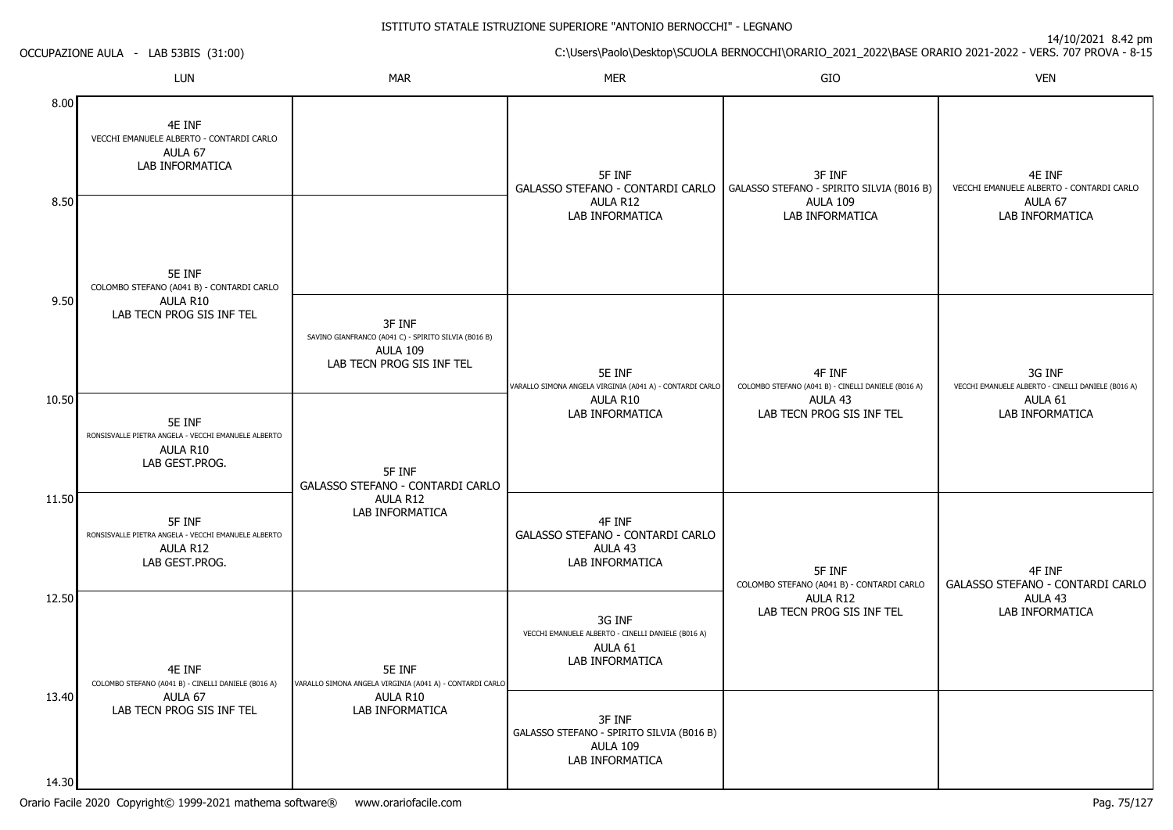|                | OCCUPAZIONE AULA - LAB 53BIS (31:00)                                                        |                                                                                                                |                                                                                            | C:\Users\Paolo\Desktop\SCUOLA BERNOCCHI\ORARIO_2021_2022\BASE ORARIO 2021-2022 - VERS. 707 PROVA - 8-15 | 14/10/2021 0.42 pm                                           |
|----------------|---------------------------------------------------------------------------------------------|----------------------------------------------------------------------------------------------------------------|--------------------------------------------------------------------------------------------|---------------------------------------------------------------------------------------------------------|--------------------------------------------------------------|
|                | LUN                                                                                         | <b>MAR</b>                                                                                                     | <b>MER</b>                                                                                 | GIO                                                                                                     | <b>VEN</b>                                                   |
| 8.00           | 4E INF<br>VECCHI EMANUELE ALBERTO - CONTARDI CARLO<br>AULA 67<br>LAB INFORMATICA            |                                                                                                                | 5F INF<br>GALASSO STEFANO - CONTARDI CARLO                                                 | 3F INF<br>GALASSO STEFANO - SPIRITO SILVIA (B016 B)                                                     | 4E INF<br>VECCHI EMANUELE ALBERTO - CONTARDI CARLO           |
| 8.50           | 5E INF<br>COLOMBO STEFANO (A041 B) - CONTARDI CARLO                                         |                                                                                                                | AULA R12<br>LAB INFORMATICA                                                                | <b>AULA 109</b><br>LAB INFORMATICA                                                                      | AULA 67<br>LAB INFORMATICA                                   |
| 9.50           | AULA R10<br>LAB TECN PROG SIS INF TEL                                                       | 3F INF<br>SAVINO GIANFRANCO (A041 C) - SPIRITO SILVIA (B016 B)<br><b>AULA 109</b><br>LAB TECN PROG SIS INF TEL | 5E INF<br>VARALLO SIMONA ANGELA VIRGINIA (A041 A) - CONTARDI CARLO                         | 4F INF<br>COLOMBO STEFANO (A041 B) - CINELLI DANIELE (B016 A)                                           | 3G INF<br>VECCHI EMANUELE ALBERTO - CINELLI DANIELE (B016 A) |
| 10.50          | 5E INF<br>RONSISVALLE PIETRA ANGELA - VECCHI EMANUELE ALBERTO<br>AULA R10<br>LAB GEST.PROG. | 5F INF                                                                                                         | AULA R10<br><b>LAB INFORMATICA</b>                                                         | AULA 43<br>LAB TECN PROG SIS INF TEL                                                                    | AULA 61<br>LAB INFORMATICA                                   |
| 11.50          | 5F INF<br>RONSISVALLE PIETRA ANGELA - VECCHI EMANUELE ALBERTO<br>AULA R12<br>LAB GEST.PROG. | <b>GALASSO STEFANO - CONTARDI CARLO</b><br>AULA R12<br>LAB INFORMATICA                                         | 4F INF<br>GALASSO STEFANO - CONTARDI CARLO<br>AULA 43<br>LAB INFORMATICA                   | 5F INF<br>COLOMBO STEFANO (A041 B) - CONTARDI CARLO                                                     | 4F INF<br>GALASSO STEFANO - CONTARDI CARLO                   |
| 12.50          | 4E INF<br>COLOMBO STEFANO (A041 B) - CINELLI DANIELE (B016 A)                               | 5E INF<br>VARALLO SIMONA ANGELA VIRGINIA (A041 A) - CONTARDI CARLO<br>AULA 67<br>AULA R10<br>LAB INFORMATICA   | 3G INF<br>VECCHI EMANUELE ALBERTO - CINELLI DANIELE (B016 A)<br>AULA 61<br>LAB INFORMATICA | AULA R12<br>LAB TECN PROG SIS INF TEL                                                                   | AULA 43<br>LAB INFORMATICA                                   |
| 13.40<br>14.30 | LAB TECN PROG SIS INF TEL                                                                   |                                                                                                                | 3F INF<br>GALASSO STEFANO - SPIRITO SILVIA (B016 B)<br><b>AULA 109</b><br>LAB INFORMATICA  |                                                                                                         |                                                              |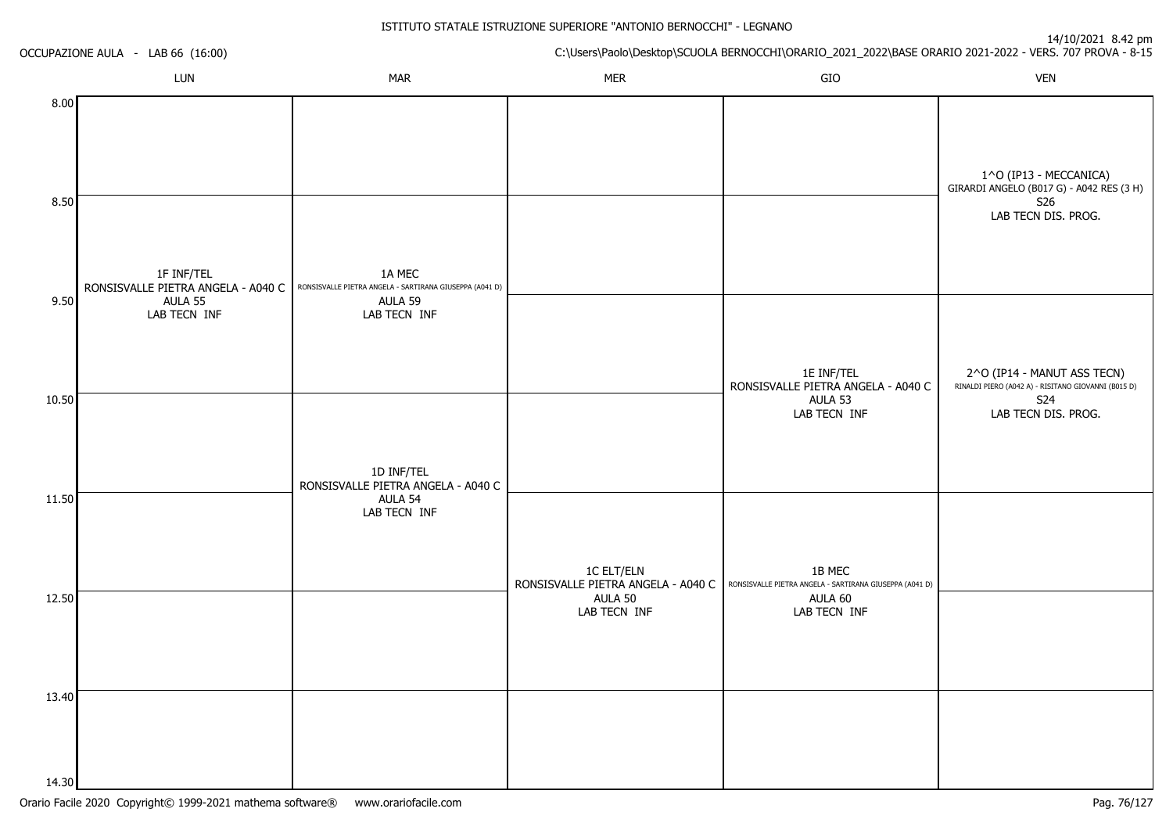|                | OCCUPAZIONE AULA - LAB 66 (16:00)                           |                                                                              | 1111020210121<br>C:\Users\Paolo\Desktop\SCUOLA BERNOCCHI\ORARIO_2021_2022\BASE ORARIO 2021-2022 - VERS. 707 PROVA - 8-15 |                                                                                                        |                                                                                                  |  |  |
|----------------|-------------------------------------------------------------|------------------------------------------------------------------------------|--------------------------------------------------------------------------------------------------------------------------|--------------------------------------------------------------------------------------------------------|--------------------------------------------------------------------------------------------------|--|--|
|                | LUN                                                         | <b>MAR</b>                                                                   | <b>MER</b>                                                                                                               | GIO                                                                                                    | <b>VEN</b>                                                                                       |  |  |
| 8.00<br>8.50   |                                                             |                                                                              |                                                                                                                          |                                                                                                        | 1^O (IP13 - MECCANICA)<br>GIRARDI ANGELO (B017 G) - A042 RES (3 H)<br>S26<br>LAB TECN DIS. PROG. |  |  |
| 9.50           | 1F INF/TEL<br>RONSISVALLE PIETRA ANGELA - A040 C<br>AULA 55 | 1A MEC<br>RONSISVALLE PIETRA ANGELA - SARTIRANA GIUSEPPA (A041 D)<br>AULA 59 |                                                                                                                          |                                                                                                        |                                                                                                  |  |  |
|                | LAB TECN INF                                                | LAB TECN INF                                                                 |                                                                                                                          | 1E INF/TEL<br>RONSISVALLE PIETRA ANGELA - A040 C                                                       | 2^O (IP14 - MANUT ASS TECN)<br>RINALDI PIERO (A042 A) - RISITANO GIOVANNI (B015 D)               |  |  |
| 10.50          |                                                             | 1D INF/TEL                                                                   |                                                                                                                          | AULA 53<br>LAB TECN INF                                                                                | S24<br>LAB TECN DIS. PROG.                                                                       |  |  |
| 11.50          |                                                             | RONSISVALLE PIETRA ANGELA - A040 C<br>AULA 54<br>LAB TECN INF                | <b>1C ELT/ELN</b>                                                                                                        | 1B MEC<br>RONSISVALLE PIETRA ANGELA - A040 C   RONSISVALLE PIETRA ANGELA - SARTIRANA GIUSEPPA (A041 D) |                                                                                                  |  |  |
| 12.50          |                                                             |                                                                              | AULA 50<br>LAB TECN INF                                                                                                  | AULA 60<br>LAB TECN INF                                                                                |                                                                                                  |  |  |
| 13.40<br>14.30 |                                                             |                                                                              |                                                                                                                          |                                                                                                        |                                                                                                  |  |  |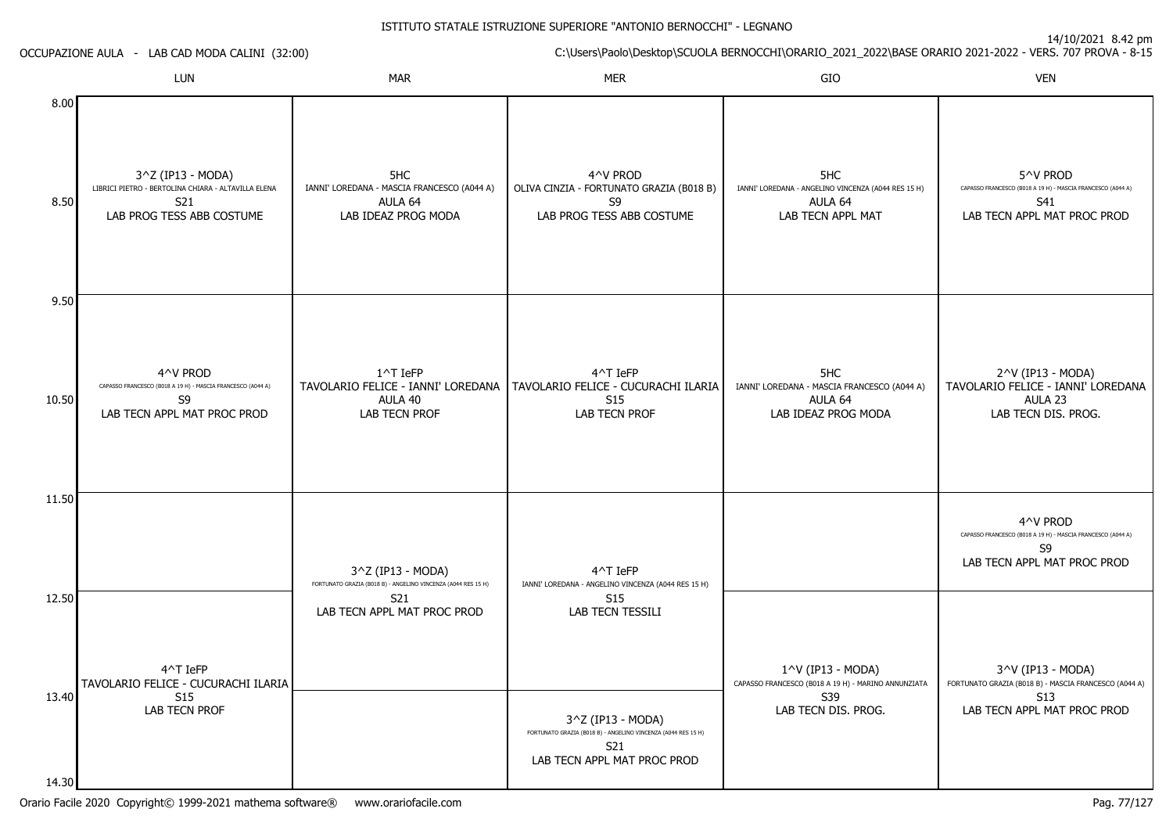|              | OCCUPAZIONE AULA - LAB CAD MODA CALINI (32:00)                                                               |                                                                                      | C:\Users\Paolo\Desktop\SCUOLA BERNOCCHI\ORARIO_2021_2022\BASE ORARIO 2021-2022 - VERS. 707 PROVA - 8-15                  |                                                                                                        |                                                                                                                         |
|--------------|--------------------------------------------------------------------------------------------------------------|--------------------------------------------------------------------------------------|--------------------------------------------------------------------------------------------------------------------------|--------------------------------------------------------------------------------------------------------|-------------------------------------------------------------------------------------------------------------------------|
|              | LUN                                                                                                          | MAR                                                                                  | <b>MER</b>                                                                                                               | GIO                                                                                                    | <b>VEN</b>                                                                                                              |
| 8.00<br>8.50 | 3^Z (IP13 - MODA)<br>LIBRICI PIETRO - BERTOLINA CHIARA - ALTAVILLA ELENA<br>S21<br>LAB PROG TESS ABB COSTUME | 5HC<br>IANNI' LOREDANA - MASCIA FRANCESCO (A044 A)<br>AULA 64<br>LAB IDEAZ PROG MODA | 4^V PROD<br>OLIVA CINZIA - FORTUNATO GRAZIA (B018 B)<br>S9<br>LAB PROG TESS ABB COSTUME                                  | 5HC<br>IANNI' LOREDANA - ANGELINO VINCENZA (A044 RES 15 H)<br>AULA 64<br>LAB TECN APPL MAT             | 5^V PROD<br>CAPASSO FRANCESCO (B018 A 19 H) - MASCIA FRANCESCO (A044 A)<br>S41<br>LAB TECN APPL MAT PROC PROD           |
| 9.50         |                                                                                                              |                                                                                      |                                                                                                                          |                                                                                                        |                                                                                                                         |
| 10.50        | 4^V PROD<br>CAPASSO FRANCESCO (B018 A 19 H) - MASCIA FRANCESCO (A044 A)<br>S9<br>LAB TECN APPL MAT PROC PROD | $1^{\wedge}$ T IeFP<br>AULA 40<br><b>LAB TECN PROF</b>                               | 4^T IeFP<br>TAVOLARIO FELICE - IANNI' LOREDANA   TAVOLARIO FELICE - CUCURACHI ILARIA<br>S <sub>15</sub><br>LAB TECN PROF | 5HC<br>IANNI' LOREDANA - MASCIA FRANCESCO (A044 A)<br>AULA 64<br>LAB IDEAZ PROG MODA                   | 2^V (IP13 - MODA)<br>TAVOLARIO FELICE - IANNI' LOREDANA<br>AULA 23<br>LAB TECN DIS. PROG.                               |
| 11.50        |                                                                                                              |                                                                                      |                                                                                                                          |                                                                                                        | 4^V PROD                                                                                                                |
|              |                                                                                                              | 3^Z (IP13 - MODA)<br>FORTUNATO GRAZIA (B018 B) - ANGELINO VINCENZA (A044 RES 15 H)   | 4^T IeFP<br>IANNI' LOREDANA - ANGELINO VINCENZA (A044 RES 15 H)                                                          |                                                                                                        | CAPASSO FRANCESCO (B018 A 19 H) - MASCIA FRANCESCO (A044 A)<br>S9<br>LAB TECN APPL MAT PROC PROD                        |
| 12.50        |                                                                                                              | S21<br>LAB TECN APPL MAT PROC PROD                                                   | S <sub>15</sub><br>LAB TECN TESSILI                                                                                      |                                                                                                        |                                                                                                                         |
| 13.40        | 4^T IeFP<br>TAVOLARIO FELICE - CUCURACHI ILARIA<br><b>S15</b><br>LAB TECN PROF                               |                                                                                      | 3^Z (IP13 - MODA)                                                                                                        | 1^V (IP13 - MODA)<br>CAPASSO FRANCESCO (B018 A 19 H) - MARINO ANNUNZIATA<br>S39<br>LAB TECN DIS. PROG. | 3^V (IP13 - MODA)<br>FORTUNATO GRAZIA (B018 B) - MASCIA FRANCESCO (A044 A)<br><b>S13</b><br>LAB TECN APPL MAT PROC PROD |
|              |                                                                                                              |                                                                                      | FORTUNATO GRAZIA (B018 B) - ANGELINO VINCENZA (A044 RES 15 H)<br>S21<br>LAB TECN APPL MAT PROC PROD                      |                                                                                                        |                                                                                                                         |
| 14.30        |                                                                                                              |                                                                                      |                                                                                                                          |                                                                                                        |                                                                                                                         |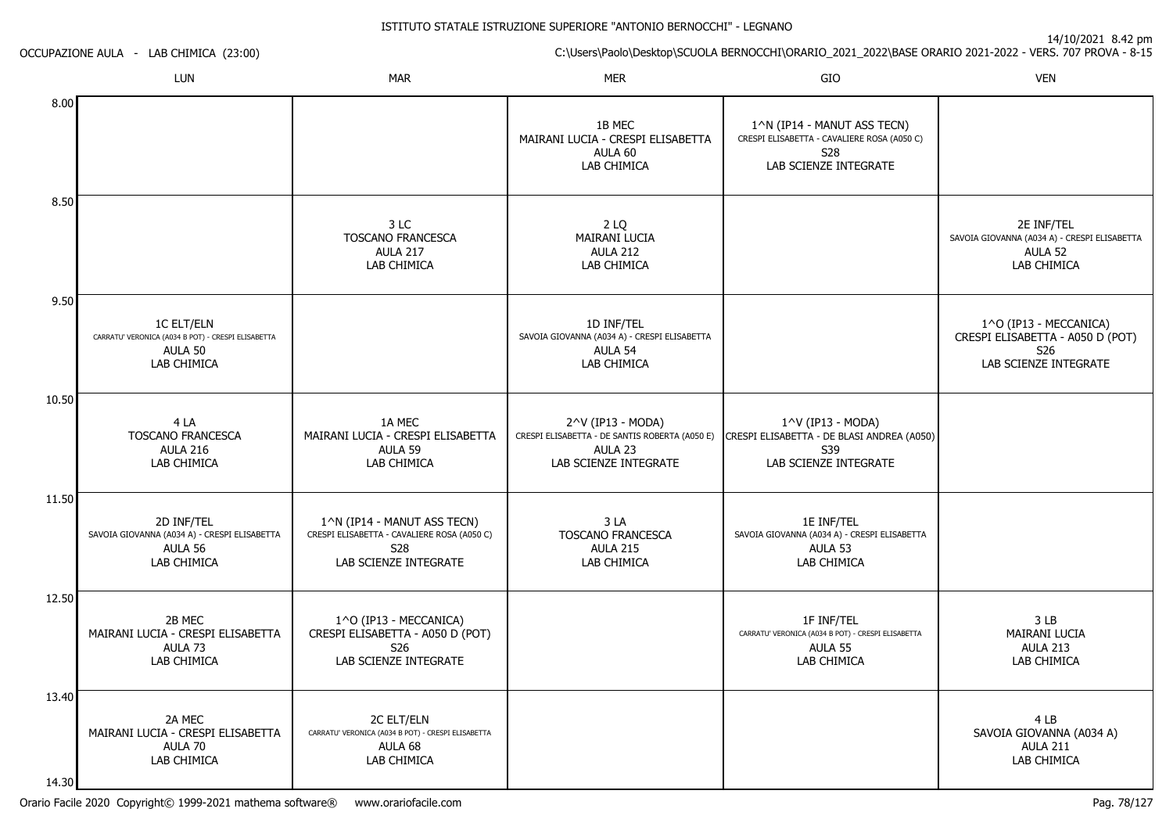14/10/2021 8.42 pm

C:\Users\Paolo\Desktop\SCUOLA BERNOCCHI\ORARIO\_2021\_2022\BASE ORARIO 2021-2022 - VERS. 707 PROVA - 8-15

OCCUPAZIONE AULA - LAB CHIMICA (23:00)

|                | <b>LUN</b>                                                                                        | <b>MAR</b>                                                                                                 | <b>MER</b>                                                                                              | GIO                                                                                                               | <b>VEN</b>                                                                                             |
|----------------|---------------------------------------------------------------------------------------------------|------------------------------------------------------------------------------------------------------------|---------------------------------------------------------------------------------------------------------|-------------------------------------------------------------------------------------------------------------------|--------------------------------------------------------------------------------------------------------|
| 8.00           |                                                                                                   |                                                                                                            | 1B MEC<br>MAIRANI LUCIA - CRESPI ELISABETTA<br>AULA 60<br>LAB CHIMICA                                   | 1^N (IP14 - MANUT ASS TECN)<br>CRESPI ELISABETTA - CAVALIERE ROSA (A050 C)<br><b>S28</b><br>LAB SCIENZE INTEGRATE |                                                                                                        |
| 8.50           |                                                                                                   | 3 LC<br>TOSCANO FRANCESCA<br><b>AULA 217</b><br>LAB CHIMICA                                                | 2 LQ<br>MAIRANI LUCIA<br><b>AULA 212</b><br>LAB CHIMICA                                                 |                                                                                                                   | 2E INF/TEL<br>SAVOIA GIOVANNA (A034 A) - CRESPI ELISABETTA<br>AULA 52<br>LAB CHIMICA                   |
| 9.50           | <b>1C ELT/ELN</b><br>CARRATU' VERONICA (A034 B POT) - CRESPI ELISABETTA<br>AULA 50<br>LAB CHIMICA |                                                                                                            | 1D INF/TEL<br>SAVOIA GIOVANNA (A034 A) - CRESPI ELISABETTA<br>AULA 54<br>LAB CHIMICA                    |                                                                                                                   | 1^O (IP13 - MECCANICA)<br>CRESPI ELISABETTA - A050 D (POT)<br>S <sub>26</sub><br>LAB SCIENZE INTEGRATE |
| 10.50          | 4 LA<br><b>TOSCANO FRANCESCA</b><br><b>AULA 216</b><br>LAB CHIMICA                                | 1A MEC<br>MAIRANI LUCIA - CRESPI ELISABETTA<br>AULA 59<br>LAB CHIMICA                                      | 2^V (IP13 - MODA)<br>CRESPI ELISABETTA - DE SANTIS ROBERTA (A050 E)<br>AULA 23<br>LAB SCIENZE INTEGRATE | 1^V (IP13 - MODA)<br>CRESPI ELISABETTA - DE BLASI ANDREA (A050)<br>S39<br>LAB SCIENZE INTEGRATE                   |                                                                                                        |
| 11.50          | 2D INF/TEL<br>SAVOIA GIOVANNA (A034 A) - CRESPI ELISABETTA<br>AULA 56<br>LAB CHIMICA              | 1^N (IP14 - MANUT ASS TECN)<br>CRESPI ELISABETTA - CAVALIERE ROSA (A050 C)<br>S28<br>LAB SCIENZE INTEGRATE | 3LA<br>TOSCANO FRANCESCA<br><b>AULA 215</b><br>LAB CHIMICA                                              | 1E INF/TEL<br>SAVOIA GIOVANNA (A034 A) - CRESPI ELISABETTA<br>AULA 53<br>LAB CHIMICA                              |                                                                                                        |
| 12.50          | 2B MEC<br>MAIRANI LUCIA - CRESPI ELISABETTA<br>AULA 73<br>LAB CHIMICA                             | 1^O (IP13 - MECCANICA)<br>CRESPI ELISABETTA - A050 D (POT)<br>S <sub>26</sub><br>LAB SCIENZE INTEGRATE     |                                                                                                         | 1F INF/TEL<br>CARRATU' VERONICA (A034 B POT) - CRESPI ELISABETTA<br>AULA 55<br>LAB CHIMICA                        | 3LB<br>MAIRANI LUCIA<br><b>AULA 213</b><br>LAB CHIMICA                                                 |
| 13.40<br>14.30 | 2A MEC<br>MAIRANI LUCIA - CRESPI ELISABETTA<br>AULA 70<br>LAB CHIMICA                             | 2C ELT/ELN<br>CARRATU' VERONICA (A034 B POT) - CRESPI ELISABETTA<br>AULA 68<br>LAB CHIMICA                 |                                                                                                         |                                                                                                                   | 4 LB<br>SAVOIA GIOVANNA (A034 A)<br><b>AULA 211</b><br>LAB CHIMICA                                     |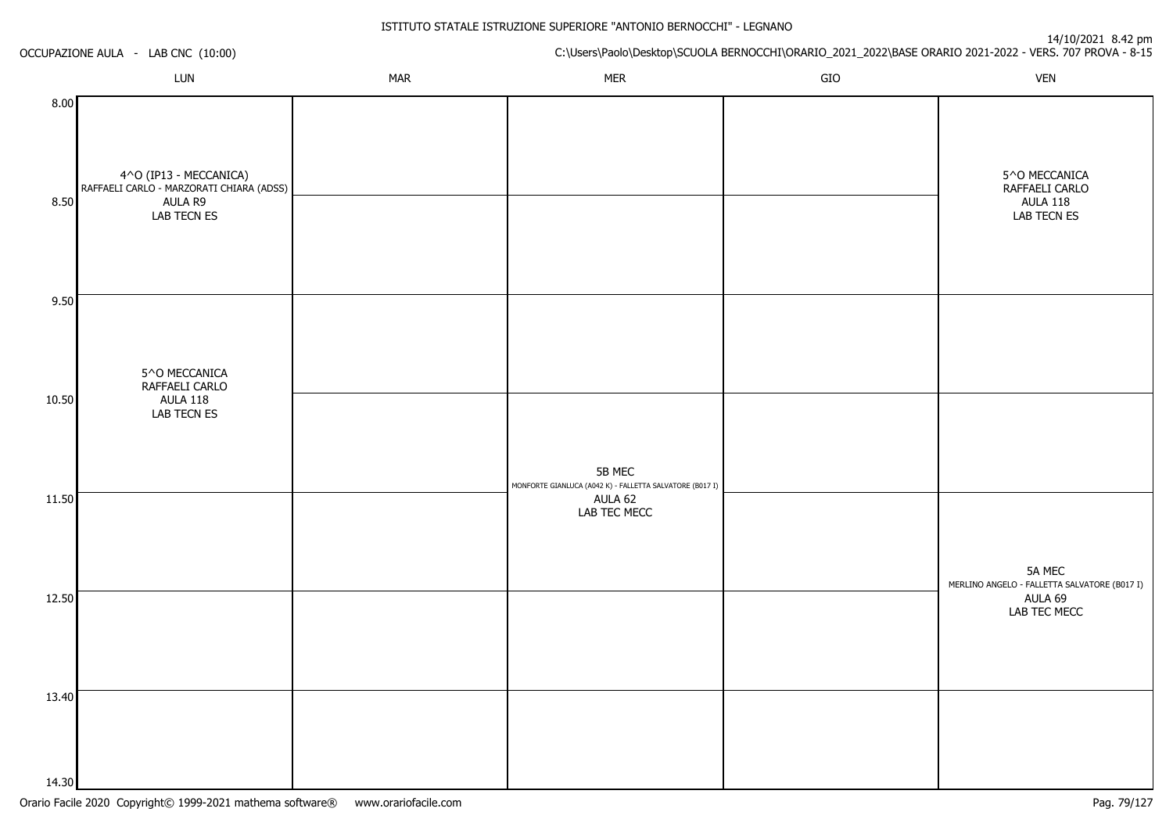|              | OCCUPAZIONE AULA - LAB CNC (10:00)                                                           |            |                                                                                     |     | 14/10/2021 8.42 pm<br>C:\Users\Paolo\Desktop\SCUOLA BERNOCCHI\ORARIO_2021_2022\BASE ORARIO 2021-2022 - VERS. 707 PROVA - 8-15 |
|--------------|----------------------------------------------------------------------------------------------|------------|-------------------------------------------------------------------------------------|-----|-------------------------------------------------------------------------------------------------------------------------------|
|              | LUN                                                                                          | <b>MAR</b> | <b>MER</b>                                                                          | GIO | <b>VEN</b>                                                                                                                    |
| 8.00<br>8.50 | 4^O (IP13 - MECCANICA)<br>RAFFAELI CARLO - MARZORATI CHIARA (ADSS)<br>AULA R9<br>LAB TECN ES |            |                                                                                     |     | 5^0 MECCANICA<br>RAFFAELI CARLO<br><b>AULA 118</b><br><b>LAB TECN ES</b>                                                      |
| 9.50         |                                                                                              |            |                                                                                     |     |                                                                                                                               |
| 10.50        | 5^0 MECCANICA<br>RAFFAELI CARLO<br><b>AULA 118</b><br>LAB TECN ES                            |            | 5B MEC                                                                              |     |                                                                                                                               |
| 11.50        |                                                                                              |            | MONFORTE GIANLUCA (A042 K) - FALLETTA SALVATORE (B017 I)<br>AULA 62<br>LAB TEC MECC |     | 5A MEC<br>MERLINO ANGELO - FALLETTA SALVATORE (B017 I)                                                                        |
| 12.50        |                                                                                              |            |                                                                                     |     | AULA 69<br>LAB TEC MECC                                                                                                       |
| 13.40        |                                                                                              |            |                                                                                     |     |                                                                                                                               |
| 14.30        |                                                                                              |            |                                                                                     |     |                                                                                                                               |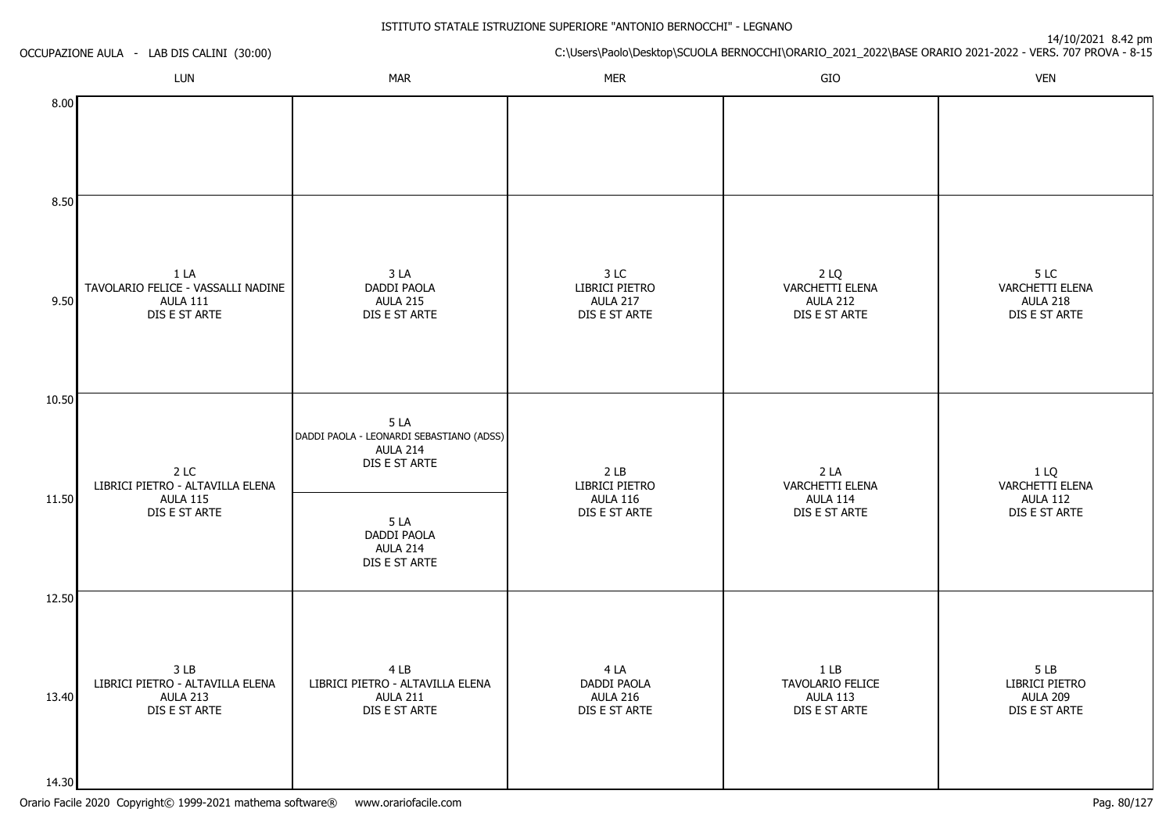|       | OCCUPAZIONE AULA - LAB DIS CALINI (30:00)                                      |                                                                                     |                                                            |                                                             | 14/10/2021 8.42 pm<br>C:\Users\Paolo\Desktop\SCUOLA BERNOCCHI\ORARIO_2021_2022\BASE ORARIO 2021-2022 - VERS. 707 PROVA - 8-15 |
|-------|--------------------------------------------------------------------------------|-------------------------------------------------------------------------------------|------------------------------------------------------------|-------------------------------------------------------------|-------------------------------------------------------------------------------------------------------------------------------|
|       | LUN                                                                            | <b>MAR</b>                                                                          | <b>MER</b>                                                 | GIO                                                         | <b>VEN</b>                                                                                                                    |
| 8.00  |                                                                                |                                                                                     |                                                            |                                                             |                                                                                                                               |
| 8.50  |                                                                                |                                                                                     |                                                            |                                                             |                                                                                                                               |
| 9.50  | 1 LA<br>TAVOLARIO FELICE - VASSALLI NADINE<br><b>AULA 111</b><br>DIS E ST ARTE | 3 LA<br>DADDI PAOLA<br><b>AULA 215</b><br>DIS E ST ARTE                             | 3 LC<br>LIBRICI PIETRO<br><b>AULA 217</b><br>DIS E ST ARTE | 2 LQ<br>VARCHETTI ELENA<br><b>AULA 212</b><br>DIS E ST ARTE | 5 LC<br>VARCHETTI ELENA<br><b>AULA 218</b><br>DIS E ST ARTE                                                                   |
| 10.50 | 2 LC                                                                           | 5LA<br>DADDI PAOLA - LEONARDI SEBASTIANO (ADSS)<br><b>AULA 214</b><br>DIS E ST ARTE | 2 <sub>LB</sub>                                            | 2 <sub>LA</sub>                                             | 1 LQ                                                                                                                          |
| 11.50 | LIBRICI PIETRO - ALTAVILLA ELENA<br><b>AULA 115</b><br>DIS E ST ARTE           | 5 LA<br>DADDI PAOLA<br><b>AULA 214</b><br>DIS E ST ARTE                             | LIBRICI PIETRO<br><b>AULA 116</b><br>DIS E ST ARTE         | <b>VARCHETTI ELENA</b><br><b>AULA 114</b><br>DIS E ST ARTE  | VARCHETTI ELENA<br><b>AULA 112</b><br>DIS E ST ARTE                                                                           |
| 12.50 |                                                                                |                                                                                     |                                                            |                                                             |                                                                                                                               |
| 13.40 | 3 LB<br>LIBRICI PIETRO - ALTAVILLA ELENA<br>AULA 213<br>DIS E ST ARTE          | 4 LB<br>LIBRICI PIETRO - ALTAVILLA ELENA<br><b>AULA 211</b><br>DIS E ST ARTE        | 4 LA<br>DADDI PAOLA<br>AULA 216<br>DIS E ST ARTE           | $1$ LB<br>TAVOLARIO FELICE<br>AULA 113<br>DIS E ST ARTE     | 5 LB<br>LIBRICI PIETRO<br><b>AULA 209</b><br>DIS E ST ARTE                                                                    |
| 14.30 |                                                                                |                                                                                     |                                                            |                                                             |                                                                                                                               |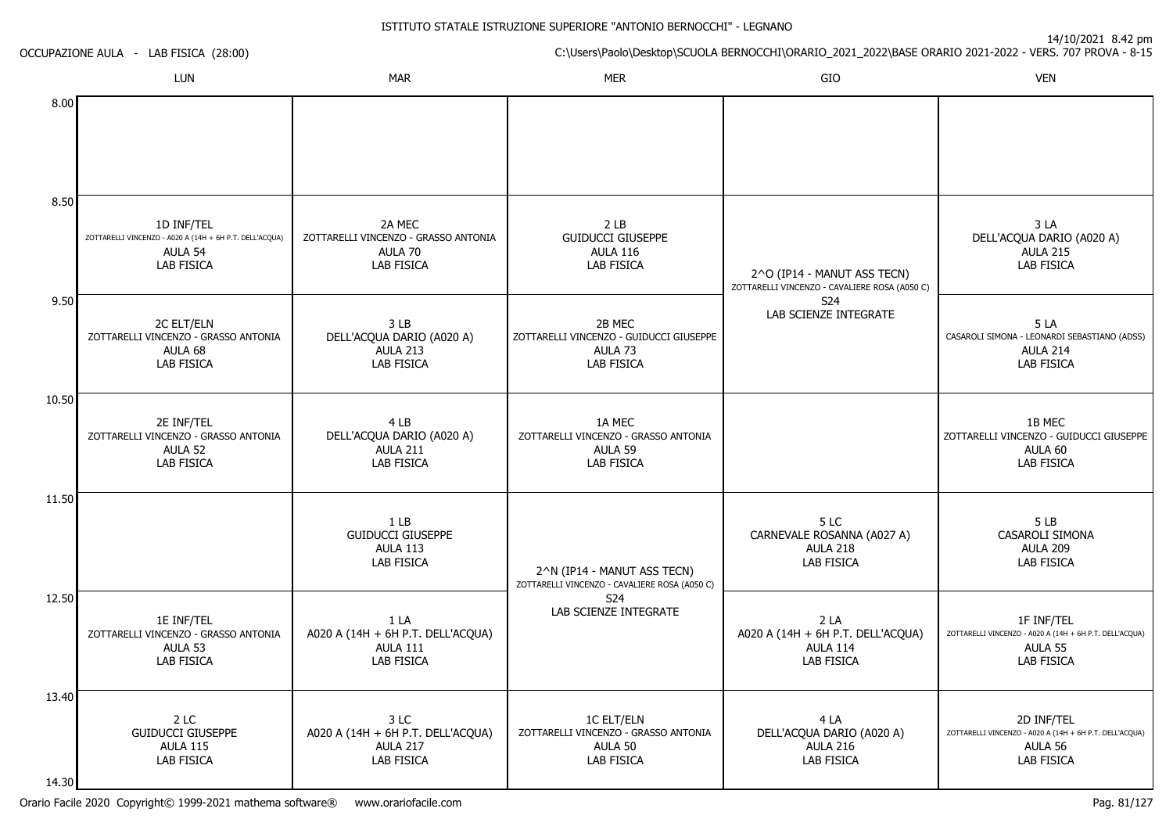|       | OCCUPAZIONE AULA - LAB FISICA (28:00)                                                          |                                                                                     |                                                                                       |                                                                              | 14/10/2021 8.42 pm<br>C:\Users\Paolo\Desktop\SCUOLA BERNOCCHI\ORARIO_2021_2022\BASE ORARIO 2021-2022 - VERS. 707 PROVA - 8-15 |
|-------|------------------------------------------------------------------------------------------------|-------------------------------------------------------------------------------------|---------------------------------------------------------------------------------------|------------------------------------------------------------------------------|-------------------------------------------------------------------------------------------------------------------------------|
|       | LUN                                                                                            | <b>MAR</b>                                                                          | <b>MER</b>                                                                            | GIO                                                                          | <b>VEN</b>                                                                                                                    |
| 8.00  |                                                                                                |                                                                                     |                                                                                       |                                                                              |                                                                                                                               |
| 8.50  |                                                                                                |                                                                                     |                                                                                       |                                                                              |                                                                                                                               |
|       | 1D INF/TEL<br>ZOTTARELLI VINCENZO - A020 A (14H + 6H P.T. DELL'ACQUA)<br>AULA 54<br>LAB FISICA | 2A MEC<br>ZOTTARELLI VINCENZO - GRASSO ANTONIA<br>AULA 70<br>LAB FISICA             | 2 LB<br><b>GUIDUCCI GIUSEPPE</b><br><b>AULA 116</b><br><b>LAB FISICA</b>              | 2^O (IP14 - MANUT ASS TECN)<br>ZOTTARELLI VINCENZO - CAVALIERE ROSA (A050 C) | 3LA<br>DELL'ACQUA DARIO (A020 A)<br><b>AULA 215</b><br>LAB FISICA                                                             |
| 9.50  | 2C ELT/ELN<br>ZOTTARELLI VINCENZO - GRASSO ANTONIA<br>AULA 68<br><b>LAB FISICA</b>             | 3 LB<br>DELL'ACQUA DARIO (A020 A)<br><b>AULA 213</b><br><b>LAB FISICA</b>           | 2B MEC<br>ZOTTARELLI VINCENZO - GUIDUCCI GIUSEPPE<br>AULA <sub>73</sub><br>LAB FISICA | S24<br>LAB SCIENZE INTEGRATE                                                 | 5LA<br>CASAROLI SIMONA - LEONARDI SEBASTIANO (ADSS)<br>AULA 214<br>LAB FISICA                                                 |
| 10.50 |                                                                                                |                                                                                     |                                                                                       |                                                                              |                                                                                                                               |
|       | 2E INF/TEL<br>ZOTTARELLI VINCENZO - GRASSO ANTONIA<br>AULA 52<br>LAB FISICA                    | 4 LB<br>DELL'ACQUA DARIO (A020 A)<br>AULA 211<br><b>LAB FISICA</b>                  | 1A MEC<br>ZOTTARELLI VINCENZO - GRASSO ANTONIA<br>AULA 59<br>LAB FISICA               |                                                                              | 1B MEC<br>ZOTTARELLI VINCENZO - GUIDUCCI GIUSEPPE<br>AULA 60<br>LAB FISICA                                                    |
| 11.50 |                                                                                                |                                                                                     |                                                                                       |                                                                              |                                                                                                                               |
|       |                                                                                                | 1 <sub>LB</sub><br><b>GUIDUCCI GIUSEPPE</b><br><b>AULA 113</b><br><b>LAB FISICA</b> | 2^N (IP14 - MANUT ASS TECN)<br>ZOTTARELLI VINCENZO - CAVALIERE ROSA (A050 C)          | 5LC<br>CARNEVALE ROSANNA (A027 A)<br><b>AULA 218</b><br>LAB FISICA           | 5LB<br>CASAROLI SIMONA<br><b>AULA 209</b><br>LAB FISICA                                                                       |
| 12.50 | 1E INF/TEL<br>ZOTTARELLI VINCENZO - GRASSO ANTONIA<br>AULA 53<br><b>LAB FISICA</b>             | 1 LA<br>A020 A (14H + 6H P.T. DELL'ACQUA)<br><b>AULA 111</b><br><b>LAB FISICA</b>   | S24<br>LAB SCIENZE INTEGRATE                                                          | 2 LA<br>A020 A (14H + 6H P.T. DELL'ACQUA)<br>AULA 114<br><b>LAB FISICA</b>   | 1F INF/TEL<br>ZOTTARELLI VINCENZO - A020 A (14H + 6H P.T. DELL'ACQUA)<br>AULA 55<br>LAB FISICA                                |
| 13.40 |                                                                                                |                                                                                     |                                                                                       |                                                                              |                                                                                                                               |
| 14.30 | 2 LC<br><b>GUIDUCCI GIUSEPPE</b><br><b>AULA 115</b><br>LAB FISICA                              | 3 LC<br>A020 A (14H + 6H P.T. DELL'ACQUA)<br>AULA 217<br>LAB FISICA                 | 1C ELT/ELN<br>ZOTTARELLI VINCENZO - GRASSO ANTONIA<br>AULA 50<br>LAB FISICA           | 4 LA<br>DELL'ACQUA DARIO (A020 A)<br><b>AULA 216</b><br>LAB FISICA           | 2D INF/TEL<br>ZOTTARELLI VINCENZO - A020 A (14H + 6H P.T. DELL'ACQUA)<br>AULA 56<br>LAB FISICA                                |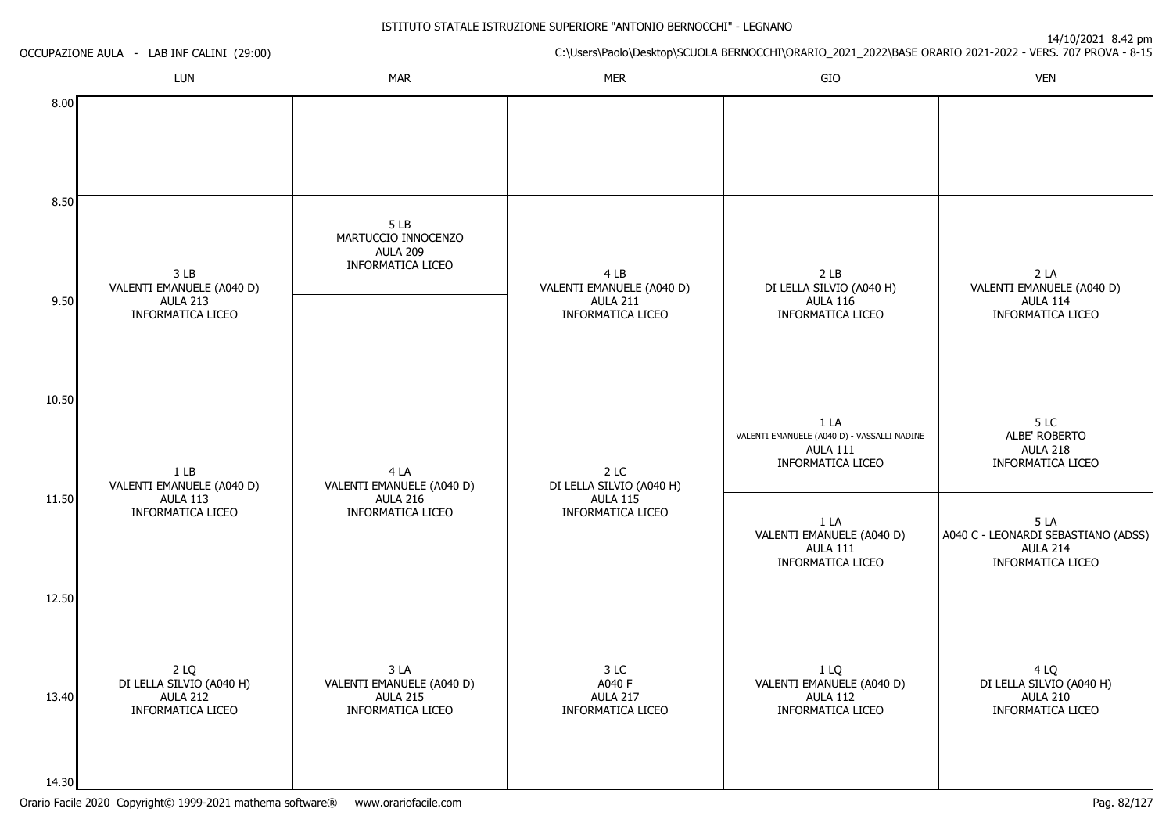14/10/2021 8.42 pm

|               | OCCUPAZIONE AULA - LAB INF CALINI (29:00)                       |                                                                    |                                                     |                                                                                            | C:\Users\Paolo\Desktop\SCUOLA BERNOCCHI\ORARIO_2021_2022\BASE ORARIO 2021-2022 - VERS. 707 PROVA - 8-15 |
|---------------|-----------------------------------------------------------------|--------------------------------------------------------------------|-----------------------------------------------------|--------------------------------------------------------------------------------------------|---------------------------------------------------------------------------------------------------------|
|               | LUN                                                             | <b>MAR</b>                                                         | <b>MER</b>                                          | GIO                                                                                        | <b>VEN</b>                                                                                              |
| 8.00          |                                                                 |                                                                    |                                                     |                                                                                            |                                                                                                         |
| 8.50          | 3 <sub>LB</sub><br>VALENTI EMANUELE (A040 D)                    | 5LB<br>MARTUCCIO INNOCENZO<br><b>AULA 209</b><br>INFORMATICA LICEO | 4 LB<br>VALENTI EMANUELE (A040 D)                   | 2 <sub>LB</sub><br>DI LELLA SILVIO (A040 H)                                                | 2LA<br>VALENTI EMANUELE (A040 D)                                                                        |
| 9.50<br>10.50 | <b>AULA 213</b><br>INFORMATICA LICEO                            |                                                                    | <b>AULA 211</b><br>INFORMATICA LICEO                | <b>AULA 116</b><br>INFORMATICA LICEO                                                       | <b>AULA 114</b><br>INFORMATICA LICEO                                                                    |
| 11.50         | 1 <sub>LB</sub><br>VALENTI EMANUELE (A040 D)<br><b>AULA 113</b> | 4 LA<br>VALENTI EMANUELE (A040 D)<br><b>AULA 216</b>               | 2 LC<br>DI LELLA SILVIO (A040 H)<br><b>AULA 115</b> | 1LA<br>VALENTI EMANUELE (A040 D) - VASSALLI NADINE<br><b>AULA 111</b><br>INFORMATICA LICEO | 5LC<br>ALBE' ROBERTO<br><b>AULA 218</b><br>INFORMATICA LICEO                                            |
|               | INFORMATICA LICEO                                               | INFORMATICA LICEO                                                  | INFORMATICA LICEO                                   | 1 LA<br>VALENTI EMANUELE (A040 D)<br><b>AULA 111</b><br>INFORMATICA LICEO                  | 5LA<br>A040 C - LEONARDI SEBASTIANO (ADSS)<br>AULA 214<br>INFORMATICA LICEO                             |
| 12.50         | 2 LQ<br>DI LELLA SILVIO (A040 H)                                | 3 LA<br>VALENTI EMANUELE (A040 D)                                  | 3 LC<br>A040 F                                      | 1 LQ<br>VALENTI EMANUELE (A040 D)                                                          | 4 LQ<br>DI LELLA SILVIO (A040 H)                                                                        |
| 13.40         | AULA 212<br><b>INFORMATICA LICEO</b>                            | <b>AULA 215</b><br><b>INFORMATICA LICEO</b>                        | <b>AULA 217</b><br><b>INFORMATICA LICEO</b>         | <b>AULA 112</b><br><b>INFORMATICA LICEO</b>                                                | <b>AULA 210</b><br>INFORMATICA LICEO                                                                    |

 $14.30$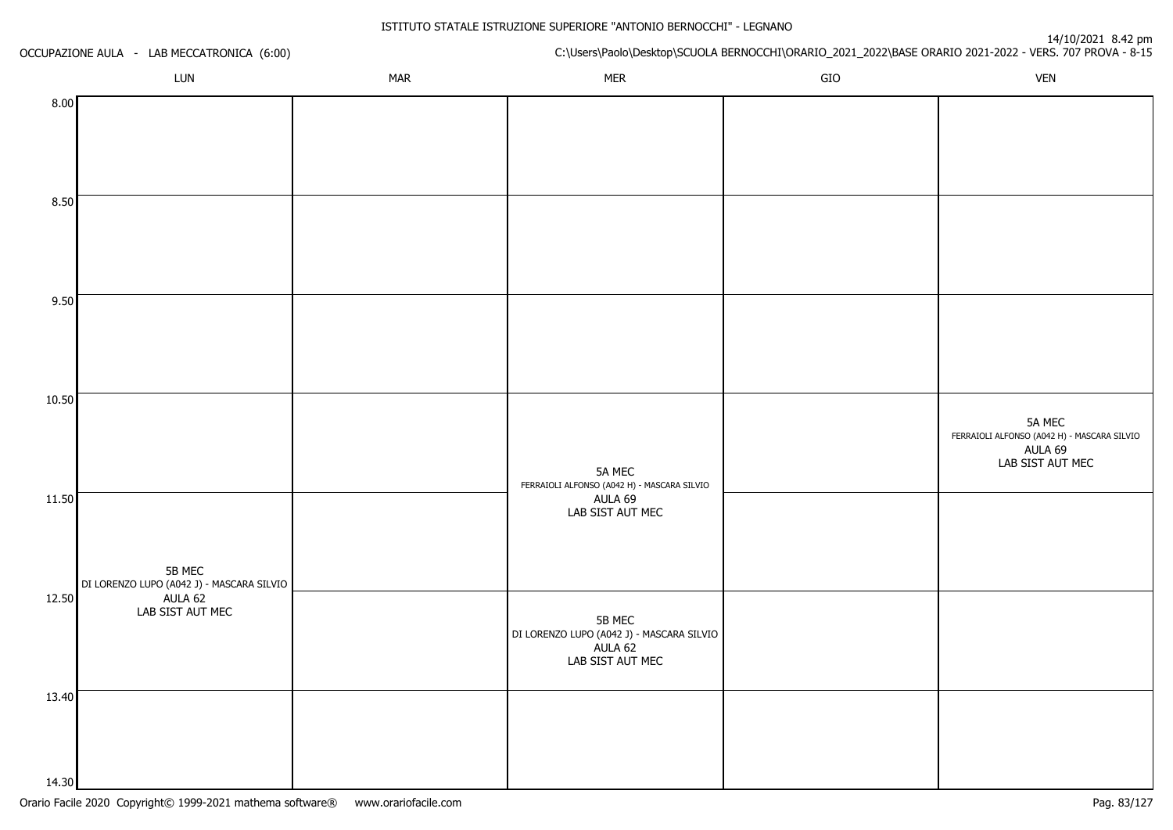| OCCUPAZIONE AULA - LAB MECCATRONICA (6:00)                   |  |            | 14/10/2021 0.42 pm<br>C:\Users\Paolo\Desktop\SCUOLA BERNOCCHI\ORARIO_2021_2022\BASE ORARIO 2021-2022 - VERS. 707 PROVA - 8-15 |     |                                                                                      |  |
|--------------------------------------------------------------|--|------------|-------------------------------------------------------------------------------------------------------------------------------|-----|--------------------------------------------------------------------------------------|--|
| LUN                                                          |  | <b>MAR</b> | <b>MER</b>                                                                                                                    | GIO | <b>VEN</b>                                                                           |  |
| 8.00                                                         |  |            |                                                                                                                               |     |                                                                                      |  |
| 8.50                                                         |  |            |                                                                                                                               |     |                                                                                      |  |
| 9.50                                                         |  |            |                                                                                                                               |     |                                                                                      |  |
| 10.50                                                        |  |            | 5A MEC<br>FERRAIOLI ALFONSO (A042 H) - MASCARA SILVIO                                                                         |     | 5A MEC<br>FERRAIOLI ALFONSO (A042 H) - MASCARA SILVIO<br>AULA 69<br>LAB SIST AUT MEC |  |
| 11.50<br>5B MEC<br>DI LORENZO LUPO (A042 J) - MASCARA SILVIO |  |            | AULA 69<br>LAB SIST AUT MEC                                                                                                   |     |                                                                                      |  |
| 12.50<br>AULA 62<br>LAB SIST AUT MEC                         |  |            | 5B MEC<br>DI LORENZO LUPO (A042 J) - MASCARA SILVIO<br>AULA 62<br>LAB SIST AUT MEC                                            |     |                                                                                      |  |
| 13.40<br>14.30                                               |  |            |                                                                                                                               |     |                                                                                      |  |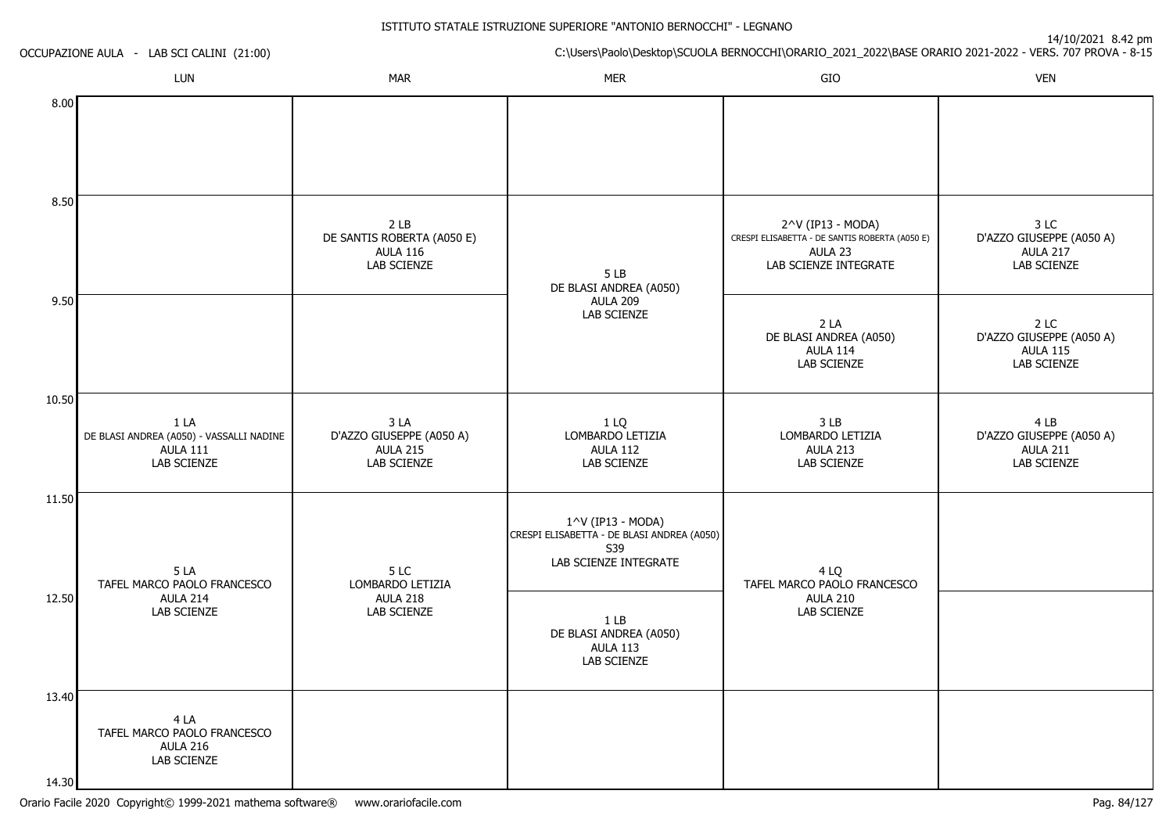| OCCUPAZIONE AULA - LAB SCI CALINI (21:00) |                                                                             |                                                                                        | 14/10/2021 8.42 pm<br>C:\Users\Paolo\Desktop\SCUOLA BERNOCCHI\ORARIO_2021_2022\BASE ORARIO 2021-2022 - VERS. 707 PROVA - 8-15 |                                                                                                         |                                                                    |  |
|-------------------------------------------|-----------------------------------------------------------------------------|----------------------------------------------------------------------------------------|-------------------------------------------------------------------------------------------------------------------------------|---------------------------------------------------------------------------------------------------------|--------------------------------------------------------------------|--|
|                                           | LUN                                                                         | <b>MAR</b>                                                                             | <b>MER</b>                                                                                                                    | GIO                                                                                                     | <b>VEN</b>                                                         |  |
| 8.00                                      |                                                                             |                                                                                        |                                                                                                                               |                                                                                                         |                                                                    |  |
| 8.50                                      |                                                                             | 2 <sub>LB</sub><br>DE SANTIS ROBERTA (A050 E)<br><b>AULA 116</b><br><b>LAB SCIENZE</b> | 5LB<br>DE BLASI ANDREA (A050)                                                                                                 | 2^V (IP13 - MODA)<br>CRESPI ELISABETTA - DE SANTIS ROBERTA (A050 E)<br>AULA 23<br>LAB SCIENZE INTEGRATE | 3 LC<br>D'AZZO GIUSEPPE (A050 A)<br><b>AULA 217</b><br>LAB SCIENZE |  |
| 9.50                                      |                                                                             |                                                                                        | <b>AULA 209</b><br>LAB SCIENZE                                                                                                | 2LA<br>DE BLASI ANDREA (A050)<br>AULA 114<br>LAB SCIENZE                                                | 2 LC<br>D'AZZO GIUSEPPE (A050 A)<br><b>AULA 115</b><br>LAB SCIENZE |  |
| 10.50                                     | 1 LA<br>DE BLASI ANDREA (A050) - VASSALLI NADINE<br>AULA 111<br>LAB SCIENZE | 3 LA<br>D'AZZO GIUSEPPE (A050 A)<br><b>AULA 215</b><br><b>LAB SCIENZE</b>              | 1 LQ<br>LOMBARDO LETIZIA<br><b>AULA 112</b><br>LAB SCIENZE                                                                    | 3 LB<br>LOMBARDO LETIZIA<br><b>AULA 213</b><br>LAB SCIENZE                                              | 4 LB<br>D'AZZO GIUSEPPE (A050 A)<br><b>AULA 211</b><br>LAB SCIENZE |  |
| 11.50                                     | 5LA<br>TAFEL MARCO PAOLO FRANCESCO                                          | 5 LC<br>LOMBARDO LETIZIA                                                               | 1^V (IP13 - MODA)<br>CRESPI ELISABETTA - DE BLASI ANDREA (A050)<br>S39<br>LAB SCIENZE INTEGRATE                               | 4 LQ<br>TAFEL MARCO PAOLO FRANCESCO                                                                     |                                                                    |  |
| 12.50                                     | AULA 214<br>LAB SCIENZE                                                     | <b>AULA 218</b><br>LAB SCIENZE                                                         | 1 <sub>LB</sub><br>DE BLASI ANDREA (A050)<br><b>AULA 113</b><br>LAB SCIENZE                                                   | <b>AULA 210</b><br>LAB SCIENZE                                                                          |                                                                    |  |
| 13.40                                     | 4 LA<br>TAFEL MARCO PAOLO FRANCESCO<br>AULA 216<br>LAB SCIENZE              |                                                                                        |                                                                                                                               |                                                                                                         |                                                                    |  |

14.30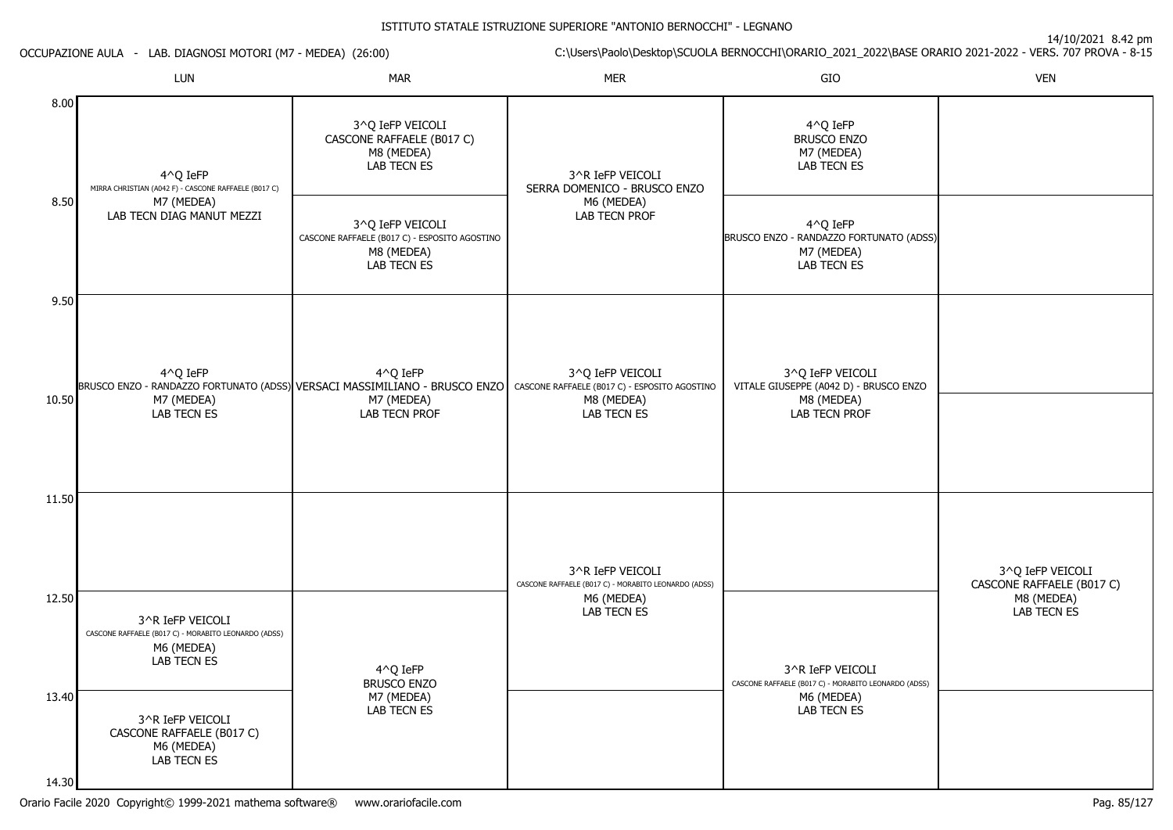14/10/2021 8.42 pm

ISTITUTO STATALE ISTRUZIONE SUPERIORE "ANTONIO BERNOCCHI" - LEGNANOC:\Users\Paolo\Desktop\SCUOLA BERNOCCHI\ORARIO\_2021\_2022\BASE ORARIO 2021-2022 - VERS. 707 PROVA - 8-15 OCCUPAZIONE AULA - LAB. DIAGNOSI MOTORI (M7 - MEDEA) (26:00)LUNN MAR MAR MER SIO O VEN 8.008.509.5010.5011.5012.5013.404^Q IeFP MIRRA CHRISTIAN (A042 F) - CASCONE RAFFAELE (B017 C)M7 (MEDEA) LAB TECN DIAG MANUT MEZZI4^Q IeFPBRUSCO ENZO - RANDAZZO FORTUNATO (ADSS) VERSACI MASSIMILIANO - BRUSCO ENZO | CASCONE RAFFAELE (B017 C) - ESPOSITO AGOSTINO M7 (MEDEA) LAB TECN ES3^R IeFP VEICOLI CASCONE RAFFAELE (B017 C) - MORABITO LEONARDO (ADSS)M6 (MEDEA) LAB TECN ES3^R IeFP VEICOLI CASCONE RAFFAELE (B017 C)M6 (MEDEA)3^Q IeFP VEICOLI CASCONE RAFFAELE (B017 C)M8 (MEDEA) LAB TECN ES3^Q IeFP VEICOLI CASCONE RAFFAELE (B017 C) - ESPOSITO AGOSTINOM8 (MEDEA) LAB TECN ES4^Q IeFPM7 (MEDEA) LAB TECN PROF4^Q IeFP BRUSCO ENZO M7 (MEDEA) LAB TECN ES3^R IeFP VEICOLI SERRA DOMENICO - BRUSCO ENZOM6 (MEDEA) LAB TECN PROF3^Q IeFP VEICOLIM8 (MEDEA) LAB TECN ES3^R IeFP VEICOLI CASCONE RAFFAELE (B017 C) - MORABITO LEONARDO (ADSS)M6 (MEDEA) LAB TECN ES4^Q IeFP BRUSCO ENZO M7 (MEDEA) LAB TECN ES4^Q IeFP BRUSCO ENZO - RANDAZZO FORTUNATO (ADSS)M7 (MEDEA) LAB TECN ES3^Q IeFP VEICOLI VITALE GIUSEPPE (A042 D) - BRUSCO ENZOM8 (MEDEA) LAB TECN PROF3^R IeFP VEICOLI CASCONE RAFFAELE (B017 C) - MORABITO LEONARDO (ADSS) M6 (MEDEA) LAB TECN ES3^Q IeFP VEICOLI CASCONE RAFFAELE (B017 C)M8 (MEDEA)LAB TECN ES

LAB TECN ES

14.30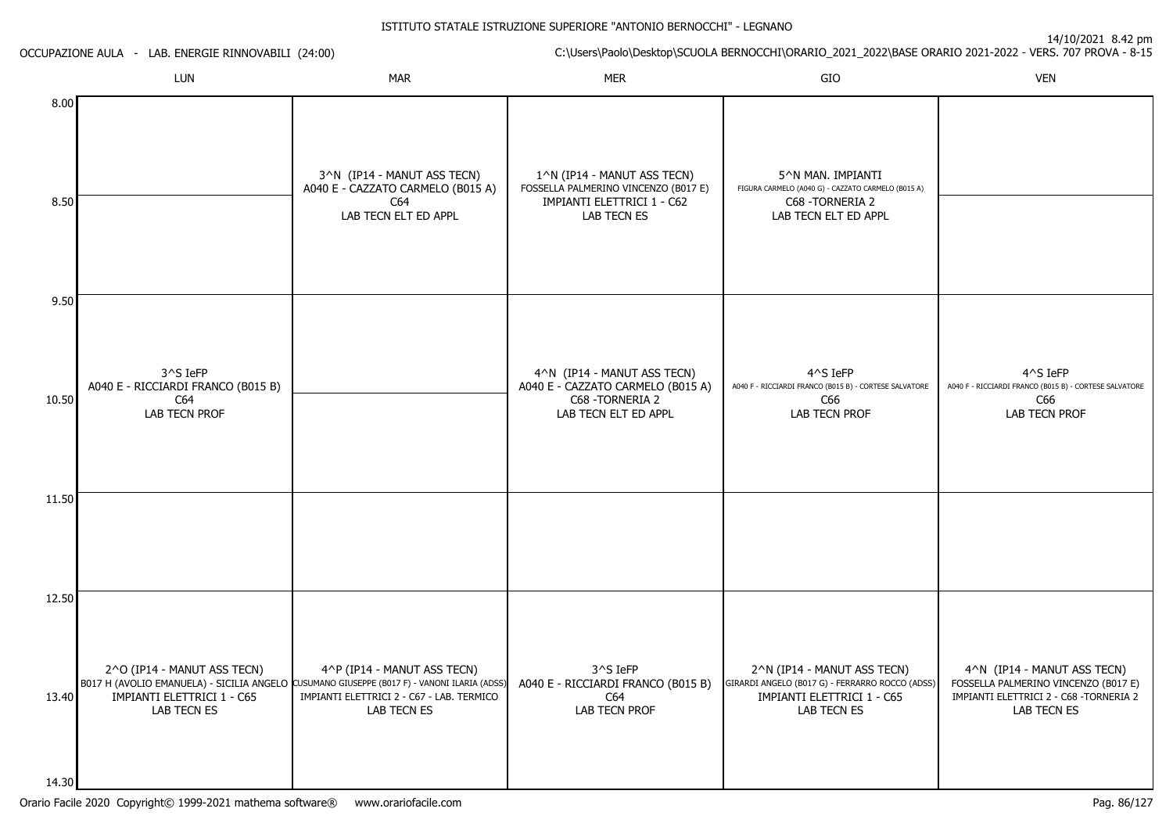|              | C:\Users\Paolo\Desktop\SCUOLA BERNOCCHI\ORARIO_2021_2022\BASE ORARIO 2021-2022 - VERS. 707 PROVA - 8-15<br>OCCUPAZIONE AULA - LAB. ENERGIE RINNOVABILI (24:00) |                                                                                                                                                                                        |                                                                                                                  |                                                                                                                             |                                                                                                                               |
|--------------|----------------------------------------------------------------------------------------------------------------------------------------------------------------|----------------------------------------------------------------------------------------------------------------------------------------------------------------------------------------|------------------------------------------------------------------------------------------------------------------|-----------------------------------------------------------------------------------------------------------------------------|-------------------------------------------------------------------------------------------------------------------------------|
|              | LUN                                                                                                                                                            | <b>MAR</b>                                                                                                                                                                             | <b>MER</b>                                                                                                       | GIO                                                                                                                         | <b>VEN</b>                                                                                                                    |
| 8.00<br>8.50 |                                                                                                                                                                | 3^N (IP14 - MANUT ASS TECN)<br>A040 E - CAZZATO CARMELO (B015 A)<br>C64<br>LAB TECN ELT ED APPL                                                                                        | 1^N (IP14 - MANUT ASS TECN)<br>FOSSELLA PALMERINO VINCENZO (B017 E)<br>IMPIANTI ELETTRICI 1 - C62<br>LAB TECN ES | 5^N MAN. IMPIANTI<br>FIGURA CARMELO (A040 G) - CAZZATO CARMELO (B015 A)<br>C68 - TORNERIA 2<br>LAB TECN ELT ED APPL         |                                                                                                                               |
| 9.50         |                                                                                                                                                                |                                                                                                                                                                                        |                                                                                                                  |                                                                                                                             |                                                                                                                               |
| 10.50        | 3^S IeFP<br>A040 E - RICCIARDI FRANCO (B015 B)<br>C64<br>LAB TECN PROF                                                                                         |                                                                                                                                                                                        | 4^N (IP14 - MANUT ASS TECN)<br>A040 E - CAZZATO CARMELO (B015 A)<br>C68 - TORNERIA 2<br>LAB TECN ELT ED APPL     | 4^S IeFP<br>A040 F - RICCIARDI FRANCO (B015 B) - CORTESE SALVATORE<br>C66<br>LAB TECN PROF                                  | 4^S IeFP<br>A040 F - RICCIARDI FRANCO (B015 B) - CORTESE SALVATORE<br>C66<br>LAB TECN PROF                                    |
| 11.50        |                                                                                                                                                                |                                                                                                                                                                                        |                                                                                                                  |                                                                                                                             |                                                                                                                               |
| 12.50        |                                                                                                                                                                |                                                                                                                                                                                        |                                                                                                                  |                                                                                                                             |                                                                                                                               |
| 13.40        | 2^O (IP14 - MANUT ASS TECN)<br>IMPIANTI ELETTRICI 1 - C65<br>LAB TECN ES                                                                                       | 4^P (IP14 - MANUT ASS TECN)<br>B017 H (AVOLIO EMANUELA) - SICILIA ANGELO CUSUMANO GIUSEPPE (B017 F) - VANONI ILARIA (ADSS)<br>IMPIANTI ELETTRICI 2 - C67 - LAB. TERMICO<br>LAB TECN ES | 3^S IeFP<br>A040 E - RICCIARDI FRANCO (B015 B)<br>C64<br>LAB TECN PROF                                           | 2^N (IP14 - MANUT ASS TECN)<br>GIRARDI ANGELO (B017 G) - FERRARRO ROCCO (ADSS)<br>IMPIANTI ELETTRICI 1 - C65<br>LAB TECN ES | 4^N (IP14 - MANUT ASS TECN)<br>FOSSELLA PALMERINO VINCENZO (B017 E)<br>IMPIANTI ELETTRICI 2 - C68 - TORNERIA 2<br>LAB TECN ES |
| 14.30        |                                                                                                                                                                |                                                                                                                                                                                        |                                                                                                                  |                                                                                                                             |                                                                                                                               |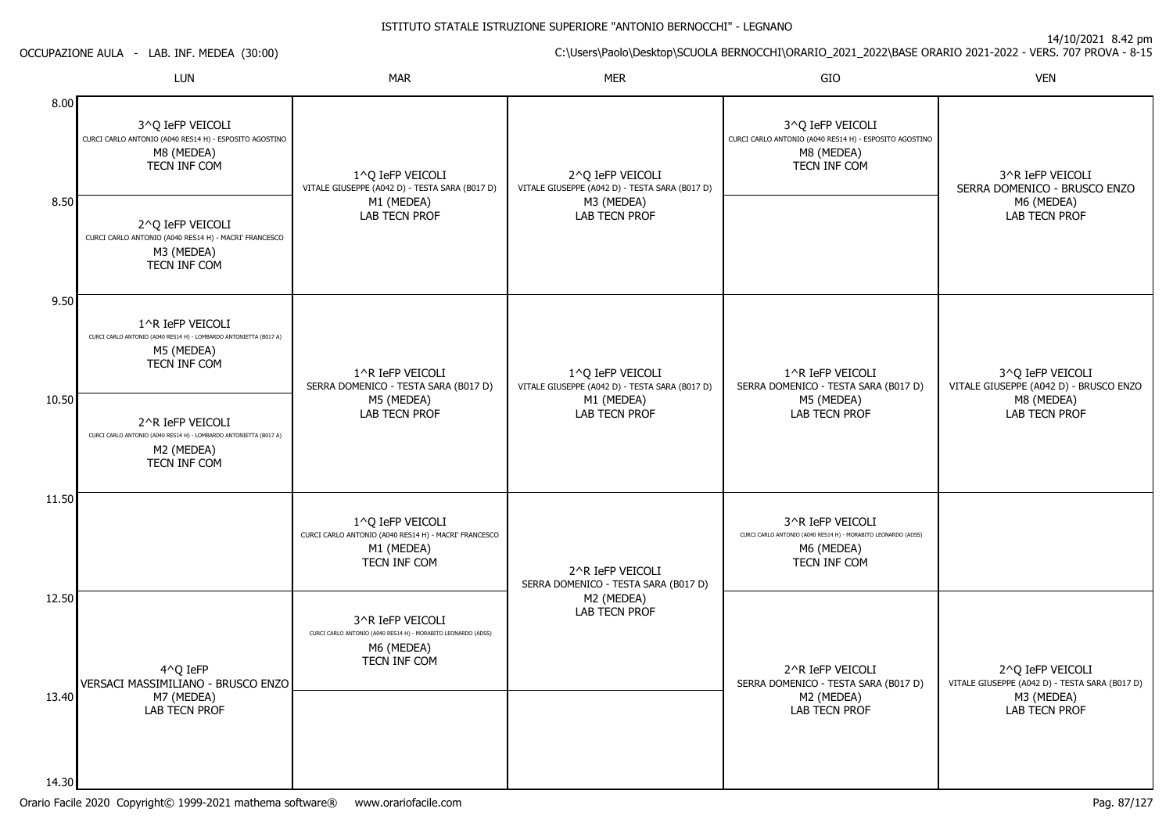14/10/2021 8.42 pm

C:\Users\Paolo\Desktop\SCUOLA BERNOCCHI\ORARIO\_2021\_2022\BASE ORARIO 2021-2022 - VERS. 707 PROVA - 8-15

|                | LUN                                                                                                                                                                                                 | <b>MAR</b>                                                                                                      | <b>MER</b>                                                                                        | GIO                                                                                                             | <b>VEN</b>                                                                      |
|----------------|-----------------------------------------------------------------------------------------------------------------------------------------------------------------------------------------------------|-----------------------------------------------------------------------------------------------------------------|---------------------------------------------------------------------------------------------------|-----------------------------------------------------------------------------------------------------------------|---------------------------------------------------------------------------------|
| 8.00<br>8.50   | 3^O IeFP VEICOLI<br>CURCI CARLO ANTONIO (A040 RES14 H) - ESPOSITO AGOSTINO<br>M8 (MEDEA)<br>TECN INF COM<br>2^Q IeFP VEICOLI<br>CURCI CARLO ANTONIO (A040 RES14 H) - MACRI' FRANCESCO<br>M3 (MEDEA) | 1^0 IeFP VEICOLI<br>VITALE GIUSEPPE (A042 D) - TESTA SARA (B017 D)<br>M1 (MEDEA)<br>LAB TECN PROF               | 2^O IeFP VEICOLI<br>VITALE GIUSEPPE (A042 D) - TESTA SARA (B017 D)<br>M3 (MEDEA)<br>LAB TECN PROF | 3^O IeFP VEICOLI<br>CURCI CARLO ANTONIO (A040 RES14 H) - ESPOSITO AGOSTINO<br>M8 (MEDEA)<br>TECN INF COM        | 3^R IeFP VEICOLI<br>SERRA DOMENICO - BRUSCO ENZO<br>M6 (MEDEA)<br>LAB TECN PROF |
| 9.50           | TECN INF COM                                                                                                                                                                                        |                                                                                                                 |                                                                                                   |                                                                                                                 |                                                                                 |
|                | 1^R IeFP VEICOLI<br>CURCI CARLO ANTONIO (A040 RES14 H) - LOMBARDO ANTONIETTA (B017 A)<br>M5 (MEDEA)<br>TECN INF COM                                                                                 | 1^R IeFP VEICOLI<br>SERRA DOMENICO - TESTA SARA (B017 D)                                                        | 1^Q IeFP VEICOLI<br>VITALE GIUSEPPE (A042 D) - TESTA SARA (B017 D)                                | 1^R IeFP VEICOLI<br>SERRA DOMENICO - TESTA SARA (B017 D)                                                        | 3^Q IeFP VEICOLI<br>VITALE GIUSEPPE (A042 D) - BRUSCO ENZO                      |
| 10.50          | 2^R IeFP VEICOLI<br>CURCI CARLO ANTONIO (A040 RES14 H) - LOMBARDO ANTONIETTA (B017 A)<br>M2 (MEDEA)<br>TECN INF COM                                                                                 | M5 (MEDEA)<br><b>LAB TECN PROF</b>                                                                              | M1 (MEDEA)<br><b>LAB TECN PROF</b>                                                                | M5 (MEDEA)<br><b>LAB TECN PROF</b>                                                                              | M8 (MEDEA)<br><b>LAB TECN PROF</b>                                              |
| 11.50          |                                                                                                                                                                                                     | 1^0 IeFP VEICOLI<br>CURCI CARLO ANTONIO (A040 RES14 H) - MACRI' FRANCESCO<br>M1 (MEDEA)<br>TECN INF COM         | 2^R IeFP VEICOLI<br>SERRA DOMENICO - TESTA SARA (B017 D)                                          | 3^R IeFP VEICOLI<br>CURCI CARLO ANTONIO (A040 RES14 H) - MORABITO LEONARDO (ADSS)<br>M6 (MEDEA)<br>TECN INF COM |                                                                                 |
| 12.50          | 4^0 IeFP<br>VERSACI MASSIMILIANO - BRUSCO ENZO                                                                                                                                                      | 3^R IeFP VEICOLI<br>CURCI CARLO ANTONIO (A040 RES14 H) - MORABITO LEONARDO (ADSS)<br>M6 (MEDEA)<br>TECN INF COM | M2 (MEDEA)<br>LAB TECN PROF                                                                       | 2^R IeFP VEICOLI<br>SERRA DOMENICO - TESTA SARA (B017 D)                                                        | 2^O IeFP VEICOLI<br>VITALE GIUSEPPE (A042 D) - TESTA SARA (B017 D)              |
| 13.40<br>14.30 | M7 (MEDEA)<br><b>LAB TECN PROF</b>                                                                                                                                                                  |                                                                                                                 |                                                                                                   | M2 (MEDEA)<br><b>LAB TECN PROF</b>                                                                              | M3 (MEDEA)<br><b>LAB TECN PROF</b>                                              |
|                |                                                                                                                                                                                                     |                                                                                                                 |                                                                                                   |                                                                                                                 |                                                                                 |

OCCUPAZIONE AULA - LAB. INF. MEDEA (30:00)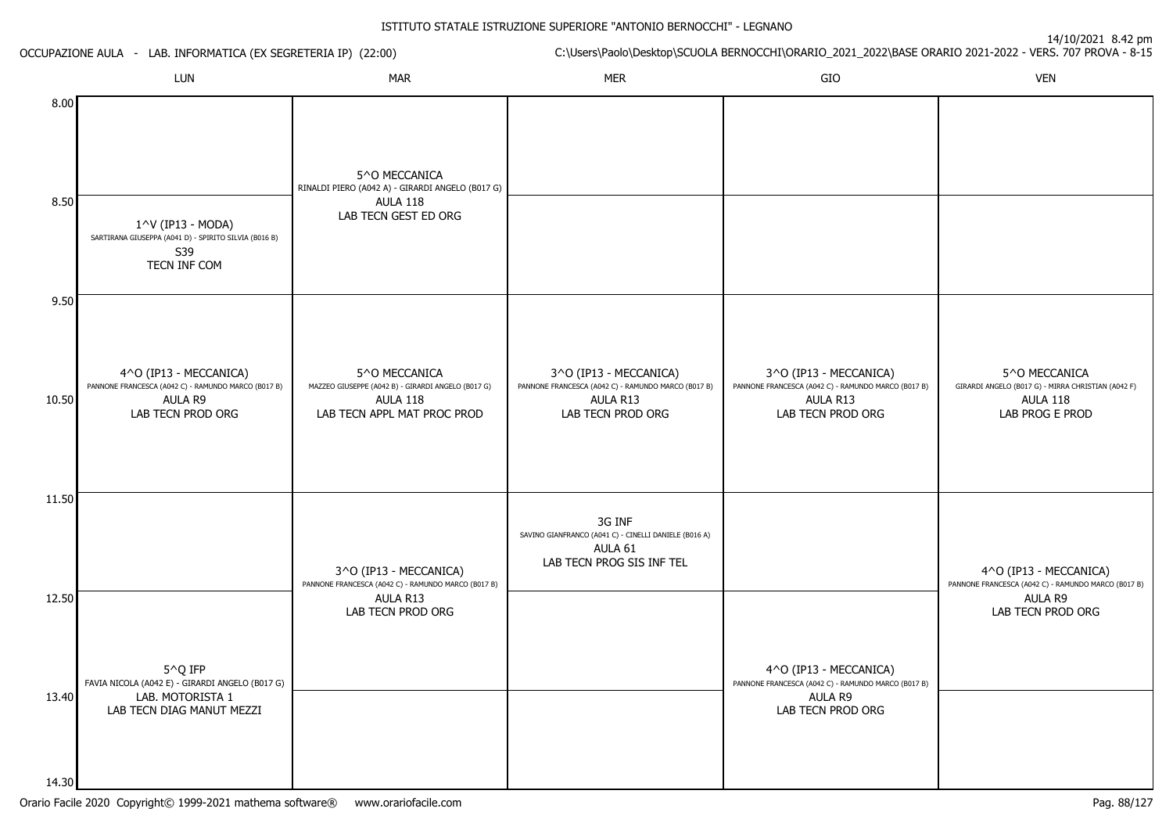| OCCUPAZIONE AULA - LAB. INFORMATICA (EX SEGRETERIA IP) (22:00) |                                                                                                               | C:\Users\Paolo\Desktop\SCUOLA BERNOCCHI\ORARIO_2021_2022\BASE ORARIO 2021-2022 - VERS. 707 PROVA - 8-15               |                                                                                                                |                                                                                                                |                                                                                                               |
|----------------------------------------------------------------|---------------------------------------------------------------------------------------------------------------|-----------------------------------------------------------------------------------------------------------------------|----------------------------------------------------------------------------------------------------------------|----------------------------------------------------------------------------------------------------------------|---------------------------------------------------------------------------------------------------------------|
|                                                                | LUN                                                                                                           | <b>MAR</b>                                                                                                            | <b>MER</b>                                                                                                     | GIO                                                                                                            | <b>VEN</b>                                                                                                    |
| 8.00<br>8.50                                                   | 1^V (IP13 - MODA)<br>SARTIRANA GIUSEPPA (A041 D) - SPIRITO SILVIA (B016 B)<br>S39<br>TECN INF COM             | 5^0 MECCANICA<br>RINALDI PIERO (A042 A) - GIRARDI ANGELO (B017 G)<br>AULA 118<br>LAB TECN GEST ED ORG                 |                                                                                                                |                                                                                                                |                                                                                                               |
| 9.50                                                           |                                                                                                               |                                                                                                                       |                                                                                                                |                                                                                                                |                                                                                                               |
| 10.50                                                          | 4^O (IP13 - MECCANICA)<br>PANNONE FRANCESCA (A042 C) - RAMUNDO MARCO (B017 B)<br>AULA R9<br>LAB TECN PROD ORG | 5^0 MECCANICA<br>MAZZEO GIUSEPPE (A042 B) - GIRARDI ANGELO (B017 G)<br><b>AULA 118</b><br>LAB TECN APPL MAT PROC PROD | 3^O (IP13 - MECCANICA)<br>PANNONE FRANCESCA (A042 C) - RAMUNDO MARCO (B017 B)<br>AULA R13<br>LAB TECN PROD ORG | 3^O (IP13 - MECCANICA)<br>PANNONE FRANCESCA (A042 C) - RAMUNDO MARCO (B017 B)<br>AULA R13<br>LAB TECN PROD ORG | 5^0 MECCANICA<br>GIRARDI ANGELO (B017 G) - MIRRA CHRISTIAN (A042 F)<br><b>AULA 118</b><br>LAB PROG E PROD     |
| 11.50                                                          |                                                                                                               |                                                                                                                       | 3G INF                                                                                                         |                                                                                                                |                                                                                                               |
| 12.50<br>13.40                                                 | 5^Q IFP<br>FAVIA NICOLA (A042 E) - GIRARDI ANGELO (B017 G)<br>LAB. MOTORISTA 1<br>LAB TECN DIAG MANUT MEZZI   | 3^O (IP13 - MECCANICA)<br>PANNONE FRANCESCA (A042 C) - RAMUNDO MARCO (B017 B)<br>AULA R13<br>LAB TECN PROD ORG        | SAVINO GIANFRANCO (A041 C) - CINELLI DANIELE (B016 A)<br>AULA 61<br>LAB TECN PROG SIS INF TEL                  | 4^O (IP13 - MECCANICA)<br>PANNONE FRANCESCA (A042 C) - RAMUNDO MARCO (B017 B)<br>AULA R9<br>LAB TECN PROD ORG  | 4^O (IP13 - MECCANICA)<br>PANNONE FRANCESCA (A042 C) - RAMUNDO MARCO (B017 B)<br>AULA R9<br>LAB TECN PROD ORG |
| 14.30                                                          |                                                                                                               |                                                                                                                       |                                                                                                                |                                                                                                                |                                                                                                               |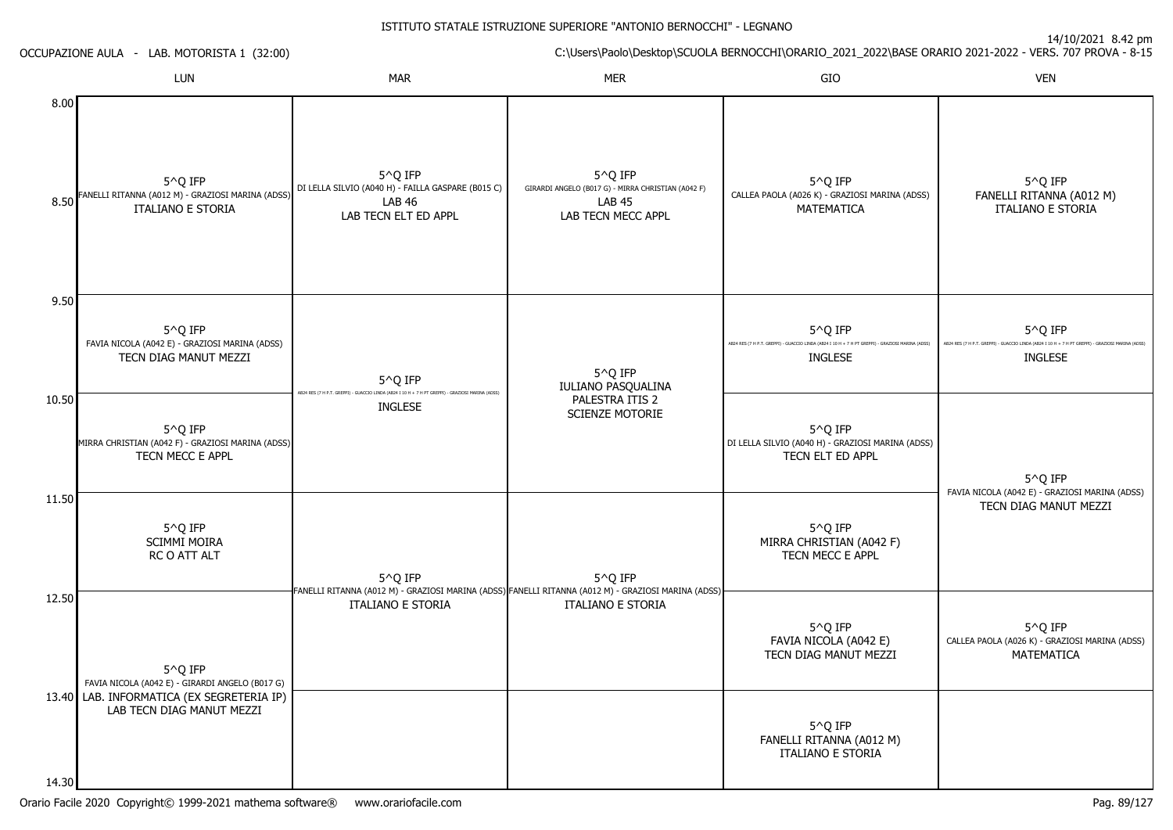|              | OCCUPAZIONE AULA - LAB. MOTORISTA 1 (32:00)                                       |                                                                                                                     | C:\Users\Paolo\Desktop\SCUOLA BERNOCCHI\ORARIO_2021_2022\BASE ORARIO 2021-2022 - VERS. 707 PROVA - 8-15                         |                                                                                                              |                                                                                                                                             |  |
|--------------|-----------------------------------------------------------------------------------|---------------------------------------------------------------------------------------------------------------------|---------------------------------------------------------------------------------------------------------------------------------|--------------------------------------------------------------------------------------------------------------|---------------------------------------------------------------------------------------------------------------------------------------------|--|
|              | LUN                                                                               | <b>MAR</b>                                                                                                          | <b>MER</b>                                                                                                                      | GIO                                                                                                          | <b>VEN</b>                                                                                                                                  |  |
| 8.00<br>8.50 | 5^Q IFP<br>FANELLI RITANNA (A012 M) - GRAZIOSI MARINA (ADSS)<br>ITALIANO E STORIA | 5^Q IFP<br>DI LELLA SILVIO (A040 H) - FAILLA GASPARE (B015 C)<br><b>LAB 46</b><br>LAB TECN ELT ED APPL              | 5^Q IFP<br>GIRARDI ANGELO (B017 G) - MIRRA CHRISTIAN (A042 F)<br><b>LAB 45</b><br>LAB TECN MECC APPL                            | 5^Q IFP<br>CALLEA PAOLA (A026 K) - GRAZIOSI MARINA (ADSS)<br>MATEMATICA                                      | 5^Q IFP<br>FANELLI RITANNA (A012 M)<br><b>ITALIANO E STORIA</b>                                                                             |  |
| 9.50         |                                                                                   |                                                                                                                     |                                                                                                                                 |                                                                                                              |                                                                                                                                             |  |
|              | 5^Q IFP<br>FAVIA NICOLA (A042 E) - GRAZIOSI MARINA (ADSS)                         |                                                                                                                     |                                                                                                                                 | 5^Q IFP<br>AB24 RES (7 H P.T. GREPPI) - GUACCIO LINDA (AB24 I 10 H + 7 H PT GREPPI) - GRAZIOSI MARINA (ADSS) | 5 <sup><math>\wedge</math></sup> Q IFP<br>AB24 RES (7 H P.T. GREPPI) - GUACCIO LINDA (AB24 I 10 H + 7 H PT GREPPI) - GRAZIOSI MARINA (ADSS) |  |
|              | TECN DIAG MANUT MEZZI                                                             | 5 <sup>^</sup> Q IFP                                                                                                | 5^Q IFP                                                                                                                         | <b>INGLESE</b>                                                                                               | <b>INGLESE</b>                                                                                                                              |  |
| 10.50        |                                                                                   | AB24 RES (7 H P.T. GREPPI) - GUACCIO LINDA (AB24 I 10 H + 7 H PT GREPPI) - GRAZIOSI MARINA (ADSS)<br><b>INGLESE</b> | IULIANO PASQUALINA<br>PALESTRA ITIS 2                                                                                           |                                                                                                              |                                                                                                                                             |  |
|              | 5^Q IFP<br>MIRRA CHRISTIAN (A042 F) - GRAZIOSI MARINA (ADSS)<br>TECN MECC E APPL  |                                                                                                                     | SCIENZE MOTORIE                                                                                                                 | 5^Q IFP<br>DI LELLA SILVIO (A040 H) - GRAZIOSI MARINA (ADSS)<br>TECN ELT ED APPL                             | 5^Q IFP                                                                                                                                     |  |
| 11.50        |                                                                                   |                                                                                                                     |                                                                                                                                 |                                                                                                              | FAVIA NICOLA (A042 E) - GRAZIOSI MARINA (ADSS)<br>TECN DIAG MANUT MEZZI                                                                     |  |
|              | 5^Q IFP<br><b>SCIMMI MOIRA</b><br>RC O ATT ALT                                    | 5^Q IFP                                                                                                             | 5^Q IFP                                                                                                                         | 5^Q IFP<br>MIRRA CHRISTIAN (A042 F)<br>TECN MECC E APPL                                                      |                                                                                                                                             |  |
| 12.50        |                                                                                   | <b>ITALIANO E STORIA</b>                                                                                            | FANELLI RITANNA (A012 M) - GRAZIOSI MARINA (ADSS) FANELLI RITANNA (A012 M) - GRAZIOSI MARINA (ADSS)<br><b>ITALIANO E STORIA</b> |                                                                                                              |                                                                                                                                             |  |
|              | 5^Q IFP<br>FAVIA NICOLA (A042 E) - GIRARDI ANGELO (B017 G)                        |                                                                                                                     |                                                                                                                                 | 5^Q IFP<br>FAVIA NICOLA (A042 E)<br>TECN DIAG MANUT MEZZI                                                    | 5^Q IFP<br>CALLEA PAOLA (A026 K) - GRAZIOSI MARINA (ADSS)<br>MATEMATICA                                                                     |  |
|              | 13.40 LAB. INFORMATICA (EX SEGRETERIA IP)<br>LAB TECN DIAG MANUT MEZZI            |                                                                                                                     |                                                                                                                                 | 5^Q IFP<br>FANELLI RITANNA (A012 M)<br>ITALIANO E STORIA                                                     |                                                                                                                                             |  |
| 14.30        |                                                                                   |                                                                                                                     |                                                                                                                                 |                                                                                                              |                                                                                                                                             |  |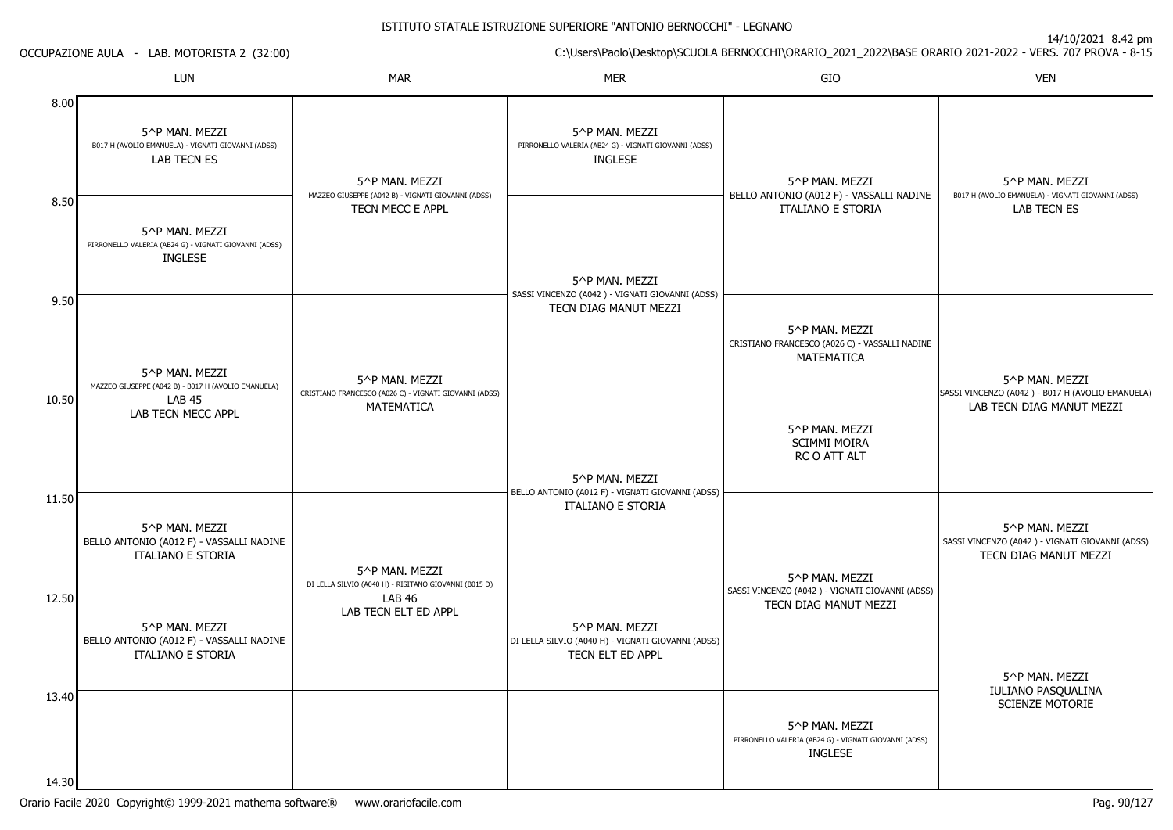14/10/2021 8.42 pm

C:\Users\Paolo\Desktop\SCUOLA BERNOCCHI\ORARIO\_2021\_2022\BASE ORARIO 2021-2022 - VERS. 707 PROVA - 8-15

|                | <b>LUN</b>                                                                                 | <b>MAR</b>                                                              | <b>MER</b>                                                                                | GIO                                                                                       | <b>VEN</b>                                                                                 |
|----------------|--------------------------------------------------------------------------------------------|-------------------------------------------------------------------------|-------------------------------------------------------------------------------------------|-------------------------------------------------------------------------------------------|--------------------------------------------------------------------------------------------|
| 8.00           | 5^P MAN. MEZZI<br>B017 H (AVOLIO EMANUELA) - VIGNATI GIOVANNI (ADSS)<br><b>LAB TECN ES</b> | 5^P MAN. MEZZI                                                          | 5^P MAN. MEZZI<br>PIRRONELLO VALERIA (AB24 G) - VIGNATI GIOVANNI (ADSS)<br><b>INGLESE</b> | 5^P MAN. MEZZI                                                                            | 5^P MAN. MEZZI                                                                             |
| 8.50           | 5^P MAN. MEZZI<br>PIRRONELLO VALERIA (AB24 G) - VIGNATI GIOVANNI (ADSS)<br><b>INGLESE</b>  | MAZZEO GIUSEPPE (A042 B) - VIGNATI GIOVANNI (ADSS)<br>TECN MECC E APPL  | 5^P MAN. MEZZI<br>SASSI VINCENZO (A042) - VIGNATI GIOVANNI (ADSS)                         | BELLO ANTONIO (A012 F) - VASSALLI NADINE<br><b>ITALIANO E STORIA</b>                      | B017 H (AVOLIO EMANUELA) - VIGNATI GIOVANNI (ADSS)<br><b>LAB TECN ES</b>                   |
| 9.50           | 5^P MAN. MEZZI<br>MAZZEO GIUSEPPE (A042 B) - B017 H (AVOLIO EMANUELA)                      | 5^P MAN. MEZZI                                                          | TECN DIAG MANUT MEZZI                                                                     | 5^P MAN. MEZZI<br>CRISTIANO FRANCESCO (A026 C) - VASSALLI NADINE<br><b>MATEMATICA</b>     | 5^P MAN. MEZZI                                                                             |
| 10.50          | <b>LAB 45</b><br>LAB TECN MECC APPL                                                        | CRISTIANO FRANCESCO (A026 C) - VIGNATI GIOVANNI (ADSS)<br>MATEMATICA    | 5^P MAN. MEZZI                                                                            | 5^P MAN. MEZZI<br><b>SCIMMI MOIRA</b><br>RC O ATT ALT                                     | SASSI VINCENZO (A042) - B017 H (AVOLIO EMANUELA)<br>LAB TECN DIAG MANUT MEZZI              |
| 11.50          | 5^P MAN. MEZZI<br>BELLO ANTONIO (A012 F) - VASSALLI NADINE<br><b>ITALIANO E STORIA</b>     | 5^P MAN. MEZZI<br>DI LELLA SILVIO (A040 H) - RISITANO GIOVANNI (B015 D) | BELLO ANTONIO (A012 F) - VIGNATI GIOVANNI (ADSS)<br>ITALIANO E STORIA                     | 5^P MAN. MEZZI                                                                            | 5^P MAN. MEZZI<br>SASSI VINCENZO (A042) - VIGNATI GIOVANNI (ADSS)<br>TECN DIAG MANUT MEZZI |
| 12.50          | 5^P MAN. MEZZI<br>BELLO ANTONIO (A012 F) - VASSALLI NADINE<br><b>ITALIANO E STORIA</b>     | LAB <sub>46</sub><br>LAB TECN ELT ED APPL                               | 5^P MAN. MEZZI<br>DI LELLA SILVIO (A040 H) - VIGNATI GIOVANNI (ADSS)<br>TECN ELT ED APPL  | SASSI VINCENZO (A042) - VIGNATI GIOVANNI (ADSS)<br>TECN DIAG MANUT MEZZI                  | 5^P MAN. MEZZI                                                                             |
| 13.40<br>14.30 |                                                                                            |                                                                         |                                                                                           | 5^P MAN. MEZZI<br>PIRRONELLO VALERIA (AB24 G) - VIGNATI GIOVANNI (ADSS)<br><b>INGLESE</b> | IULIANO PASQUALINA<br><b>SCIENZE MOTORIE</b>                                               |
|                |                                                                                            |                                                                         |                                                                                           |                                                                                           |                                                                                            |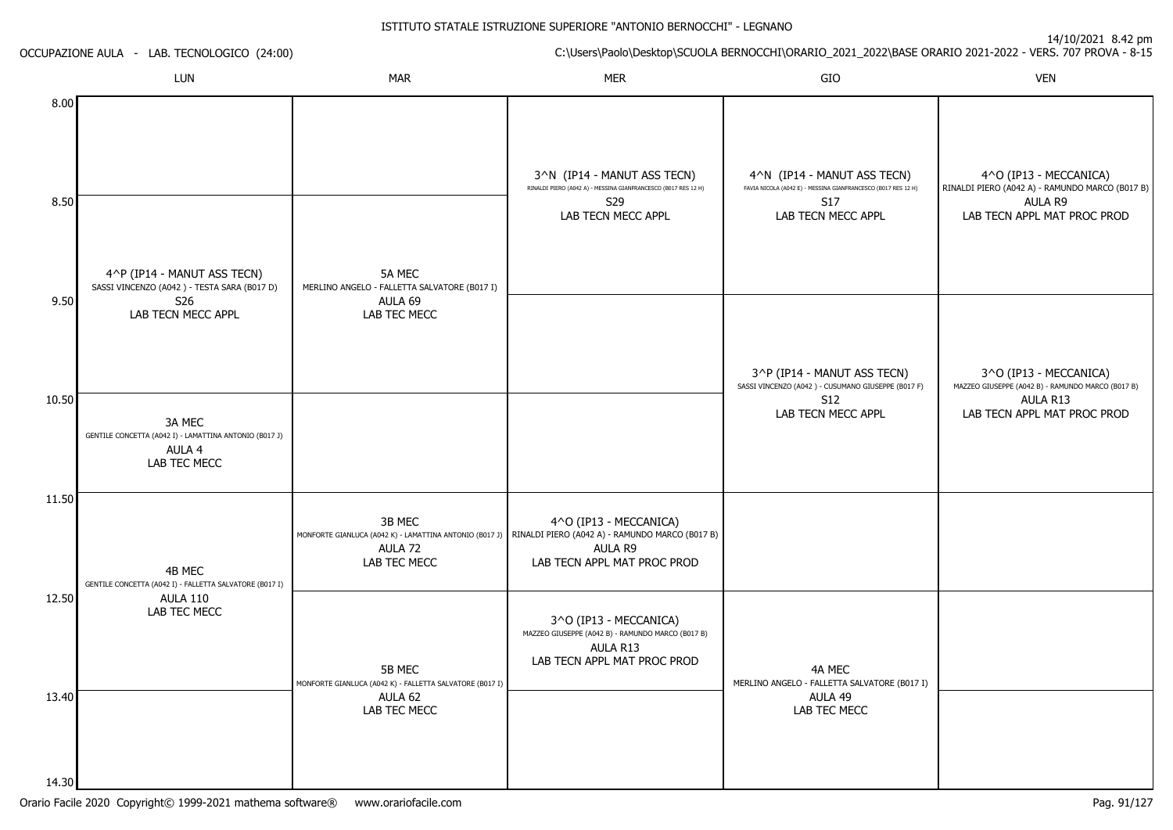14/10/2021 8.42 pm

ISTITUTO STATALE ISTRUZIONE SUPERIORE "ANTONIO BERNOCCHI" - LEGNANOC:\Users\Paolo\Desktop\SCUOLA BERNOCCHI\ORARIO\_2021\_2022\BASE ORARIO 2021-2022 - VERS. 707 PROVA - 8-15 OCCUPAZIONE AULA - LAB. TECNOLOGICO (24:00)LUNN MAR MAR MER SIO O VEN 8.008.509.5010.5011.5012.5013.404^P (IP14 - MANUT ASS TECN) SASSI VINCENZO (A042 ) - TESTA SARA (B017 D)S26 LAB TECN MECC APPL3A MEC GENTILE CONCETTA (A042 I) - LAMATTINA ANTONIO (B017 J)AULA 4 LAB TEC MECC4B MEC GENTILE CONCETTA (A042 I) - FALLETTA SALVATORE (B017 I)AULA 110 LAB TEC MECC5A MEC MERLINO ANGELO - FALLETTA SALVATORE (B017 I)AULA 69 LAB TEC MECC3B MEC MONFORTE GIANLUCA (A042 K) - LAMATTINA ANTONIO (B017 J) RINALDI PIERO (A042 A) - RAMUNDO MARCO (B017 B)AULA 72 LAB TEC MECC5B MEC MONFORTE GIANLUCA (A042 K) - FALLETTA SALVATORE (B017 I) AULA 62 LAB TEC MECC3^N (IP14 - MANUT ASS TECN) RINALDI PIERO (A042 A) - MESSINA GIANFRANCESCO (B017 RES 12 H)S29 LAB TECN MECC APPL4^O (IP13 - MECCANICA)AULA R9 LAB TECN APPL MAT PROC PROD3^O (IP13 - MECCANICA) MAZZEO GIUSEPPE (A042 B) - RAMUNDO MARCO (B017 B)AULA R13 LAB TECN APPL MAT PROC PROD4^N (IP14 - MANUT ASS TECN) FAVIA NICOLA (A042 E) - MESSINA GIANFRANCESCO (B017 RES 12 H)S17 LAB TECN MECC APPL3^P (IP14 - MANUT ASS TECN) SASSI VINCENZO (A042 ) - CUSUMANO GIUSEPPE (B017 F)S12 LAB TECN MECC APPL4A MEC MERLINO ANGELO - FALLETTA SALVATORE (B017 I)AULA 49 LAB TEC MECC4^O (IP13 - MECCANICA) RINALDI PIERO (A042 A) - RAMUNDO MARCO (B017 B)AULA R9 LAB TECN APPL MAT PROC PROD3^O (IP13 - MECCANICA) MAZZEO GIUSEPPE (A042 B) - RAMUNDO MARCO (B017 B)AULA R13LAB TECN APPL MAT PROC PROD

14.30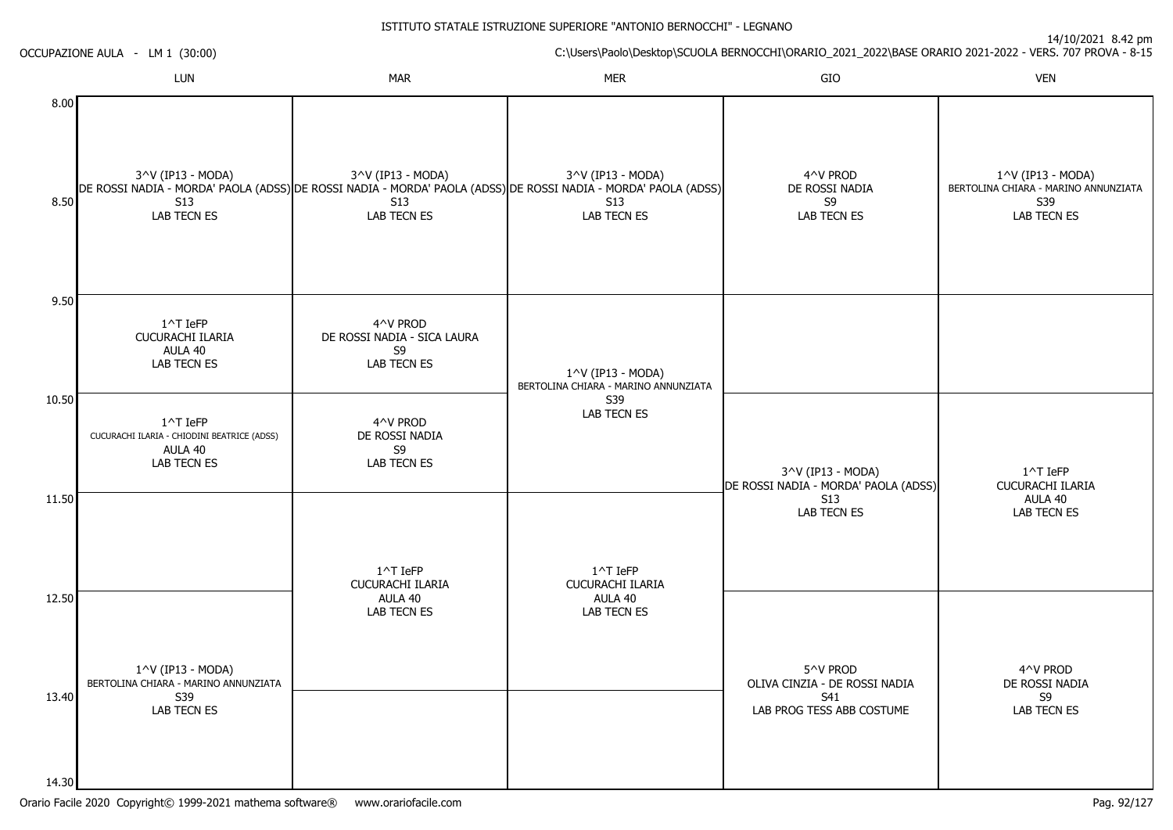14/10/2021 8.42 pm

|                | OCCUPAZIONE AULA - LM 1 (30:00)                                                              | C:\Users\Paolo\Desktop\SCUOLA BERNOCCHI\ORARIO_2021_2022\BASE ORARIO 2021-2022 - VERS. 707 PROVA - 8-15 |                                                                                                                                                                  |                                                           |                                                                                 |  |
|----------------|----------------------------------------------------------------------------------------------|---------------------------------------------------------------------------------------------------------|------------------------------------------------------------------------------------------------------------------------------------------------------------------|-----------------------------------------------------------|---------------------------------------------------------------------------------|--|
|                | LUN                                                                                          | <b>MAR</b>                                                                                              | <b>MER</b>                                                                                                                                                       | GIO                                                       | <b>VEN</b>                                                                      |  |
| 8.00<br>8.50   | 3^V (IP13 - MODA)<br>S <sub>13</sub><br><b>LAB TECN ES</b>                                   | 3^V (IP13 - MODA)<br>S13<br>LAB TECN ES                                                                 | 3^V (IP13 - MODA)<br>DE ROSSI NADIA - MORDA' PAOLA (ADSS) DE ROSSI NADIA - MORDA' PAOLA (ADSS) DE ROSSI NADIA - MORDA' PAOLA (ADSS)<br><b>S13</b><br>LAB TECN ES | 4^V PROD<br>DE ROSSI NADIA<br>S9<br>LAB TECN ES           | 1^V (IP13 - MODA)<br>BERTOLINA CHIARA - MARINO ANNUNZIATA<br>S39<br>LAB TECN ES |  |
| 9.50           | 1^T IeFP<br>CUCURACHI ILARIA<br>AULA 40<br><b>LAB TECN ES</b>                                | 4^V PROD<br>DE ROSSI NADIA - SICA LAURA<br>S9<br>LAB TECN ES                                            | 1^V (IP13 - MODA)<br>BERTOLINA CHIARA - MARINO ANNUNZIATA                                                                                                        |                                                           |                                                                                 |  |
| 10.50          | $1^{\wedge}$ T IeFP<br>CUCURACHI ILARIA - CHIODINI BEATRICE (ADSS)<br>AULA 40<br>LAB TECN ES | 4^V PROD<br>DE ROSSI NADIA<br>S9<br>LAB TECN ES                                                         | S39<br>LAB TECN ES                                                                                                                                               | 3^V (IP13 - MODA)<br>DE ROSSI NADIA - MORDA' PAOLA (ADSS) | 1^T IeFP<br>CUCURACHI ILARIA                                                    |  |
| 11.50          |                                                                                              | $1^{\wedge}$ T IeFP<br>CUCURACHI ILARIA                                                                 | 1^T IeFP<br>CUCURACHI ILARIA                                                                                                                                     | <b>S13</b><br>LAB TECN ES                                 | AULA 40<br>LAB TECN ES                                                          |  |
| 12.50          | 1^V (IP13 - MODA)<br>BERTOLINA CHIARA - MARINO ANNUNZIATA                                    | AULA 40<br>LAB TECN ES                                                                                  | AULA 40<br>LAB TECN ES                                                                                                                                           | 5^V PROD<br>OLIVA CINZIA - DE ROSSI NADIA                 | 4^V PROD<br>DE ROSSI NADIA                                                      |  |
| 13.40<br>14.30 | S39<br>LAB TECN ES                                                                           |                                                                                                         |                                                                                                                                                                  | S41<br>LAB PROG TESS ABB COSTUME                          | S9<br>LAB TECN ES                                                               |  |

ISTITUTO STATALE ISTRUZIONE SUPERIORE "ANTONIO BERNOCCHI" - LEGNANO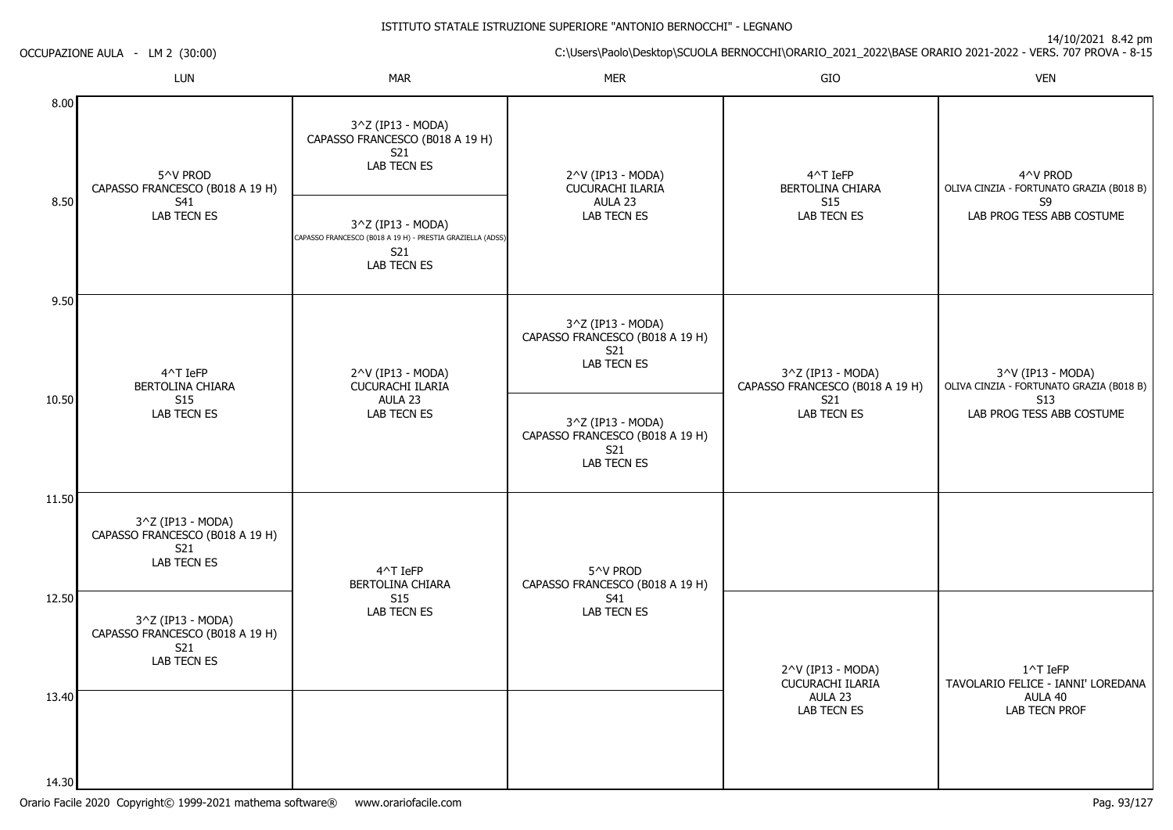14/10/2021 8.42 pm

C:\Users\Paolo\Desktop\SCUOLA BERNOCCHI\ORARIO\_2021\_2022\BASE ORARIO 2021-2022 - VERS. 707 PROVA - 8-15

OCCUPAZIONE AULA - LM 2 (30:00)

|       | LUN                                                                               | <b>MAR</b>                                                                                            | <b>MER</b>                                                                 | GIO                                                       | <b>VEN</b>                                                                              |
|-------|-----------------------------------------------------------------------------------|-------------------------------------------------------------------------------------------------------|----------------------------------------------------------------------------|-----------------------------------------------------------|-----------------------------------------------------------------------------------------|
| 8.00  | 5^V PROD<br>CAPASSO FRANCESCO (B018 A 19 H)<br>S41<br>LAB TECN ES                 | 3^Z (IP13 - MODA)<br>CAPASSO FRANCESCO (B018 A 19 H)<br>S21<br>LAB TECN ES                            | 2^V (IP13 - MODA)<br>CUCURACHI ILARIA<br>AULA 23<br>LAB TECN ES            | 4^T IeFP<br>BERTOLINA CHIARA<br><b>S15</b><br>LAB TECN ES | 4^V PROD<br>OLIVA CINZIA - FORTUNATO GRAZIA (B018 B)<br>S9<br>LAB PROG TESS ABB COSTUME |
| 8.50  |                                                                                   | 3^Z (IP13 - MODA)<br>CAPASSO FRANCESCO (B018 A 19 H) - PRESTIA GRAZIELLA (ADSS)<br>S21<br>LAB TECN ES |                                                                            |                                                           |                                                                                         |
| 9.50  | 4^T IeFP<br>BERTOLINA CHIARA                                                      | 2^V (IP13 - MODA)<br>CUCURACHI ILARIA                                                                 | 3^Z (IP13 - MODA)<br>CAPASSO FRANCESCO (B018 A 19 H)<br>S21<br>LAB TECN ES | 3^Z (IP13 - MODA)<br>CAPASSO FRANCESCO (B018 A 19 H)      | 3^V (IP13 - MODA)<br>OLIVA CINZIA - FORTUNATO GRAZIA (B018 B)                           |
| 10.50 | S <sub>15</sub><br><b>LAB TECN ES</b>                                             | AULA 23<br>LAB TECN ES                                                                                | 3^Z (IP13 - MODA)<br>CAPASSO FRANCESCO (B018 A 19 H)<br>S21<br>LAB TECN ES | S21<br><b>LAB TECN ES</b>                                 | S <sub>13</sub><br>LAB PROG TESS ABB COSTUME                                            |
| 11.50 | 3^Z (IP13 - MODA)<br>CAPASSO FRANCESCO (B018 A 19 H)<br>S21<br>LAB TECN ES        | 4^T IeFP<br>BERTOLINA CHIARA                                                                          | 5^V PROD<br>CAPASSO FRANCESCO (B018 A 19 H)                                |                                                           |                                                                                         |
| 12.50 | 3^Z (IP13 - MODA)<br>CAPASSO FRANCESCO (B018 A 19 H)<br>S21<br><b>LAB TECN ES</b> | S <sub>15</sub><br>LAB TECN ES                                                                        | S41<br>LAB TECN ES                                                         | 2^V (IP13 - MODA)<br>CUCURACHI ILARIA                     | $1^{\wedge}$ T IeFP<br>TAVOLARIO FELICE - IANNI' LOREDANA                               |
| 13.40 |                                                                                   |                                                                                                       |                                                                            | AULA 23<br>LAB TECN ES                                    | AULA 40<br><b>LAB TECN PROF</b>                                                         |
| 14.30 |                                                                                   |                                                                                                       |                                                                            |                                                           |                                                                                         |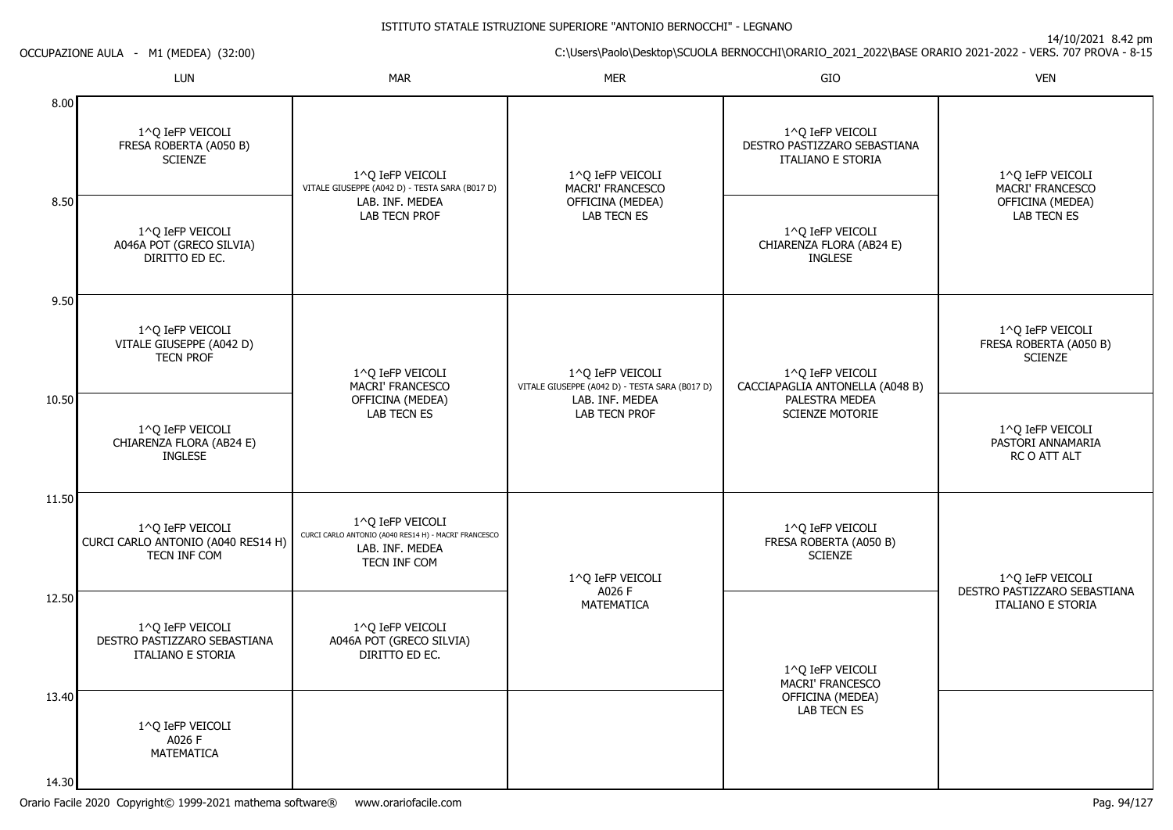14/10/2021 8.42 pm

C:\Users\Paolo\Desktop\SCUOLA BERNOCCHI\ORARIO\_2021\_2022\BASE ORARIO 2021-2022 - VERS. 707 PROVA - 8-15

|                | LUN                                                                          | <b>MAR</b>                                                                                                    | <b>MER</b>                                                         | GIO                                                                          | <b>VEN</b>                                                              |
|----------------|------------------------------------------------------------------------------|---------------------------------------------------------------------------------------------------------------|--------------------------------------------------------------------|------------------------------------------------------------------------------|-------------------------------------------------------------------------|
| 8.00           | 1^Q IeFP VEICOLI<br>FRESA ROBERTA (A050 B)<br><b>SCIENZE</b>                 | 1^Q IeFP VEICOLI<br>VITALE GIUSEPPE (A042 D) - TESTA SARA (B017 D)<br>LAB. INF. MEDEA<br><b>LAB TECN PROF</b> | 1^Q IeFP VEICOLI<br>MACRI' FRANCESCO                               | 1^Q IeFP VEICOLI<br>DESTRO PASTIZZARO SEBASTIANA<br><b>ITALIANO E STORIA</b> | 1^Q IeFP VEICOLI<br>MACRI' FRANCESCO<br>OFFICINA (MEDEA)<br>LAB TECN ES |
| 8.50           | 1^Q IeFP VEICOLI<br>A046A POT (GRECO SILVIA)<br>DIRITTO ED EC.               |                                                                                                               | OFFICINA (MEDEA)<br>LAB TECN ES                                    | 1^Q IeFP VEICOLI<br>CHIARENZA FLORA (AB24 E)<br><b>INGLESE</b>               |                                                                         |
| 9.50           | 1^Q IeFP VEICOLI<br>VITALE GIUSEPPE (A042 D)<br><b>TECN PROF</b>             | 1^Q IeFP VEICOLI<br>MACRI' FRANCESCO                                                                          | 1^Q IeFP VEICOLI<br>VITALE GIUSEPPE (A042 D) - TESTA SARA (B017 D) | 1^Q IeFP VEICOLI<br>CACCIAPAGLIA ANTONELLA (A048 B)                          | 1^Q IeFP VEICOLI<br>FRESA ROBERTA (A050 B)<br><b>SCIENZE</b>            |
| 10.50          | 1^Q IeFP VEICOLI<br>CHIARENZA FLORA (AB24 E)<br><b>INGLESE</b>               | OFFICINA (MEDEA)<br>LAB TECN ES                                                                               | LAB. INF. MEDEA<br>LAB TECN PROF                                   | PALESTRA MEDEA<br><b>SCIENZE MOTORIE</b>                                     | 1^Q IeFP VEICOLI<br>PASTORI ANNAMARIA<br>RC O ATT ALT                   |
| 11.50          | 1^Q IeFP VEICOLI<br>CURCI CARLO ANTONIO (A040 RES14 H)<br>TECN INF COM       | 1^Q IeFP VEICOLI<br>CURCI CARLO ANTONIO (A040 RES14 H) - MACRI' FRANCESCO<br>LAB. INF. MEDEA<br>TECN INF COM  | 1^Q IeFP VEICOLI                                                   | 1^0 IeFP VEICOLI<br>FRESA ROBERTA (A050 B)<br><b>SCIENZE</b>                 | 1^Q IeFP VEICOLI                                                        |
| 12.50          | 1^Q IeFP VEICOLI<br>DESTRO PASTIZZARO SEBASTIANA<br><b>ITALIANO E STORIA</b> | 1^Q IeFP VEICOLI<br>A046A POT (GRECO SILVIA)<br>DIRITTO ED EC.                                                | A026 F<br>MATEMATICA                                               | 1^0 IeFP VEICOLI<br>MACRI' FRANCESCO                                         | DESTRO PASTIZZARO SEBASTIANA<br>ITALIANO E STORIA                       |
| 13.40<br>14.30 | 1^Q IeFP VEICOLI<br>A026 F<br>MATEMATICA                                     |                                                                                                               |                                                                    | OFFICINA (MEDEA)<br><b>LAB TECN ES</b>                                       |                                                                         |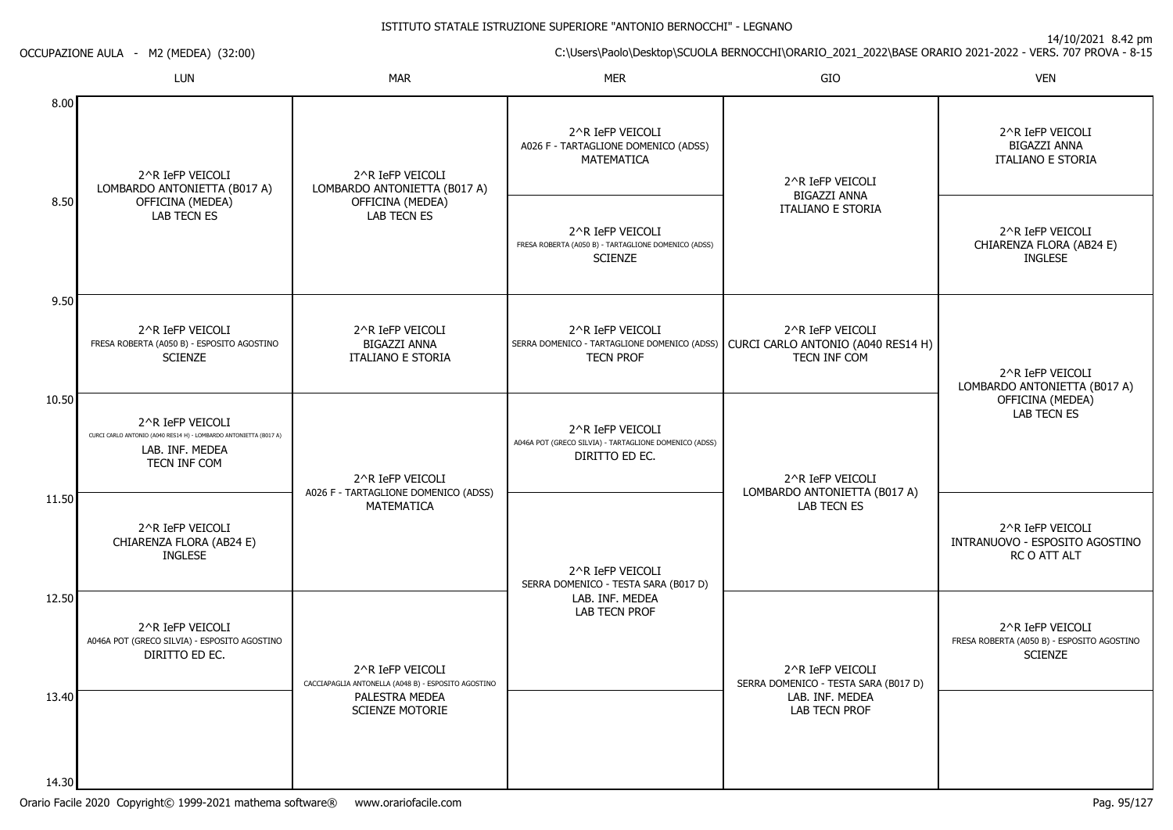14/10/2021 8.42 pm

C:\Users\Paolo\Desktop\SCUOLA BERNOCCHI\ORARIO\_2021\_2022\BASE ORARIO 2021-2022 - VERS. 707 PROVA - 8-15

OCCUPAZIONE AULA - M2 (MEDEA) (32:00)

|                | <b>LUN</b>                                                                                                               | <b>MAR</b>                                                              | <b>MER</b>                                                                                                              | GIO                                                                 | <b>VEN</b>                                                                                                                            |
|----------------|--------------------------------------------------------------------------------------------------------------------------|-------------------------------------------------------------------------|-------------------------------------------------------------------------------------------------------------------------|---------------------------------------------------------------------|---------------------------------------------------------------------------------------------------------------------------------------|
| 8.00           | 2^R IeFP VEICOLI<br>LOMBARDO ANTONIETTA (B017 A)                                                                         | 2^R IeFP VEICOLI<br>LOMBARDO ANTONIETTA (B017 A)                        | 2^R IeFP VEICOLI<br>A026 F - TARTAGLIONE DOMENICO (ADSS)<br>MATEMATICA                                                  | 2^R IeFP VEICOLI<br><b>BIGAZZI ANNA</b><br><b>ITALIANO E STORIA</b> | 2^R IeFP VEICOLI<br><b>BIGAZZI ANNA</b><br><b>ITALIANO E STORIA</b><br>2^R IeFP VEICOLI<br>CHIARENZA FLORA (AB24 E)<br><b>INGLESE</b> |
| 8.50           | OFFICINA (MEDEA)<br><b>LAB TECN ES</b>                                                                                   | OFFICINA (MEDEA)<br><b>LAB TECN ES</b>                                  | 2^R IeFP VEICOLI<br>FRESA ROBERTA (A050 B) - TARTAGLIONE DOMENICO (ADSS)<br><b>SCIENZE</b>                              |                                                                     |                                                                                                                                       |
| 9.50           | 2^R IeFP VEICOLI<br>FRESA ROBERTA (A050 B) - ESPOSITO AGOSTINO<br><b>SCIENZE</b>                                         | 2^R IeFP VEICOLI<br>BIGAZZI ANNA<br><b>ITALIANO E STORIA</b>            | 2^R IeFP VEICOLI<br>SERRA DOMENICO - TARTAGLIONE DOMENICO (ADSS) CURCI CARLO ANTONIO (A040 RES14 H)<br><b>TECN PROF</b> | 2^R IeFP VEICOLI<br>TECN INF COM                                    | 2^R IeFP VEICOLI<br>LOMBARDO ANTONIETTA (B017 A)                                                                                      |
| 10.50          | 2^R IeFP VEICOLI<br>CURCI CARLO ANTONIO (A040 RES14 H) - LOMBARDO ANTONIETTA (B017 A)<br>LAB. INF. MEDEA<br>TECN INF COM | 2^R IeFP VEICOLI                                                        | 2^R IeFP VEICOLI<br>A046A POT (GRECO SILVIA) - TARTAGLIONE DOMENICO (ADSS)<br>DIRITTO ED EC.                            | 2^R IeFP VEICOLI                                                    | OFFICINA (MEDEA)<br><b>LAB TECN ES</b>                                                                                                |
| 11.50          | 2^R IeFP VEICOLI<br>CHIARENZA FLORA (AB24 E)<br><b>INGLESE</b>                                                           | A026 F - TARTAGLIONE DOMENICO (ADSS)<br><b>MATEMATICA</b>               | 2^R IeFP VEICOLI<br>SERRA DOMENICO - TESTA SARA (B017 D)                                                                | LOMBARDO ANTONIETTA (B017 A)<br><b>LAB TECN ES</b>                  | 2^R IeFP VEICOLI<br>INTRANUOVO - ESPOSITO AGOSTINO<br>RC O ATT ALT                                                                    |
| 12.50          | 2^R IeFP VEICOLI<br>A046A POT (GRECO SILVIA) - ESPOSITO AGOSTINO<br>DIRITTO ED EC.                                       | 2^R IeFP VEICOLI<br>CACCIAPAGLIA ANTONELLA (A048 B) - ESPOSITO AGOSTINO | LAB. INF. MEDEA<br><b>LAB TECN PROF</b>                                                                                 | 2^R IeFP VEICOLI<br>SERRA DOMENICO - TESTA SARA (B017 D)            | 2^R IeFP VEICOLI<br>FRESA ROBERTA (A050 B) - ESPOSITO AGOSTINO<br><b>SCIENZE</b>                                                      |
| 13.40<br>14.30 |                                                                                                                          | PALESTRA MEDEA<br><b>SCIENZE MOTORIE</b>                                |                                                                                                                         | LAB. INF. MEDEA<br>LAB TECN PROF                                    |                                                                                                                                       |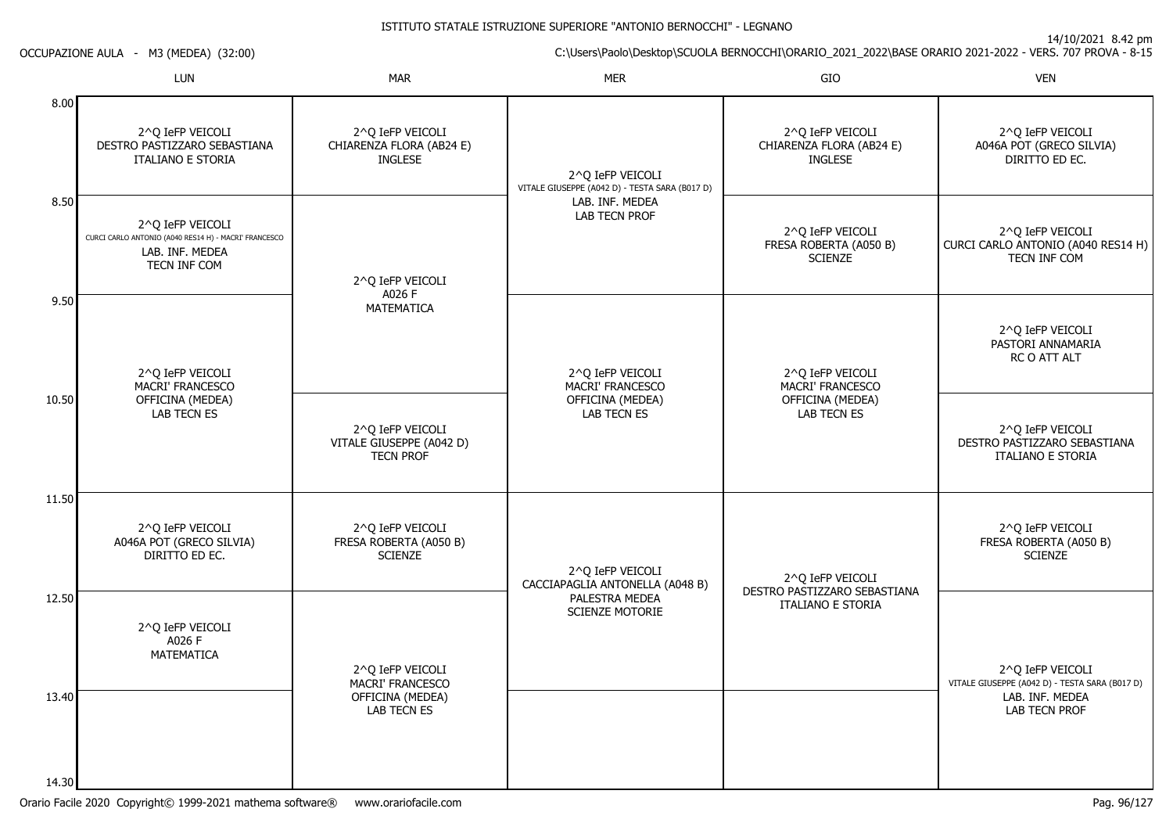14/10/2021 8.42 pm

C:\Users\Paolo\Desktop\SCUOLA BERNOCCHI\ORARIO\_2021\_2022\BASE ORARIO 2021-2022 - VERS. 707 PROVA - 8-15

OCCUPAZIONE AULA - M3 (MEDEA) (32:00)

|                | <b>LUN</b>                                                                                                   | <b>MAR</b>                                                                                          | <b>MER</b>                                                         | GIO                                                            | <b>VEN</b>                                                                   |
|----------------|--------------------------------------------------------------------------------------------------------------|-----------------------------------------------------------------------------------------------------|--------------------------------------------------------------------|----------------------------------------------------------------|------------------------------------------------------------------------------|
| 8.00           | 2^Q IeFP VEICOLI<br>DESTRO PASTIZZARO SEBASTIANA<br><b>ITALIANO E STORIA</b>                                 | 2^O IeFP VEICOLI<br>CHIARENZA FLORA (AB24 E)<br><b>INGLESE</b>                                      | 2^Q IeFP VEICOLI<br>VITALE GIUSEPPE (A042 D) - TESTA SARA (B017 D) | 2^Q IeFP VEICOLI<br>CHIARENZA FLORA (AB24 E)<br><b>INGLESE</b> | 2^Q IeFP VEICOLI<br>A046A POT (GRECO SILVIA)<br>DIRITTO ED EC.               |
| 8.50           | 2^Q IeFP VEICOLI<br>CURCI CARLO ANTONIO (A040 RES14 H) - MACRI' FRANCESCO<br>LAB. INF. MEDEA<br>TECN INF COM | 2^0 IeFP VEICOLI<br>A026 F                                                                          | LAB. INF. MEDEA<br>LAB TECN PROF                                   | 2^Q IeFP VEICOLI<br>FRESA ROBERTA (A050 B)<br><b>SCIENZE</b>   | 2^Q IeFP VEICOLI<br>CURCI CARLO ANTONIO (A040 RES14 H)<br>TECN INF COM       |
| 9.50           | 2^Q IeFP VEICOLI<br>MACRI' FRANCESCO                                                                         | <b>MATEMATICA</b>                                                                                   | 2^Q IeFP VEICOLI<br>MACRI' FRANCESCO                               | 2^Q IeFP VEICOLI<br>MACRI' FRANCESCO                           | 2^Q IeFP VEICOLI<br>PASTORI ANNAMARIA<br>RC O ATT ALT                        |
| 10.50          | OFFICINA (MEDEA)<br>LAB TECN ES                                                                              | OFFICINA (MEDEA)<br>LAB TECN ES<br>2^Q IeFP VEICOLI<br>VITALE GIUSEPPE (A042 D)<br><b>TECN PROF</b> |                                                                    | OFFICINA (MEDEA)<br>LAB TECN ES                                | 2^Q IeFP VEICOLI<br>DESTRO PASTIZZARO SEBASTIANA<br><b>ITALIANO E STORIA</b> |
| 11.50          | 2^Q IeFP VEICOLI<br>A046A POT (GRECO SILVIA)<br>DIRITTO ED EC.                                               | 2^Q IeFP VEICOLI<br>FRESA ROBERTA (A050 B)<br><b>SCIENZE</b>                                        | 2^Q IeFP VEICOLI<br>CACCIAPAGLIA ANTONELLA (A048 B)                | 2^Q IeFP VEICOLI<br>DESTRO PASTIZZARO SEBASTIANA               | 2^Q IeFP VEICOLI<br>FRESA ROBERTA (A050 B)<br><b>SCIENZE</b>                 |
| 12.50          | 2^Q IeFP VEICOLI<br>A026 F<br>MATEMATICA                                                                     | 2^Q IeFP VEICOLI<br><b>MACRI' FRANCESCO</b>                                                         | PALESTRA MEDEA<br><b>SCIENZE MOTORIE</b>                           | <b>ITALIANO E STORIA</b>                                       | 2^Q IeFP VEICOLI<br>VITALE GIUSEPPE (A042 D) - TESTA SARA (B017 D)           |
| 13.40<br>14.30 |                                                                                                              | OFFICINA (MEDEA)<br>LAB TECN ES                                                                     |                                                                    |                                                                | LAB. INF. MEDEA<br><b>LAB TECN PROF</b>                                      |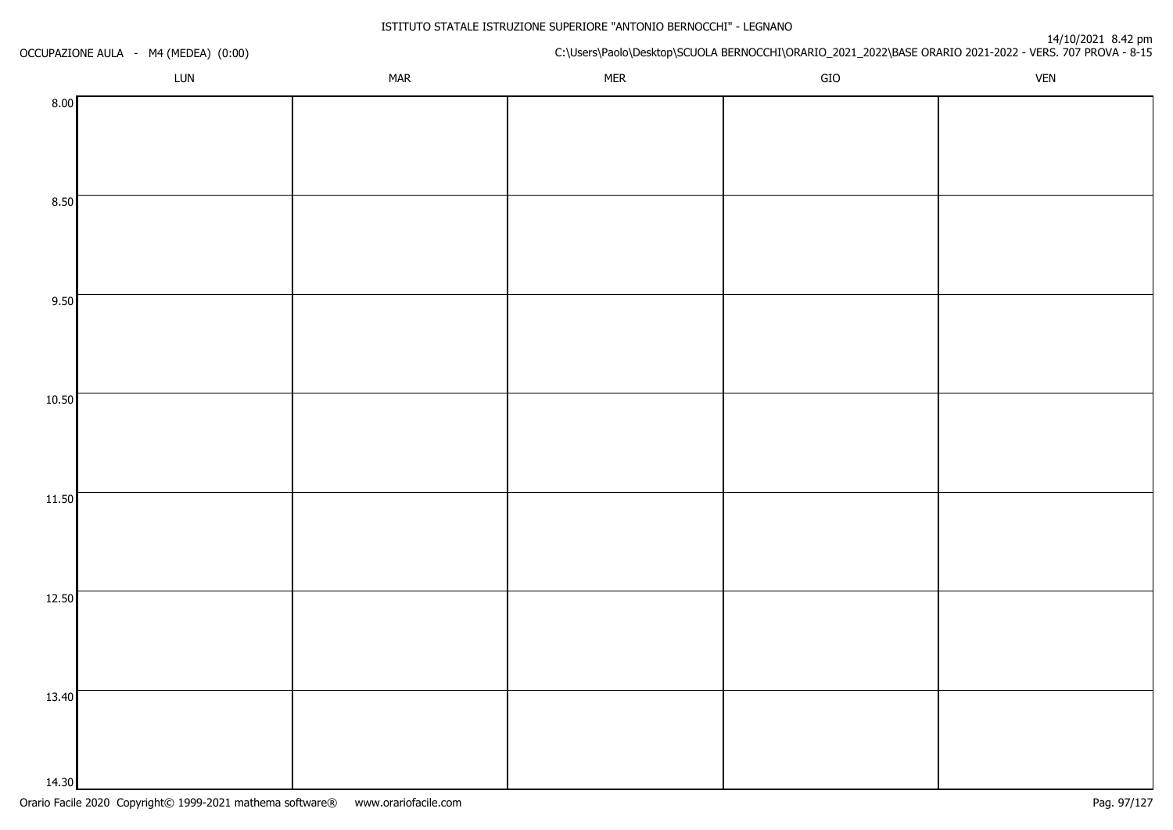| OCCUPAZIONE AULA - M4 (MEDEA) (0:00) |     |            |            |     | 14/10/2021 8.42<br>C:\Users\Paolo\Desktop\SCUOLA BERNOCCHI\ORARIO_2021_2022\BASE ORARIO 2021-2022 - VERS. 707 PROVA - 8-15 |
|--------------------------------------|-----|------------|------------|-----|----------------------------------------------------------------------------------------------------------------------------|
|                                      | LUN | <b>MAR</b> | <b>MER</b> | GIO | <b>VEN</b>                                                                                                                 |
| 8.00                                 |     |            |            |     |                                                                                                                            |
|                                      |     |            |            |     |                                                                                                                            |
|                                      |     |            |            |     |                                                                                                                            |
|                                      |     |            |            |     |                                                                                                                            |
| 8.50                                 |     |            |            |     |                                                                                                                            |
|                                      |     |            |            |     |                                                                                                                            |
|                                      |     |            |            |     |                                                                                                                            |
| 9.50                                 |     |            |            |     |                                                                                                                            |
|                                      |     |            |            |     |                                                                                                                            |
|                                      |     |            |            |     |                                                                                                                            |
|                                      |     |            |            |     |                                                                                                                            |
| 10.50                                |     |            |            |     |                                                                                                                            |
|                                      |     |            |            |     |                                                                                                                            |
|                                      |     |            |            |     |                                                                                                                            |
|                                      |     |            |            |     |                                                                                                                            |
| 11.50                                |     |            |            |     |                                                                                                                            |
|                                      |     |            |            |     |                                                                                                                            |
|                                      |     |            |            |     |                                                                                                                            |
| 12.50                                |     |            |            |     |                                                                                                                            |
|                                      |     |            |            |     |                                                                                                                            |
|                                      |     |            |            |     |                                                                                                                            |
|                                      |     |            |            |     |                                                                                                                            |
| 13.40                                |     |            |            |     |                                                                                                                            |
|                                      |     |            |            |     |                                                                                                                            |
|                                      |     |            |            |     |                                                                                                                            |
| 14.30                                |     |            |            |     |                                                                                                                            |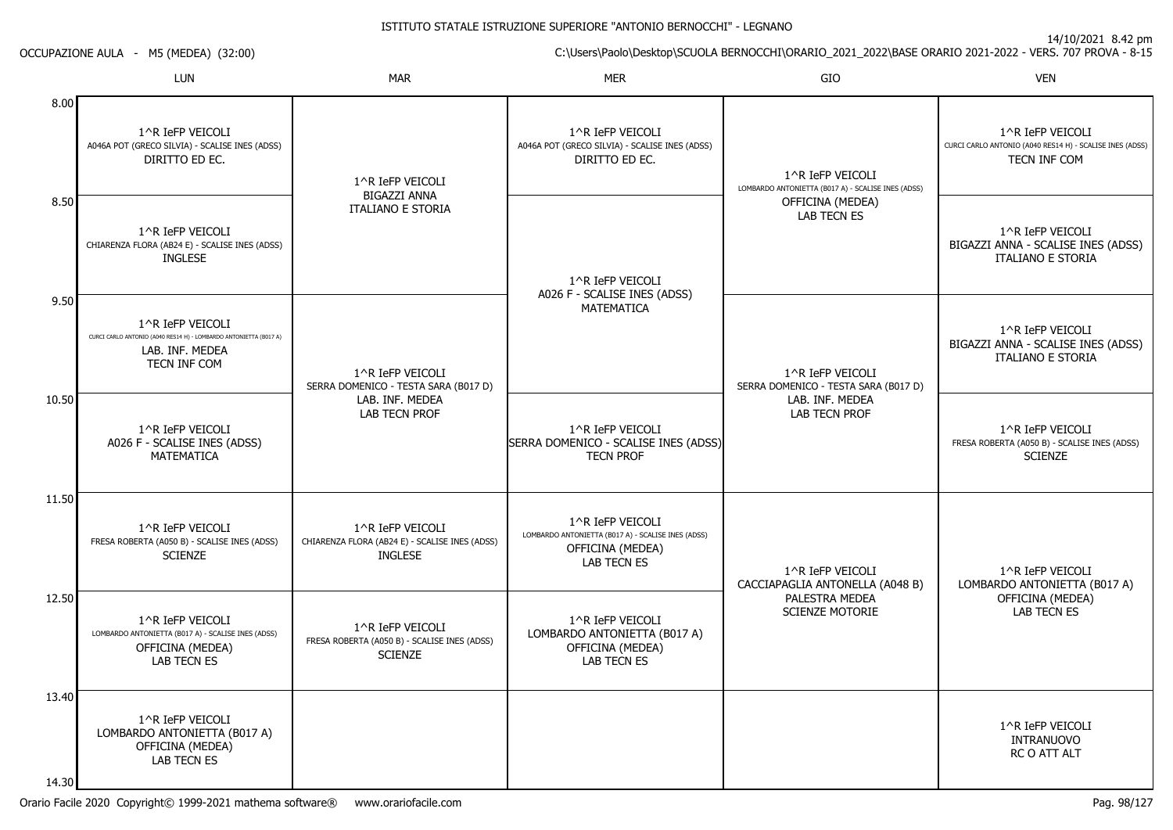14/10/2021 8.42 pm

C:\Users\Paolo\Desktop\SCUOLA BERNOCCHI\ORARIO\_2021\_2022\BASE ORARIO 2021-2022 - VERS. 707 PROVA - 8-15

OCCUPAZIONE AULA - M5 (MEDEA) (32:00)

|                  | <b>LUN</b>                                                                                                               | <b>MAR</b>                                                                                          | <b>MER</b>                                                                                                       | GIO                                                                    | <b>VEN</b>                                                                                   |
|------------------|--------------------------------------------------------------------------------------------------------------------------|-----------------------------------------------------------------------------------------------------|------------------------------------------------------------------------------------------------------------------|------------------------------------------------------------------------|----------------------------------------------------------------------------------------------|
| 8.00             | 1^R IeFP VEICOLI<br>A046A POT (GRECO SILVIA) - SCALISE INES (ADSS)<br>DIRITTO ED EC.                                     | 1^R IeFP VEICOLI                                                                                    | 1^R IeFP VEICOLI<br>A046A POT (GRECO SILVIA) - SCALISE INES (ADSS)<br>DIRITTO ED EC.                             | 1^R IeFP VEICOLI<br>LOMBARDO ANTONIETTA (B017 A) - SCALISE INES (ADSS) | 1^R IeFP VEICOLI<br>CURCI CARLO ANTONIO (A040 RES14 H) - SCALISE INES (ADSS)<br>TECN INF COM |
| 8.50             | 1^R IeFP VEICOLI<br>CHIARENZA FLORA (AB24 E) - SCALISE INES (ADSS)<br><b>INGLESE</b>                                     | <b>BIGAZZI ANNA</b><br><b>ITALIANO E STORIA</b>                                                     | 1^R IeFP VEICOLI<br>A026 F - SCALISE INES (ADSS)                                                                 | OFFICINA (MEDEA)<br><b>LAB TECN ES</b>                                 | 1^R IeFP VEICOLI<br>BIGAZZI ANNA - SCALISE INES (ADSS)<br><b>ITALIANO E STORIA</b>           |
| 9.50             | 1^R IeFP VEICOLI<br>CURCI CARLO ANTONIO (A040 RES14 H) - LOMBARDO ANTONIETTA (B017 A)<br>LAB. INF. MEDEA<br>TECN INF COM | 1^R IeFP VEICOLI<br>SERRA DOMENICO - TESTA SARA (B017 D)<br>LAB. INF. MEDEA<br><b>LAB TECN PROF</b> | <b>MATEMATICA</b>                                                                                                | 1^R IeFP VEICOLI<br>SERRA DOMENICO - TESTA SARA (B017 D)               | 1^R IeFP VEICOLI<br>BIGAZZI ANNA - SCALISE INES (ADSS)<br><b>ITALIANO E STORIA</b>           |
| 10.50            | 1^R IeFP VEICOLI<br>A026 F - SCALISE INES (ADSS)<br><b>MATEMATICA</b>                                                    |                                                                                                     | 1^R IeFP VEICOLI<br>SERRA DOMENICO - SCALISE INES (ADSS)<br><b>TECN PROF</b>                                     | LAB. INF. MEDEA<br><b>LAB TECN PROF</b>                                | 1^R IeFP VEICOLI<br>FRESA ROBERTA (A050 B) - SCALISE INES (ADSS)<br><b>SCIENZE</b>           |
| 11.50            | 1^R IeFP VEICOLI<br>FRESA ROBERTA (A050 B) - SCALISE INES (ADSS)<br><b>SCIENZE</b>                                       | 1^R IeFP VEICOLI<br>CHIARENZA FLORA (AB24 E) - SCALISE INES (ADSS)<br><b>INGLESE</b>                | 1^R IeFP VEICOLI<br>LOMBARDO ANTONIETTA (B017 A) - SCALISE INES (ADSS)<br>OFFICINA (MEDEA)<br><b>LAB TECN ES</b> | 1^R IeFP VEICOLI<br>CACCIAPAGLIA ANTONELLA (A048 B)                    | 1^R IeFP VEICOLI<br>LOMBARDO ANTONIETTA (B017 A)                                             |
| 12.50            | 1^R IeFP VEICOLI<br>LOMBARDO ANTONIETTA (B017 A) - SCALISE INES (ADSS)<br>OFFICINA (MEDEA)<br><b>LAB TECN ES</b>         | 1^R IeFP VEICOLI<br>FRESA ROBERTA (A050 B) - SCALISE INES (ADSS)<br><b>SCIENZE</b>                  | 1^R IeFP VEICOLI<br>LOMBARDO ANTONIETTA (B017 A)<br>OFFICINA (MEDEA)<br><b>LAB TECN ES</b>                       | PALESTRA MEDEA<br><b>SCIENZE MOTORIE</b>                               | OFFICINA (MEDEA)<br><b>LAB TECN ES</b>                                                       |
| 13.40<br>14 30 l | 1^R IeFP VEICOLI<br>LOMBARDO ANTONIETTA (B017 A)<br>OFFICINA (MEDEA)<br><b>LAB TECN ES</b>                               |                                                                                                     |                                                                                                                  |                                                                        | 1^R IeFP VEICOLI<br><b>INTRANUOVO</b><br>RC O ATT ALT                                        |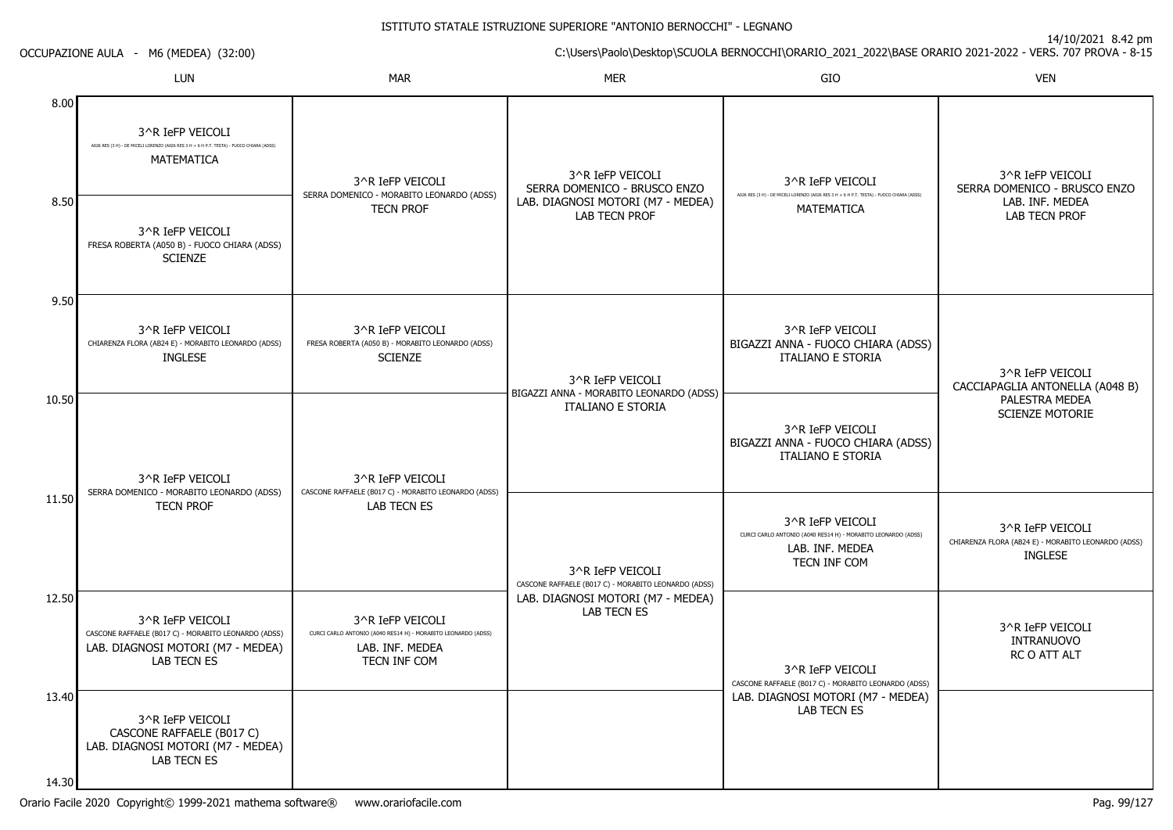14/10/2021 8.42 pm

C:\Users\Paolo\Desktop\SCUOLA BERNOCCHI\ORARIO\_2021\_2022\BASE ORARIO 2021-2022 - VERS. 707 PROVA - 8-15

| <b>OCCUPAZIONE AULA</b> |  |  | M6 (MEDEA) (32:00) |  |  |  |
|-------------------------|--|--|--------------------|--|--|--|
|-------------------------|--|--|--------------------|--|--|--|

|                | LUN                                                                                                                                 | <b>MAR</b>                                                                                                           | <b>MER</b>                                                               | GIO                                                                                                                  | <b>VEN</b>                                                                                |
|----------------|-------------------------------------------------------------------------------------------------------------------------------------|----------------------------------------------------------------------------------------------------------------------|--------------------------------------------------------------------------|----------------------------------------------------------------------------------------------------------------------|-------------------------------------------------------------------------------------------|
| 8.00           | 3^R IeFP VEICOLI<br>A026 RES (3 H) - DE MICELI LORENZO (A026 RES 3 H + 6 H P.T. TESTA) - FUOCO CHIARA (ADSS)<br>MATEMATICA          | 3^R IeFP VEICOLI<br>SERRA DOMENICO - MORABITO LEONARDO (ADSS)                                                        | 3^R IeFP VEICOLI<br>SERRA DOMENICO - BRUSCO ENZO                         | 3^R IeFP VEICOLI<br>A026 RES (3 H) - DE MICELI LORENZO (A026 RES 3 H + 6 H P.T. TESTA) - FUOCO CHIARA (ADSS)         | 3^R IeFP VEICOLI<br>SERRA DOMENICO - BRUSCO ENZO                                          |
| 8.50           | 3^R IeFP VEICOLI<br>FRESA ROBERTA (A050 B) - FUOCO CHIARA (ADSS)<br><b>SCIENZE</b>                                                  | <b>TECN PROF</b>                                                                                                     | LAB. DIAGNOSI MOTORI (M7 - MEDEA)<br><b>LAB TECN PROF</b>                | MATEMATICA                                                                                                           | LAB. INF. MEDEA<br><b>LAB TECN PROF</b>                                                   |
| 9.50           | 3^R IeFP VEICOLI<br>CHIARENZA FLORA (AB24 E) - MORABITO LEONARDO (ADSS)<br><b>INGLESE</b>                                           | 3^R IeFP VEICOLI<br>FRESA ROBERTA (A050 B) - MORABITO LEONARDO (ADSS)<br><b>SCIENZE</b>                              | 3^R IeFP VEICOLI<br>BIGAZZI ANNA - MORABITO LEONARDO (ADSS)              | 3^R IeFP VEICOLI<br>BIGAZZI ANNA - FUOCO CHIARA (ADSS)<br><b>ITALIANO E STORIA</b>                                   | 3^R IeFP VEICOLI<br>CACCIAPAGLIA ANTONELLA (A048 B)                                       |
| 10.50          | 3^R IeFP VEICOLI<br>SERRA DOMENICO - MORABITO LEONARDO (ADSS)                                                                       | 3^R IeFP VEICOLI<br>CASCONE RAFFAELE (B017 C) - MORABITO LEONARDO (ADSS)                                             | <b>ITALIANO E STORIA</b>                                                 | 3^R IeFP VEICOLI<br>BIGAZZI ANNA - FUOCO CHIARA (ADSS)<br><b>ITALIANO E STORIA</b>                                   | PALESTRA MEDEA<br><b>SCIENZE MOTORIE</b>                                                  |
| 11.50          | <b>TECN PROF</b>                                                                                                                    | LAB TECN ES                                                                                                          | 3^R IeFP VEICOLI<br>CASCONE RAFFAELE (B017 C) - MORABITO LEONARDO (ADSS) | 3^R IeFP VEICOLI<br>CURCI CARLO ANTONIO (A040 RES14 H) - MORABITO LEONARDO (ADSS)<br>LAB. INF. MEDEA<br>TECN INF COM | 3^R IeFP VEICOLI<br>CHIARENZA FLORA (AB24 E) - MORABITO LEONARDO (ADSS)<br><b>INGLESE</b> |
| 12.50          | 3^R IeFP VEICOLI<br>CASCONE RAFFAELE (B017 C) - MORABITO LEONARDO (ADSS)<br>LAB. DIAGNOSI MOTORI (M7 - MEDEA)<br><b>LAB TECN ES</b> | 3^R IeFP VEICOLI<br>CURCI CARLO ANTONIO (A040 RES14 H) - MORABITO LEONARDO (ADSS)<br>LAB. INF. MEDEA<br>TECN INF COM | LAB. DIAGNOSI MOTORI (M7 - MEDEA)<br><b>LAB TECN ES</b>                  | 3^R IeFP VEICOLI<br>CASCONE RAFFAELE (B017 C) - MORABITO LEONARDO (ADSS)                                             | 3^R IeFP VEICOLI<br><b>INTRANUOVO</b><br>RC O ATT ALT                                     |
| 13.40<br>14.30 | 3^R IeFP VEICOLI<br>CASCONE RAFFAELE (B017 C)<br>LAB. DIAGNOSI MOTORI (M7 - MÉDEA)<br><b>LAB TECN ES</b>                            |                                                                                                                      |                                                                          | LAB. DIAGNOSI MOTORI (M7 - MEDEA)<br>LAB TECN ES                                                                     |                                                                                           |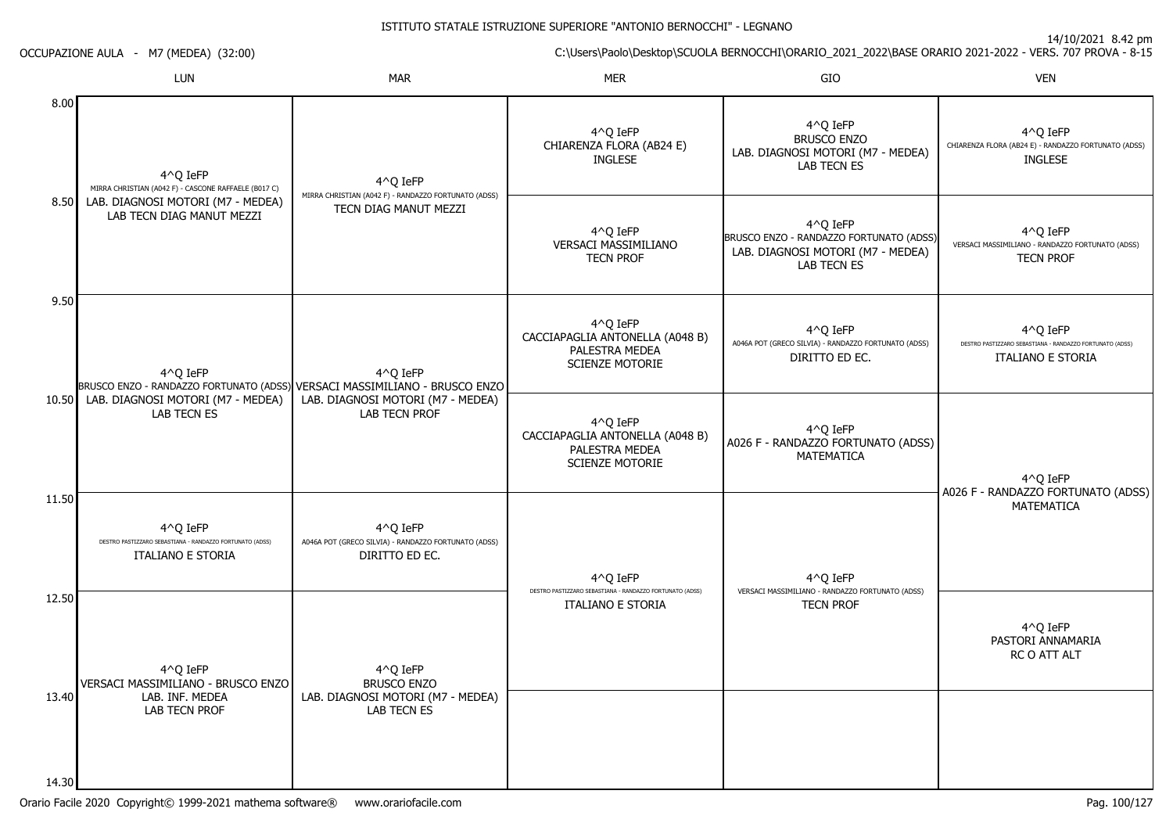14/10/2021 8.42 pm

C:\Users\Paolo\Desktop\SCUOLA BERNOCCHI\ORARIO\_2021\_2022\BASE ORARIO 2021-2022 - VERS. 707 PROVA - 8-15 OCCUPAZIONE AULA - M7 (MEDEA) (32:00)

|                | LUN                                                                                              | <b>MAR</b>                                                                         | <b>MER</b>                                                                              | GIO                                                                                                            | <b>VEN</b>                                                                                       |
|----------------|--------------------------------------------------------------------------------------------------|------------------------------------------------------------------------------------|-----------------------------------------------------------------------------------------|----------------------------------------------------------------------------------------------------------------|--------------------------------------------------------------------------------------------------|
| 8.00           | 4^Q IeFP<br>MIRRA CHRISTIAN (A042 F) - CASCONE RAFFAELE (B017 C)                                 | 4^Q IeFP                                                                           | 4^0 IeFP<br>CHIARENZA FLORA (AB24 E)<br><b>INGLESE</b>                                  | 4^Q IeFP<br><b>BRUSCO ENZO</b><br>LAB. DIAGNOSI MOTORI (M7 - MEDEA)<br><b>LAB TECN ES</b>                      | 4^0 IeFP<br>CHIARENZA FLORA (AB24 E) - RANDAZZO FORTUNATO (ADSS)<br><b>INGLESE</b>               |
|                | 8.50 LAB. DIAGNOSI MOTORI (M7 - MEDEA)<br>LAB TECN DIAG MANUT MEZZI                              | MIRRA CHRISTIAN (A042 F) - RANDAZZO FORTUNATO (ADSS)<br>TECN DIAG MANUT MEZZI      | 4^Q IeFP<br>VERSACI MASSIMILIANO<br><b>TECN PROF</b>                                    | 4^Q IeFP<br>BRUSCO ENZO - RANDAZZO FORTUNATO (ADSS)<br>LAB. DIAGNOSI MOTORI (M7 - MEDEA)<br><b>LAB TECN ES</b> | $4^O$ Q IeFP<br>VERSACI MASSIMILIANO - RANDAZZO FORTUNATO (ADSS)<br><b>TECN PROF</b>             |
| 9.50           | 4^0 IeFP<br>BRUSCO ENZO - RANDAZZO FORTUNATO (ADSS) VERSACI MASSIMILIANO - BRUSCO ENZO           | 4^0 IeFP                                                                           | 4^0 IeFP<br>CACCIAPAGLIA ANTONELLA (A048 B)<br>PALESTRA MEDEA<br><b>SCIENZE MOTORIE</b> | 4^0 IeFP<br>A046A POT (GRECO SILVIA) - RANDAZZO FORTUNATO (ADSS)<br>DIRITTO ED EC.                             | 4^Q IeFP<br>DESTRO PASTIZZARO SEBASTIANA - RANDAZZO FORTUNATO (ADSS)<br><b>ITALIANO E STORIA</b> |
| 10.50          | LAB. DIAGNOSI MOTORI (M7 - MEDEA)<br><b>LAB TECN ES</b>                                          | LAB. DIAGNOSI MOTORI (M7 - MEDEA)<br><b>LAB TECN PROF</b>                          | 4^Q IeFP<br>CACCIAPAGLIA ANTONELLA (A048 B)<br>PALESTRA MEDEA<br><b>SCIENZE MOTORIE</b> | 4^0 IeFP<br>A026 F - RANDAZZO FORTUNATO (ADSS)<br>MATEMATICA                                                   | $4^O$ Q IeFP<br>A026 F - RANDAZZO FORTUNATO (ADSS)                                               |
| 11.50          | 4^Q IeFP<br>DESTRO PASTIZZARO SEBASTIANA - RANDAZZO FORTUNATO (ADSS)<br><b>ITALIANO E STORIA</b> | 4^Q IeFP<br>A046A POT (GRECO SILVIA) - RANDAZZO FORTUNATO (ADSS)<br>DIRITTO ED EC. | 4^Q IeFP                                                                                | 4^Q IeFP                                                                                                       | <b>MATEMATICA</b>                                                                                |
| 12.50          | 4^Q IeFP<br>VERSACI MASSIMILIANO - BRUSCO ENZO                                                   | 4^Q IeFP<br><b>BRUSCO ENZO</b>                                                     | DESTRO PASTIZZARO SEBASTIANA - RANDAZZO FORTUNATO (ADSS)<br><b>ITALIANO E STORIA</b>    | VERSACI MASSIMILIANO - RANDAZZO FORTUNATO (ADSS)<br><b>TECN PROF</b>                                           | 4^Q IeFP<br>PASTORI ANNAMARIA<br>RC O ATT ALT                                                    |
| 13.40<br>14.30 | LAB. INF. MEDEA<br>LAB TECN PROF                                                                 | LAB. DIAGNOSI MOTORI (M7 - MEDEA)<br>LAB TECN ES                                   |                                                                                         |                                                                                                                |                                                                                                  |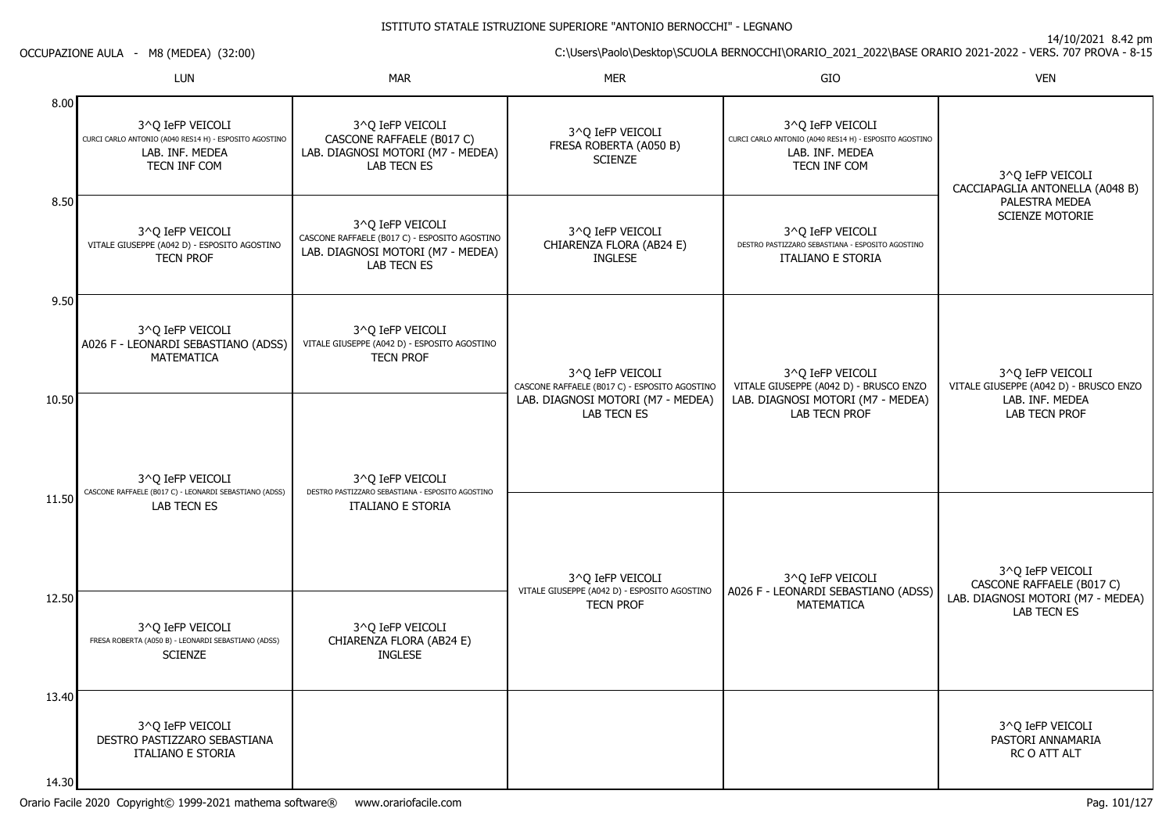14/10/2021 8.42 pm

C:\Users\Paolo\Desktop\SCUOLA BERNOCCHI\ORARIO\_2021\_2022\BASE ORARIO 2021-2022 - VERS. 707 PROVA - 8-15

OCCUPAZIONE AULA - M8 (MEDEA) (32:00)

|                | LUN                                                                                                           | <b>MAR</b>                                                                                                                   | <b>MER</b>                                                        | GIO                                                                                                           | <b>VEN</b>                                                 |
|----------------|---------------------------------------------------------------------------------------------------------------|------------------------------------------------------------------------------------------------------------------------------|-------------------------------------------------------------------|---------------------------------------------------------------------------------------------------------------|------------------------------------------------------------|
| 8.00           | 3^Q IeFP VEICOLI<br>CURCI CARLO ANTONIO (A040 RES14 H) - ESPOSITO AGOSTINO<br>LAB. INF. MEDEA<br>TECN INF COM | 3^Q IeFP VEICOLI<br>CASCONE RAFFAELE (B017 C)<br>LAB. DIAGNOSI MOTORI (M7 - MEDEA)<br>LAB TECN ES                            | 3^Q IeFP VEICOLI<br>FRESA ROBERTA (A050 B)<br><b>SCIENZE</b>      | 3^Q IeFP VEICOLI<br>CURCI CARLO ANTONIO (A040 RES14 H) - ESPOSITO AGOSTINO<br>LAB. INF. MEDEA<br>TECN INF COM | 3^Q IeFP VEICOLI<br>CACCIAPAGLIA ANTONELLA (A048 B)        |
| 8.50           | 3^Q IeFP VEICOLI<br>VITALE GIUSEPPE (A042 D) - ESPOSITO AGOSTINO<br><b>TECN PROF</b>                          | 3^O IeFP VEICOLI<br>CASCONE RAFFAELE (B017 C) - ESPOSITO AGOSTINO<br>LAB. DIAGNOSI MOTORI (M7 - MEDEA)<br><b>LAB TECN ES</b> | 3^Q IeFP VEICOLI<br>CHIARENZA FLORA (AB24 E)<br><b>INGLESE</b>    | 3^Q IeFP VEICOLI<br>DESTRO PASTIZZARO SEBASTIANA - ESPOSITO AGOSTINO<br><b>ITALIANO E STORIA</b>              | PALESTRA MEDEA<br><b>SCIENZE MOTORIE</b>                   |
| 9.50           | 3^O IeFP VEICOLI<br>A026 F - LEONARDI SEBASTIANO (ADSS)<br>MATEMATICA                                         | 3^0 IeFP VEICOLI<br>VITALE GIUSEPPE (A042 D) - ESPOSITO AGOSTINO<br><b>TECN PROF</b>                                         | 3^0 IeFP VEICOLI<br>CASCONE RAFFAELE (B017 C) - ESPOSITO AGOSTINO | 3^0 IeFP VEICOLI<br>VITALE GIUSEPPE (A042 D) - BRUSCO ENZO                                                    | 3^0 IeFP VEICOLI<br>VITALE GIUSEPPE (A042 D) - BRUSCO ENZO |
| 10.50          | 3^O IeFP VEICOLI                                                                                              | 3^O IeFP VEICOLI                                                                                                             | LAB. DIAGNOSI MOTORI (M7 - MEDEA)<br><b>LAB TECN ES</b>           | LAB. DIAGNOSI MOTORI (M7 - MEDEA)<br>LAB TECN PROF                                                            | LAB. INF. MEDEA<br>LAB TECN PROF                           |
| 11.50          | CASCONE RAFFAELE (B017 C) - LEONARDI SEBASTIANO (ADSS)<br>LAB TECN ES                                         | DESTRO PASTIZZARO SEBASTIANA - ESPOSITO AGOSTINO<br><b>ITALIANO E STORIA</b>                                                 | 3^0 IeFP VEICOLI                                                  | 3^Q IeFP VEICOLI                                                                                              | 3^Q IeFP VEICOLI<br>CASCONE RAFFAELE (B017 C)              |
| 12.50          | 3^0 IeFP VEICOLI<br>FRESA ROBERTA (A050 B) - LEONARDI SEBASTIANO (ADSS)<br><b>SCIENZE</b>                     | 3^0 IeFP VEICOLI<br>CHIARENZA FLORA (AB24 E)<br>INGLESE                                                                      | VITALE GIUSEPPE (A042 D) - ESPOSITO AGOSTINO<br><b>TECN PROF</b>  | A026 F - LEONARDI SEBASTIANO (ADSS)<br><b>MATEMATICA</b>                                                      | LAB. DIAGNOSI MOTORI (M7 - MEDEA)<br>LAB TECN ES           |
| 13.40<br>14.30 | 3^0 IeFP VEICOLI<br>DESTRO PASTIZZARO SEBASTIANA<br><b>ITALIANO E STORIA</b>                                  |                                                                                                                              |                                                                   |                                                                                                               | 3^O IeFP VEICOLI<br>PASTORI ANNAMARIA<br>RC O ATT ALT      |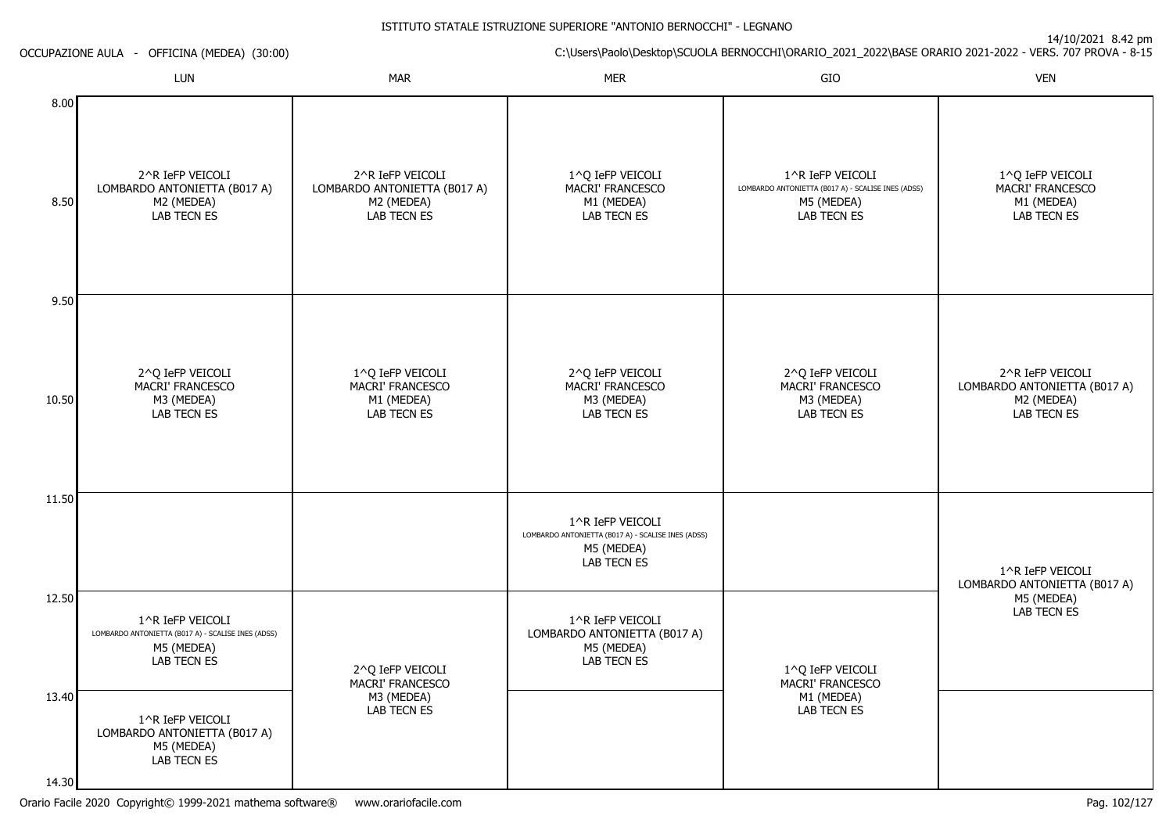14/10/2021 8.42 pm

ISTITUTO STATALE ISTRUZIONE SUPERIORE "ANTONIO BERNOCCHI" - LEGNANOC:\Users\Paolo\Desktop\SCUOLA BERNOCCHI\ORARIO\_2021\_2022\BASE ORARIO 2021-2022 - VERS. 707 PROVA - 8-15 OCCUPAZIONE AULA - OFFICINA (MEDEA) (30:00)LUNN MAR MAR MER SIO O VEN 8.008.509.5010.5011.5012.5013.402^R IeFP VEICOLI LOMBARDO ANTONIETTA (B017 A)M2 (MEDEA) LAB TECN ES2^Q IeFP VEICOLI MACRI' FRANCESCOM3 (MEDEA) LAB TECN ES1^R IeFP VEICOLI LOMBARDO ANTONIETTA (B017 A) - SCALISE INES (ADSS)M5 (MEDEA) LAB TECN ES2^R IeFP VEICOLI LOMBARDO ANTONIETTA (B017 A)M2 (MEDEA) LAB TECN ES1^Q IeFP VEICOLI MACRI' FRANCESCOM1 (MEDEA) LAB TECN ES2^Q IeFP VEICOLI MACRI' FRANCESCOM3 (MEDEA)1^Q IeFP VEICOLI MACRI' FRANCESCOM1 (MEDEA) LAB TECN ES2^Q IeFP VEICOLI MACRI' FRANCESCOM3 (MEDEA) LAB TECN ES1^R IeFP VEICOLI LOMBARDO ANTONIETTA (B017 A) - SCALISE INES (ADSS)M5 (MEDEA) LAB TECN ES1^R IeFP VEICOLI LOMBARDO ANTONIETTA (B017 A)M5 (MEDEA) LAB TECN ES1^R IeFP VEICOLI LOMBARDO ANTONIETTA (B017 A) - SCALISE INES (ADSS)M5 (MEDEA) LAB TECN ES2^Q IeFP VEICOLI MACRI' FRANCESCOM3 (MEDEA) LAB TECN ES1^Q IeFP VEICOLI MACRI' FRANCESCOM1 (MEDEA)1^Q IeFP VEICOLI MACRI' FRANCESCOM1 (MEDEA) LAB TECN ES2^R IeFP VEICOLI LOMBARDO ANTONIETTA (B017 A)M2 (MEDEA) LAB TECN ES1^R IeFP VEICOLI LOMBARDO ANTONIETTA (B017 A)M5 (MEDEA)LAB TECN ES

LAB TECN ES

1^R IeFP VEICOLI LOMBARDO ANTONIETTA (B017 A)M5 (MEDEA)LAB TECN ES

14.30

LAB TECN ES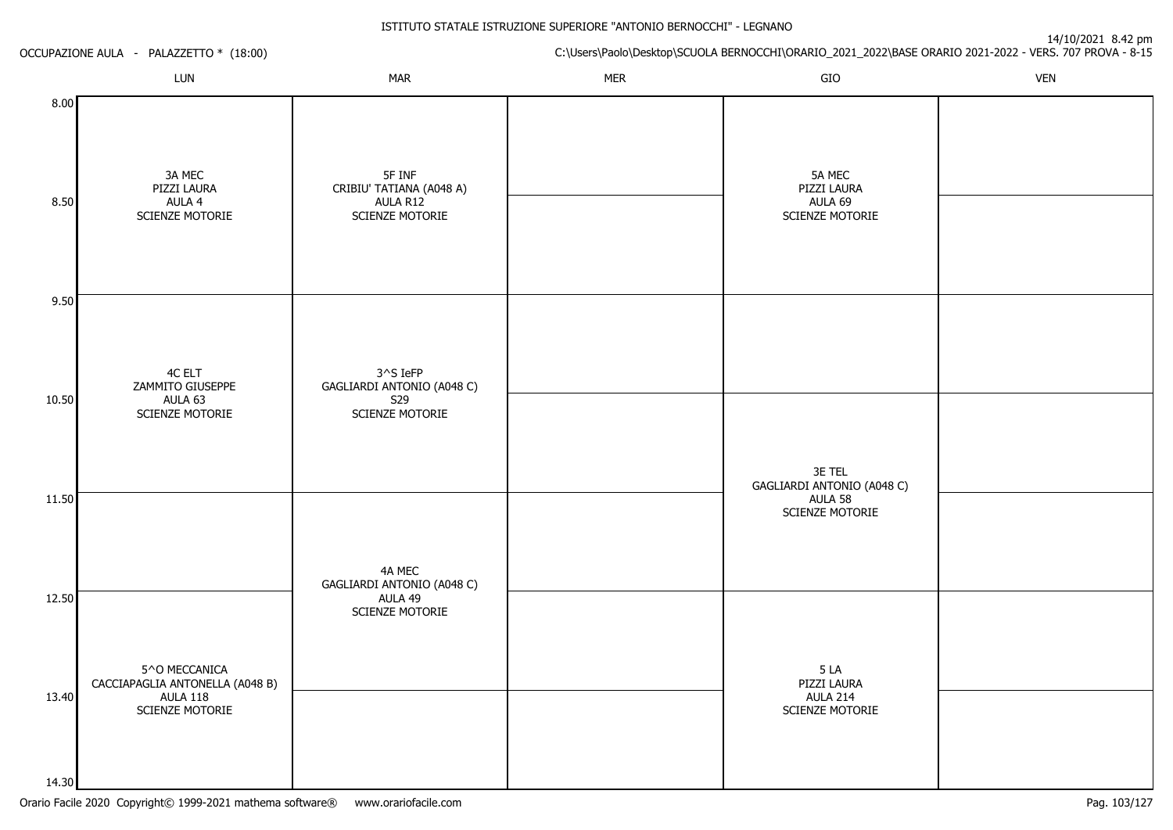| LUN<br><b>MAR</b><br><b>MER</b><br>GIO<br>8.00<br>3A MEC<br>5F INF<br>5A MEC<br>CRIBIU' TATIANA (A048 A)<br>PIZZI LAURA<br>PIZZI LAURA<br>8.50<br>AULA 4<br>AULA R12<br>AULA 69<br>SCIENZE MOTORIE<br>SCIENZE MOTORIE<br>SCIENZE MOTORIE<br>9.50     |            | C:\Users\Paolo\Desktop\SCUOLA BERNOCCHI\ORARIO_2021_2022\BASE ORARIO 2021-2022 - VERS. 707 PROVA - 8-15 |  |  |  | OCCUPAZIONE AULA - PALAZZETTO * (18:00) |  |  |
|------------------------------------------------------------------------------------------------------------------------------------------------------------------------------------------------------------------------------------------------------|------------|---------------------------------------------------------------------------------------------------------|--|--|--|-----------------------------------------|--|--|
|                                                                                                                                                                                                                                                      | <b>VEN</b> |                                                                                                         |  |  |  |                                         |  |  |
|                                                                                                                                                                                                                                                      |            |                                                                                                         |  |  |  |                                         |  |  |
|                                                                                                                                                                                                                                                      |            |                                                                                                         |  |  |  |                                         |  |  |
| 4C ELT<br>3^S IeFP<br>ZAMMITO GIUSEPPE<br>GAGLIARDI ANTONIO (A048 C)<br>10.50<br>S29<br>AULA 63<br>SCIENZE MOTORIE<br>SCIENZE MOTORIE<br>3E TEL<br>GAGLIARDI ANTONIO (A048 C)<br>11.50<br>AULA 58<br>SCIENZE MOTORIE                                 |            |                                                                                                         |  |  |  |                                         |  |  |
| 4A MEC<br>GAGLIARDI ANTONIO (A048 C)<br>12.50<br>AULA 49<br>SCIENZE MOTORIE<br>5^O MECCANICA<br>5 LA<br>CACCIAPAGLIA ANTONELLA (A048 B)<br>PIZZI LAURA<br>13.40<br><b>AULA 118</b><br><b>AULA 214</b><br>SCIENZE MOTORIE<br>SCIENZE MOTORIE<br>14.30 |            |                                                                                                         |  |  |  |                                         |  |  |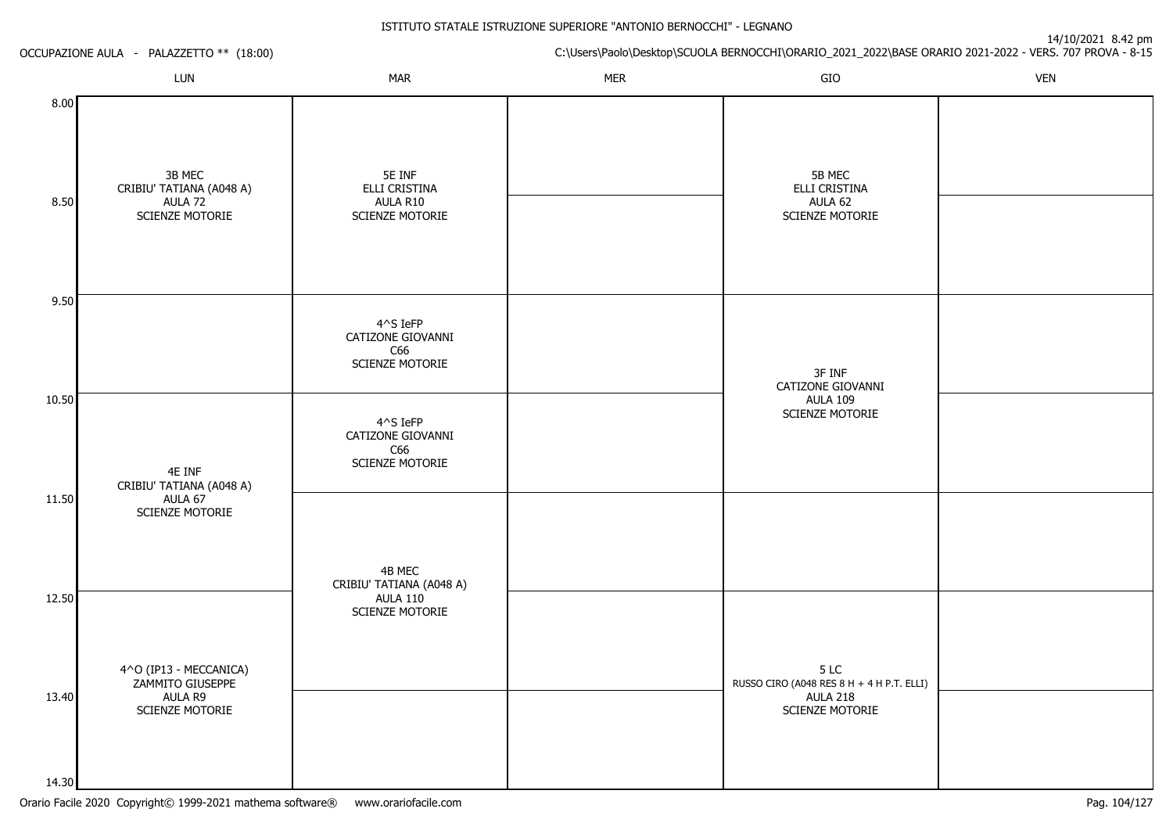|                | OCCUPAZIONE AULA - PALAZZETTO ** (18:00)                                 |                                                                          |            | C:\Users\Paolo\Desktop\SCUOLA BERNOCCHI\ORARIO_2021_2022\BASE ORARIO 2021-2022 - VERS. 707 PROVA - 8-15 |            |
|----------------|--------------------------------------------------------------------------|--------------------------------------------------------------------------|------------|---------------------------------------------------------------------------------------------------------|------------|
|                | LUN                                                                      | <b>MAR</b>                                                               | <b>MER</b> | GIO                                                                                                     | <b>VEN</b> |
| 8.00<br>8.50   | 3B MEC<br>CRIBIU' TATIANA (A048 A)<br>AULA 72<br>SCIENZE MOTORIE         | 5E INF<br>ELLI CRISTINA<br>AULA R10<br>SCIENZE MOTORIE                   |            | 5B MEC<br>ELLI CRISTINA<br>AULA 62<br>SCIENZE MOTORIE                                                   |            |
| 9.50           |                                                                          | 4^S IeFP<br>CATIZONE GIOVANNI<br>C66<br><b>SCIENZE MOTORIE</b>           |            | 3F INF<br>CATIZONE GIOVANNI                                                                             |            |
| 10.50<br>11.50 | 4E INF<br>CRIBIU' TATIANA (A048 A)<br>AULA 67<br>SCIENZE MOTORIE         | 4^S IeFP<br>CATIZONE GIOVANNI<br>C66<br>SCIENZE MOTORIE                  |            | <b>AULA 109</b><br>SCIENZE MOTORIE                                                                      |            |
| 12.50          |                                                                          | 4B MEC<br>CRIBIU' TATIANA (A048 A)<br><b>AULA 110</b><br>SCIENZE MOTORIE |            |                                                                                                         |            |
| 13.40          | 4^O (IP13 - MECCANICA)<br>ZAMMITO GIUSEPPE<br>AULA R9<br>SCIENZE MOTORIE |                                                                          |            | 5 LC<br>RUSSO CIRO (A048 RES 8 H + 4 H P.T. ELLI)<br><b>AULA 218</b><br>SCIENZE MOTORIE                 |            |
| 14.30          |                                                                          |                                                                          |            |                                                                                                         |            |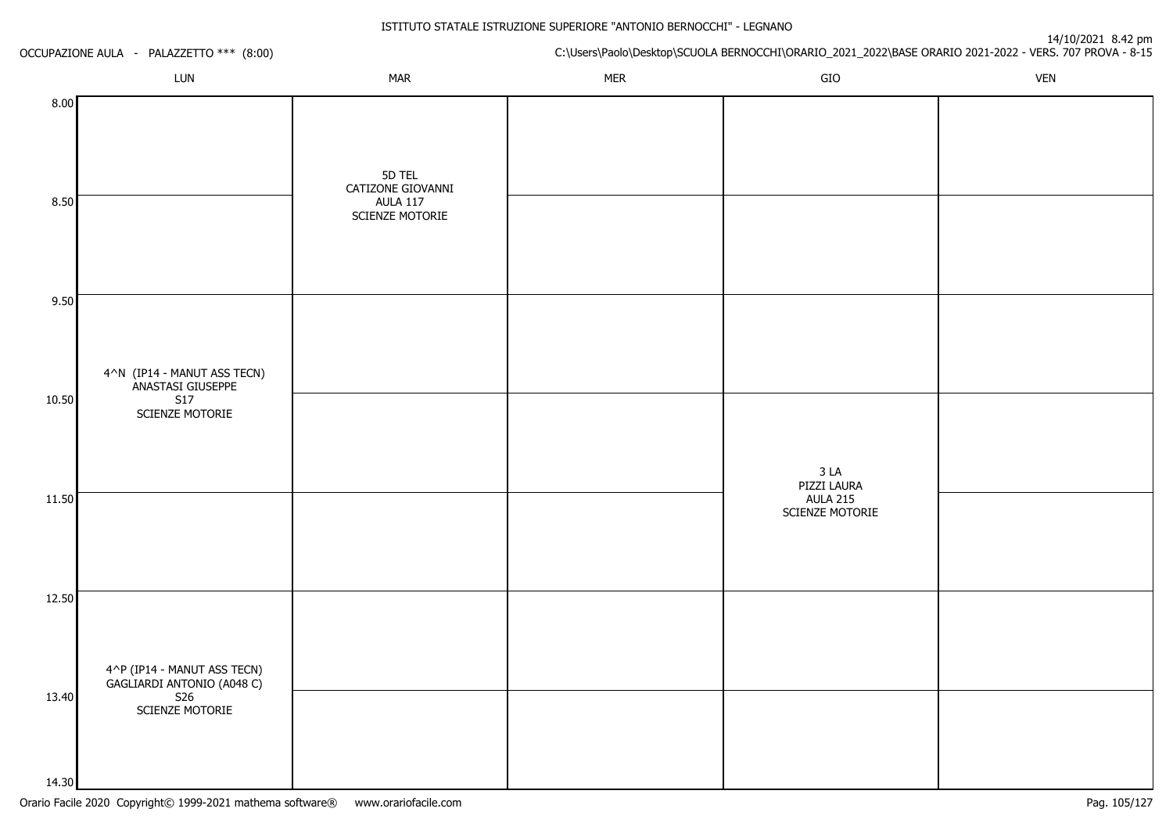|                | OCCUPAZIONE AULA - PALAZZETTO *** (8:00)                                          |                                                                   | 14/10/2021 0.42 pm<br>C:\Users\Paolo\Desktop\SCUOLA BERNOCCHI\ORARIO_2021_2022\BASE ORARIO 2021-2022 - VERS. 707 PROVA - 8-15 |                                                   |            |  |  |
|----------------|-----------------------------------------------------------------------------------|-------------------------------------------------------------------|-------------------------------------------------------------------------------------------------------------------------------|---------------------------------------------------|------------|--|--|
|                | LUN                                                                               | <b>MAR</b>                                                        | <b>MER</b>                                                                                                                    | GIO                                               | <b>VEN</b> |  |  |
| 8.00<br>8.50   |                                                                                   | 5D TEL<br>CATIZONE GIOVANNI<br><b>AULA 117</b><br>SCIENZE MOTORIE |                                                                                                                               |                                                   |            |  |  |
| 9.50           |                                                                                   |                                                                   |                                                                                                                               |                                                   |            |  |  |
| 10.50          | 4^N (IP14 - MANUT ASS TECN)<br>ANASTASI GIUSEPPE<br><b>S17</b><br>SCIENZE MOTORIE |                                                                   |                                                                                                                               | 3 <sub>LA</sub>                                   |            |  |  |
| 11.50          |                                                                                   |                                                                   |                                                                                                                               | PIZZI LAURA<br><b>AULA 215</b><br>SCIENZE MOTORIE |            |  |  |
| 12.50          |                                                                                   |                                                                   |                                                                                                                               |                                                   |            |  |  |
| 13.40<br>14.30 | 4^P (IP14 - MANUT ASS TECN)<br>GAGLIARDI ANTONIO (A048 C)<br>SCIENZE MOTORIE      |                                                                   |                                                                                                                               |                                                   |            |  |  |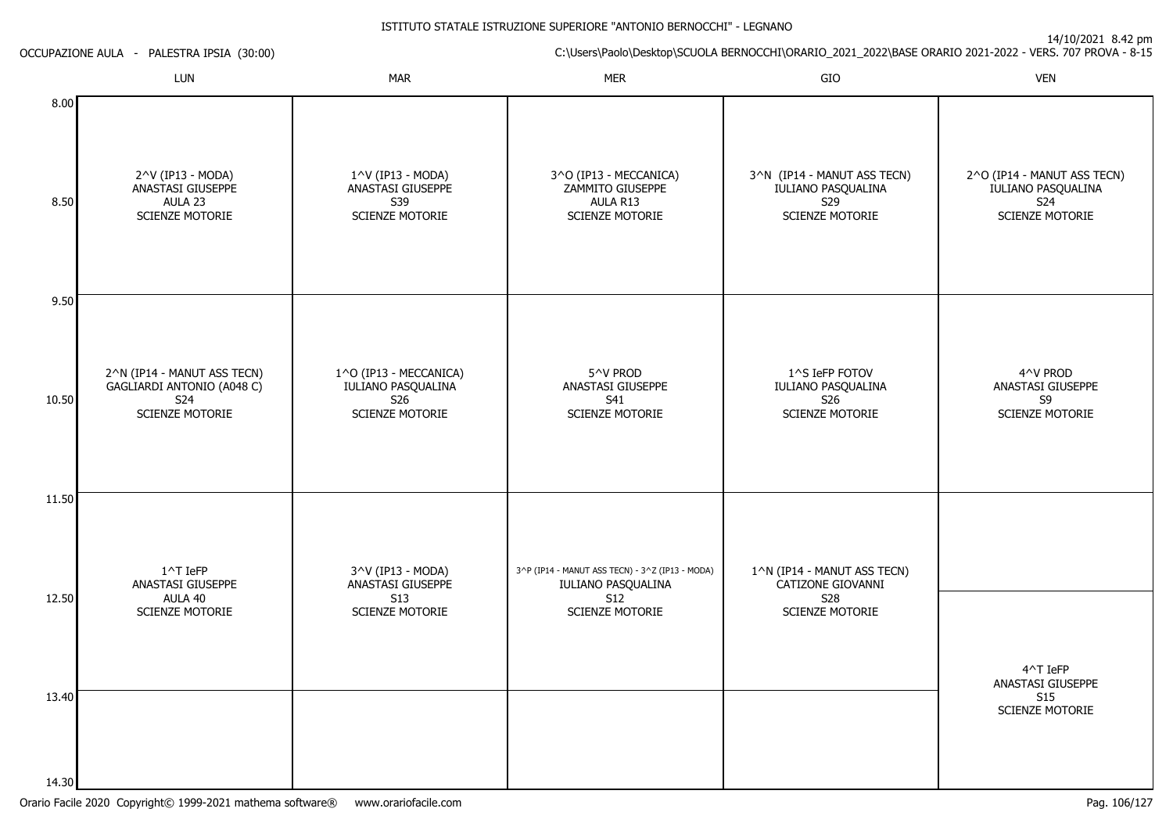|              | OCCUPAZIONE AULA - PALESTRA IPSIA (30:00)                                                  |                                                                               |                                                                           | C:\Users\Paolo\Desktop\SCUOLA BERNOCCHI\ORARIO_2021_2022\BASE ORARIO 2021-2022 - VERS. 707 PROVA - 8-15 |                                                                             |  |
|--------------|--------------------------------------------------------------------------------------------|-------------------------------------------------------------------------------|---------------------------------------------------------------------------|---------------------------------------------------------------------------------------------------------|-----------------------------------------------------------------------------|--|
|              | LUN                                                                                        | <b>MAR</b>                                                                    | <b>MER</b>                                                                | GIO                                                                                                     | <b>VEN</b>                                                                  |  |
| 8.00<br>8.50 | 2^V (IP13 - MODA)<br>ANASTASI GIUSEPPE<br>AULA 23<br><b>SCIENZE MOTORIE</b>                | 1^V (IP13 - MODA)<br>ANASTASI GIUSEPPE<br>S39<br><b>SCIENZE MOTORIE</b>       | 3^O (IP13 - MECCANICA)<br>ZAMMITO GIUSEPPE<br>AULA R13<br>SCIENZE MOTORIE | 3^N (IP14 - MANUT ASS TECN)<br>IULIANO PASQUALINA<br>S29<br>SCIENZE MOTORIE                             | 2^O (IP14 - MANUT ASS TECN)<br>IULIANO PASQUALINA<br>S24<br>SCIENZE MOTORIE |  |
| 9.50         |                                                                                            |                                                                               |                                                                           |                                                                                                         |                                                                             |  |
| 10.50        | 2^N (IP14 - MANUT ASS TECN)<br>GAGLIARDI ANTONIO (A048 C)<br>S24<br><b>SCIENZE MOTORIE</b> | 1^O (IP13 - MECCANICA)<br>IULIANO PASQUALINA<br>S26<br><b>SCIENZE MOTORIE</b> | 5^V PROD<br>ANASTASI GIUSEPPE<br>S41<br><b>SCIENZE MOTORIE</b>            | 1^S IeFP FOTOV<br>IULIANO PASQUALINA<br>S26<br>SCIENZE MOTORIE                                          | 4^V PROD<br>ANASTASI GIUSEPPE<br>S9<br>SCIENZE MOTORIE                      |  |
| 11.50        | 1^T IeFP                                                                                   | 3^V (IP13 - MODA)                                                             | 3^P (IP14 - MANUT ASS TECN) - 3^Z (IP13 - MODA)                           | 1^N (IP14 - MANUT ASS TECN)                                                                             |                                                                             |  |
| 12.50        | ANASTASI GIUSEPPE<br>AULA 40<br><b>SCIENZE MOTORIE</b>                                     | ANASTASI GIUSEPPE<br><b>S13</b><br><b>SCIENZE MOTORIE</b>                     | IULIANO PASQUALINA<br><b>S12</b><br><b>SCIENZE MOTORIE</b>                | CATIZONE GIOVANNI<br><b>S28</b><br>SCIENZE MOTORIE                                                      | 4^T IeFP                                                                    |  |
| 13.40        |                                                                                            |                                                                               |                                                                           |                                                                                                         | ANASTASI GIUSEPPE<br>S15<br><b>SCIENZE MOTORIE</b>                          |  |
| 14.30        |                                                                                            |                                                                               |                                                                           |                                                                                                         |                                                                             |  |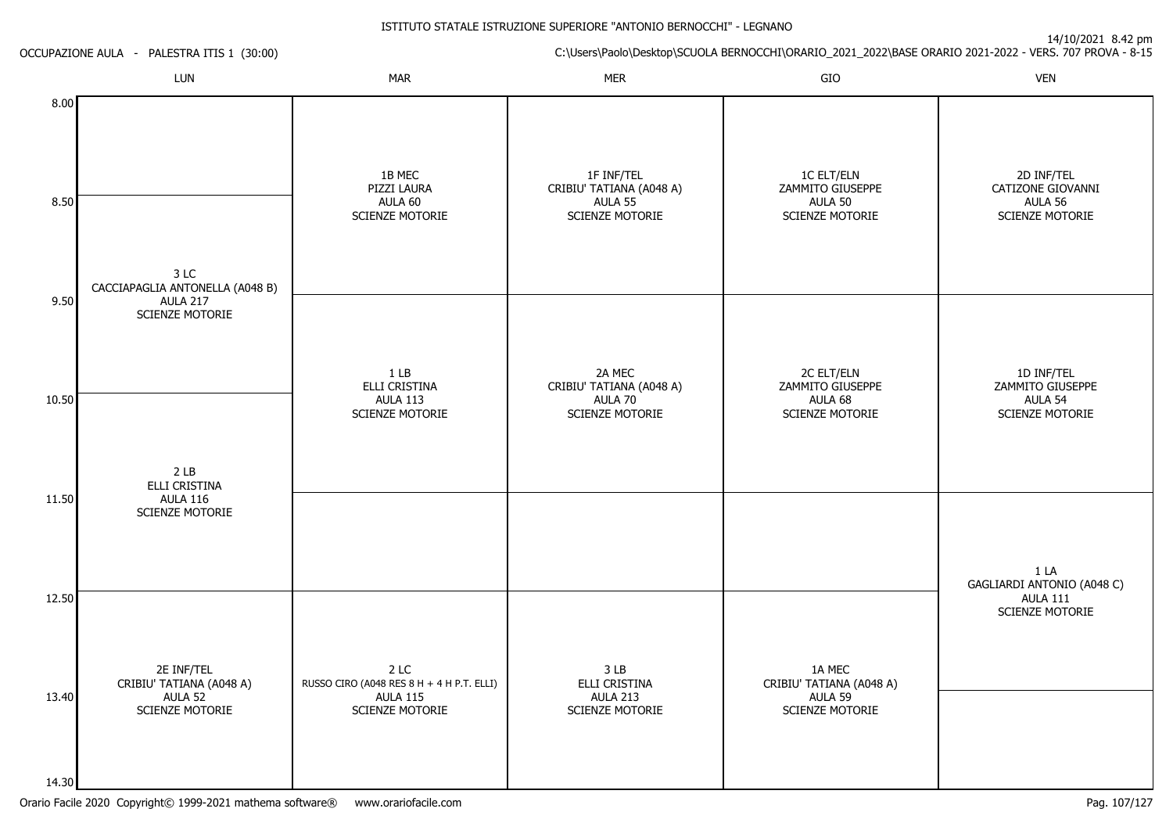|                | OCCUPAZIONE AULA - PALESTRA ITIS 1 (30:00) |                                                                      |                                                                             | C:\Users\Paolo\Desktop\SCUOLA BERNOCCHI\ORARIO_2021_2022\BASE ORARIO 2021-2022 - VERS. 707 PROVA - 8-15 |                                                               |
|----------------|--------------------------------------------|----------------------------------------------------------------------|-----------------------------------------------------------------------------|---------------------------------------------------------------------------------------------------------|---------------------------------------------------------------|
|                | LUN                                        | <b>MAR</b>                                                           | <b>MER</b>                                                                  | GIO                                                                                                     | <b>VEN</b>                                                    |
| 8.00<br>8.50   | 3 LC<br>CACCIAPAGLIA ANTONELLA (A048 B)    | 1B MEC<br>PIZZI LAURA<br>AULA 60<br>SCIENZE MOTORIE                  | 1F INF/TEL<br>CRIBIU' TATIANA (A048 A)<br>AULA 55<br><b>SCIENZE MOTORIE</b> | <b>1C ELT/ELN</b><br>ZAMMITO GIUSEPPE<br>AULA 50<br><b>SCIENZE MOTORIE</b>                              | 2D INF/TEL<br>CATIZONE GIOVANNI<br>AULA 56<br>SCIENZE MOTORIE |
| 9.50           | <b>AULA 217</b><br>SCIENZE MOTORIE         | 1 <sub>LB</sub>                                                      | 2A MEC                                                                      | 2C ELT/ELN                                                                                              | 1D INF/TEL                                                    |
| 10.50          | 2 <sub>LB</sub><br>ELLI CRISTINA           | ELLI CRISTINA<br><b>AULA 113</b><br>SCIENZE MOTORIE                  | CRIBIU' TATIANA (A048 A)<br>AULA 70<br>SCIENZE MOTORIE                      | ZAMMITO GIUSEPPE<br>AULA 68<br>SCIENZE MOTORIE                                                          | ZAMMITO GIUSEPPE<br>AULA 54<br>SCIENZE MOTORIE                |
| 11.50<br>12.50 | <b>AULA 116</b><br><b>SCIENZE MOTORIE</b>  |                                                                      |                                                                             |                                                                                                         | 1 LA<br>GAGLIARDI ANTONIO (A048 C)<br><b>AULA 111</b>         |
| 13.40          | 2E INF/TEL<br>CRIBIU' TATIANA (A048 A)     | 2 LC<br>RUSSO CIRO (A048 RES 8 H + 4 H P.T. ELLI)<br><b>AULA 115</b> | 3 LB<br>ELLI CRISTINA<br><b>AULA 213</b>                                    | 1A MEC<br>CRIBIU' TATIANA (A048 A)<br>AULA 59                                                           | SCIENZE MOTORIE                                               |
| 14.30          | AULA 52<br>SCIENZE MOTORIE                 | SCIENZE MOTORIE                                                      | SCIENZE MOTORIE                                                             | SCIENZE MOTORIE                                                                                         |                                                               |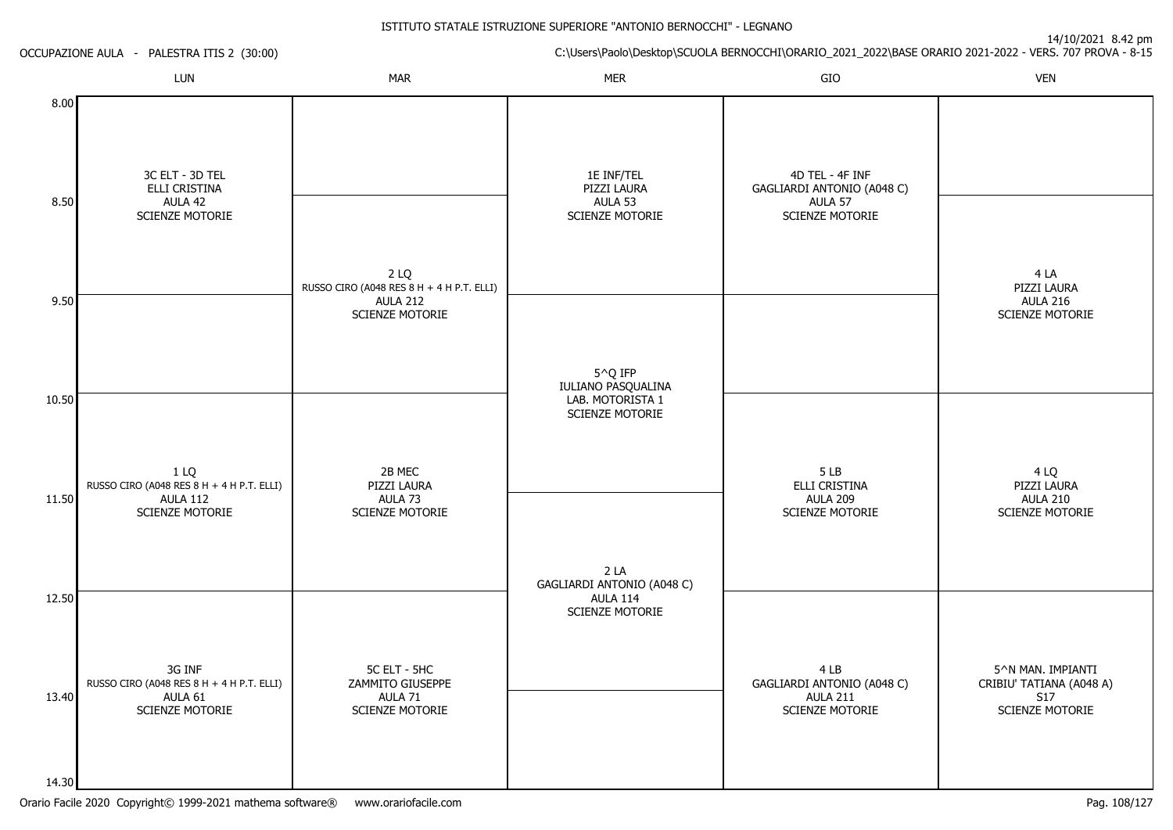14/10/2021 8.42 pm

C:\Users\Paolo\Desktop\SCUOLA BERNOCCHI\ORARIO\_2021\_2022\BASE ORARIO 2021-2022 - VERS. 707 PROVA - 8-15 OCCUPAZIONE AULA - PALESTRA ITIS 2 (30:00)LUNN MAR MAR MER SIO O VEN 8.008.509.5010.5011.5012.5013.4014.303C ELT - 3D TEL ELLI CRISTINAAULA 42 SCIENZE MOTORIE1 LQ RUSSO CIRO (A048 RES 8 H + 4 H P.T. ELLI)AULA 112 SCIENZE MOTORIE3G INF RUSSO CIRO (A048 RES 8 H + 4 H P.T. ELLI)AULA 61 SCIENZE MOTORIE2 LQ RUSSO CIRO (A048 RES 8 H + 4 H P.T. ELLI)AULA 212 SCIENZE MOTORIE2B MEC PIZZI LAURAAULA 73 SCIENZE MOTORIE5C ELT - 5HC ZAMMITO GIUSEPPEAULA 71 SCIENZE MOTORIE1E INF/TEL PIZZI LAURAAULA 53 SCIENZE MOTORIE5^Q IFP IULIANO PASQUALINA LAB. MOTORISTA 1 SCIENZE MOTORIE2 LA GAGLIARDI ANTONIO (A048 C)AULA 114 SCIENZE MOTORIE4D TEL - 4F INF GAGLIARDI ANTONIO (A048 C)AULA 57 SCIENZE MOTORIE5 LB ELLI CRISTINAAULA 209 SCIENZE MOTORIE4 LB GAGLIARDI ANTONIO (A048 C)AULA 211 SCIENZE MOTORIE4 LA PIZZI LAURA AULA 216 SCIENZE MOTORIE4 LQ PIZZI LAURA AULA 210 SCIENZE MOTORIE5^N MAN. IMPIANTI CRIBIU' TATIANA (A048 A)S17SCIENZE MOTORIE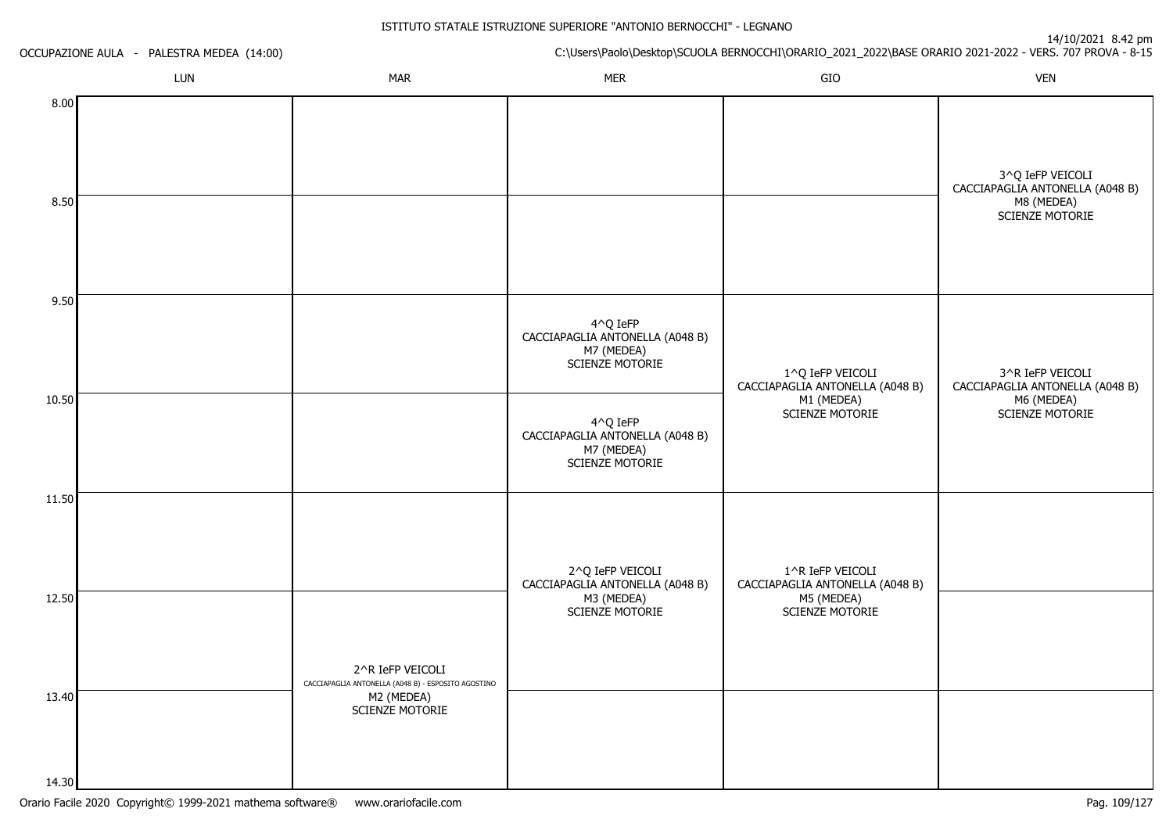|                | OCCUPAZIONE AULA - PALESTRA MEDEA (14:00) |                                                                         |                                                                                         | - 7 - - 7 - - - - - - - - - - p - -<br>C:\Users\Paolo\Desktop\SCUOLA BERNOCCHI\ORARIO_2021_2022\BASE ORARIO 2021-2022 - VERS. 707 PROVA - 8-15 |                                                                                             |  |
|----------------|-------------------------------------------|-------------------------------------------------------------------------|-----------------------------------------------------------------------------------------|------------------------------------------------------------------------------------------------------------------------------------------------|---------------------------------------------------------------------------------------------|--|
|                | LUN                                       | <b>MAR</b>                                                              | <b>MER</b>                                                                              | GIO                                                                                                                                            | <b>VEN</b>                                                                                  |  |
| 8.00<br>8.50   |                                           |                                                                         |                                                                                         |                                                                                                                                                | 3^Q IeFP VEICOLI<br>CACCIAPAGLIA ANTONELLA (A048 B)<br>M8 (MEDEA)<br><b>SCIENZE MOTORIE</b> |  |
| 9.50           |                                           |                                                                         | $4^O$ Q IeFP<br>CACCIAPAGLIA ANTONELLA (A048 B)<br>M7 (MEDEA)<br><b>SCIENZE MOTORIE</b> | 1^Q IeFP VEICOLI<br>CACCIAPAGLIA ANTONELLA (A048 B)                                                                                            | 3^R IeFP VEICOLI<br>CACCIAPAGLIA ANTONELLA (A048 B)                                         |  |
| 10.50          |                                           |                                                                         | 4^Q IeFP<br>CACCIAPAGLIA ANTONELLA (A048 B)<br>M7 (MEDEA)<br><b>SCIENZE MOTORIE</b>     | M1 (MEDEA)<br><b>SCIENZE MOTORIE</b>                                                                                                           | M6 (MEDEA)<br><b>SCIENZE MOTORIE</b>                                                        |  |
| 11.50          |                                           |                                                                         | 2^Q IeFP VEICOLI<br>CACCIAPAGLIA ANTONELLA (A048 B)                                     | 1^R IeFP VEICOLI<br>CACCIAPAGLIA ANTONELLA (A048 B)                                                                                            |                                                                                             |  |
| 12.50          |                                           | 2^R IeFP VEICOLI<br>CACCIAPAGLIA ANTONELLA (A048 B) - ESPOSITO AGOSTINO | M3 (MEDEA)<br><b>SCIENZE MOTORIE</b>                                                    | M5 (MEDEA)<br><b>SCIENZE MOTORIE</b>                                                                                                           |                                                                                             |  |
| 13.40<br>14.30 |                                           | M2 (MEDEA)<br>SCIENZE MOTORIE                                           |                                                                                         |                                                                                                                                                |                                                                                             |  |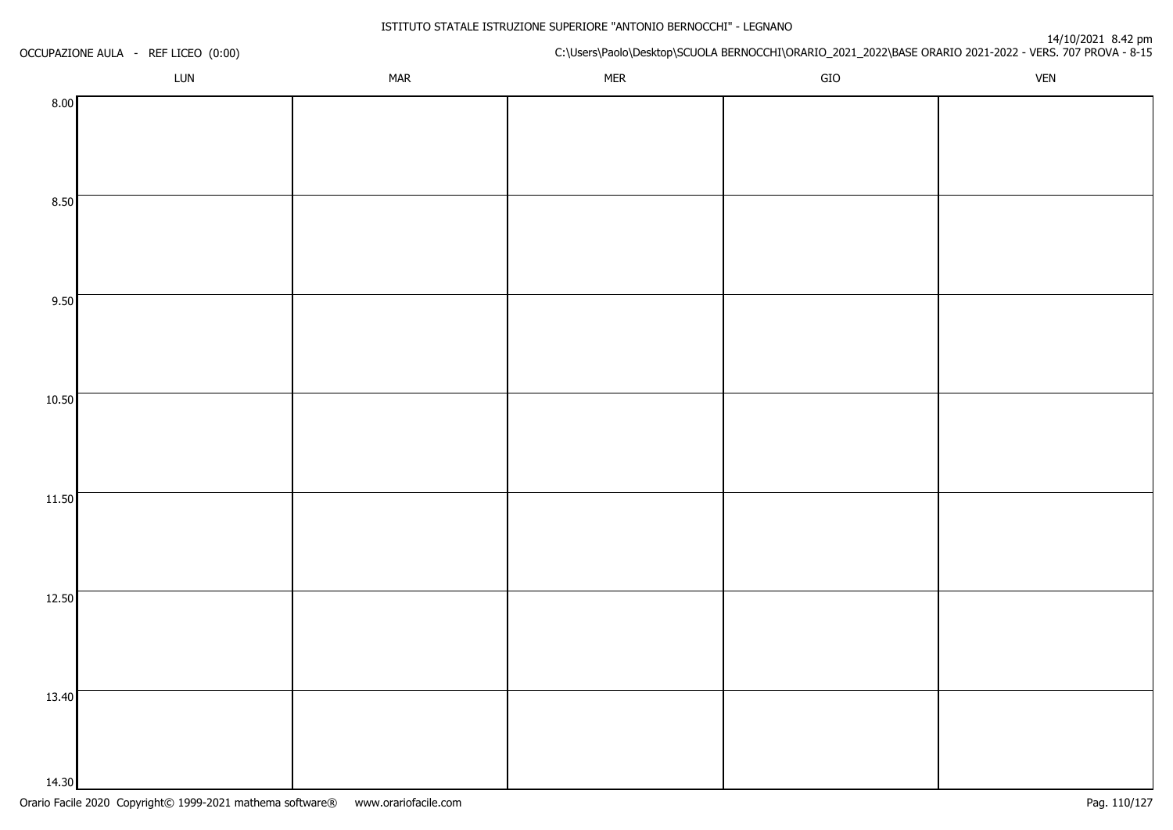| OCCUPAZIONE AULA - REF LICEO (0:00) |     |            | t+10/2021 o.42<br>C:\Users\Paolo\Desktop\SCUOLA BERNOCCHI\ORARIO_2021_2022\BASE ORARIO 2021-2022 - VERS. 707 PROVA - 8-15 |             |            |  |  |
|-------------------------------------|-----|------------|---------------------------------------------------------------------------------------------------------------------------|-------------|------------|--|--|
|                                     | LUN | <b>MAR</b> | <b>MER</b>                                                                                                                | ${\sf GIO}$ | <b>VEN</b> |  |  |
| 8.00                                |     |            |                                                                                                                           |             |            |  |  |
|                                     |     |            |                                                                                                                           |             |            |  |  |
|                                     |     |            |                                                                                                                           |             |            |  |  |
|                                     |     |            |                                                                                                                           |             |            |  |  |
| 8.50                                |     |            |                                                                                                                           |             |            |  |  |
|                                     |     |            |                                                                                                                           |             |            |  |  |
|                                     |     |            |                                                                                                                           |             |            |  |  |
|                                     |     |            |                                                                                                                           |             |            |  |  |
| 9.50                                |     |            |                                                                                                                           |             |            |  |  |
|                                     |     |            |                                                                                                                           |             |            |  |  |
|                                     |     |            |                                                                                                                           |             |            |  |  |
| 10.50                               |     |            |                                                                                                                           |             |            |  |  |
|                                     |     |            |                                                                                                                           |             |            |  |  |
|                                     |     |            |                                                                                                                           |             |            |  |  |
|                                     |     |            |                                                                                                                           |             |            |  |  |
| 11.50                               |     |            |                                                                                                                           |             |            |  |  |
|                                     |     |            |                                                                                                                           |             |            |  |  |
|                                     |     |            |                                                                                                                           |             |            |  |  |
|                                     |     |            |                                                                                                                           |             |            |  |  |
| 12.50                               |     |            |                                                                                                                           |             |            |  |  |
|                                     |     |            |                                                                                                                           |             |            |  |  |
|                                     |     |            |                                                                                                                           |             |            |  |  |
|                                     |     |            |                                                                                                                           |             |            |  |  |
| 13.40                               |     |            |                                                                                                                           |             |            |  |  |
|                                     |     |            |                                                                                                                           |             |            |  |  |
|                                     |     |            |                                                                                                                           |             |            |  |  |
| 14.30                               |     |            |                                                                                                                           |             |            |  |  |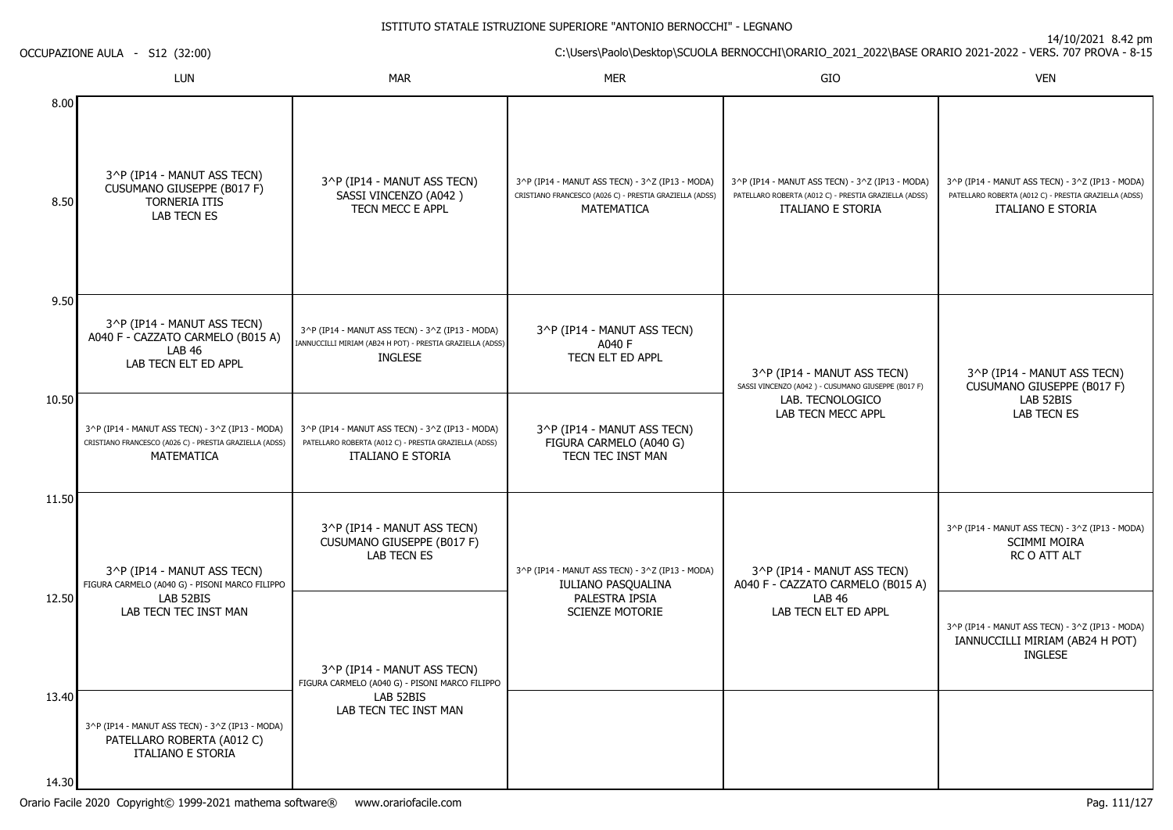| OCCUPAZIONE AULA - S12 (32:00) |                                                                                                                          | C:\Users\Paolo\Desktop\SCUOLA BERNOCCHI\ORARIO_2021_2022\BASE ORARIO 2021-2022 - VERS. 707 PROVA - 8-15                         |                                                                                                                          |                                                                                                                                      | 14/10/2021 0.42 pm                                                                                                            |
|--------------------------------|--------------------------------------------------------------------------------------------------------------------------|---------------------------------------------------------------------------------------------------------------------------------|--------------------------------------------------------------------------------------------------------------------------|--------------------------------------------------------------------------------------------------------------------------------------|-------------------------------------------------------------------------------------------------------------------------------|
|                                | LUN                                                                                                                      | <b>MAR</b>                                                                                                                      | <b>MER</b>                                                                                                               | GIO                                                                                                                                  | <b>VEN</b>                                                                                                                    |
| 8.00<br>8.50                   | 3^P (IP14 - MANUT ASS TECN)<br>CUSUMANO GIUSEPPE (B017 F)<br><b>TORNERIA ITIS</b><br>LAB TECN ES                         | 3^P (IP14 - MANUT ASS TECN)<br>SASSI VINCENZO (A042)<br>TECN MECC E APPL                                                        | 3^P (IP14 - MANUT ASS TECN) - 3^Z (IP13 - MODA)<br>CRISTIANO FRANCESCO (A026 C) - PRESTIA GRAZIELLA (ADSS)<br>MATEMATICA | 3^P (IP14 - MANUT ASS TECN) - 3^Z (IP13 - MODA)<br>PATELLARO ROBERTA (A012 C) - PRESTIA GRAZIELLA (ADSS)<br><b>ITALIANO E STORIA</b> | 3^P (IP14 - MANUT ASS TECN) - 3^Z (IP13 - MODA)<br>PATELLARO ROBERTA (A012 C) - PRESTIA GRAZIELLA (ADSS)<br>ITALIANO E STORIA |
| 9.50                           | 3^P (IP14 - MANUT ASS TECN)<br>A040 F - CAZZATO CARMELO (B015 A)<br><b>LAB 46</b><br>LAB TECN ELT ED APPL                | 3^P (IP14 - MANUT ASS TECN) - 3^Z (IP13 - MODA)<br>IANNUCCILLI MIRIAM (AB24 H POT) - PRESTIA GRAZIELLA (ADSS)<br><b>INGLESE</b> | 3^P (IP14 - MANUT ASS TECN)<br>A040 F<br>TECN ELT ED APPL                                                                | 3^P (IP14 - MANUT ASS TECN)<br>SASSI VINCENZO (A042) - CUSUMANO GIUSEPPE (B017 F)<br>LAB. TECNOLOGICO<br><b>LAB TECN MECC APPL</b>   | 3^P (IP14 - MANUT ASS TECN)<br>CUSUMANO GIUSEPPE (B017 F)                                                                     |
| 10.50                          | 3^P (IP14 - MANUT ASS TECN) - 3^Z (IP13 - MODA)<br>CRISTIANO FRANCESCO (A026 C) - PRESTIA GRAZIELLA (ADSS)<br>MATEMATICA | 3^P (IP14 - MANUT ASS TECN) - 3^Z (IP13 - MODA)<br>PATELLARO ROBERTA (A012 C) - PRESTIA GRAZIELLA (ADSS)<br>ITALIANO E STORIA   | 3^P (IP14 - MANUT ASS TECN)<br>FIGURA CARMELO (A040 G)<br>TECN TEC INST MAN                                              |                                                                                                                                      | LAB 52BIS<br>LAB TECN ES                                                                                                      |
| 11.50                          | 3^P (IP14 - MANUT ASS TECN)<br>FIGURA CARMELO (A040 G) - PISONI MARCO FILIPPO                                            | 3^P (IP14 - MANUT ASS TECN)<br>CUSUMANO GIUSEPPE (B017 F)<br>LAB TECN ES                                                        | 3^P (IP14 - MANUT ASS TECN) - 3^Z (IP13 - MODA)<br>IULIANO PASQUALINA                                                    | 3^P (IP14 - MANUT ASS TECN)<br>A040 F - CAZZATO CARMELO (B015 A)                                                                     | 3^P (IP14 - MANUT ASS TECN) - 3^Z (IP13 - MODA)<br>SCIMMI MOIRA<br>RC O ATT ALT                                               |
| 12.50                          | LAB 52BIS<br>LAB TECN TEC INST MAN                                                                                       | 3^P (IP14 - MANUT ASS TECN)<br>FIGURA CARMELO (A040 G) - PISONI MARCO FILIPPO                                                   | PALESTRA IPSIA<br><b>SCIENZE MOTORIE</b>                                                                                 | <b>LAB 46</b><br>LAB TECN ELT ED APPL                                                                                                | 3^P (IP14 - MANUT ASS TECN) - 3^Z (IP13 - MODA)<br>IANNUCCILLI MIRIAM (AB24 H POT)<br><b>INGLESE</b>                          |
| 13.40<br>14.30                 | 3^P (IP14 - MANUT ASS TECN) - 3^Z (IP13 - MODA)<br>PATELLARO ROBERTA (A012 C)<br>ITALIANO E STORIA                       | LAB 52BIS<br>LAB TECN TEC INST MAN                                                                                              |                                                                                                                          |                                                                                                                                      |                                                                                                                               |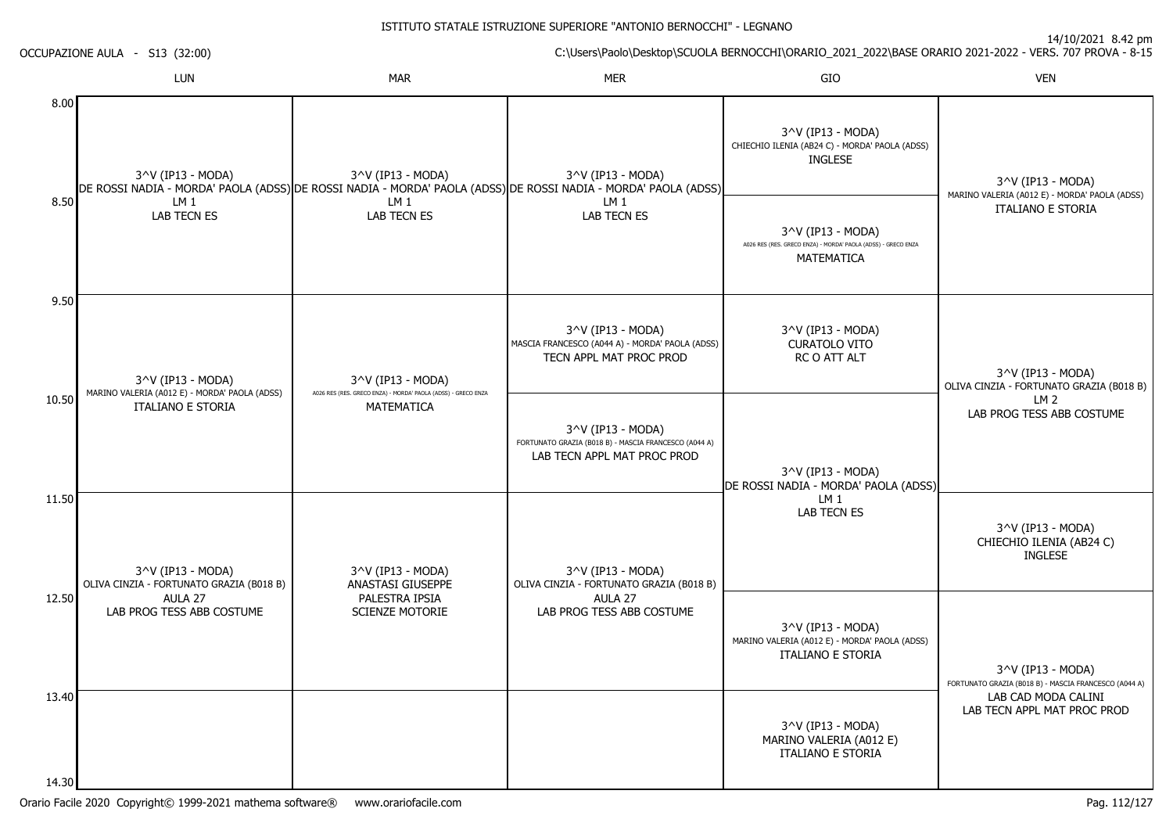14/10/2021 8.42 pm

C:\Users\Paolo\Desktop\SCUOLA BERNOCCHI\ORARIO\_2021\_2022\BASE ORARIO 2021-2022 - VERS. 707 PROVA - 8-15

|       | LUN                                                                | <b>MAR</b>                                                                                                                          | <b>MER</b>                                                                                                | GIO                                                                                              | <b>VEN</b>                                                                 |
|-------|--------------------------------------------------------------------|-------------------------------------------------------------------------------------------------------------------------------------|-----------------------------------------------------------------------------------------------------------|--------------------------------------------------------------------------------------------------|----------------------------------------------------------------------------|
| 8.00  | 3^V (IP13 - MODA)                                                  | 3^V (IP13 - MODA)<br>DE ROSSI NADIA - MORDA' PAOLA (ADSS) DE ROSSI NADIA - MORDA' PAOLA (ADSS) DE ROSSI NADIA - MORDA' PAOLA (ADSS) | 3^V (IP13 - MODA)                                                                                         | 3^V (IP13 - MODA)<br>CHIECHIO ILENIA (AB24 C) - MORDA' PAOLA (ADSS)<br><b>INGLESE</b>            | 3^V (IP13 - MODA)                                                          |
| 8.50  | LM 1<br><b>LAB TECN ES</b>                                         | LM <sub>1</sub><br>LAB TECN ES                                                                                                      | LM 1<br>LAB TECN ES                                                                                       | 3^V (IP13 - MODA)<br>A026 RES (RES. GRECO ENZA) - MORDA' PAOLA (ADSS) - GRECO ENZA<br>MATEMATICA | MARINO VALERIA (A012 E) - MORDA' PAOLA (ADSS)<br><b>ITALIANO E STORIA</b>  |
| 9.50  | 3^V (IP13 - MODA)<br>MARINO VALERIA (A012 E) - MORDA' PAOLA (ADSS) | $3^{\prime\prime}$ (IP13 - MODA)<br>A026 RES (RES. GRECO ENZA) - MORDA' PAOLA (ADSS) - GRECO ENZA                                   | 3^V (IP13 - MODA)<br>MASCIA FRANCESCO (A044 A) - MORDA' PAOLA (ADSS)<br>TECN APPL MAT PROC PROD           | 3^V (IP13 - MODA)<br><b>CURATOLO VITO</b><br>RC O ATT ALT                                        | 3^V (IP13 - MODA)<br>OLIVA CINZIA - FORTUNATO GRAZIA (B018 B)              |
| 10.50 | <b>ITALIANO E STORIA</b>                                           | <b>MATEMATICA</b>                                                                                                                   | 3^V (IP13 - MODA)<br>FORTUNATO GRAZIA (B018 B) - MASCIA FRANCESCO (A044 A)<br>LAB TECN APPL MAT PROC PROD | 3^V (IP13 - MODA)<br>DE ROSSI NADIA - MORDA' PAOLA (ADSS)                                        | LM <sub>2</sub><br>LAB PROG TESS ABB COSTUME                               |
| 11.50 | 3^V (IP13 - MODA)<br>OLIVA CINZIA - FORTUNATO GRAZIA (B018 B)      | 3^V (IP13 - MODA)<br>ANASTASI GIUSEPPE                                                                                              | 3^V (IP13 - MODA)<br>OLIVA CINZIA - FORTUNATO GRAZIA (B018 B)                                             | LM <sub>1</sub><br>LAB TECN ES                                                                   | 3^V (IP13 - MODA)<br>CHIECHIO ILENIA (AB24 C)<br><b>INGLESE</b>            |
| 12.50 | AULA 27<br>LAB PROG TESS ABB COSTUME                               | PALESTRA IPSIA<br>SCIENZE MOTORIE                                                                                                   | AULA 27<br>LAB PROG TESS ABB COSTUME                                                                      | 3^V (IP13 - MODA)<br>MARINO VALERIA (A012 E) - MORDA' PAOLA (ADSS)<br><b>ITALIANO E STORIA</b>   | 3^V (IP13 - MODA)<br>FORTUNATO GRAZIA (B018 B) - MASCIA FRANCESCO (A044 A) |
| 13.40 |                                                                    |                                                                                                                                     |                                                                                                           | 3^V (IP13 - MODA)<br>MARINO VALERIA (A012 E)<br><b>ITALIANO E STORIA</b>                         | LAB CAD MODA CALINI<br>LAB TECN APPL MAT PROC PROD                         |
| 14.30 |                                                                    |                                                                                                                                     |                                                                                                           |                                                                                                  |                                                                            |

OCCUPAZIONE AULA - S13 (32:00)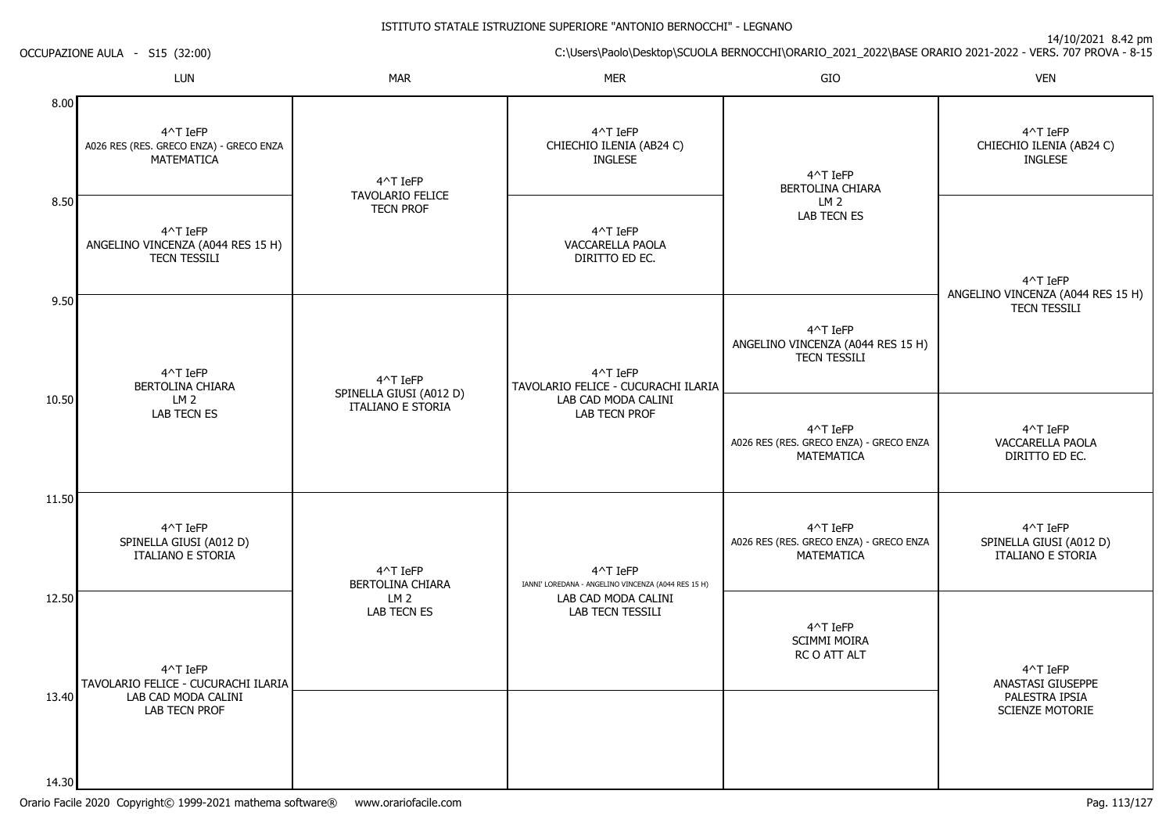14/10/2021 8.42 pm

C:\Users\Paolo\Desktop\SCUOLA BERNOCCHI\ORARIO\_2021\_2022\BASE ORARIO 2021-2022 - VERS. 707 PROVA - 8-15

| OCCUPAZIONE AULA |  |  | S <sub>15</sub> (32:00) |
|------------------|--|--|-------------------------|
|------------------|--|--|-------------------------|

|                | LUN                                                                  | <b>MAR</b>                                  | <b>MER</b>                                                      | GIO                                                                  | <b>VEN</b>                                                      |
|----------------|----------------------------------------------------------------------|---------------------------------------------|-----------------------------------------------------------------|----------------------------------------------------------------------|-----------------------------------------------------------------|
| 8.00           | 4^T IeFP<br>A026 RES (RES. GRECO ENZA) - GRECO ENZA<br>MATEMATICA    | 4^T IeFP                                    | 4^T IeFP<br>CHIECHIO ILENIA (AB24 C)<br><b>INGLESE</b>          | 4^T IeFP<br>BERTOLINA CHIARA<br>LM 2<br><b>LAB TECN ES</b>           | 4^T IeFP<br>CHIECHIO ILENIA (AB24 C)<br><b>INGLESE</b>          |
| 8.50           | 4^T IeFP<br>ANGELINO VINCENZA (A044 RES 15 H)<br><b>TECN TESSILI</b> | <b>TAVOLARIO FELICE</b><br><b>TECN PROF</b> | 4^T IeFP<br>VACCARELLA PAOLA<br>DIRITTO ED EC.                  |                                                                      | 4^T IeFP<br>ANGELINO VINCENZA (A044 RES 15 H)                   |
| 9.50           | 4^T IeFP<br>BERTOLINA CHIARA                                         | 4^T IeFP<br>SPINELLA GIUSI (A012 D)         | 4^T IeFP<br>TAVOLARIO FELICE - CUCURACHI ILARIA                 | 4^T IeFP<br>ANGELINO VINCENZA (A044 RES 15 H)<br><b>TECN TESSILI</b> | <b>TECN TESSILI</b>                                             |
| 10.50          | LM <sub>2</sub><br>LAB TECN ES                                       | ITALIANO E STORIA                           | LAB CAD MODA CALINI<br>LAB TECN PROF                            | 4^T IeFP<br>A026 RES (RES. GRECO ENZA) - GRECO ENZA<br>MATEMATICA    | 4^T IeFP<br>VACCARELLA PAOLA<br>DIRITTO ED EC.                  |
| 11.50          | 4^T IeFP<br>SPINELLA GIUSI (A012 D)<br>ITALIANO E STORIA             | 4^T IeFP<br>BERTOLINA CHIARA                | 4^T IeFP<br>IANNI' LOREDANA - ANGELINO VINCENZA (A044 RES 15 H) | 4^T IeFP<br>A026 RES (RES. GRECO ENZA) - GRECO ENZA<br>MATEMATICA    | 4^T IeFP<br>SPINELLA GIUSI (A012 D)<br><b>ITALIANO E STORIA</b> |
| 12.50          | 4^T IeFP<br>TAVOLARIO FELICE - CUCURACHI ILARIA                      | LM <sub>2</sub><br>LAB TECN ES              | LAB CAD MODA CALINI<br>LAB TECN TESSILI                         | 4^T IeFP<br><b>SCIMMI MOIRA</b><br>RC O ATT ALT                      | 4^T IeFP<br>ANASTASI GIUSEPPE                                   |
| 13.40<br>14.30 | LAB CAD MODA CALINI<br>LAB TECN PROF                                 |                                             |                                                                 |                                                                      | PALESTRA IPSIA<br>SCIENZE MOTORIE                               |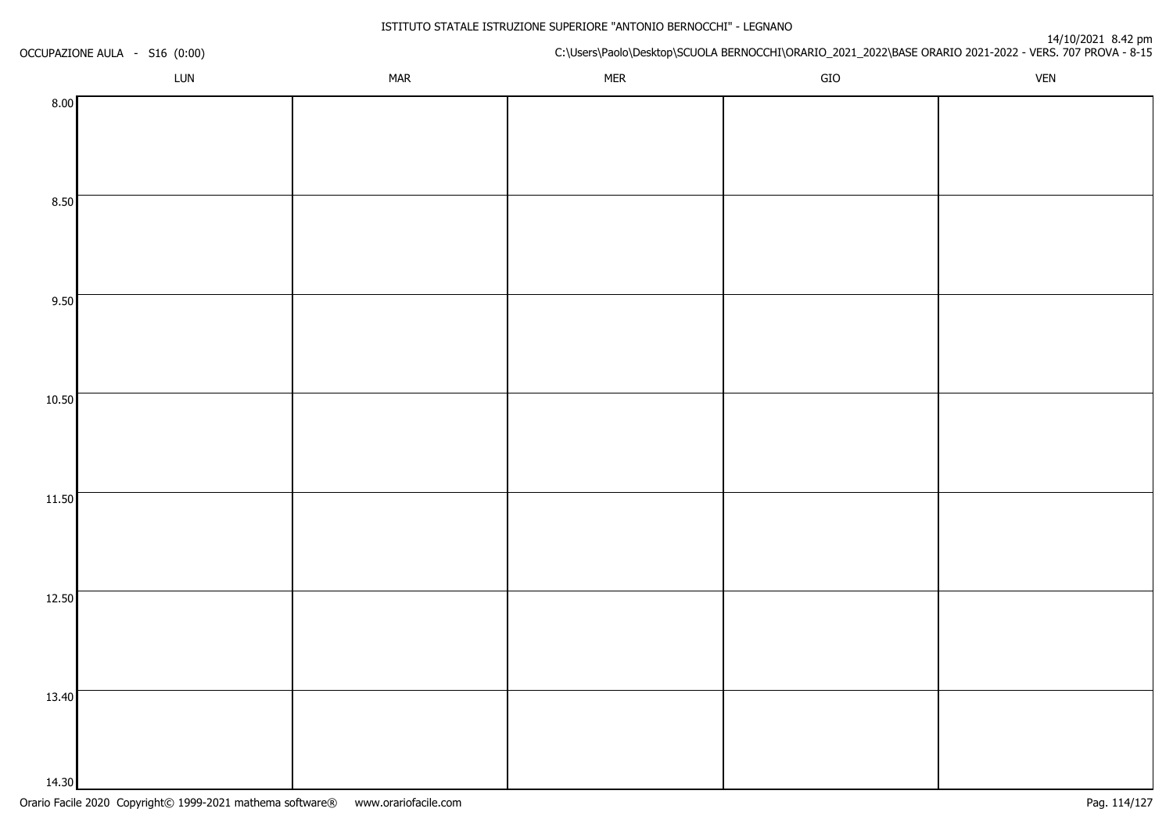| OCCUPAZIONE AULA - S16 (0:00) |     |            | u+10/2021 o.42<br>C:\Users\Paolo\Desktop\SCUOLA BERNOCCHI\ORARIO_2021_2022\BASE ORARIO 2021-2022 - VERS. 707 PROVA - 8-15 |             |            |  |  |
|-------------------------------|-----|------------|---------------------------------------------------------------------------------------------------------------------------|-------------|------------|--|--|
|                               | LUN | <b>MAR</b> | <b>MER</b>                                                                                                                | ${\sf GIO}$ | <b>VEN</b> |  |  |
| 8.00                          |     |            |                                                                                                                           |             |            |  |  |
|                               |     |            |                                                                                                                           |             |            |  |  |
|                               |     |            |                                                                                                                           |             |            |  |  |
|                               |     |            |                                                                                                                           |             |            |  |  |
| 8.50                          |     |            |                                                                                                                           |             |            |  |  |
|                               |     |            |                                                                                                                           |             |            |  |  |
|                               |     |            |                                                                                                                           |             |            |  |  |
|                               |     |            |                                                                                                                           |             |            |  |  |
| 9.50                          |     |            |                                                                                                                           |             |            |  |  |
|                               |     |            |                                                                                                                           |             |            |  |  |
|                               |     |            |                                                                                                                           |             |            |  |  |
|                               |     |            |                                                                                                                           |             |            |  |  |
| 10.50                         |     |            |                                                                                                                           |             |            |  |  |
|                               |     |            |                                                                                                                           |             |            |  |  |
|                               |     |            |                                                                                                                           |             |            |  |  |
|                               |     |            |                                                                                                                           |             |            |  |  |
| 11.50                         |     |            |                                                                                                                           |             |            |  |  |
|                               |     |            |                                                                                                                           |             |            |  |  |
|                               |     |            |                                                                                                                           |             |            |  |  |
|                               |     |            |                                                                                                                           |             |            |  |  |
| 12.50                         |     |            |                                                                                                                           |             |            |  |  |
|                               |     |            |                                                                                                                           |             |            |  |  |
|                               |     |            |                                                                                                                           |             |            |  |  |
| 13.40                         |     |            |                                                                                                                           |             |            |  |  |
|                               |     |            |                                                                                                                           |             |            |  |  |
|                               |     |            |                                                                                                                           |             |            |  |  |
|                               |     |            |                                                                                                                           |             |            |  |  |
| 14.30                         |     |            |                                                                                                                           |             |            |  |  |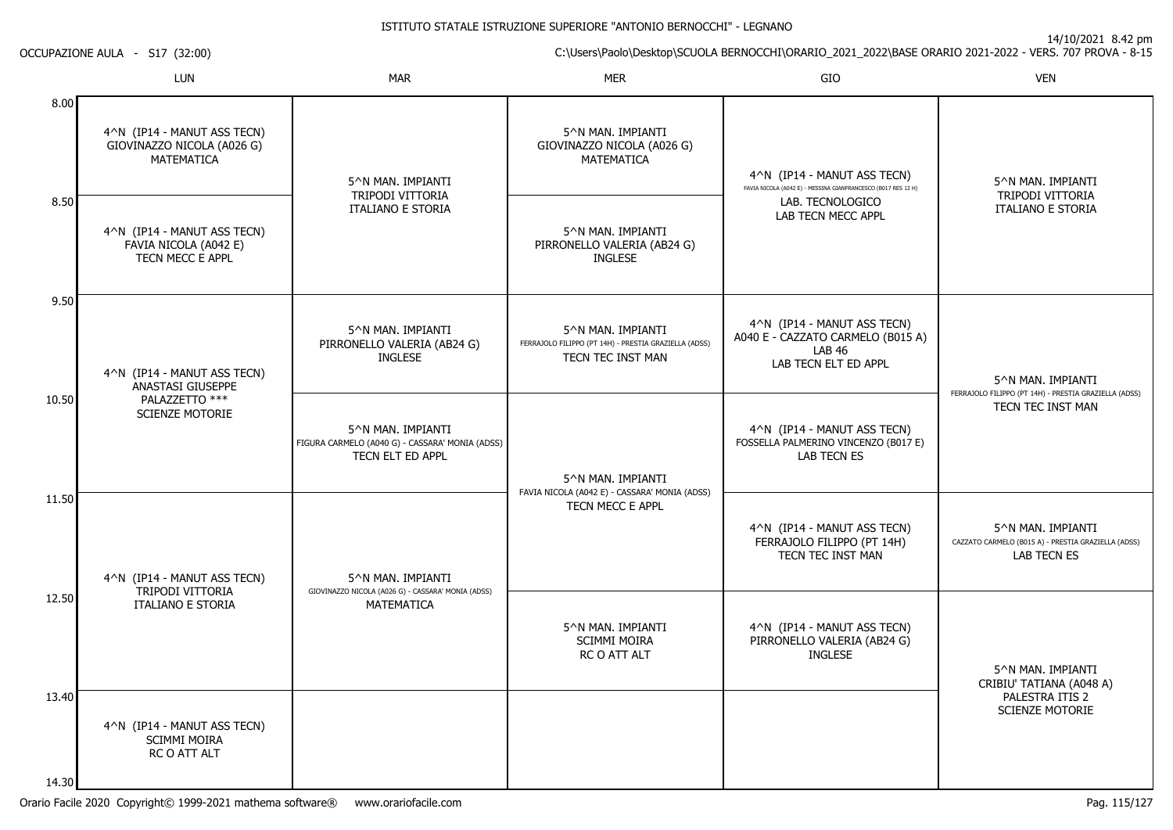14/10/2021 8.42 pm

C:\Users\Paolo\Desktop\SCUOLA BERNOCCHI\ORARIO\_2021\_2022\BASE ORARIO 2021-2022 - VERS. 707 PROVA - 8-15

OCCUPAZIONE AULA - S17 (32:00)

|       | LUN                                                                            | <b>MAR</b>                                                                               | <b>MER</b>                                                                                      | GIO                                                                                                                                    | <b>VEN</b>                                                                                     |
|-------|--------------------------------------------------------------------------------|------------------------------------------------------------------------------------------|-------------------------------------------------------------------------------------------------|----------------------------------------------------------------------------------------------------------------------------------------|------------------------------------------------------------------------------------------------|
| 8.00  | 4^N (IP14 - MANUT ASS TECN)<br>GIOVINAZZO NICOLA (A026 G)<br><b>MATEMATICA</b> | 5^N MAN. IMPIANTI                                                                        | 5^N MAN. IMPIANTI<br>GIOVINAZZO NICOLA (A026 G)<br><b>MATEMATICA</b>                            | 4^N (IP14 - MANUT ASS TECN)<br>FAVIA NICOLA (A042 E) - MESSINA GIANFRANCESCO (B017 RES 12 H)<br>LAB. TECNOLOGICO<br>LAB TECN MECC APPL | 5^N MAN. IMPIANTI<br>TRIPODI VITTORIA<br>ITALIANO E STORIA                                     |
| 8.50  | 4^N (IP14 - MANUT ASS TECN)<br>FAVIA NICOLA (A042 E)<br>TECN MECC E APPL       | TRIPODI VITTORIA<br><b>ITALIANO E STORIA</b>                                             | 5^N MAN. IMPIANTI<br>PIRRONELLO VALERIA (AB24 G)<br><b>INGLESE</b>                              |                                                                                                                                        |                                                                                                |
| 9.50  | 4^N (IP14 - MANUT ASS TECN)<br>ANASTASI GIUSEPPE                               | 5^N MAN. IMPIANTI<br>PIRRONELLO VALERIA (AB24 G)<br><b>INGLESE</b>                       | 5^N MAN. IMPIANTI<br>FERRAJOLO FILIPPO (PT 14H) - PRESTIA GRAZIELLA (ADSS)<br>TECN TEC INST MAN | 4^N (IP14 - MANUT ASS TECN)<br>A040 E - CAZZATO CARMELO (B015 A)<br>LAB 46<br>LAB TECN ELT ED APPL                                     | 5^N MAN. IMPIANTI<br>FERRAJOLO FILIPPO (PT 14H) - PRESTIA GRAZIELLA (ADSS)                     |
| 10.50 | PALAZZETTO ***<br><b>SCIENZE MOTORIE</b>                                       | 5^N MAN. IMPIANTI<br>FIGURA CARMELO (A040 G) - CASSARA' MONIA (ADSS)<br>TECN ELT ED APPL | 5^N MAN. IMPIANTI                                                                               | 4^N (IP14 - MANUT ASS TECN)<br>FOSSELLA PALMERINO VINCENZO (B017 E)<br><b>LAB TECN ES</b>                                              | TECN TEC INST MAN                                                                              |
| 11.50 | 4^N (IP14 - MANUT ASS TECN)<br>TRIPODI VITTORIA                                | 5^N MAN. IMPIANTI<br>GIOVINAZZO NICOLA (A026 G) - CASSARA' MONIA (ADSS)                  | FAVIA NICOLA (A042 E) - CASSARA' MONIA (ADSS)<br>TECN MECC E APPL                               | 4^N (IP14 - MANUT ASS TECN)<br>FERRAJOLO FILIPPO (PT 14H)<br>TECN TEC INST MAN                                                         | 5^N MAN. IMPIANTI<br>CAZZATO CARMELO (B015 A) - PRESTIA GRAZIELLA (ADSS)<br><b>LAB TECN ES</b> |
| 12.50 | <b>ITALIANO E STORIA</b>                                                       | MATEMATICA                                                                               | 5^N MAN. IMPIANTI<br><b>SCIMMI MOIRA</b><br>RC O ATT ALT                                        | 4^N (IP14 - MANUT ASS TECN)<br>PIRRONELLO VALERIA (AB24 G)<br><b>INGLESE</b>                                                           | 5^N MAN. IMPIANTI<br>CRIBIU' TATIANA (A048 A)                                                  |
| 13.40 | 4^N (IP14 - MANUT ASS TECN)<br>SCIMMI MOIRA<br>RC O ATT ALT                    |                                                                                          |                                                                                                 |                                                                                                                                        | PALESTRA ITIS 2<br><b>SCIENZE MOTORIE</b>                                                      |
| 14.30 |                                                                                |                                                                                          |                                                                                                 |                                                                                                                                        |                                                                                                |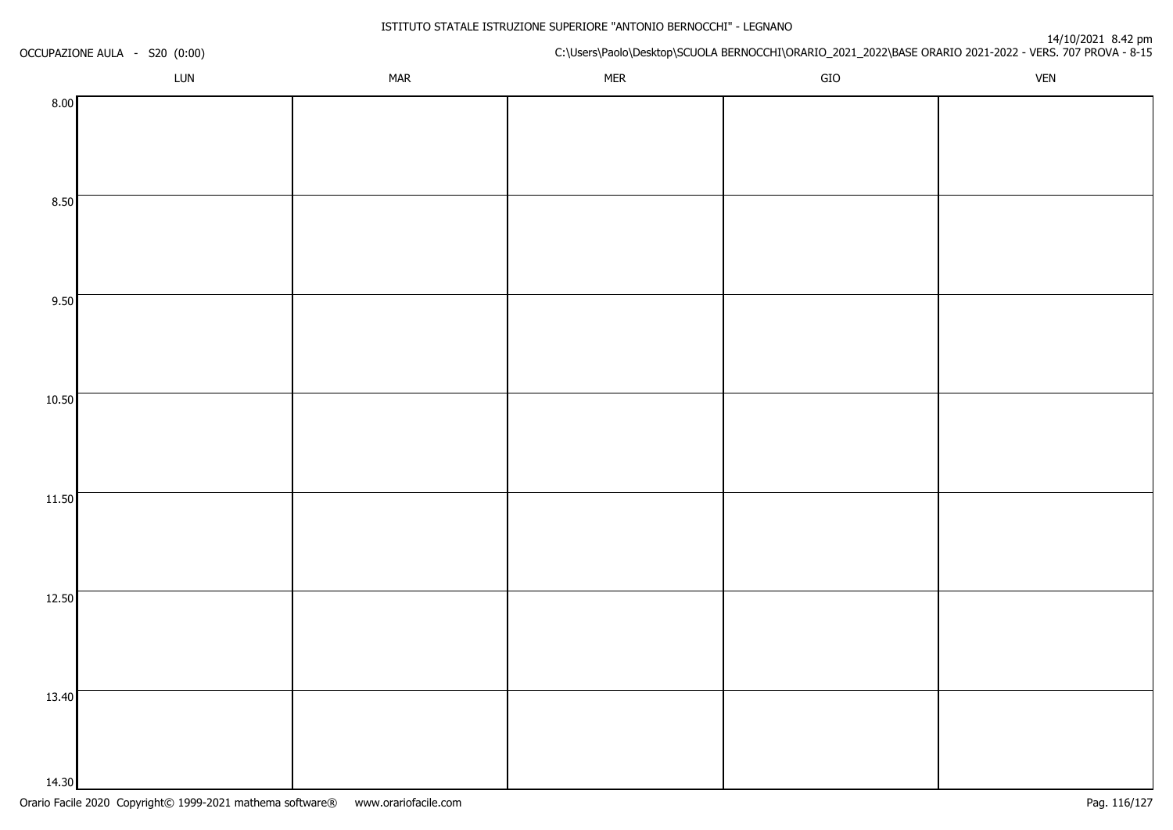| OCCUPAZIONE AULA - S20 (0:00) |            | C:\Users\Paolo\Desktop\SCUOLA BERNOCCHI\ORARIO_2021_2022\BASE ORARIO 2021-2022 - VERS. 707 PROVA - 8-15 |     |            |  |
|-------------------------------|------------|---------------------------------------------------------------------------------------------------------|-----|------------|--|
| LUN                           | <b>MAR</b> | <b>MER</b>                                                                                              | GIO | <b>VEN</b> |  |
| 8.00                          |            |                                                                                                         |     |            |  |
|                               |            |                                                                                                         |     |            |  |
|                               |            |                                                                                                         |     |            |  |
|                               |            |                                                                                                         |     |            |  |
| 8.50                          |            |                                                                                                         |     |            |  |
|                               |            |                                                                                                         |     |            |  |
|                               |            |                                                                                                         |     |            |  |
| 9.50                          |            |                                                                                                         |     |            |  |
|                               |            |                                                                                                         |     |            |  |
|                               |            |                                                                                                         |     |            |  |
|                               |            |                                                                                                         |     |            |  |
| 10.50                         |            |                                                                                                         |     |            |  |
|                               |            |                                                                                                         |     |            |  |
|                               |            |                                                                                                         |     |            |  |
|                               |            |                                                                                                         |     |            |  |
| 11.50                         |            |                                                                                                         |     |            |  |
|                               |            |                                                                                                         |     |            |  |
|                               |            |                                                                                                         |     |            |  |
| 12.50                         |            |                                                                                                         |     |            |  |
|                               |            |                                                                                                         |     |            |  |
|                               |            |                                                                                                         |     |            |  |
|                               |            |                                                                                                         |     |            |  |
| 13.40                         |            |                                                                                                         |     |            |  |
|                               |            |                                                                                                         |     |            |  |
|                               |            |                                                                                                         |     |            |  |
| 14.30                         |            |                                                                                                         |     |            |  |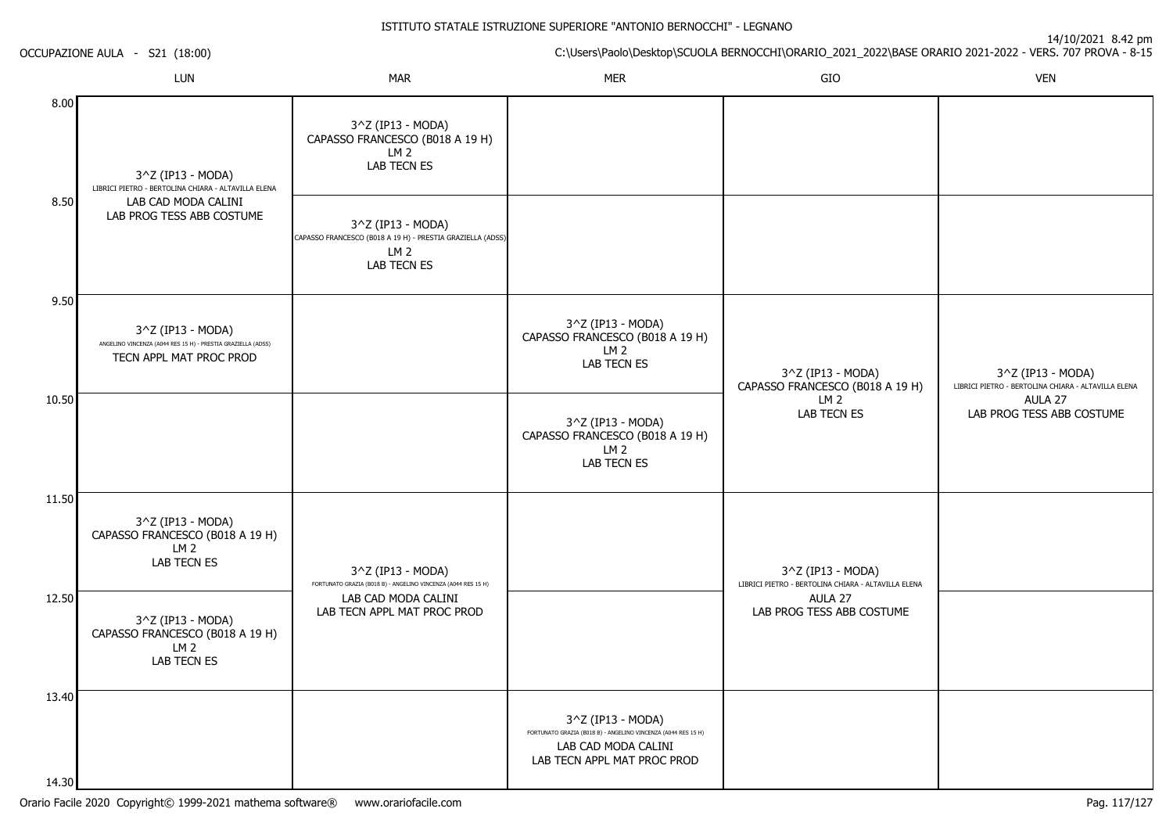|       | LUN                                                                                           | <b>MAR</b>                                                                                                               | <b>MER</b>                                                                                                                               | ${\sf GIO}$                                                              | <b>VEN</b>                                                               |
|-------|-----------------------------------------------------------------------------------------------|--------------------------------------------------------------------------------------------------------------------------|------------------------------------------------------------------------------------------------------------------------------------------|--------------------------------------------------------------------------|--------------------------------------------------------------------------|
| 8.00  | $3^2$ Z (IP13 - MODA)<br>LIBRICI PIETRO - BERTOLINA CHIARA - ALTAVILLA ELENA                  | 3^Z (IP13 - MODA)<br>CAPASSO FRANCESCO (B018 A 19 H)<br>LM <sub>2</sub><br>LAB TECN ES                                   |                                                                                                                                          |                                                                          |                                                                          |
| 8.50  | LAB CAD MODA CALINI<br>LAB PROG TESS ABB COSTUME                                              | 3^Z (IP13 - MODA)<br>CAPASSO FRANCESCO (B018 A 19 H) - PRESTIA GRAZIELLA (ADSS)<br>LM <sub>2</sub><br><b>LAB TECN ES</b> |                                                                                                                                          |                                                                          |                                                                          |
| 9.50  | 3^Z (IP13 - MODA)                                                                             |                                                                                                                          | 3^Z (IP13 - MODA)                                                                                                                        |                                                                          |                                                                          |
|       | ANGELINO VINCENZA (A044 RES 15 H) - PRESTIA GRAZIELLA (ADSS)<br>TECN APPL MAT PROC PROD       |                                                                                                                          | CAPASSO FRANCESCO (B018 A 19 H)<br>LM <sub>2</sub><br>LAB TECN ES                                                                        | 3^Z (IP13 - MODA)<br>CAPASSO FRANCESCO (B018 A 19 H)                     | 3^Z (IP13 - MODA)<br>LIBRICI PIETRO - BERTOLINA CHIARA - ALTAVILLA ELENA |
| 10.50 |                                                                                               |                                                                                                                          | 3^Z (IP13 - MODA)<br>CAPASSO FRANCESCO (B018 A 19 H)<br>LM <sub>2</sub><br>LAB TECN ES                                                   | LM <sub>2</sub><br><b>LAB TECN ES</b>                                    | AULA 27<br>LAB PROG TESS ABB COSTUME                                     |
| 11.50 | 3^Z (IP13 - MODA)<br>CAPASSO FRANCESCO (B018 A 19 H)<br>LM <sub>2</sub><br>LAB TECN ES        | 3^Z (IP13 - MODA)<br>FORTUNATO GRAZIA (B018 B) - ANGELINO VINCENZA (A044 RES 15 H)                                       |                                                                                                                                          | 3^Z (IP13 - MODA)<br>LIBRICI PIETRO - BERTOLINA CHIARA - ALTAVILLA ELENA |                                                                          |
| 12.50 | 3^Z (IP13 - MODA)<br>CAPASSO FRANCESCO (B018 A 19 H)<br>LM <sub>2</sub><br><b>LAB TECN ES</b> | LAB CAD MODA CALINI<br>LAB TECN APPL MAT PROC PROD                                                                       |                                                                                                                                          | AULA 27<br>LAB PROG TESS ABB COSTUME                                     |                                                                          |
| 13.40 |                                                                                               |                                                                                                                          | 3^Z (IP13 - MODA)<br>FORTUNATO GRAZIA (B018 B) - ANGELINO VINCENZA (A044 RES 15 H)<br>LAB CAD MODA CALINI<br>LAB TECN APPL MAT PROC PROD |                                                                          |                                                                          |
| 14.30 |                                                                                               |                                                                                                                          |                                                                                                                                          |                                                                          |                                                                          |

OCCUPAZIONE AULA - S21 (18:00)

C:\Users\Paolo\Desktop\SCUOLA BERNOCCHI\ORARIO\_2021\_2022\BASE ORARIO 2021-2022 - VERS. 707 PROVA - 8-15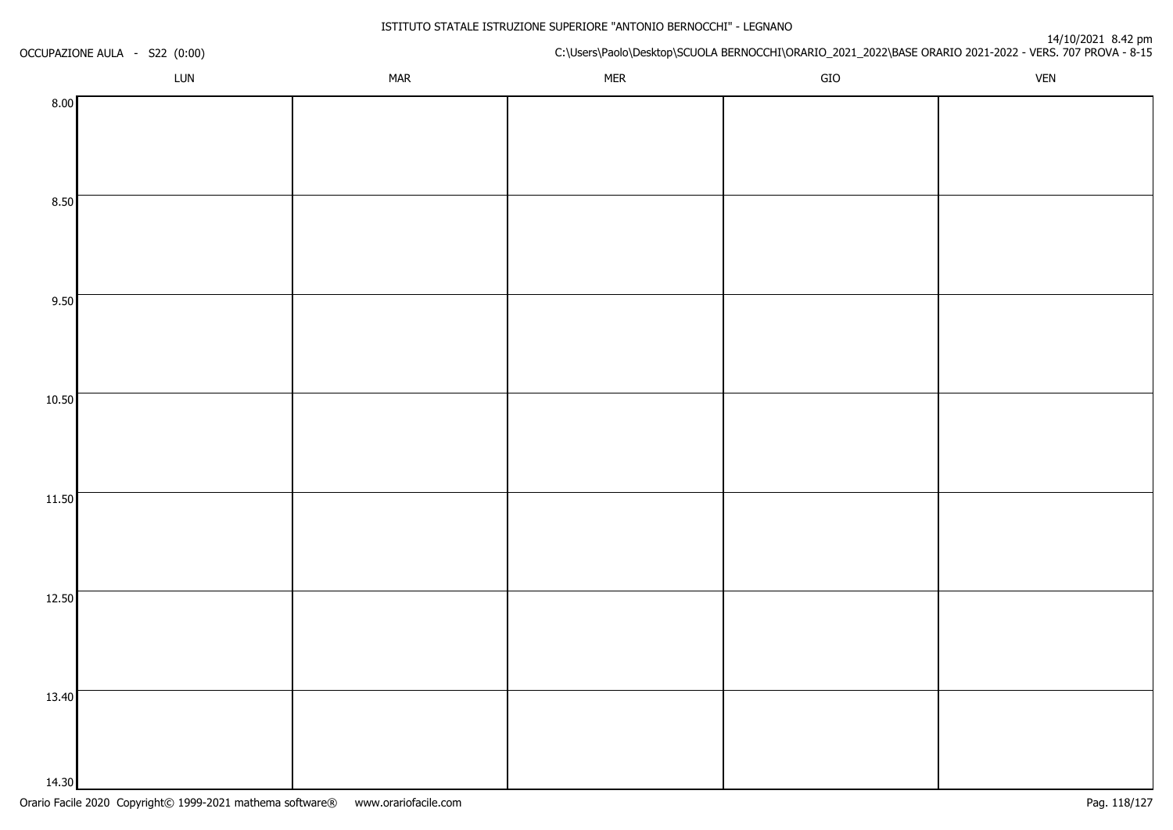| OCCUPAZIONE AULA - S22 (0:00) |     |            | C:\Users\Paolo\Desktop\SCUOLA BERNOCCHI\ORARIO_2021_2022\BASE ORARIO 2021-2022 - VERS. 707 PROVA - 8-15 |     |            |  |  |
|-------------------------------|-----|------------|---------------------------------------------------------------------------------------------------------|-----|------------|--|--|
|                               | LUN | <b>MAR</b> | <b>MER</b>                                                                                              | GIO | <b>VEN</b> |  |  |
| 8.00                          |     |            |                                                                                                         |     |            |  |  |
|                               |     |            |                                                                                                         |     |            |  |  |
|                               |     |            |                                                                                                         |     |            |  |  |
|                               |     |            |                                                                                                         |     |            |  |  |
| 8.50                          |     |            |                                                                                                         |     |            |  |  |
|                               |     |            |                                                                                                         |     |            |  |  |
|                               |     |            |                                                                                                         |     |            |  |  |
| 9.50                          |     |            |                                                                                                         |     |            |  |  |
|                               |     |            |                                                                                                         |     |            |  |  |
|                               |     |            |                                                                                                         |     |            |  |  |
|                               |     |            |                                                                                                         |     |            |  |  |
| 10.50                         |     |            |                                                                                                         |     |            |  |  |
|                               |     |            |                                                                                                         |     |            |  |  |
|                               |     |            |                                                                                                         |     |            |  |  |
|                               |     |            |                                                                                                         |     |            |  |  |
| 11.50                         |     |            |                                                                                                         |     |            |  |  |
|                               |     |            |                                                                                                         |     |            |  |  |
|                               |     |            |                                                                                                         |     |            |  |  |
| 12.50                         |     |            |                                                                                                         |     |            |  |  |
|                               |     |            |                                                                                                         |     |            |  |  |
|                               |     |            |                                                                                                         |     |            |  |  |
|                               |     |            |                                                                                                         |     |            |  |  |
| 13.40                         |     |            |                                                                                                         |     |            |  |  |
|                               |     |            |                                                                                                         |     |            |  |  |
|                               |     |            |                                                                                                         |     |            |  |  |
| 14.30                         |     |            |                                                                                                         |     |            |  |  |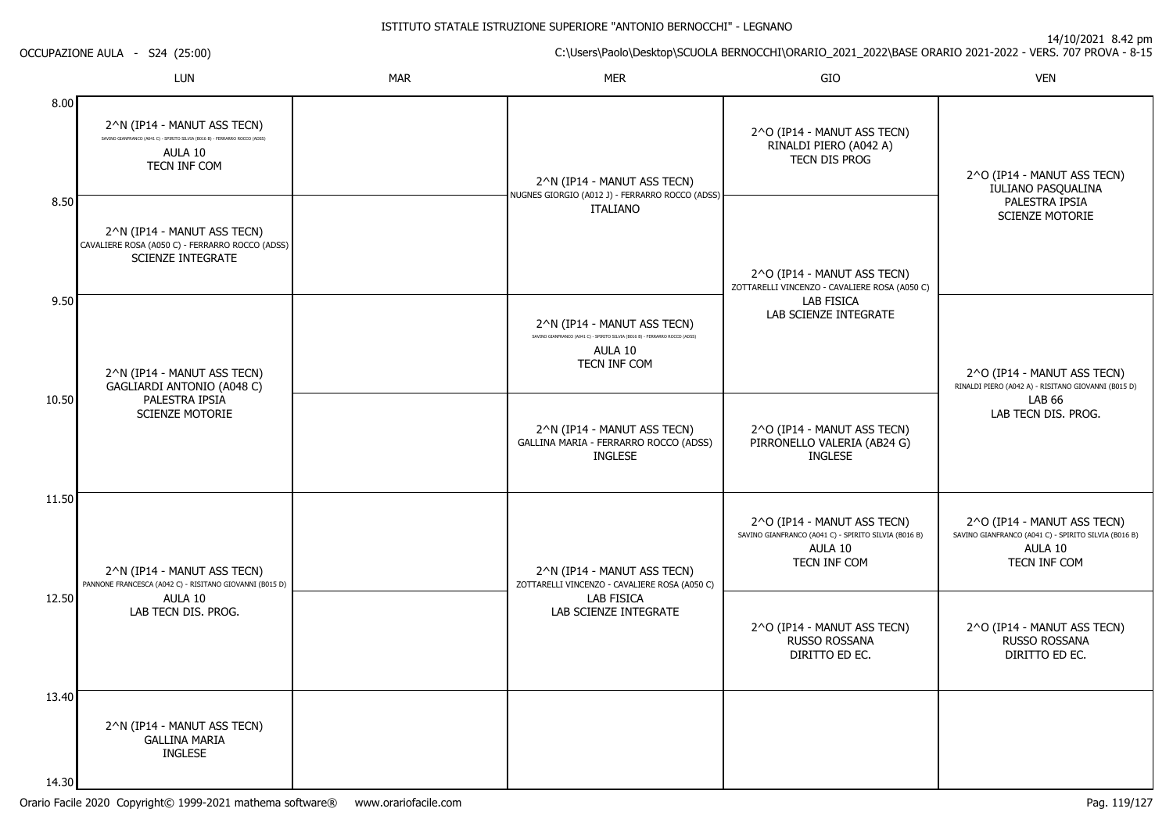14/10/2021 8.42 pm

C:\Users\Paolo\Desktop\SCUOLA BERNOCCHI\ORARIO\_2021\_2022\BASE ORARIO 2021-2022 - VERS. 707 PROVA - 8-15

OCCUPAZIONE AULA - S24 (25:00)

|       | <b>LUN</b>                                                                                                                             | <b>MAR</b> | <b>MER</b>                                                                                                                             | GIO                                                                                                                                                                                                        | <b>VEN</b>                                                                                                     |
|-------|----------------------------------------------------------------------------------------------------------------------------------------|------------|----------------------------------------------------------------------------------------------------------------------------------------|------------------------------------------------------------------------------------------------------------------------------------------------------------------------------------------------------------|----------------------------------------------------------------------------------------------------------------|
| 8.00  | 2^N (IP14 - MANUT ASS TECN)<br>SAVINO GIANFRANCO (A041 C) - SPIRITO SILVIA (B016 B) - FERRARRO ROCCO (ADSS)<br>AULA 10<br>TECN INF COM |            | 2^N (IP14 - MANUT ASS TECN)                                                                                                            | 2^O (IP14 - MANUT ASS TECN)<br>RINALDI PIERO (A042 A)<br>TECN DIS PROG                                                                                                                                     | 2^O (IP14 - MANUT ASS TECN)<br>IULIANO PASQUALINA                                                              |
| 8.50  | 2^N (IP14 - MANUT ASS TECN)<br>CAVALIERE ROSA (A050 C) - FERRARRO ROCCO (ADSS)<br><b>SCIENZE INTEGRATE</b>                             |            | NUGNES GIORGIO (A012 J) - FERRARRO ROCCO (ADSS)<br><b>ITALIANO</b>                                                                     | 2^O (IP14 - MANUT ASS TECN)<br>ZOTTARELLI VINCENZO - CAVALIERE ROSA (A050 C)<br><b>LAB FISICA</b><br>LAB SCIENZE INTEGRATE<br>2^O (IP14 - MANUT ASS TECN)<br>PIRRONELLO VALERIA (AB24 G)<br><b>INGLESE</b> | PALESTRA IPSIA<br><b>SCIENZE MOTORIE</b>                                                                       |
| 9.50  | 2^N (IP14 - MANUT ASS TECN)<br>GAGLIARDI ANTONIO (A048 C)                                                                              |            | 2^N (IP14 - MANUT ASS TECN)<br>SAVINO GIANFRANCO (A041 C) - SPIRITO SILVIA (B016 B) - FERRARRO ROCCO (ADSS)<br>AULA 10<br>TECN INF COM |                                                                                                                                                                                                            | 2^O (IP14 - MANUT ASS TECN)<br>RINALDI PIERO (A042 A) - RISITANO GIOVANNI (B015 D)                             |
| 10.50 | PALESTRA IPSIA<br><b>SCIENZE MOTORIE</b>                                                                                               |            | 2^N (IP14 - MANUT ASS TECN)<br>GALLINA MARIA - FERRARRO ROCCO (ADSS)<br><b>INGLESE</b>                                                 |                                                                                                                                                                                                            | <b>LAB 66</b><br>LAB TECN DIS. PROG.                                                                           |
| 11.50 | 2^N (IP14 - MANUT ASS TECN)<br>PANNONE FRANCESCA (A042 C) - RISITANO GIOVANNI (B015 D)                                                 |            | 2^N (IP14 - MANUT ASS TECN)<br>ZOTTARELLI VINCENZO - CAVALIERE ROSA (A050 C)                                                           | 2^O (IP14 - MANUT ASS TECN)<br>SAVINO GIANFRANCO (A041 C) - SPIRITO SILVIA (B016 B)<br>AULA 10<br>TECN INF COM                                                                                             | 2^O (IP14 - MANUT ASS TECN)<br>SAVINO GIANFRANCO (A041 C) - SPIRITO SILVIA (B016 B)<br>AULA 10<br>TECN INF COM |
| 12.50 | AULA 10<br>LAB TECN DIS. PROG.                                                                                                         |            | LAB FISICA<br>LAB SCIENZE INTEGRATE                                                                                                    | 2^O (IP14 - MANUT ASS TECN)<br>RUSSO ROSSANA<br>DIRITTO ED EC.                                                                                                                                             | 2^O (IP14 - MANUT ASS TECN)<br>RUSSO ROSSANA<br>DIRITTO ED EC.                                                 |
| 13.40 | 2^N (IP14 - MANUT ASS TECN)<br><b>GALLINA MARIA</b><br><b>INGLESE</b>                                                                  |            |                                                                                                                                        |                                                                                                                                                                                                            |                                                                                                                |
| 14.30 |                                                                                                                                        |            |                                                                                                                                        |                                                                                                                                                                                                            |                                                                                                                |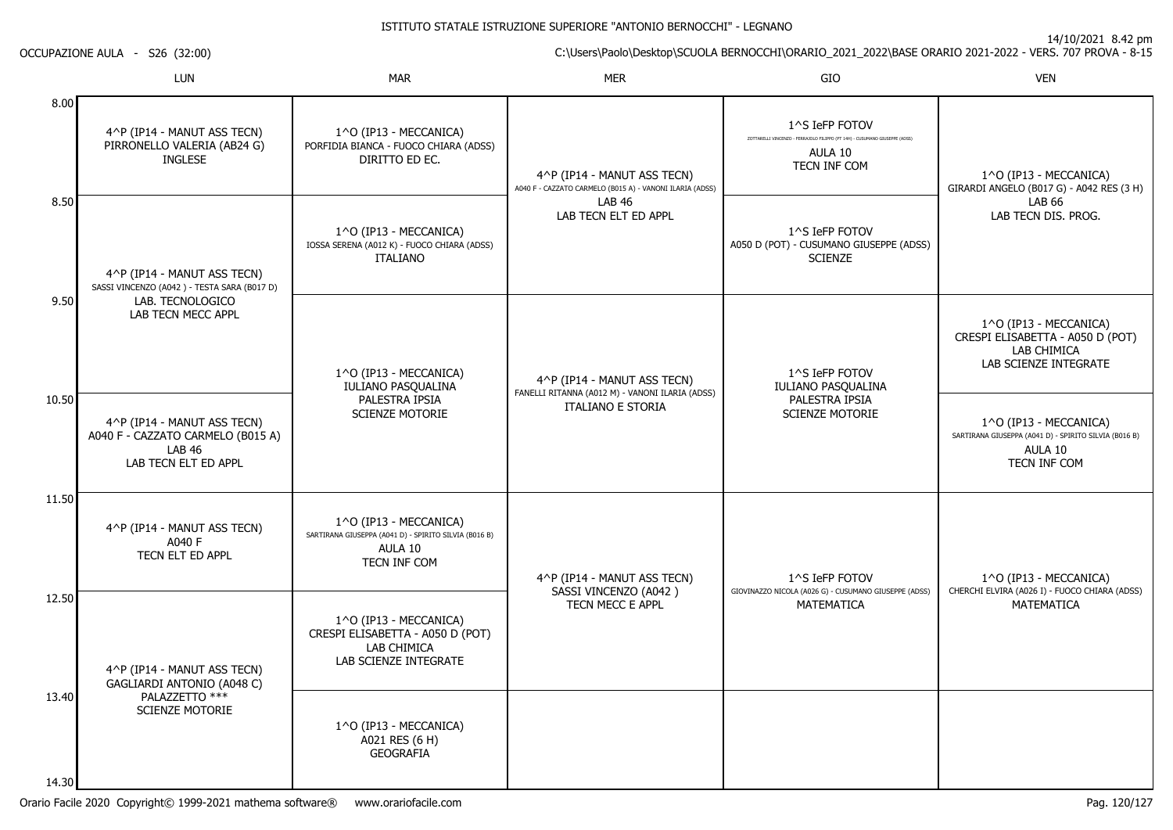14/10/2021 8.42 pm

C:\Users\Paolo\Desktop\SCUOLA BERNOCCHI\ORARIO\_2021\_2022\BASE ORARIO 2021-2022 - VERS. 707 PROVA - 8-15

OCCUPAZIONE AULA - S26 (32:00)

|                | <b>LUN</b>                                                                                                                                                         | <b>MAR</b>                                                                                                 | <b>MER</b>                                                                                                                       | GIO                                                                                                                      | <b>VEN</b>                                                                                                 |
|----------------|--------------------------------------------------------------------------------------------------------------------------------------------------------------------|------------------------------------------------------------------------------------------------------------|----------------------------------------------------------------------------------------------------------------------------------|--------------------------------------------------------------------------------------------------------------------------|------------------------------------------------------------------------------------------------------------|
| 8.00           | 4^P (IP14 - MANUT ASS TECN)<br>PIRRONELLO VALERIA (AB24 G)<br><b>INGLESE</b><br>4^P (IP14 - MANUT ASS TECN)<br>SASSI VINCENZO (A042) - TESTA SARA (B017 D)         | 1^O (IP13 - MECCANICA)<br>PORFIDIA BIANCA - FUOCO CHIARA (ADSS)<br>DIRITTO ED EC.                          | 4^P (IP14 - MANUT ASS TECN)<br>A040 F - CAZZATO CARMELO (B015 A) - VANONI ILARIA (ADSS)<br><b>LAB 46</b><br>LAB TECN ELT ED APPL | 1^S IeFP FOTOV<br>ZOTTARELLI VINCENZO - FERRAJOLO FILIPPO (PT 14H) - CUSUMANO GIUSEPPE (ADSS)<br>AULA 10<br>TECN INF COM | 1^O (IP13 - MECCANICA)<br>GIRARDI ANGELO (B017 G) - A042 RES (3 H)<br><b>LAB 66</b><br>LAB TECN DIS. PROG. |
| 8.50           |                                                                                                                                                                    | 1^O (IP13 - MECCANICA)<br>IOSSA SERENA (A012 K) - FUOCO CHIARA (ADSS)<br><b>ITALIANO</b>                   |                                                                                                                                  | 1^S IeFP FOTOV<br>A050 D (POT) - CUSUMANO GIUSEPPE (ADSS)<br><b>SCIENZE</b>                                              |                                                                                                            |
| 9.50           | LAB. TECNOLOGICO<br>LAB TECN MECC APPL<br>4^P (IP14 - MANUT ASS TECN)<br>A040 F - CAZZATO CARMELO (B015 A)<br>LAB <sub>46</sub><br>LAB TECN ELT ED APPL            | 1^O (IP13 - MECCANICA)<br>IULIANO PASQUALINA                                                               | 4^P (IP14 - MANUT ASS TECN)<br>FANELLI RITANNA (A012 M) - VANONI ILARIA (ADSS)<br><b>ITALIANO E STORIA</b>                       | 1^S IeFP FOTOV<br>IULIANO PASQUALINA<br>PALESTRA IPSIA<br><b>SCIENZE MOTORIE</b>                                         | 1^O (IP13 - MECCANICA)<br>CRESPI ELISABETTA - A050 D (POT)<br>LAB CHIMICA<br>LAB SCIENZE INTEGRATE         |
| 10.50          |                                                                                                                                                                    | PALESTRA IPSIA<br><b>SCIENZE MOTORIE</b>                                                                   |                                                                                                                                  |                                                                                                                          | 1^O (IP13 - MECCANICA)<br>SARTIRANA GIUSEPPA (A041 D) - SPIRITO SILVIA (B016 B)<br>AULA 10<br>TECN INF COM |
| 11.50          | 4^P (IP14 - MANUT ASS TECN)<br>A040 F<br>TECN ELT ED APPL<br>4^P (IP14 - MANUT ASS TECN)<br>GAGLIARDI ANTONIO (A048 C)<br>PALAZZETTO ***<br><b>SCIENZE MOTORIE</b> | 1^O (IP13 - MECCANICA)<br>SARTIRANA GIUSEPPA (A041 D) - SPIRITO SILVIA (B016 B)<br>AULA 10<br>TECN INF COM | 4^P (IP14 - MANUT ASS TECN)<br>SASSI VINCENZO (A042)                                                                             | 1^S IeFP FOTOV<br>GIOVINAZZO NICOLA (A026 G) - CUSUMANO GIUSEPPE (ADSS)                                                  | 1^O (IP13 - MECCANICA)<br>CHERCHI ELVIRA (A026 I) - FUOCO CHIARA (ADSS)                                    |
| 12.50          |                                                                                                                                                                    | 1^O (IP13 - MECCANICA)<br>CRESPI ELISABETTA - A050 D (POT)<br>LAB CHIMICA<br>LAB SCIENZE INTEGRATE         | TECN MECC E APPL                                                                                                                 | MATEMATICA                                                                                                               | <b>MATEMATICA</b>                                                                                          |
| 13.40<br>14.30 |                                                                                                                                                                    | 1^O (IP13 - MECCANICA)<br>A021 RES (6 H)<br><b>GEOGRAFIA</b>                                               |                                                                                                                                  |                                                                                                                          |                                                                                                            |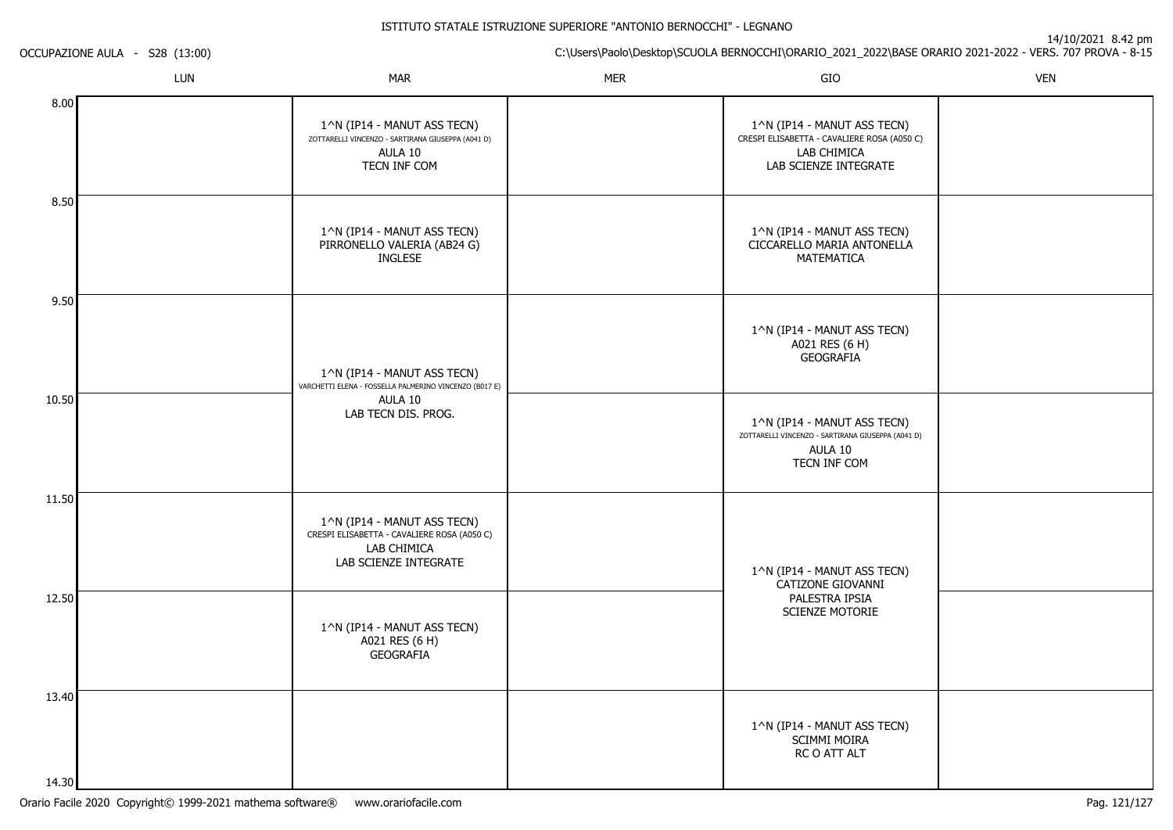14/10/2021 8.42 pm

C:\Users\Paolo\Desktop\SCUOLA BERNOCCHI\ORARIO\_2021\_2022\BASE ORARIO 2021-2022 - VERS. 707 PROVA - 8-15

OCCUPAZIONE AULA - S28 (13:00)

|         | LUN | <b>MAR</b>                                                                                                         | <b>MER</b> | GIO                                                                                                                | <b>VEN</b> |
|---------|-----|--------------------------------------------------------------------------------------------------------------------|------------|--------------------------------------------------------------------------------------------------------------------|------------|
| 8.00    |     | 1^N (IP14 - MANUT ASS TECN)<br>ZOTTARELLI VINCENZO - SARTIRANA GIUSEPPA (A041 D)<br>AULA 10<br>TECN INF COM        |            | 1^N (IP14 - MANUT ASS TECN)<br>CRESPI ELISABETTA - CAVALIERE ROSA (A050 C)<br>LAB CHIMICA<br>LAB SCIENZE INTEGRATE |            |
| 8.50    |     | 1^N (IP14 - MANUT ASS TECN)<br>PIRRONELLO VALERIA (AB24 G)<br><b>INGLESE</b>                                       |            | 1^N (IP14 - MANUT ASS TECN)<br>CICCARELLO MARIA ANTONELLA<br>MATEMATICA                                            |            |
| 9.50    |     | 1^N (IP14 - MANUT ASS TECN)<br>VARCHETTI ELENA - FOSSELLA PALMERINO VINCENZO (B017 E)                              |            | 1^N (IP14 - MANUT ASS TECN)<br>A021 RES (6 H)<br>GEOGRAFIA                                                         |            |
| 10.50   |     | AULA 10<br>LAB TECN DIS. PROG.                                                                                     |            | 1^N (IP14 - MANUT ASS TECN)<br>ZOTTARELLI VINCENZO - SARTIRANA GIUSEPPA (A041 D)<br>AULA 10<br>TECN INF COM        |            |
| 11.50   |     | 1^N (IP14 - MANUT ASS TECN)<br>CRESPI ELISABETTA - CAVALIERE ROSA (A050 C)<br>LAB CHIMICA<br>LAB SCIENZE INTEGRATE |            | 1^N (IP14 - MANUT ASS TECN)<br>CATIZONE GIOVANNI                                                                   |            |
| 12.50   |     | 1^N (IP14 - MANUT ASS TECN)<br>A021 RES (6 H)<br><b>GEOGRAFIA</b>                                                  |            | PALESTRA IPSIA<br>SCIENZE MOTORIE                                                                                  |            |
| 13.40   |     |                                                                                                                    |            | 1^N (IP14 - MANUT ASS TECN)<br><b>SCIMMI MOIRA</b><br>RC O ATT ALT                                                 |            |
| 14 30 l |     |                                                                                                                    |            |                                                                                                                    |            |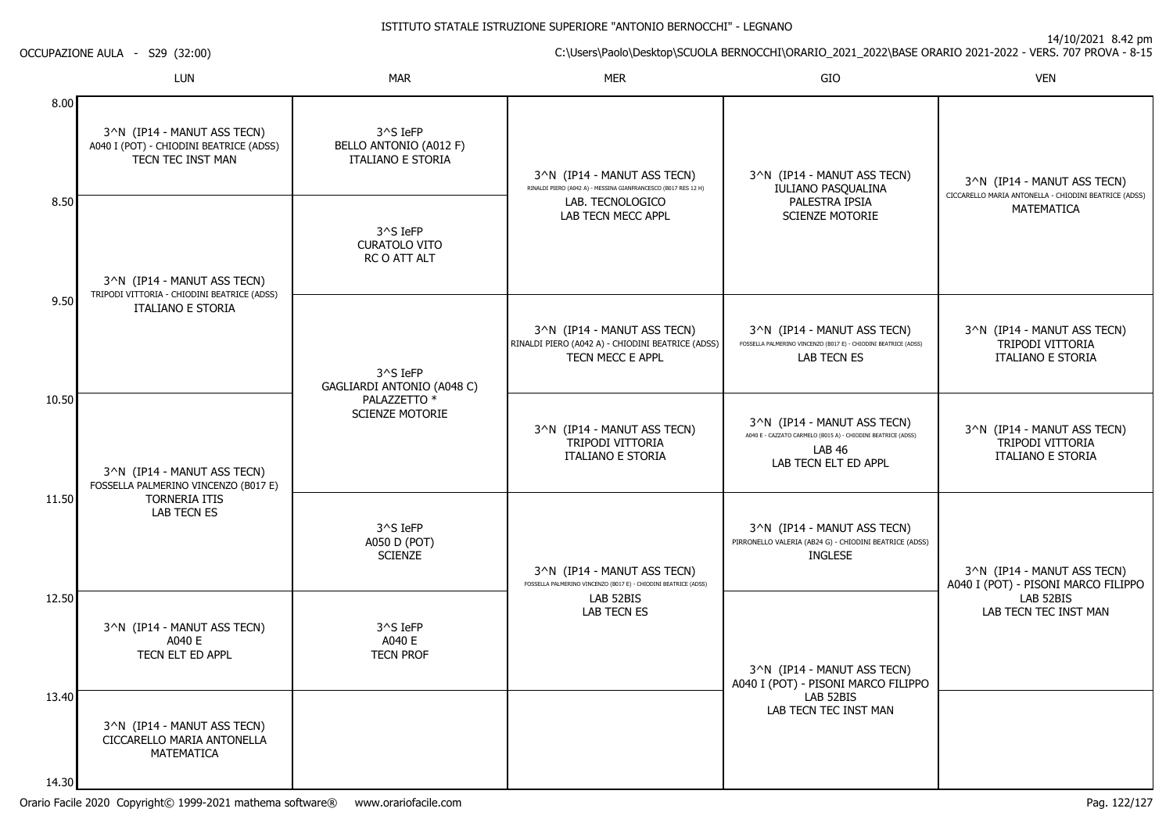14/10/2021 8.42 pm

C:\Users\Paolo\Desktop\SCUOLA BERNOCCHI\ORARIO\_2021\_2022\BASE ORARIO 2021-2022 - VERS. 707 PROVA - 8-15

LUNN MAR MAR MER SIO O VEN 8.008.509.5010.5011.5012.5013.403^N (IP14 - MANUT ASS TECN) A040 I (POT) - CHIODINI BEATRICE (ADSS)TECN TEC INST MAN3^N (IP14 - MANUT ASS TECN) TRIPODI VITTORIA - CHIODINI BEATRICE (ADSS)ITALIANO E STORIA3^N (IP14 - MANUT ASS TECN) FOSSELLA PALMERINO VINCENZO (B017 E)TORNERIA ITIS LAB TECN ES3^N (IP14 - MANUT ASS TECN)A040 E TECN ELT ED APPL3^N (IP14 - MANUT ASS TECN) CICCARELLO MARIA ANTONELLAMATEMATICA3^S IeFP BELLO ANTONIO (A012 F)ITALIANO E STORIA3^S IeFP CURATOLO VITO RC O ATT ALT3^S IeFP GAGLIARDI ANTONIO (A048 C)PALAZZETTO<sup>\*</sup> SCIENZE MOTORIE3^S IeFP A050 D (POT)**SCIENZE** 3^S IeFP A040 E TECN PROF3^N (IP14 - MANUT ASS TECN) RINALDI PIERO (A042 A) - MESSINA GIANFRANCESCO (B017 RES 12 H)LAB. TECNOLOGICO LAB TECN MECC APPL3^N (IP14 - MANUT ASS TECN) RINALDI PIERO (A042 A) - CHIODINI BEATRICE (ADSS)TECN MECC E APPL3^N (IP14 - MANUT ASS TECN)TRIPODI VITTORIA ITALIANO E STORIA3^N (IP14 - MANUT ASS TECN) FOSSELLA PALMERINO VINCENZO (B017 E) - CHIODINI BEATRICE (ADSS)LAB 52BIS LAB TECN ES3^N (IP14 - MANUT ASS TECN)IULIANO PASQUALINAPALESTRA IPSIA SCIENZE MOTORIE3^N (IP14 - MANUT ASS TECN) FOSSELLA PALMERINO VINCENZO (B017 E) - CHIODINI BEATRICE (ADSS)LAB TECN ES3^N (IP14 - MANUT ASS TECN) A040 E - CAZZATO CARMELO (B015 A) - CHIODINI BEATRICE (ADSS)LAB 46 LAB TECN ELT ED APPL3^N (IP14 - MANUT ASS TECN) PIRRONELLO VALERIA (AB24 G) - CHIODINI BEATRICE (ADSS)INGLESE3^N (IP14 - MANUT ASS TECN) A040 I (POT) - PISONI MARCO FILIPPOLAB 52BIS LAB TECN TEC INST MAN3^N (IP14 - MANUT ASS TECN) CICCARELLO MARIA ANTONELLA - CHIODINI BEATRICE (ADSS)MATEMATICA3^N (IP14 - MANUT ASS TECN)TRIPODI VITTORIA ITALIANO E STORIA3^N (IP14 - MANUT ASS TECN)TRIPODI VITTORIA ITALIANO E STORIA3^N (IP14 - MANUT ASS TECN) A040 I (POT) - PISONI MARCO FILIPPOLAB 52BISLAB TECN TEC INST MAN

14.30

OCCUPAZIONE AULA - S29 (32:00)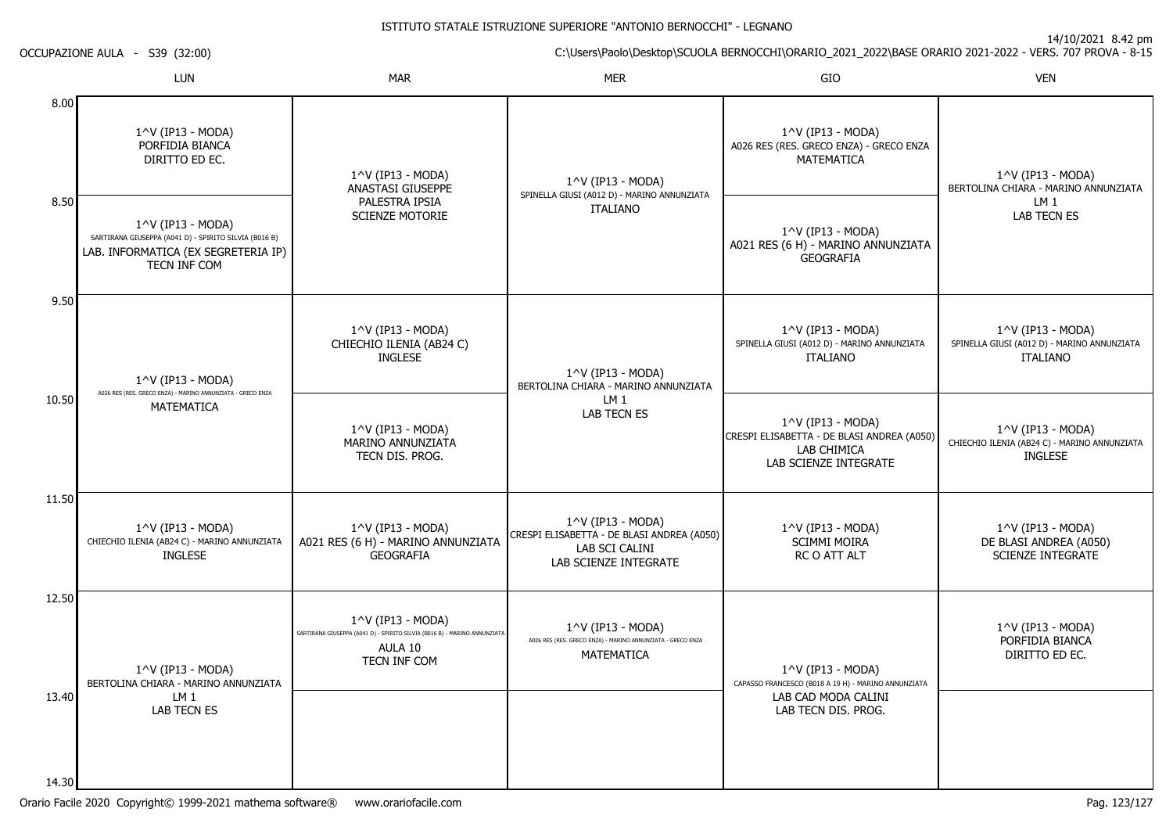OCCUPAZIONE AULA - S39 (32:00)

|                | LUN                                                                                                                                          | <b>MAR</b>                                                                                                                           | <b>MER</b>                                                                                                 | GIO                                                                                                                | <b>VEN</b>                                                                                         |
|----------------|----------------------------------------------------------------------------------------------------------------------------------------------|--------------------------------------------------------------------------------------------------------------------------------------|------------------------------------------------------------------------------------------------------------|--------------------------------------------------------------------------------------------------------------------|----------------------------------------------------------------------------------------------------|
| 8.00           | 1^V (IP13 - MODA)<br>PORFIDIA BIANCA<br>DIRITTO ED EC.                                                                                       | 1^V (IP13 - MODA)<br>ANASTASI GIUSEPPE<br>PALESTRA IPSIA<br><b>SCIENZE MOTORIE</b>                                                   | $1^{\wedge}$ V (IP13 - MODA)<br>SPINELLA GIUSI (A012 D) - MARINO ANNUNZIATA<br><b>ITALIANO</b>             | 1^V (IP13 - MODA)<br>A026 RES (RES. GRECO ENZA) - GRECO ENZA<br>MATEMATICA                                         | $1^{\wedge}$ V (IP13 - MODA)<br>BERTOLINA CHIARA - MARINO ANNUNZIATA<br>LM 1<br><b>LAB TECN ES</b> |
| 8.50           | $1^{\wedge}$ V (IP13 - MODA)<br>SARTIRANA GIUSEPPA (A041 D) - SPIRITO SILVIA (B016 B)<br>LAB. INFORMATICA (EX SEGRETERIA IP)<br>TECN INF COM |                                                                                                                                      |                                                                                                            | 1^V (IP13 - MODA)<br>A021 RES (6 H) - MARINO ANNUNZIATA<br><b>GEOGRAFIA</b>                                        |                                                                                                    |
| 9.50           | 1^V (IP13 - MODA)<br>A026 RES (RES. GRECO ENZA) - MARINO ANNUNZIATA - GRECO ENZA                                                             | 1^V (IP13 - MODA)<br>CHIECHIO ILENIA (AB24 C)<br><b>INGLESE</b>                                                                      | $1^{\wedge}$ V (IP13 - MODA)<br>BERTOLINA CHIARA - MARINO ANNUNZIATA                                       | 1^V (IP13 - MODA)<br>SPINELLA GIUSI (A012 D) - MARINO ANNUNZIATA<br><b>ITALIANO</b>                                | $1^{\wedge}$ V (IP13 - MODA)<br>SPINELLA GIUSI (A012 D) - MARINO ANNUNZIATA<br><b>ITALIANO</b>     |
| 10.50          | <b>MATEMATICA</b>                                                                                                                            | $1^{\wedge}$ V (IP13 - MODA)<br>MARINO ANNUNZIATA<br>TECN DIS. PROG.                                                                 | LM <sub>1</sub><br><b>LAB TECN ES</b>                                                                      | $1^{\wedge}$ V (IP13 - MODA)<br>CRESPI ELISABETTA - DE BLASI ANDREA (A050)<br>LAB CHIMICA<br>LAB SCIENZE INTEGRATE | $1^{\wedge}$ V (IP13 - MODA)<br>CHIECHIO ILENIA (AB24 C) - MARINO ANNUNZIATA<br><b>INGLESE</b>     |
| 11.50          | $1^{\wedge}$ V (IP13 - MODA)<br>CHIECHIO ILENIA (AB24 C) - MARINO ANNUNZIATA<br><b>INGLESE</b>                                               | 1^V (IP13 - MODA)<br>A021 RES (6 H) - MARINO ANNUNZIATA<br><b>GEOGRAFIA</b>                                                          | 1^V (IP13 - MODA)<br>CRESPI ELISABETTA - DE BLASI ANDREA (A050)<br>LAB SCI CALINI<br>LAB SCIENZE INTEGRATE | 1^V (IP13 - MODA)<br><b>SCIMMI MOIRA</b><br><b>RC O ATT ALT</b>                                                    | $1^{\wedge}$ V (IP13 - MODA)<br>DE BLASI ANDREA (A050)<br><b>SCIENZE INTEGRATE</b>                 |
| 12.50          | $1^{\wedge}$ V (IP13 - MODA)<br>BERTOLINA CHIARA - MARINO ANNUNZIATA<br>LM <sub>1</sub><br><b>LAB TECN ES</b>                                | $1^{\wedge}$ V (IP13 - MODA)<br>SARTIRANA GIUSEPPA (A041 D) - SPIRITO SILVIA (B016 B) - MARINO ANNUNZIATA<br>AULA 10<br>TECN INF COM | $1^{\wedge}$ V (IP13 - MODA)<br>A026 RES (RES. GRECO ENZA) - MARINO ANNUNZIATA - GRECO ENZA<br>MATEMATICA  | $1^{\wedge}$ V (IP13 - MODA)<br>CAPASSO FRANCESCO (B018 A 19 H) - MARINO ANNUNZIATA                                | 1^V (IP13 - MODA)<br>PORFIDIA BIANCA<br>DIRITTO ED EC.                                             |
| 13.40<br>14.30 |                                                                                                                                              |                                                                                                                                      |                                                                                                            | LAB CAD MODA CALINI<br>LAB TECN DIS. PROG.                                                                         |                                                                                                    |

C:\Users\Paolo\Desktop\SCUOLA BERNOCCHI\ORARIO\_2021\_2022\BASE ORARIO 2021-2022 - VERS. 707 PROVA - 8-15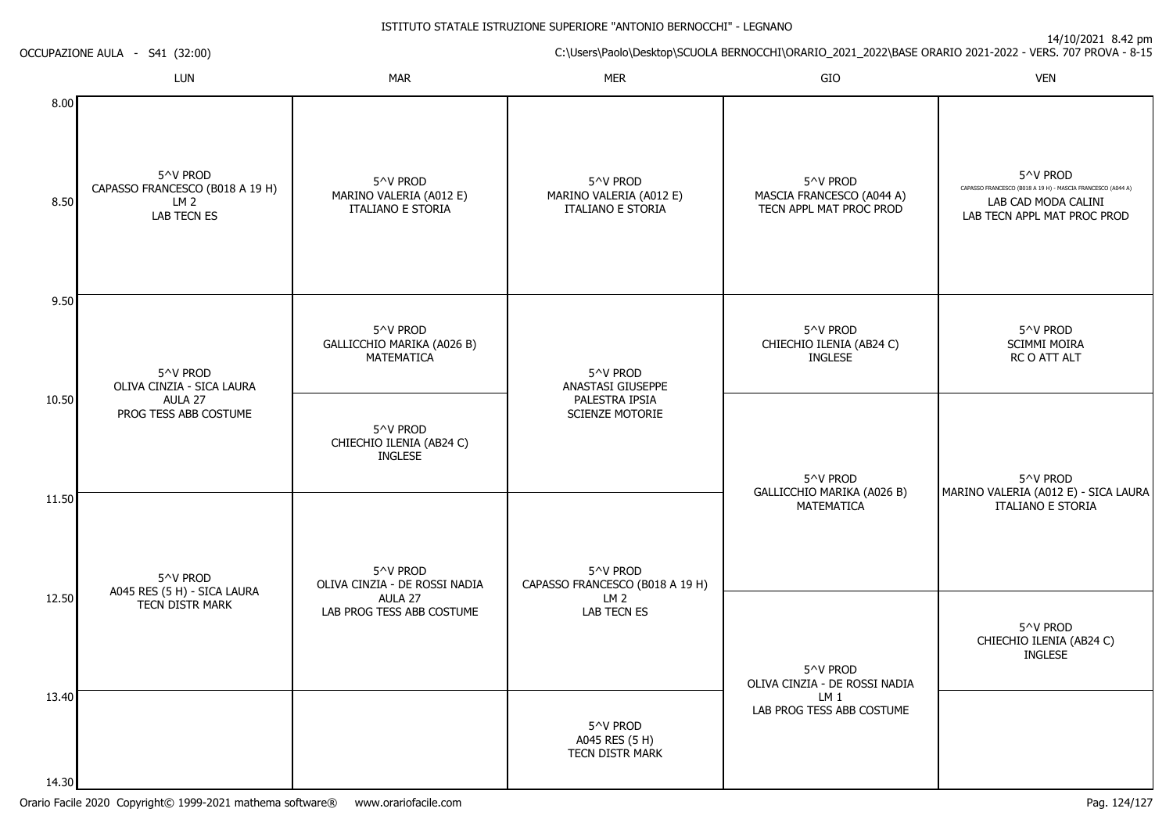| 14/10/2021 0.42 pm<br>C:\Users\Paolo\Desktop\SCUOLA BERNOCCHI\ORARIO_2021_2022\BASE ORARIO 2021-2022 - VERS. 707 PROVA - 8-15 |  |  |  |  |
|-------------------------------------------------------------------------------------------------------------------------------|--|--|--|--|
| <b>VEN</b>                                                                                                                    |  |  |  |  |
| 5^V PROD<br>CAPASSO FRANCESCO (B018 A 19 H) - MASCIA FRANCESCO (A044 A)<br>LAB CAD MODA CALINI<br>LAB TECN APPL MAT PROC PROD |  |  |  |  |
| 5^V PROD<br>SCIMMI MOIRA<br>RC O ATT ALT                                                                                      |  |  |  |  |
| 5^V PROD<br>MARINO VALERIA (A012 E) - SICA LAURA                                                                              |  |  |  |  |
| <b>ITALIANO E STORIA</b>                                                                                                      |  |  |  |  |
| 5^V PROD<br>CHIECHIO ILENIA (AB24 C)<br><b>INGLESE</b>                                                                        |  |  |  |  |
|                                                                                                                               |  |  |  |  |
|                                                                                                                               |  |  |  |  |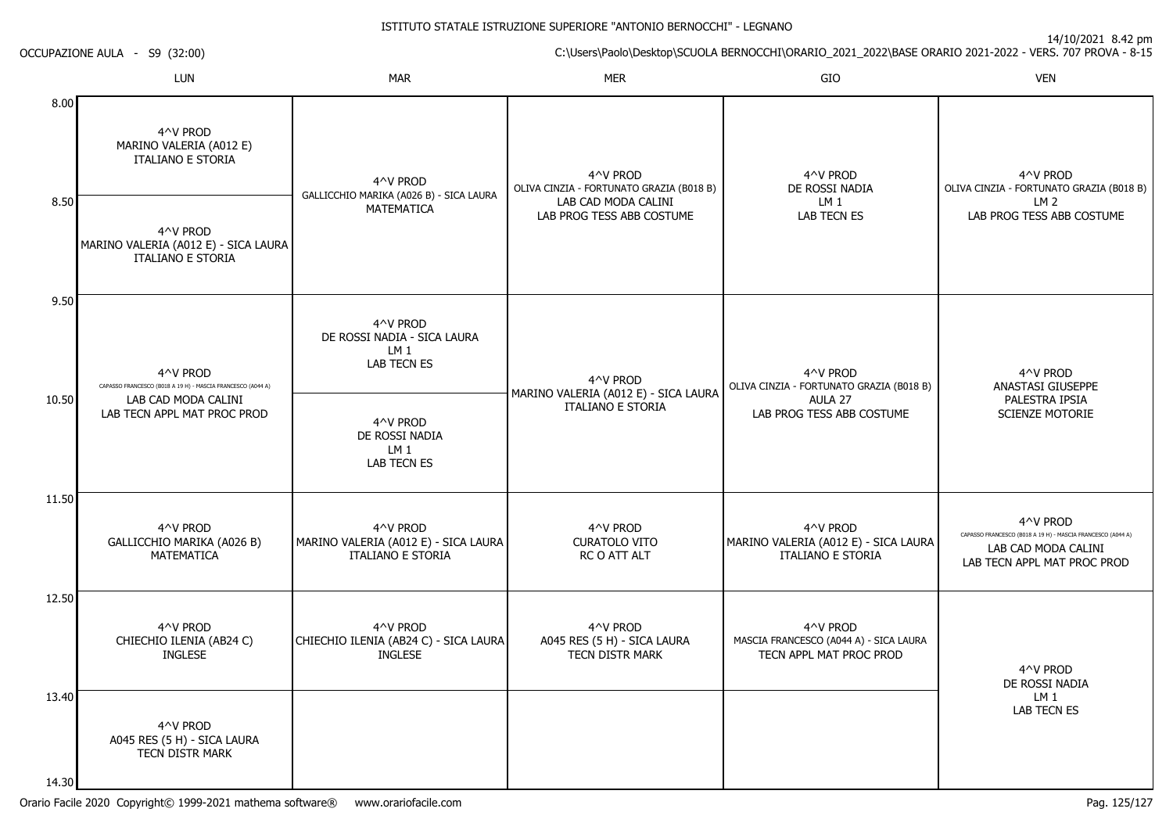14/10/2021 8.42 pm

C:\Users\Paolo\Desktop\SCUOLA BERNOCCHI\ORARIO\_2021\_2022\BASE ORARIO 2021-2022 - VERS. 707 PROVA - 8-15 OCCUPAZIONE AULA - S9 (32:00)LUNN MAR MAR MER SIO O VEN 4^V PRODMARINO VALERIA (A012 E)ITALIANO E STORIA4^V PROD4^V PRODOLIVA CINZIA - FORTUNATO GRAZIA (B018 B)4^V PRODDE ROSSI NADIA4^V PRODOLIVA CINZIA - FORTUNATO GRAZIA (B018 B)

| 8.00  |                                                                                                                               |                                                                              |                                                                                                          |                                                                               |                                                                                                                               |
|-------|-------------------------------------------------------------------------------------------------------------------------------|------------------------------------------------------------------------------|----------------------------------------------------------------------------------------------------------|-------------------------------------------------------------------------------|-------------------------------------------------------------------------------------------------------------------------------|
|       | 4^V PROD<br>MARINO VALERIA (A012 E)<br><b>ITALIANO E STORIA</b>                                                               | 4^V PROD<br>GALLICCHIO MARIKA (A026 B) - SICA LAURA<br>MATEMATICA            | 4^V PROD<br>OLIVA CINZIA - FORTUNATO GRAZIA (B018 B)<br>LAB CAD MODA CALINI<br>LAB PROG TESS ABB COSTUME | 4^V PROD<br>DE ROSSI NADIA<br>LM <sub>1</sub><br>LAB TECN ES                  | 4^V PROD<br>OLIVA CINZIA - FORTUNATO GRAZIA (B018<br>LM <sub>2</sub><br>LAB PROG TESS ABB COSTUME                             |
| 8.50  | 4^V PROD<br>MARINO VALERIA (A012 E) - SICA LAURA<br><b>ITALIANO E STORIA</b>                                                  |                                                                              |                                                                                                          |                                                                               |                                                                                                                               |
| 9.50  |                                                                                                                               |                                                                              |                                                                                                          |                                                                               |                                                                                                                               |
|       | 4^V PROD<br>CAPASSO FRANCESCO (B018 A 19 H) - MASCIA FRANCESCO (A044 A)<br>LAB CAD MODA CALINI<br>LAB TECN APPL MAT PROC PROD | 4^V PROD<br>DE ROSSI NADIA - SICA LAURA<br>LM 1<br><b>LAB TECN ES</b>        | 4^V PROD<br>MARINO VALERIA (A012 E) - SICA LAURA                                                         | 4^V PROD<br>OLIVA CINZIA - FORTUNATO GRAZIA (B018 B)                          | 4^V PROD<br>ANASTASI GIUSEPPE                                                                                                 |
| 10.50 |                                                                                                                               | 4^V PROD<br>DE ROSSI NADIA<br>LM <sub>1</sub><br><b>LAB TECN ES</b>          | <b>ITALIANO E STORIA</b>                                                                                 | AULA 27<br>LAB PROG TESS ABB COSTUME                                          | PALESTRA IPSIA<br><b>SCIENZE MOTORIE</b>                                                                                      |
| 11.50 | 4^V PROD<br>GALLICCHIO MARIKA (A026 B)<br><b>MATEMATICA</b>                                                                   | 4^V PROD<br>MARINO VALERIA (A012 E) - SICA LAURA<br><b>ITALIANO E STORIA</b> | 4^V PROD<br><b>CURATOLO VITO</b><br><b>RCO ATT ALT</b>                                                   | 4^V PROD<br>MARINO VALERIA (A012 E) - SICA LAURA<br><b>ITALIANO E STORIA</b>  | 4^V PROD<br>CAPASSO FRANCESCO (B018 A 19 H) - MASCIA FRANCESCO (A044 A)<br>LAB CAD MODA CALINI<br>LAB TECN APPL MAT PROC PROD |
| 12.50 | 4^V PROD<br>CHIECHIO ILENIA (AB24 C)<br><b>INGLESE</b>                                                                        | 4^V PROD<br>CHIECHIO ILENIA (AB24 C) - SICA LAURA<br><b>INGLESE</b>          | 4^V PROD<br>A045 RES (5 H) - SICA LAURA<br><b>TECN DISTR MARK</b>                                        | 4^V PROD<br>MASCIA FRANCESCO (A044 A) - SICA LAURA<br>TECN APPL MAT PROC PROD | 4^V PROD<br>DE ROSSI NADIA                                                                                                    |

4^V PROD A045 RES (5 H) - SICA LAURATECN DISTR MARK

13.40

14.30

LM 1LAB TECN ES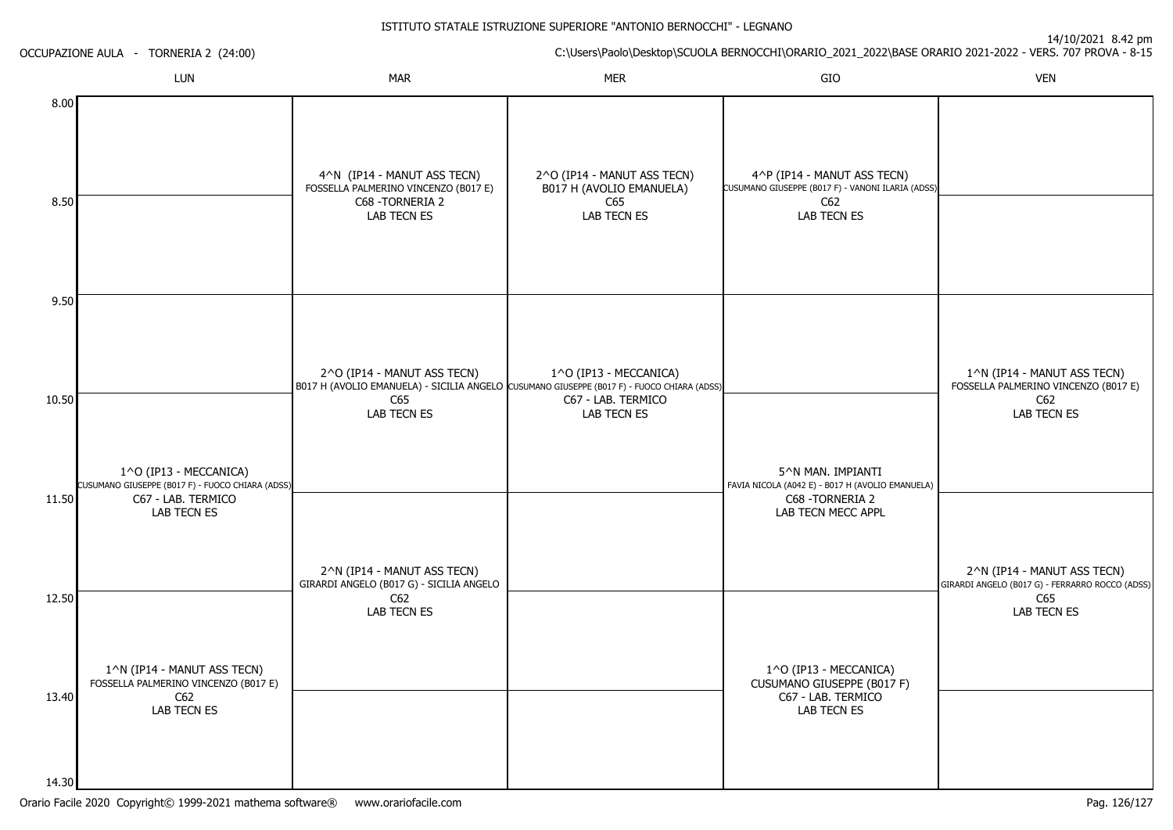14/10/2021 8.42 pm

C:\Users\Paolo\Desktop\SCUOLA BERNOCCHI\ORARIO\_2021\_2022\BASE ORARIO 2021-2022 - VERS. 707 PROVA - 8-15 OCCUPAZIONE AULA - TORNERIA 2 (24:00)LUNN MAR MAR MER SIO O VEN 8.008.509.5010.5011.5012.5013.401^O (IP13 - MECCANICA) CUSUMANO GIUSEPPE (B017 F) - FUOCO CHIARA (ADSS)C67 - LAB. TERMICOLAB TECN ES1^N (IP14 - MANUT ASS TECN) FOSSELLA PALMERINO VINCENZO (B017 E) $C62$  LAB TECN ES4^N (IP14 - MANUT ASS TECN) FOSSELLA PALMERINO VINCENZO (B017 E)C68 -TORNERIA 2LAB TECN ES2^O (IP14 - MANUT ASS TECN)B017 H (AVOLIO EMANUELA) - SICILIA ANGELO CUSUMANO GIUSEPPE (B017 F) - FUOCO CHIARA (ADSS) C65 LAB TECN ES2^N (IP14 - MANUT ASS TECN) GIRARDI ANGELO (B017 G) - SICILIA ANGELOC62 LAB TECN ES2^O (IP14 - MANUT ASS TECN)B017 H (AVOLIO EMANUELA)C65 LAB TECN ES1^O (IP13 - MECCANICA)C67 - LAB. TERMICOLAB TECN ES4^P (IP14 - MANUT ASS TECN) CUSUMANO GIUSEPPE (B017 F) - VANONI ILARIA (ADSS)C62 LAB TECN ES5^N MAN. IMPIANTI FAVIA NICOLA (A042 E) - B017 H (AVOLIO EMANUELA)C68 -TORNERIA 2 LAB TECN MECC APPL1^O (IP13 - MECCANICA) CUSUMANO GIUSEPPE (B017 F)C67 - LAB. TERMICOLAB TECN ES1^N (IP14 - MANUT ASS TECN) FOSSELLA PALMERINO VINCENZO (B017 E)C62 LAB TECN ES2^N (IP14 - MANUT ASS TECN) GIRARDI ANGELO (B017 G) - FERRARRO ROCCO (ADSS) C65LAB TECN ES

14.30